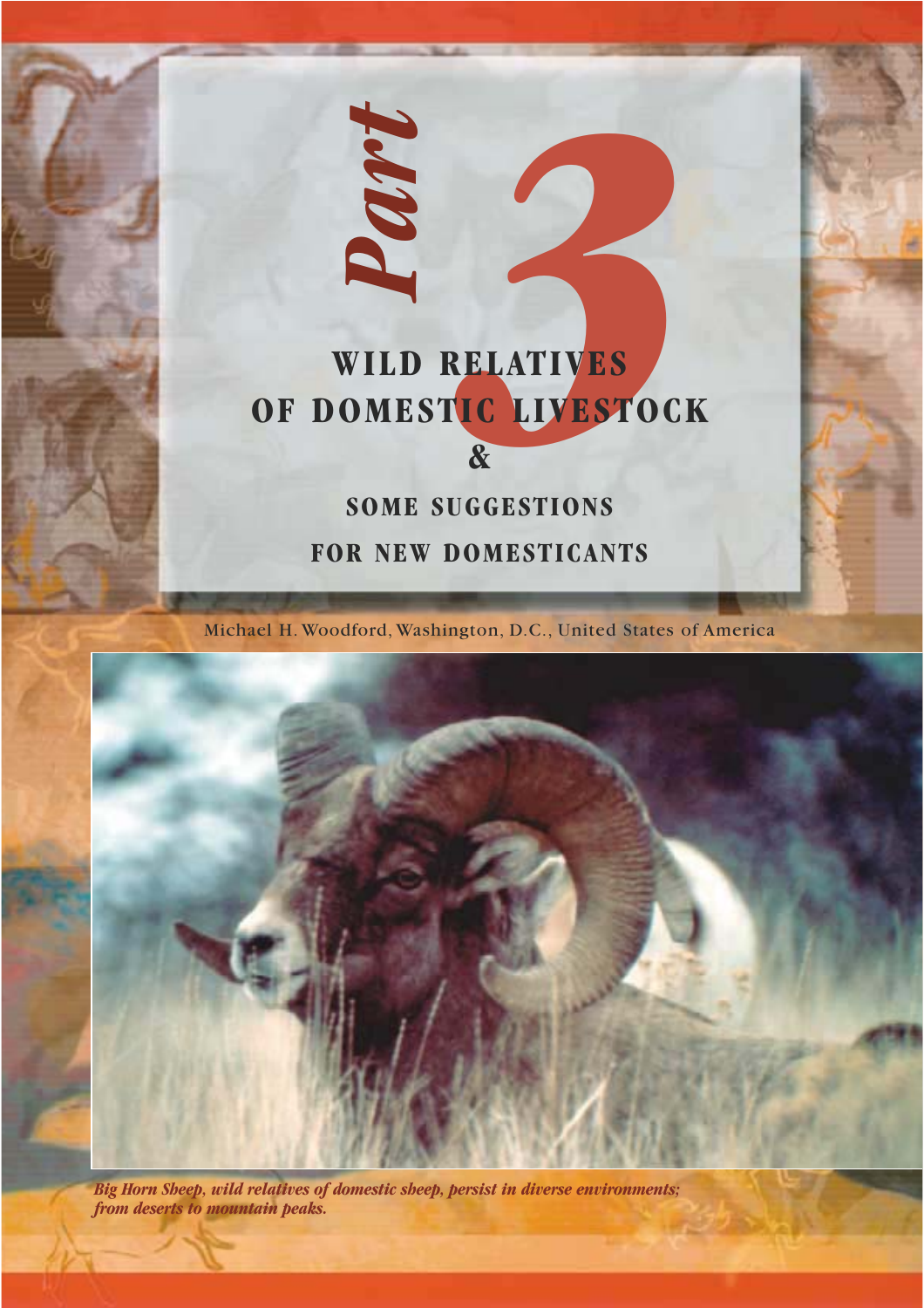# **WILD RELATIVES OF DOMESTIC LIVESTOCK &**

*Part*

*3*

# **SOME SUGGESTIONS**

**FOR NEW DOMESTICANTS**

Michael H. Woodford, Washington, D.C., United States of America



*Big Horn Sheep, wild relatives of domestic sheep, persist in diverse environments; from deserts to mountain peaks.*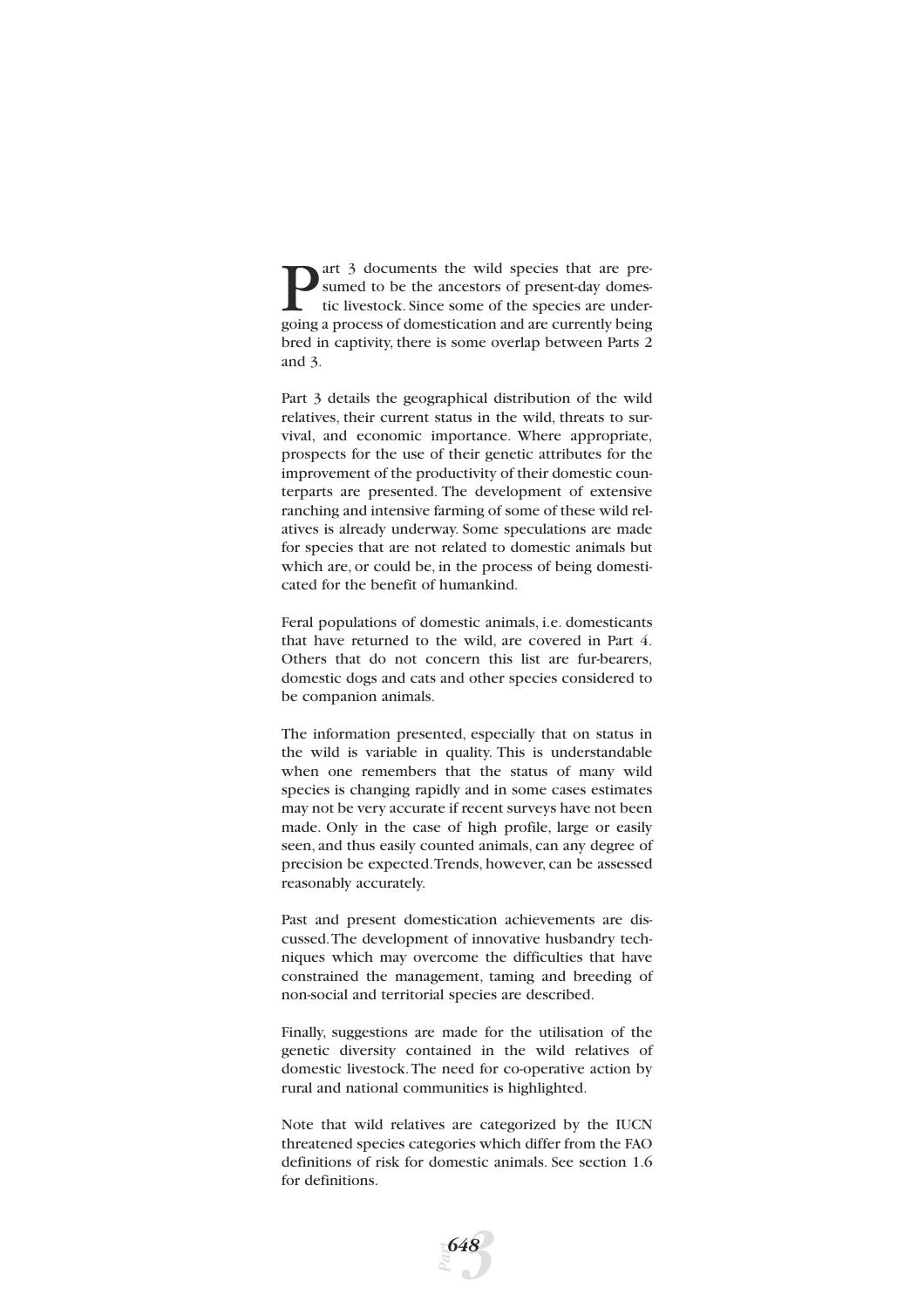art 3 documents the wild species that are presumed to be the ancestors of present-day domestic livestock. Since some of the species are undergoing a process of domestication and are currently being bred in captivity, there is some overlap between Parts 2 and 3.

Part 3 details the geographical distribution of the wild relatives, their current status in the wild, threats to survival, and economic importance. Where appropriate, prospects for the use of their genetic attributes for the improvement of the productivity of their domestic counterparts are presented. The development of extensive ranching and intensive farming of some of these wild relatives is already underway. Some speculations are made for species that are not related to domestic animals but which are, or could be, in the process of being domesticated for the benefit of humankind.

Feral populations of domestic animals, i.e. domesticants that have returned to the wild, are covered in Part 4. Others that do not concern this list are fur-bearers, domestic dogs and cats and other species considered to be companion animals.

The information presented, especially that on status in the wild is variable in quality. This is understandable when one remembers that the status of many wild species is changing rapidly and in some cases estimates may not be very accurate if recent surveys have not been made. Only in the case of high profile, large or easily seen, and thus easily counted animals, can any degree of precision be expected.Trends, however, can be assessed reasonably accurately.

Past and present domestication achievements are discussed.The development of innovative husbandry techniques which may overcome the difficulties that have constrained the management, taming and breeding of non-social and territorial species are described.

Finally, suggestions are made for the utilisation of the genetic diversity contained in the wild relatives of domestic livestock.The need for co-operative action by rural and national communities is highlighted.

Note that wild relatives are categorized by the IUCN threatened species categories which differ from the FAO definitions of risk for domestic animals. See section 1.6 for definitions.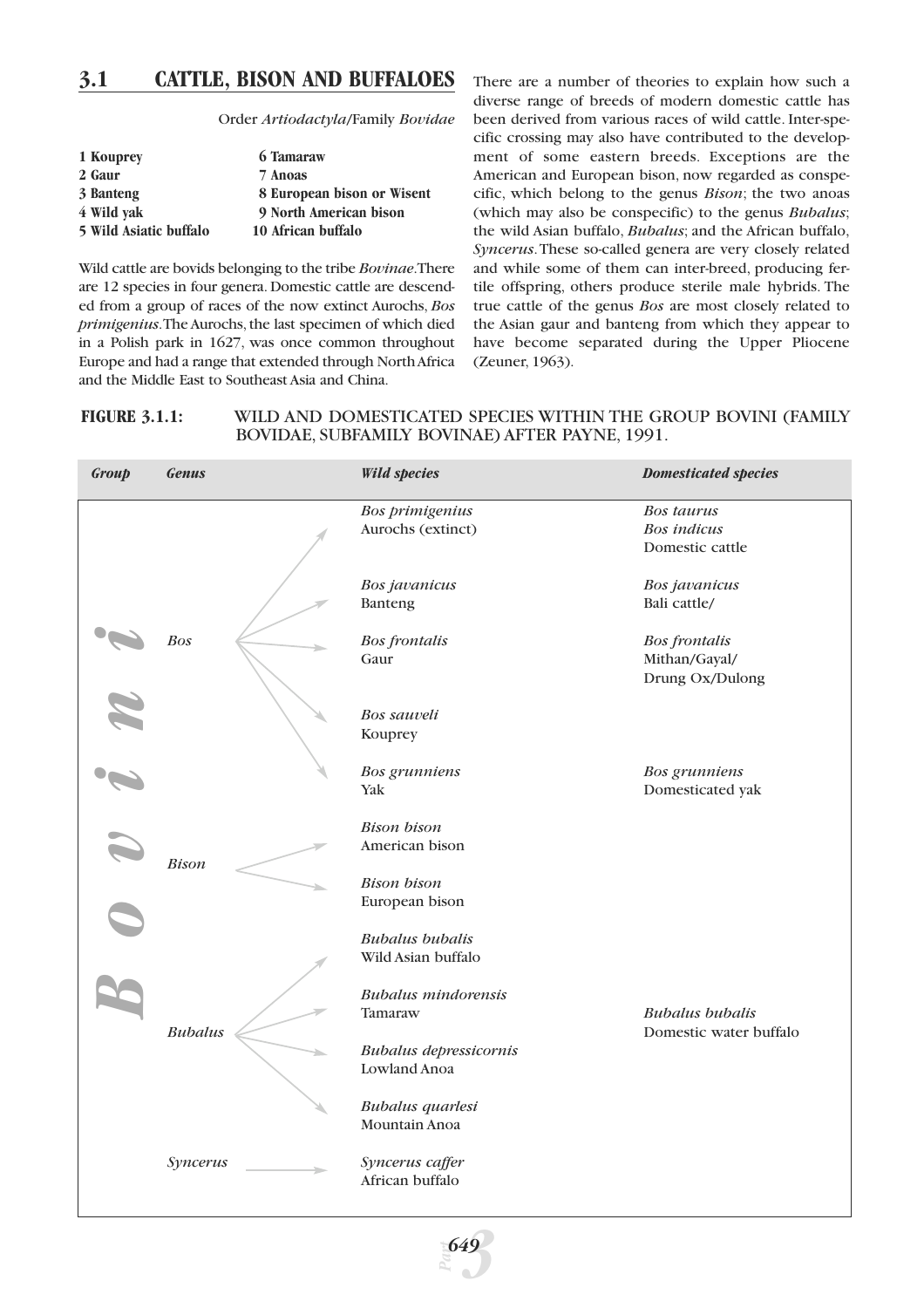# **3.1 CATTLE, BISON AND BUFFALOES**

Order *Artiodactyla*/Family *Bovidae*

| 1 Kouprey              | 6 Tamaraw                  |
|------------------------|----------------------------|
| 2 Gaur                 | 7 Anoas                    |
| 3 Banteng              | 8 European bison or Wisent |
| 4 Wild yak             | 9 North American bison     |
| 5 Wild Asiatic buffalo | 10 African buffalo         |

Wild cattle are bovids belonging to the tribe *Bovinae*.There are 12 species in four genera. Domestic cattle are descended from a group of races of the now extinct Aurochs, *Bos primigenius*.The Aurochs, the last specimen of which died in a Polish park in 1627, was once common throughout Europe and had a range that extended through North Africa and the Middle East to Southeast Asia and China.

There are a number of theories to explain how such a diverse range of breeds of modern domestic cattle has been derived from various races of wild cattle. Inter-specific crossing may also have contributed to the development of some eastern breeds. Exceptions are the American and European bison, now regarded as conspecific, which belong to the genus *Bison*; the two anoas (which may also be conspecific) to the genus *Bubalus*; the wild Asian buffalo, *Bubalus*; and the African buffalo, *Syncerus*.These so-called genera are very closely related and while some of them can inter-breed, producing fertile offspring, others produce sterile male hybrids. The true cattle of the genus *Bos* are most closely related to the Asian gaur and banteng from which they appear to have become separated during the Upper Pliocene (Zeuner, 1963).

# **FIGURE 3.1.1:** WILD AND DOMESTICATED SPECIES WITHIN THE GROUP BOVINI (FAMILY BOVIDAE, SUBFAMILY BOVINAE) AFTER PAYNE, 1991.

| Group | <b>Genus</b>   | <b>Wild species</b>                           | <b>Domesticated species</b>                                |
|-------|----------------|-----------------------------------------------|------------------------------------------------------------|
|       |                | <b>Bos primigenius</b><br>Aurochs (extinct)   | <b>Bos taurus</b><br><b>Bos</b> indicus<br>Domestic cattle |
|       |                | Bos javanicus<br>Banteng                      | Bos javanicus<br>Bali cattle/                              |
|       | <b>Bos</b>     | <b>Bos</b> frontalis<br>Gaur                  | <b>Bos</b> frontalis<br>Mithan/Gayal/<br>Drung Ox/Dulong   |
|       |                | Bos sauveli<br>Kouprey                        |                                                            |
|       |                | <b>Bos</b> grunniens<br>Yak                   | <b>Bos</b> grunniens<br>Domesticated yak                   |
|       | <b>Bison</b>   | <b>Bison</b> bison<br>American bison          |                                                            |
|       |                | <b>Bison</b> bison<br>European bison          |                                                            |
|       |                | <b>Bubalus</b> bubalis<br>Wild Asian buffalo  |                                                            |
|       | <b>Bubalus</b> | <b>Bubalus</b> mindorensis<br>Tamaraw         | <b>Bubalus</b> bubalis<br>Domestic water buffalo           |
|       |                | <b>Bubalus depressicornis</b><br>Lowland Anoa |                                                            |
|       |                | <b>Bubalus</b> quarlesi<br>Mountain Anoa      |                                                            |
|       | Syncerus       | Syncerus caffer<br>African buffalo            |                                                            |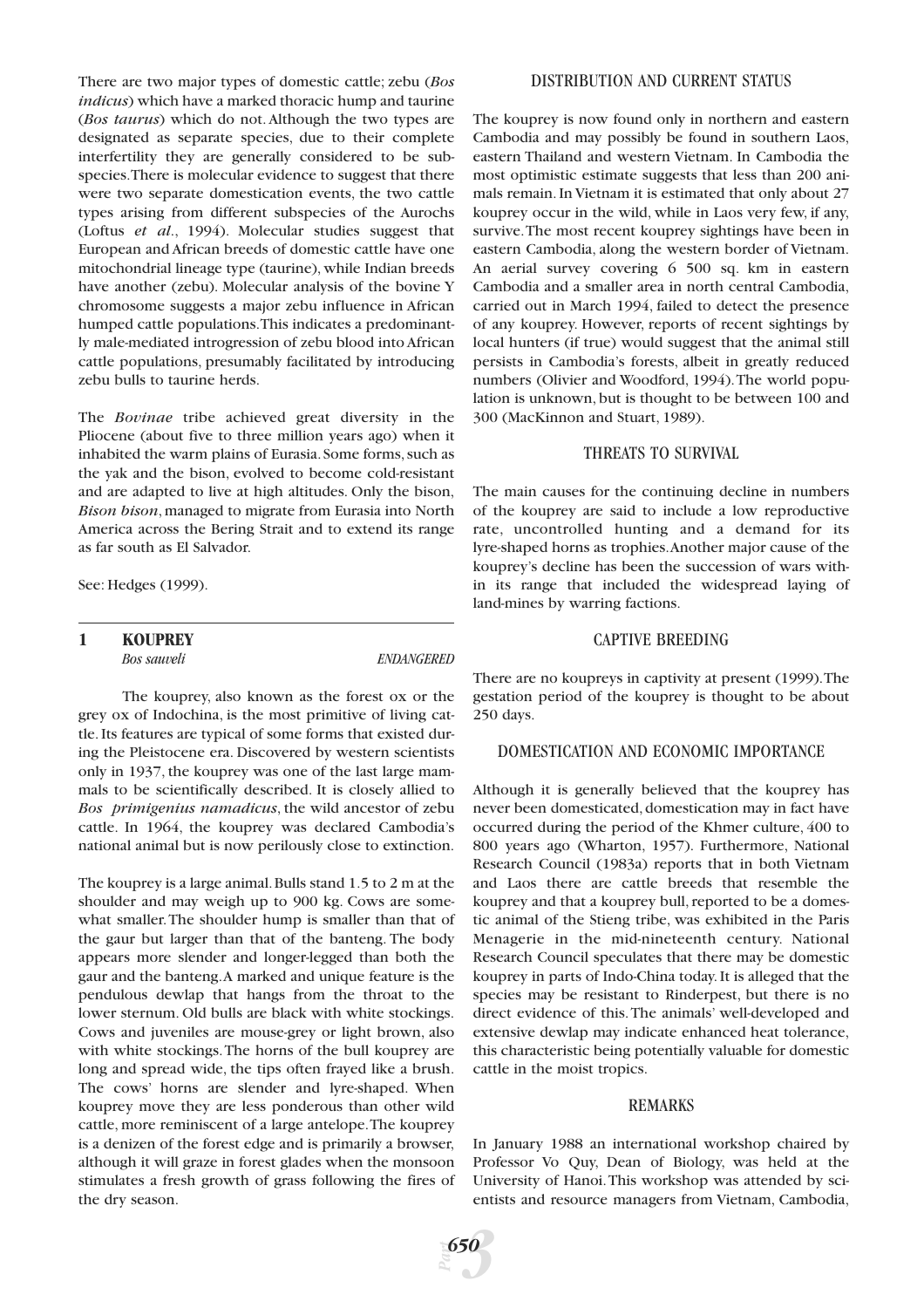There are two major types of domestic cattle; zebu (*Bos indicus*) which have a marked thoracic hump and taurine (*Bos taurus*) which do not. Although the two types are designated as separate species, due to their complete interfertility they are generally considered to be subspecies.There is molecular evidence to suggest that there were two separate domestication events, the two cattle types arising from different subspecies of the Aurochs (Loftus *et al*., 1994). Molecular studies suggest that European and African breeds of domestic cattle have one mitochondrial lineage type (taurine), while Indian breeds have another (zebu). Molecular analysis of the bovine Y chromosome suggests a major zebu influence in African humped cattle populations.This indicates a predominantly male-mediated introgression of zebu blood into African cattle populations, presumably facilitated by introducing zebu bulls to taurine herds.

The *Bovinae* tribe achieved great diversity in the Pliocene (about five to three million years ago) when it inhabited the warm plains of Eurasia. Some forms, such as the yak and the bison, evolved to become cold-resistant and are adapted to live at high altitudes. Only the bison, *Bison bison*, managed to migrate from Eurasia into North America across the Bering Strait and to extend its range as far south as El Salvador.

See: Hedges (1999).

# **1 KOUPREY**

*Bos sauveli ENDANGERED*

The kouprey, also known as the forest ox or the grey ox of Indochina, is the most primitive of living cattle. Its features are typical of some forms that existed during the Pleistocene era. Discovered by western scientists only in 1937, the kouprey was one of the last large mammals to be scientifically described. It is closely allied to *Bos primigenius namadicus*, the wild ancestor of zebu cattle. In 1964, the kouprey was declared Cambodia's national animal but is now perilously close to extinction.

The kouprey is a large animal.Bulls stand 1.5 to 2 m at the shoulder and may weigh up to 900 kg. Cows are somewhat smaller.The shoulder hump is smaller than that of the gaur but larger than that of the banteng. The body appears more slender and longer-legged than both the gaur and the banteng.A marked and unique feature is the pendulous dewlap that hangs from the throat to the lower sternum. Old bulls are black with white stockings. Cows and juveniles are mouse-grey or light brown, also with white stockings.The horns of the bull kouprey are long and spread wide, the tips often frayed like a brush. The cows' horns are slender and lyre-shaped. When kouprey move they are less ponderous than other wild cattle, more reminiscent of a large antelope.The kouprey is a denizen of the forest edge and is primarily a browser, although it will graze in forest glades when the monsoon stimulates a fresh growth of grass following the fires of the dry season.

#### DISTRIBUTION AND CURRENT STATUS

The kouprey is now found only in northern and eastern Cambodia and may possibly be found in southern Laos, eastern Thailand and western Vietnam. In Cambodia the most optimistic estimate suggests that less than 200 animals remain. In Vietnam it is estimated that only about 27 kouprey occur in the wild, while in Laos very few, if any, survive.The most recent kouprey sightings have been in eastern Cambodia, along the western border of Vietnam. An aerial survey covering 6 500 sq. km in eastern Cambodia and a smaller area in north central Cambodia, carried out in March 1994, failed to detect the presence of any kouprey. However, reports of recent sightings by local hunters (if true) would suggest that the animal still persists in Cambodia's forests, albeit in greatly reduced numbers (Olivier and Woodford, 1994).The world population is unknown, but is thought to be between 100 and 300 (MacKinnon and Stuart, 1989).

### THREATS TO SURVIVAL

The main causes for the continuing decline in numbers of the kouprey are said to include a low reproductive rate, uncontrolled hunting and a demand for its lyre-shaped horns as trophies.Another major cause of the kouprey's decline has been the succession of wars within its range that included the widespread laying of land-mines by warring factions.

# CAPTIVE BREEDING

There are no koupreys in captivity at present (1999).The gestation period of the kouprey is thought to be about 250 days.

#### DOMESTICATION AND ECONOMIC IMPORTANCE

Although it is generally believed that the kouprey has never been domesticated, domestication may in fact have occurred during the period of the Khmer culture, 400 to 800 years ago (Wharton, 1957). Furthermore, National Research Council (1983a) reports that in both Vietnam and Laos there are cattle breeds that resemble the kouprey and that a kouprey bull, reported to be a domestic animal of the Stieng tribe, was exhibited in the Paris Menagerie in the mid-nineteenth century. National Research Council speculates that there may be domestic kouprey in parts of Indo-China today. It is alleged that the species may be resistant to Rinderpest, but there is no direct evidence of this.The animals' well-developed and extensive dewlap may indicate enhanced heat tolerance, this characteristic being potentially valuable for domestic cattle in the moist tropics.

#### REMARKS

In January 1988 an international workshop chaired by Professor Vo Quy, Dean of Biology, was held at the University of Hanoi.This workshop was attended by scientists and resource managers from Vietnam, Cambodia,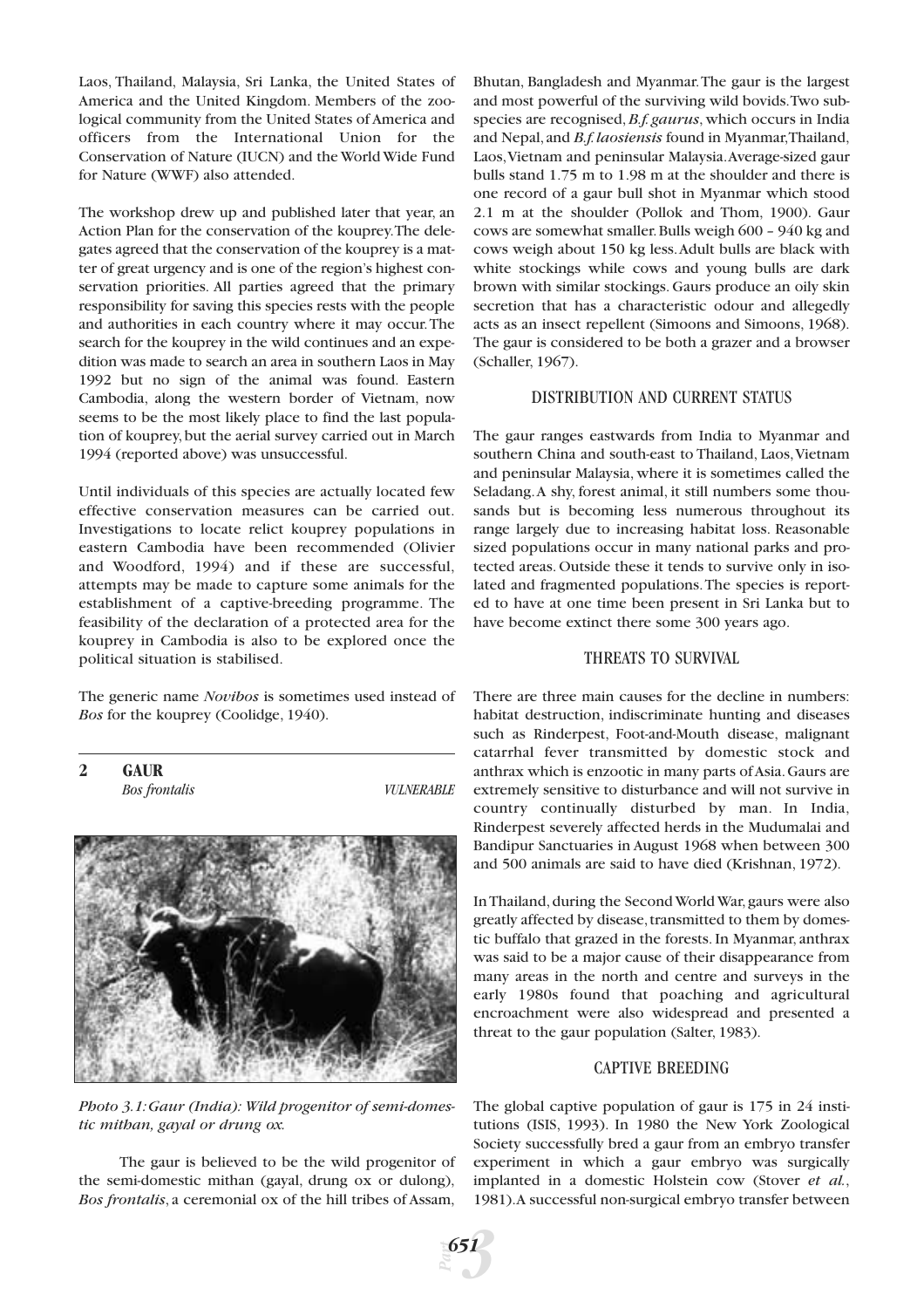Laos, Thailand, Malaysia, Sri Lanka, the United States of America and the United Kingdom. Members of the zoological community from the United States of America and officers from the International Union for the Conservation of Nature (IUCN) and the World Wide Fund for Nature (WWF) also attended.

The workshop drew up and published later that year, an Action Plan for the conservation of the kouprey.The delegates agreed that the conservation of the kouprey is a matter of great urgency and is one of the region's highest conservation priorities. All parties agreed that the primary responsibility for saving this species rests with the people and authorities in each country where it may occur.The search for the kouprey in the wild continues and an expedition was made to search an area in southern Laos in May 1992 but no sign of the animal was found. Eastern Cambodia, along the western border of Vietnam, now seems to be the most likely place to find the last population of kouprey, but the aerial survey carried out in March 1994 (reported above) was unsuccessful.

Until individuals of this species are actually located few effective conservation measures can be carried out. Investigations to locate relict kouprey populations in eastern Cambodia have been recommended (Olivier and Woodford, 1994) and if these are successful, attempts may be made to capture some animals for the establishment of a captive-breeding programme. The feasibility of the declaration of a protected area for the kouprey in Cambodia is also to be explored once the political situation is stabilised.

The generic name *Novibos* is sometimes used instead of *Bos* for the kouprey (Coolidge, 1940).

**2 GAUR**

*Bos frontalis VULNERABLE*



*Photo 3.1:Gaur (India): Wild progenitor of semi-domestic mithan, gayal or drung ox.*

The gaur is believed to be the wild progenitor of the semi-domestic mithan (gayal, drung ox or dulong), *Bos frontalis*, a ceremonial ox of the hill tribes of Assam,

Bhutan, Bangladesh and Myanmar.The gaur is the largest and most powerful of the surviving wild bovids.Two subspecies are recognised,*B.f. gaurus*, which occurs in India and Nepal,and *B.f.laosiensis* found in Myanmar,Thailand, Laos,Vietnam and peninsular Malaysia.Average-sized gaur bulls stand 1.75 m to 1.98 m at the shoulder and there is one record of a gaur bull shot in Myanmar which stood 2.1 m at the shoulder (Pollok and Thom, 1900). Gaur cows are somewhat smaller.Bulls weigh 600 – 940 kg and cows weigh about 150 kg less.Adult bulls are black with white stockings while cows and young bulls are dark brown with similar stockings. Gaurs produce an oily skin secretion that has a characteristic odour and allegedly acts as an insect repellent (Simoons and Simoons, 1968). The gaur is considered to be both a grazer and a browser (Schaller, 1967).

#### DISTRIBUTION AND CURRENT STATUS

The gaur ranges eastwards from India to Myanmar and southern China and south-east to Thailand, Laos, Vietnam and peninsular Malaysia, where it is sometimes called the Seladang.A shy, forest animal, it still numbers some thousands but is becoming less numerous throughout its range largely due to increasing habitat loss. Reasonable sized populations occur in many national parks and protected areas. Outside these it tends to survive only in isolated and fragmented populations.The species is reported to have at one time been present in Sri Lanka but to have become extinct there some 300 years ago.

#### THREATS TO SURVIVAL

There are three main causes for the decline in numbers: habitat destruction, indiscriminate hunting and diseases such as Rinderpest, Foot-and-Mouth disease, malignant catarrhal fever transmitted by domestic stock and anthrax which is enzootic in many parts of Asia.Gaurs are extremely sensitive to disturbance and will not survive in country continually disturbed by man. In India, Rinderpest severely affected herds in the Mudumalai and Bandipur Sanctuaries in August 1968 when between 300 and 500 animals are said to have died (Krishnan, 1972).

In Thailand, during the Second World War, gaurs were also greatly affected by disease,transmitted to them by domestic buffalo that grazed in the forests. In Myanmar, anthrax was said to be a major cause of their disappearance from many areas in the north and centre and surveys in the early 1980s found that poaching and agricultural encroachment were also widespread and presented a threat to the gaur population (Salter, 1983).

#### CAPTIVE BREEDING

The global captive population of gaur is 175 in 24 institutions (ISIS, 1993). In 1980 the New York Zoological Society successfully bred a gaur from an embryo transfer experiment in which a gaur embryo was surgically implanted in a domestic Holstein cow (Stover *et al.*, 1981).A successful non-surgical embryo transfer between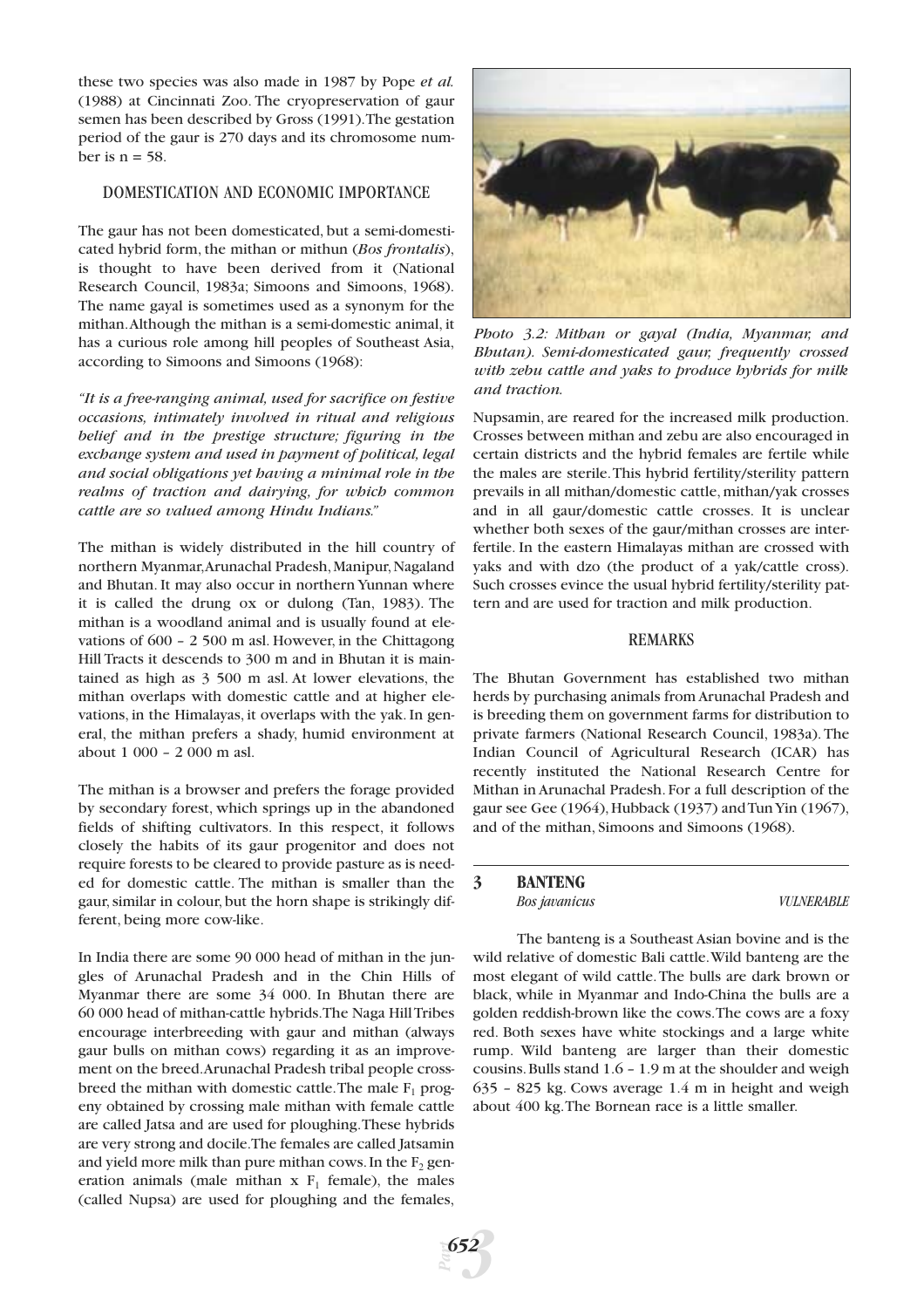these two species was also made in 1987 by Pope *et al.* (1988) at Cincinnati Zoo. The cryopreservation of gaur semen has been described by Gross (1991).The gestation period of the gaur is 270 days and its chromosome number is  $n = 58$ .

# DOMESTICATION AND ECONOMIC IMPORTANCE

The gaur has not been domesticated, but a semi-domesticated hybrid form, the mithan or mithun (*Bos frontalis*), is thought to have been derived from it (National Research Council, 1983a; Simoons and Simoons, 1968). The name gayal is sometimes used as a synonym for the mithan.Although the mithan is a semi-domestic animal, it has a curious role among hill peoples of Southeast Asia, according to Simoons and Simoons (1968):

*"It is a free-ranging animal, used for sacrifice on festive occasions, intimately involved in ritual and religious belief and in the prestige structure; figuring in the exchange system and used in payment of political, legal and social obligations yet having a minimal role in the realms of traction and dairying, for which common cattle are so valued among Hindu Indians."*

The mithan is widely distributed in the hill country of northern Myanmar,Arunachal Pradesh,Manipur,Nagaland and Bhutan. It may also occur in northern Yunnan where it is called the drung ox or dulong (Tan, 1983). The mithan is a woodland animal and is usually found at elevations of 600 – 2 500 m asl. However, in the Chittagong Hill Tracts it descends to 300 m and in Bhutan it is maintained as high as 3 500 m asl. At lower elevations, the mithan overlaps with domestic cattle and at higher elevations, in the Himalayas, it overlaps with the yak. In general, the mithan prefers a shady, humid environment at about 1 000 – 2 000 m asl.

The mithan is a browser and prefers the forage provided by secondary forest, which springs up in the abandoned fields of shifting cultivators. In this respect, it follows closely the habits of its gaur progenitor and does not require forests to be cleared to provide pasture as is needed for domestic cattle. The mithan is smaller than the gaur, similar in colour, but the horn shape is strikingly different, being more cow-like.

In India there are some 90 000 head of mithan in the jungles of Arunachal Pradesh and in the Chin Hills of Myanmar there are some 34 000. In Bhutan there are 60 000 head of mithan-cattle hybrids.The Naga Hill Tribes encourage interbreeding with gaur and mithan (always gaur bulls on mithan cows) regarding it as an improvement on the breed.Arunachal Pradesh tribal people crossbreed the mithan with domestic cattle. The male  $F_1$  progeny obtained by crossing male mithan with female cattle are called Jatsa and are used for ploughing.These hybrids are very strong and docile.The females are called Jatsamin and yield more milk than pure mithan cows. In the  $F_2$  generation animals (male mithan  $x F_1$  female), the males (called Nupsa) are used for ploughing and the females,



*Photo 3.2: Mithan or gayal (India, Myanmar, and Bhutan). Semi-domesticated gaur, frequently crossed with zebu cattle and yaks to produce hybrids for milk and traction.*

Nupsamin, are reared for the increased milk production. Crosses between mithan and zebu are also encouraged in certain districts and the hybrid females are fertile while the males are sterile.This hybrid fertility/sterility pattern prevails in all mithan/domestic cattle, mithan/yak crosses and in all gaur/domestic cattle crosses. It is unclear whether both sexes of the gaur/mithan crosses are interfertile. In the eastern Himalayas mithan are crossed with yaks and with dzo (the product of a yak/cattle cross). Such crosses evince the usual hybrid fertility/sterility pattern and are used for traction and milk production.

# REMARKS

The Bhutan Government has established two mithan herds by purchasing animals from Arunachal Pradesh and is breeding them on government farms for distribution to private farmers (National Research Council, 1983a). The Indian Council of Agricultural Research (ICAR) has recently instituted the National Research Centre for Mithan in Arunachal Pradesh. For a full description of the gaur see Gee (1964),Hubback (1937) and Tun Yin (1967), and of the mithan, Simoons and Simoons (1968).

# **3 BANTENG**

*Bos javanicus VULNERABLE*

The banteng is a Southeast Asian bovine and is the wild relative of domestic Bali cattle.Wild banteng are the most elegant of wild cattle.The bulls are dark brown or black, while in Myanmar and Indo-China the bulls are a golden reddish-brown like the cows.The cows are a foxy red. Both sexes have white stockings and a large white rump. Wild banteng are larger than their domestic cousins.Bulls stand 1.6 – 1.9 m at the shoulder and weigh 635 – 825 kg. Cows average 1.4 m in height and weigh about 400 kg.The Bornean race is a little smaller.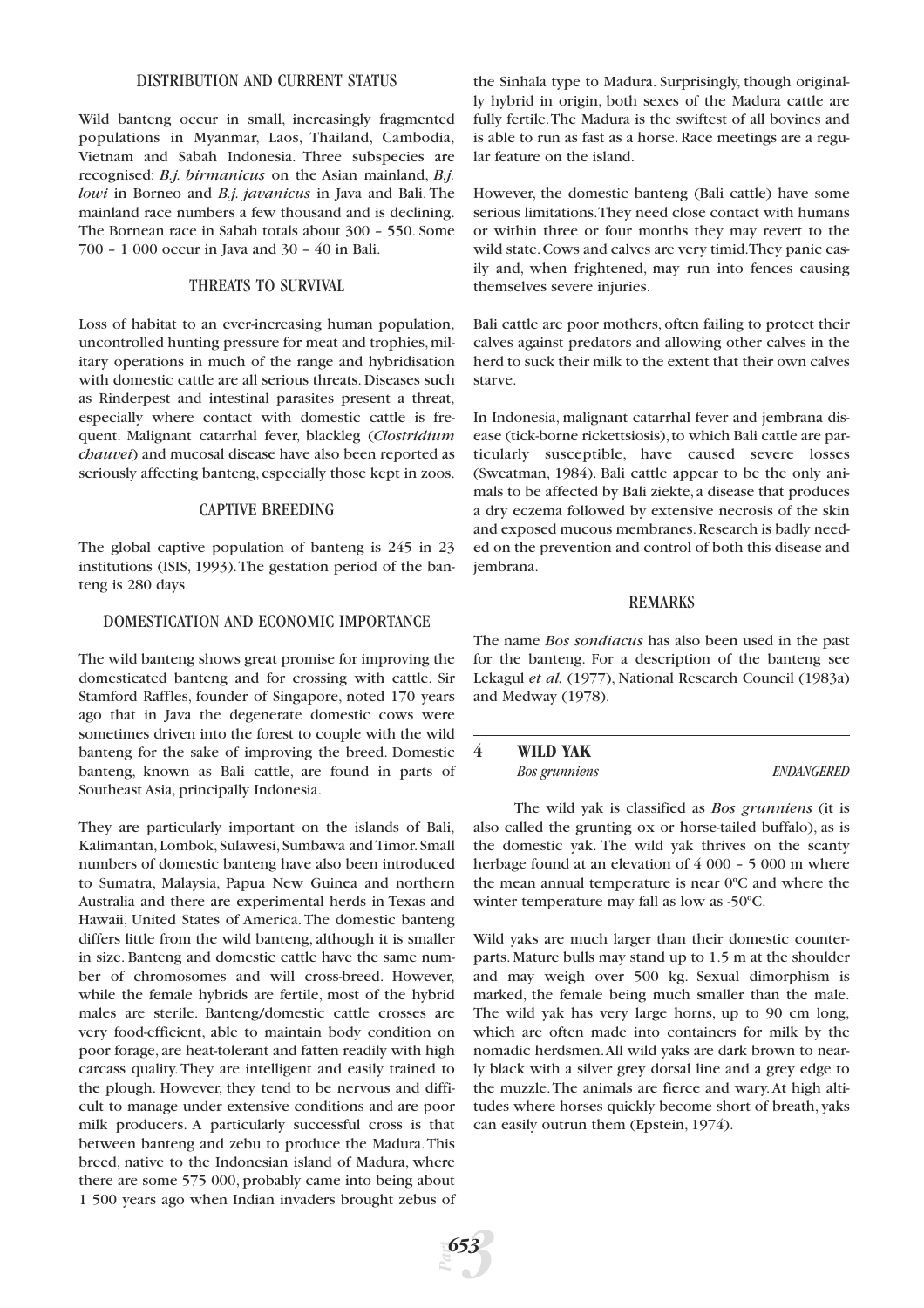#### DISTRIBUTION AND CURRENT STATUS

Wild banteng occur in small, increasingly fragmented populations in Myanmar, Laos, Thailand, Cambodia, Vietnam and Sabah Indonesia. Three subspecies are recognised: *B.j. birmanicus* on the Asian mainland, *B.j. lowi* in Borneo and *B.j. javanicus* in Java and Bali. The mainland race numbers a few thousand and is declining. The Bornean race in Sabah totals about 300 – 550. Some 700 – 1 000 occur in Java and 30 – 40 in Bali.

#### THREATS TO SURVIVAL

Loss of habitat to an ever-increasing human population, uncontrolled hunting pressure for meat and trophies, military operations in much of the range and hybridisation with domestic cattle are all serious threats. Diseases such as Rinderpest and intestinal parasites present a threat, especially where contact with domestic cattle is frequent. Malignant catarrhal fever, blackleg (*Clostridium chauvei*) and mucosal disease have also been reported as seriously affecting banteng, especially those kept in zoos.

#### CAPTIVE BREEDING

The global captive population of banteng is 245 in 23 institutions (ISIS, 1993).The gestation period of the banteng is 280 days.

# DOMESTICATION AND ECONOMIC IMPORTANCE

The wild banteng shows great promise for improving the domesticated banteng and for crossing with cattle. Sir Stamford Raffles, founder of Singapore, noted 170 years ago that in Java the degenerate domestic cows were sometimes driven into the forest to couple with the wild banteng for the sake of improving the breed. Domestic banteng, known as Bali cattle, are found in parts of Southeast Asia, principally Indonesia.

They are particularly important on the islands of Bali, Kalimantan,Lombok,Sulawesi,Sumbawa and Timor.Small numbers of domestic banteng have also been introduced to Sumatra, Malaysia, Papua New Guinea and northern Australia and there are experimental herds in Texas and Hawaii, United States of America. The domestic banteng differs little from the wild banteng, although it is smaller in size. Banteng and domestic cattle have the same number of chromosomes and will cross-breed. However, while the female hybrids are fertile, most of the hybrid males are sterile. Banteng/domestic cattle crosses are very food-efficient, able to maintain body condition on poor forage, are heat-tolerant and fatten readily with high carcass quality. They are intelligent and easily trained to the plough. However, they tend to be nervous and difficult to manage under extensive conditions and are poor milk producers. A particularly successful cross is that between banteng and zebu to produce the Madura.This breed, native to the Indonesian island of Madura, where there are some 575 000, probably came into being about 1 500 years ago when Indian invaders brought zebus of

the Sinhala type to Madura. Surprisingly, though originally hybrid in origin, both sexes of the Madura cattle are fully fertile.The Madura is the swiftest of all bovines and is able to run as fast as a horse. Race meetings are a regular feature on the island.

However, the domestic banteng (Bali cattle) have some serious limitations.They need close contact with humans or within three or four months they may revert to the wild state.Cows and calves are very timid.They panic easily and, when frightened, may run into fences causing themselves severe injuries.

Bali cattle are poor mothers, often failing to protect their calves against predators and allowing other calves in the herd to suck their milk to the extent that their own calves starve.

In Indonesia, malignant catarrhal fever and jembrana disease (tick-borne rickettsiosis),to which Bali cattle are particularly susceptible, have caused severe losses (Sweatman, 1984). Bali cattle appear to be the only animals to be affected by Bali ziekte, a disease that produces a dry eczema followed by extensive necrosis of the skin and exposed mucous membranes.Research is badly needed on the prevention and control of both this disease and jembrana.

# REMARKS

The name *Bos sondiacus* has also been used in the past for the banteng. For a description of the banteng see Lekagul *et al.* (1977), National Research Council (1983a) and Medway (1978).

**4 WILD YAK** *Bos grunniens ENDANGERED*

The wild yak is classified as *Bos grunniens* (it is also called the grunting ox or horse-tailed buffalo), as is the domestic yak. The wild yak thrives on the scanty herbage found at an elevation of 4 000 – 5 000 m where the mean annual temperature is near 0ºC and where the winter temperature may fall as low as -50ºC.

Wild yaks are much larger than their domestic counterparts. Mature bulls may stand up to 1.5 m at the shoulder and may weigh over 500 kg. Sexual dimorphism is marked, the female being much smaller than the male. The wild yak has very large horns, up to 90 cm long, which are often made into containers for milk by the nomadic herdsmen.All wild yaks are dark brown to nearly black with a silver grey dorsal line and a grey edge to the muzzle.The animals are fierce and wary.At high altitudes where horses quickly become short of breath, yaks can easily outrun them (Epstein, 1974).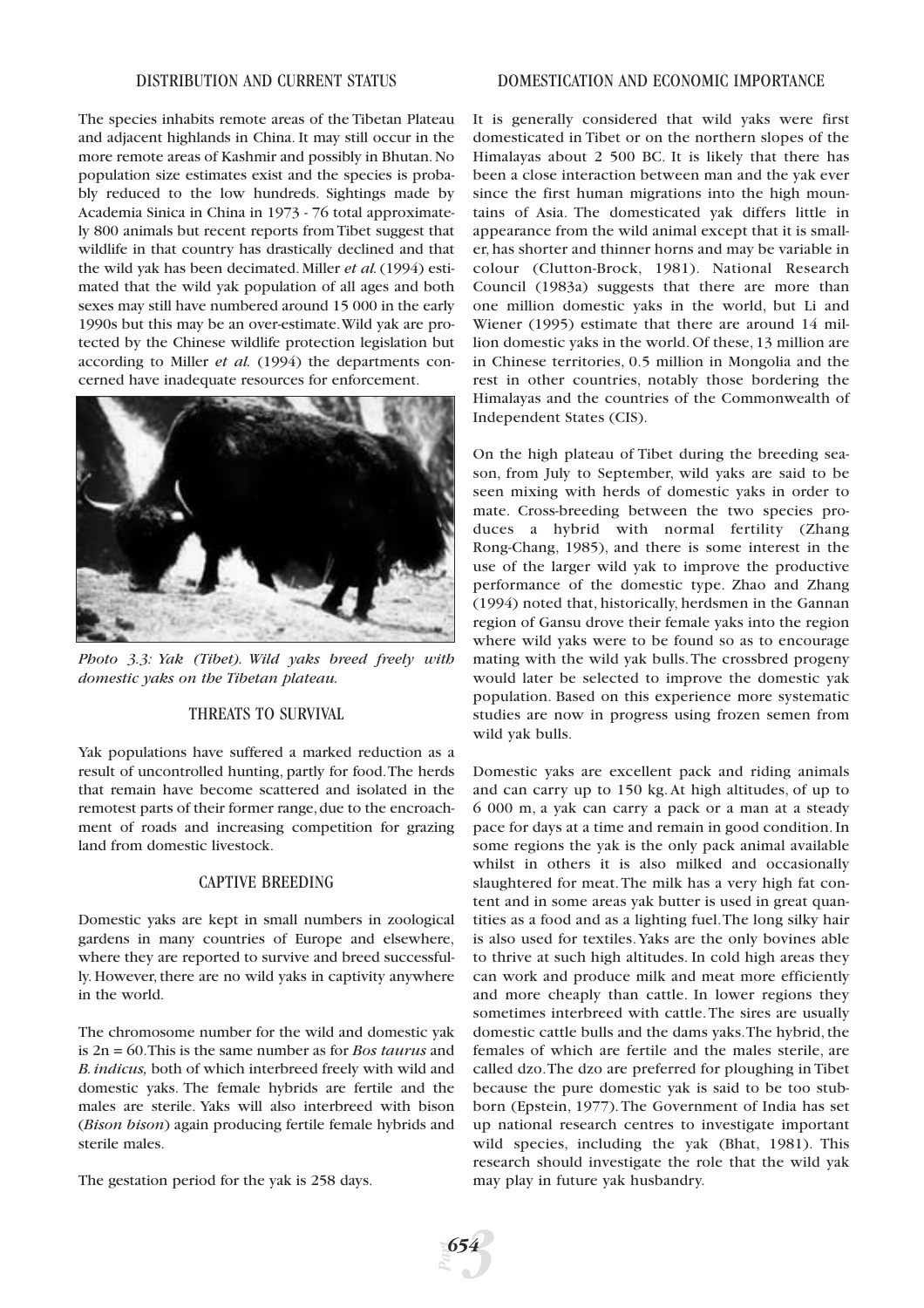The species inhabits remote areas of the Tibetan Plateau and adjacent highlands in China. It may still occur in the more remote areas of Kashmir and possibly in Bhutan.No population size estimates exist and the species is probably reduced to the low hundreds. Sightings made by Academia Sinica in China in 1973 - 76 total approximately 800 animals but recent reports from Tibet suggest that wildlife in that country has drastically declined and that the wild yak has been decimated. Miller *et al.*(1994) estimated that the wild yak population of all ages and both sexes may still have numbered around 15 000 in the early 1990s but this may be an over-estimate.Wild yak are protected by the Chinese wildlife protection legislation but according to Miller *et al.* (1994) the departments concerned have inadequate resources for enforcement.



*Photo 3.3: Yak (Tibet). Wild yaks breed freely with domestic yaks on the Tibetan plateau.*

# THREATS TO SURVIVAL

Yak populations have suffered a marked reduction as a result of uncontrolled hunting, partly for food.The herds that remain have become scattered and isolated in the remotest parts of their former range, due to the encroachment of roads and increasing competition for grazing land from domestic livestock.

# CAPTIVE BREEDING

Domestic yaks are kept in small numbers in zoological gardens in many countries of Europe and elsewhere, where they are reported to survive and breed successfully. However, there are no wild yaks in captivity anywhere in the world.

The chromosome number for the wild and domestic yak is 2n = 60.This is the same number as for *Bos taurus* and *B.indicus,* both of which interbreed freely with wild and domestic yaks. The female hybrids are fertile and the males are sterile. Yaks will also interbreed with bison (*Bison bison*) again producing fertile female hybrids and sterile males.

The gestation period for the yak is 258 days.

It is generally considered that wild yaks were first domesticated in Tibet or on the northern slopes of the Himalayas about 2 500 BC. It is likely that there has been a close interaction between man and the yak ever since the first human migrations into the high mountains of Asia. The domesticated yak differs little in appearance from the wild animal except that it is smaller, has shorter and thinner horns and may be variable in colour (Clutton-Brock, 1981). National Research Council (1983a) suggests that there are more than one million domestic yaks in the world, but Li and Wiener (1995) estimate that there are around 14 million domestic yaks in the world. Of these, 13 million are in Chinese territories, 0.5 million in Mongolia and the rest in other countries, notably those bordering the Himalayas and the countries of the Commonwealth of Independent States (CIS).

On the high plateau of Tibet during the breeding season, from July to September, wild yaks are said to be seen mixing with herds of domestic yaks in order to mate. Cross-breeding between the two species produces a hybrid with normal fertility (Zhang Rong-Chang, 1985), and there is some interest in the use of the larger wild yak to improve the productive performance of the domestic type. Zhao and Zhang (1994) noted that, historically, herdsmen in the Gannan region of Gansu drove their female yaks into the region where wild yaks were to be found so as to encourage mating with the wild yak bulls.The crossbred progeny would later be selected to improve the domestic yak population. Based on this experience more systematic studies are now in progress using frozen semen from wild yak bulls.

Domestic yaks are excellent pack and riding animals and can carry up to 150 kg. At high altitudes, of up to 6 000 m, a yak can carry a pack or a man at a steady pace for days at a time and remain in good condition. In some regions the yak is the only pack animal available whilst in others it is also milked and occasionally slaughtered for meat.The milk has a very high fat content and in some areas yak butter is used in great quantities as a food and as a lighting fuel.The long silky hair is also used for textiles.Yaks are the only bovines able to thrive at such high altitudes. In cold high areas they can work and produce milk and meat more efficiently and more cheaply than cattle. In lower regions they sometimes interbreed with cattle.The sires are usually domestic cattle bulls and the dams yaks.The hybrid, the females of which are fertile and the males sterile, are called dzo.The dzo are preferred for ploughing in Tibet because the pure domestic yak is said to be too stubborn (Epstein, 1977).The Government of India has set up national research centres to investigate important wild species, including the yak (Bhat, 1981). This research should investigate the role that the wild yak may play in future yak husbandry.

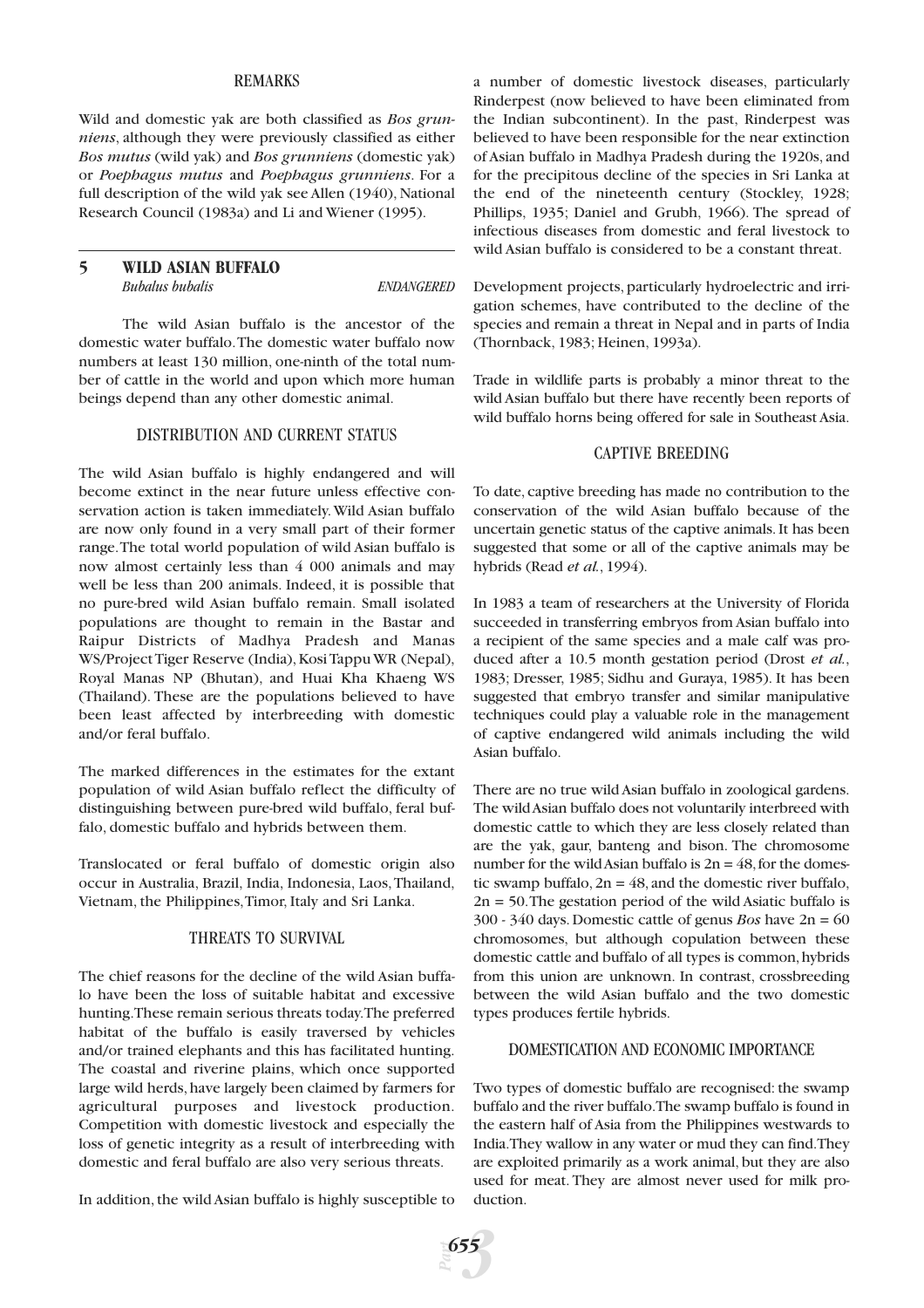#### REMARKS

Wild and domestic yak are both classified as *Bos grunniens*, although they were previously classified as either *Bos mutus* (wild yak) and *Bos grunniens* (domestic yak) or *Poephagus mutus* and *Poephagus grunniens*. For a full description of the wild yak see Allen (1940), National Research Council (1983a) and Li and Wiener (1995).

# **5 WILD ASIAN BUFFALO** *Bubalus bubalis ENDANGERED*

The wild Asian buffalo is the ancestor of the domestic water buffalo.The domestic water buffalo now numbers at least 130 million, one-ninth of the total number of cattle in the world and upon which more human beings depend than any other domestic animal.

# DISTRIBUTION AND CURRENT STATUS

The wild Asian buffalo is highly endangered and will become extinct in the near future unless effective conservation action is taken immediately.Wild Asian buffalo are now only found in a very small part of their former range.The total world population of wild Asian buffalo is now almost certainly less than 4 000 animals and may well be less than 200 animals. Indeed, it is possible that no pure-bred wild Asian buffalo remain. Small isolated populations are thought to remain in the Bastar and Raipur Districts of Madhya Pradesh and Manas WS/Project Tiger Reserve (India), Kosi Tappu WR (Nepal), Royal Manas NP (Bhutan), and Huai Kha Khaeng WS (Thailand). These are the populations believed to have been least affected by interbreeding with domestic and/or feral buffalo.

The marked differences in the estimates for the extant population of wild Asian buffalo reflect the difficulty of distinguishing between pure-bred wild buffalo, feral buffalo, domestic buffalo and hybrids between them.

Translocated or feral buffalo of domestic origin also occur in Australia, Brazil, India, Indonesia, Laos,Thailand, Vietnam, the Philippines,Timor, Italy and Sri Lanka.

#### THREATS TO SURVIVAL

The chief reasons for the decline of the wild Asian buffalo have been the loss of suitable habitat and excessive hunting.These remain serious threats today.The preferred habitat of the buffalo is easily traversed by vehicles and/or trained elephants and this has facilitated hunting. The coastal and riverine plains, which once supported large wild herds, have largely been claimed by farmers for agricultural purposes and livestock production. Competition with domestic livestock and especially the loss of genetic integrity as a result of interbreeding with domestic and feral buffalo are also very serious threats.

In addition, the wild Asian buffalo is highly susceptible to

a number of domestic livestock diseases, particularly Rinderpest (now believed to have been eliminated from the Indian subcontinent). In the past, Rinderpest was believed to have been responsible for the near extinction of Asian buffalo in Madhya Pradesh during the 1920s, and for the precipitous decline of the species in Sri Lanka at the end of the nineteenth century (Stockley, 1928; Phillips, 1935; Daniel and Grubh, 1966). The spread of infectious diseases from domestic and feral livestock to wild Asian buffalo is considered to be a constant threat.

Development projects, particularly hydroelectric and irrigation schemes, have contributed to the decline of the species and remain a threat in Nepal and in parts of India (Thornback, 1983; Heinen, 1993a).

Trade in wildlife parts is probably a minor threat to the wild Asian buffalo but there have recently been reports of wild buffalo horns being offered for sale in Southeast Asia.

#### CAPTIVE BREEDING

To date, captive breeding has made no contribution to the conservation of the wild Asian buffalo because of the uncertain genetic status of the captive animals. It has been suggested that some or all of the captive animals may be hybrids (Read *et al.*, 1994).

In 1983 a team of researchers at the University of Florida succeeded in transferring embryos from Asian buffalo into a recipient of the same species and a male calf was produced after a 10.5 month gestation period (Drost *et al.*, 1983; Dresser, 1985; Sidhu and Guraya, 1985). It has been suggested that embryo transfer and similar manipulative techniques could play a valuable role in the management of captive endangered wild animals including the wild Asian buffalo.

There are no true wild Asian buffalo in zoological gardens. The wild Asian buffalo does not voluntarily interbreed with domestic cattle to which they are less closely related than are the yak, gaur, banteng and bison. The chromosome number for the wild Asian buffalo is  $2n = 48$ , for the domestic swamp buffalo,  $2n = 48$ , and the domestic river buffalo,  $2n = 50$ . The gestation period of the wild Asiatic buffalo is 300 - 340 days. Domestic cattle of genus *Bos* have 2n = 60 chromosomes, but although copulation between these domestic cattle and buffalo of all types is common, hybrids from this union are unknown. In contrast, crossbreeding between the wild Asian buffalo and the two domestic types produces fertile hybrids.

# DOMESTICATION AND ECONOMIC IMPORTANCE

Two types of domestic buffalo are recognised: the swamp buffalo and the river buffalo.The swamp buffalo is found in the eastern half of Asia from the Philippines westwards to India.They wallow in any water or mud they can find.They are exploited primarily as a work animal, but they are also used for meat. They are almost never used for milk production.

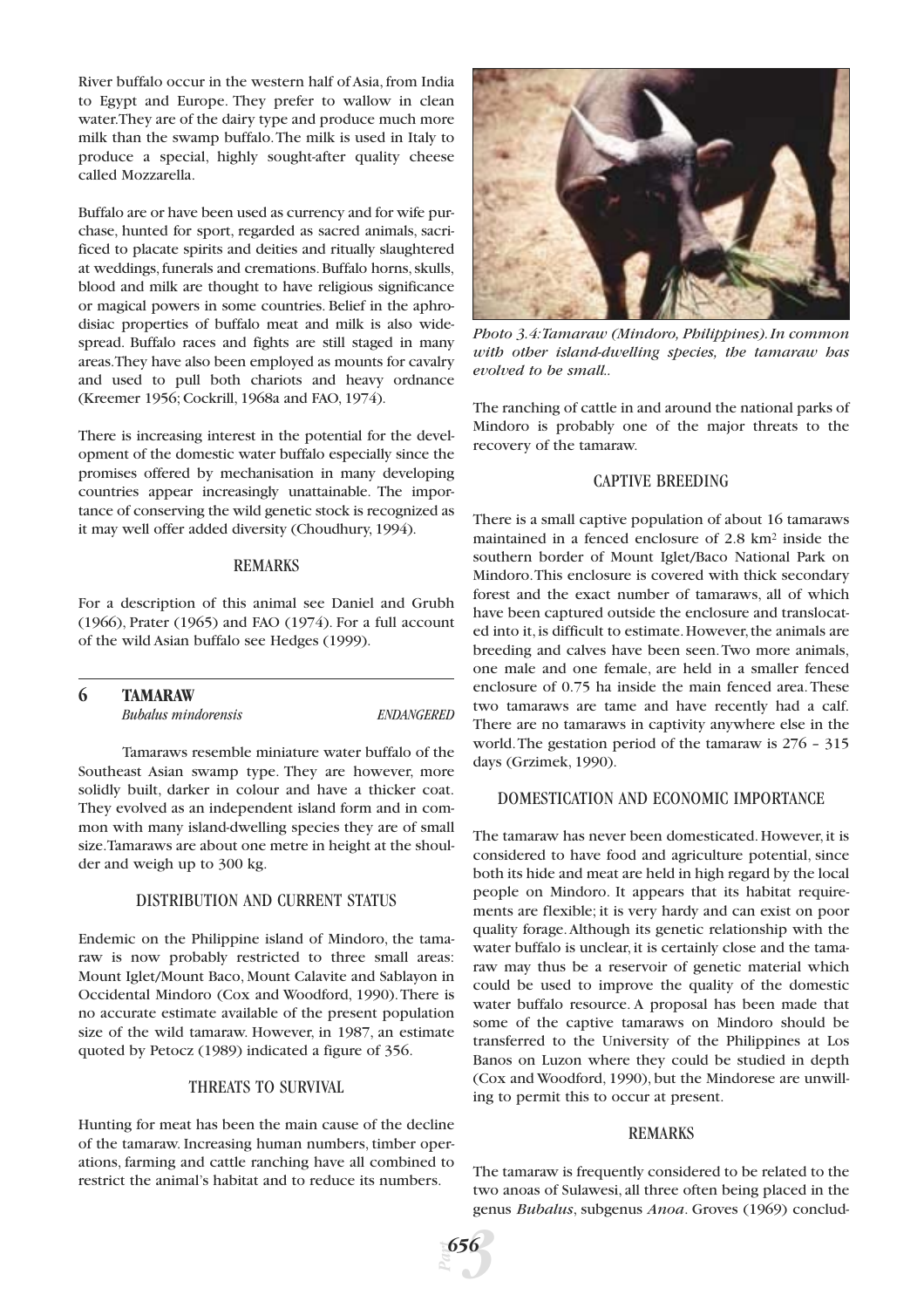River buffalo occur in the western half of Asia, from India to Egypt and Europe. They prefer to wallow in clean water.They are of the dairy type and produce much more milk than the swamp buffalo.The milk is used in Italy to produce a special, highly sought-after quality cheese called Mozzarella.

Buffalo are or have been used as currency and for wife purchase, hunted for sport, regarded as sacred animals, sacrificed to placate spirits and deities and ritually slaughtered at weddings, funerals and cremations. Buffalo horns, skulls, blood and milk are thought to have religious significance or magical powers in some countries. Belief in the aphrodisiac properties of buffalo meat and milk is also widespread. Buffalo races and fights are still staged in many areas.They have also been employed as mounts for cavalry and used to pull both chariots and heavy ordnance (Kreemer 1956; Cockrill, 1968a and FAO, 1974).

There is increasing interest in the potential for the development of the domestic water buffalo especially since the promises offered by mechanisation in many developing countries appear increasingly unattainable. The importance of conserving the wild genetic stock is recognized as it may well offer added diversity (Choudhury, 1994).

#### REMARKS

For a description of this animal see Daniel and Grubh (1966), Prater (1965) and FAO (1974). For a full account of the wild Asian buffalo see Hedges (1999).

| 6 | <b>TAMARAW</b>             |            |
|---|----------------------------|------------|
|   | <b>Bubalus mindorensis</b> | ENDANGERED |

Tamaraws resemble miniature water buffalo of the Southeast Asian swamp type. They are however, more solidly built, darker in colour and have a thicker coat. They evolved as an independent island form and in common with many island-dwelling species they are of small size.Tamaraws are about one metre in height at the shoulder and weigh up to 300 kg.

# DISTRIBUTION AND CURRENT STATUS

Endemic on the Philippine island of Mindoro, the tamaraw is now probably restricted to three small areas: Mount Iglet/Mount Baco, Mount Calavite and Sablayon in Occidental Mindoro (Cox and Woodford, 1990).There is no accurate estimate available of the present population size of the wild tamaraw. However, in 1987, an estimate quoted by Petocz (1989) indicated a figure of 356.

# THREATS TO SURVIVAL

Hunting for meat has been the main cause of the decline of the tamaraw. Increasing human numbers, timber operations, farming and cattle ranching have all combined to restrict the animal's habitat and to reduce its numbers.



*Photo 3.4:Tamaraw (Mindoro, Philippines).In common with other island-dwelling species, the tamaraw has evolved to be small..*

The ranching of cattle in and around the national parks of Mindoro is probably one of the major threats to the recovery of the tamaraw.

#### CAPTIVE BREEDING

There is a small captive population of about 16 tamaraws maintained in a fenced enclosure of 2.8 km<sup>2</sup> inside the southern border of Mount Iglet/Baco National Park on Mindoro.This enclosure is covered with thick secondary forest and the exact number of tamaraws, all of which have been captured outside the enclosure and translocated into it, is difficult to estimate. However, the animals are breeding and calves have been seen.Two more animals, one male and one female, are held in a smaller fenced enclosure of 0.75 ha inside the main fenced area.These two tamaraws are tame and have recently had a calf. There are no tamaraws in captivity anywhere else in the world.The gestation period of the tamaraw is 276 – 315 days (Grzimek, 1990).

#### DOMESTICATION AND ECONOMIC IMPORTANCE

The tamaraw has never been domesticated. However, it is considered to have food and agriculture potential, since both its hide and meat are held in high regard by the local people on Mindoro. It appears that its habitat requirements are flexible; it is very hardy and can exist on poor quality forage.Although its genetic relationship with the water buffalo is unclear, it is certainly close and the tamaraw may thus be a reservoir of genetic material which could be used to improve the quality of the domestic water buffalo resource. A proposal has been made that some of the captive tamaraws on Mindoro should be transferred to the University of the Philippines at Los Banos on Luzon where they could be studied in depth (Cox and Woodford, 1990), but the Mindorese are unwilling to permit this to occur at present.

#### REMARKS

The tamaraw is frequently considered to be related to the two anoas of Sulawesi, all three often being placed in the genus *Bubalus*, subgenus *Anoa*. Groves (1969) conclud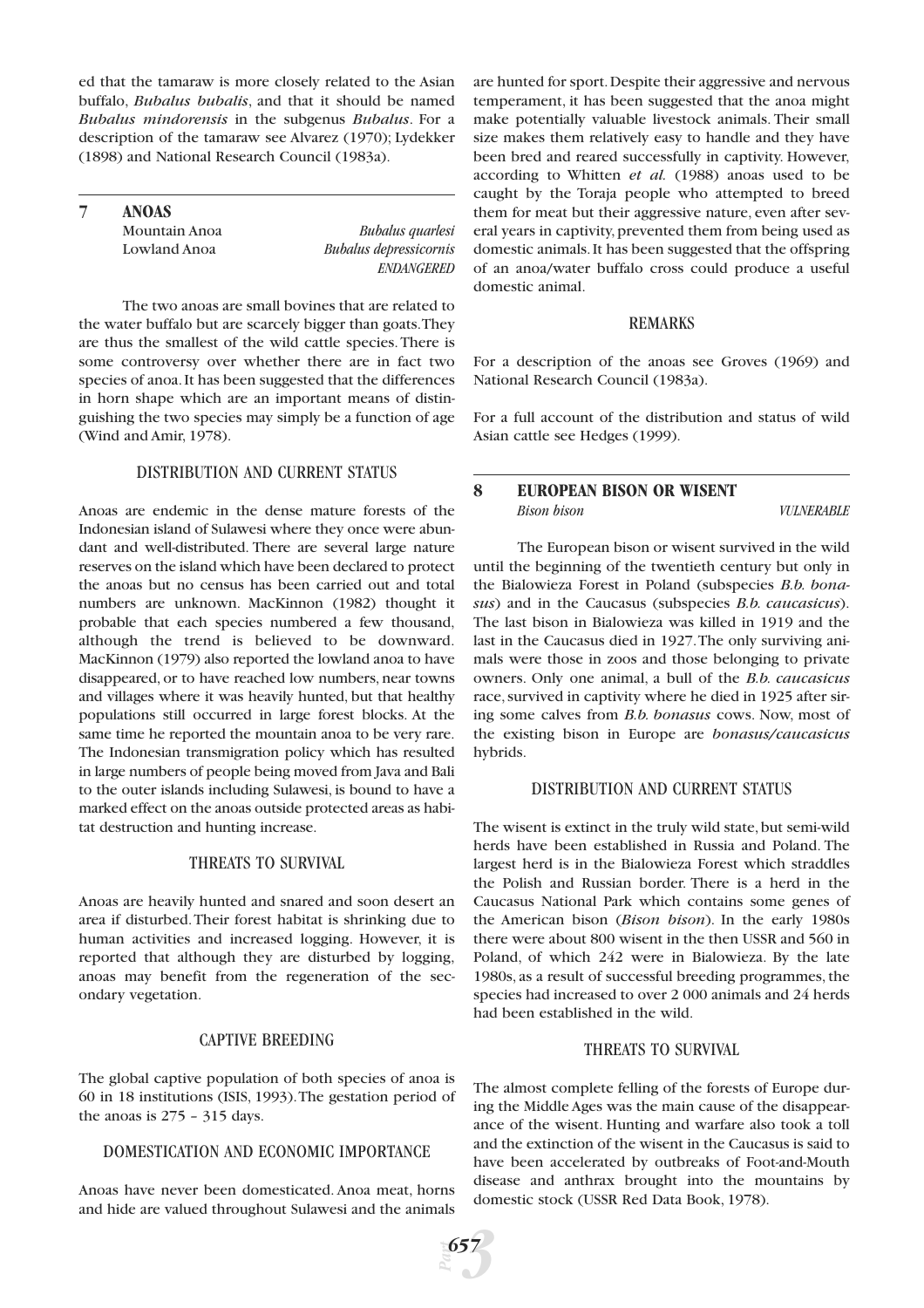ed that the tamaraw is more closely related to the Asian buffalo, *Bubalus bubalis*, and that it should be named *Bubalus mindorensis* in the subgenus *Bubalus*. For a description of the tamaraw see Alvarez (1970); Lydekker (1898) and National Research Council (1983a).

**7 ANOAS**

Mountain Anoa *Bubalus quarlesi*  Lowland Anoa *Bubalus depressicornis ENDANGERED*

The two anoas are small bovines that are related to the water buffalo but are scarcely bigger than goats.They are thus the smallest of the wild cattle species.There is some controversy over whether there are in fact two species of anoa.It has been suggested that the differences in horn shape which are an important means of distinguishing the two species may simply be a function of age (Wind and Amir, 1978).

# DISTRIBUTION AND CURRENT STATUS

Anoas are endemic in the dense mature forests of the Indonesian island of Sulawesi where they once were abundant and well-distributed. There are several large nature reserves on the island which have been declared to protect the anoas but no census has been carried out and total numbers are unknown. MacKinnon (1982) thought it probable that each species numbered a few thousand, although the trend is believed to be downward. MacKinnon (1979) also reported the lowland anoa to have disappeared, or to have reached low numbers, near towns and villages where it was heavily hunted, but that healthy populations still occurred in large forest blocks. At the same time he reported the mountain anoa to be very rare. The Indonesian transmigration policy which has resulted in large numbers of people being moved from Java and Bali to the outer islands including Sulawesi, is bound to have a marked effect on the anoas outside protected areas as habitat destruction and hunting increase.

# THREATS TO SURVIVAL

Anoas are heavily hunted and snared and soon desert an area if disturbed.Their forest habitat is shrinking due to human activities and increased logging. However, it is reported that although they are disturbed by logging, anoas may benefit from the regeneration of the secondary vegetation.

# CAPTIVE BREEDING

The global captive population of both species of anoa is 60 in 18 institutions (ISIS, 1993).The gestation period of the anoas is 275 – 315 days.

# DOMESTICATION AND ECONOMIC IMPORTANCE

Anoas have never been domesticated. Anoa meat, horns and hide are valued throughout Sulawesi and the animals

are hunted for sport.Despite their aggressive and nervous temperament, it has been suggested that the anoa might make potentially valuable livestock animals. Their small size makes them relatively easy to handle and they have been bred and reared successfully in captivity. However, according to Whitten *et al.* (1988) anoas used to be caught by the Toraja people who attempted to breed them for meat but their aggressive nature, even after several years in captivity, prevented them from being used as domestic animals.It has been suggested that the offspring of an anoa/water buffalo cross could produce a useful domestic animal.

#### REMARKS

For a description of the anoas see Groves (1969) and National Research Council (1983a).

For a full account of the distribution and status of wild Asian cattle see Hedges (1999).

# **8 EUROPEAN BISON OR WISENT** *Bison bison VULNERABLE*

The European bison or wisent survived in the wild until the beginning of the twentieth century but only in the Bialowieza Forest in Poland (subspecies *B.b. bonasus*) and in the Caucasus (subspecies *B.b. caucasicus*). The last bison in Bialowieza was killed in 1919 and the last in the Caucasus died in 1927.The only surviving animals were those in zoos and those belonging to private owners. Only one animal, a bull of the *B.b. caucasicus* race, survived in captivity where he died in 1925 after siring some calves from *B.b. bonasus* cows. Now, most of the existing bison in Europe are *bonasus/caucasicus* hybrids.

# DISTRIBUTION AND CURRENT STATUS

The wisent is extinct in the truly wild state, but semi-wild herds have been established in Russia and Poland. The largest herd is in the Bialowieza Forest which straddles the Polish and Russian border. There is a herd in the Caucasus National Park which contains some genes of the American bison (*Bison bison*). In the early 1980s there were about 800 wisent in the then USSR and 560 in Poland, of which 242 were in Bialowieza. By the late 1980s, as a result of successful breeding programmes, the species had increased to over 2 000 animals and 24 herds had been established in the wild.

# THREATS TO SURVIVAL

The almost complete felling of the forests of Europe during the Middle Ages was the main cause of the disappearance of the wisent. Hunting and warfare also took a toll and the extinction of the wisent in the Caucasus is said to have been accelerated by outbreaks of Foot-and-Mouth disease and anthrax brought into the mountains by domestic stock (USSR Red Data Book, 1978).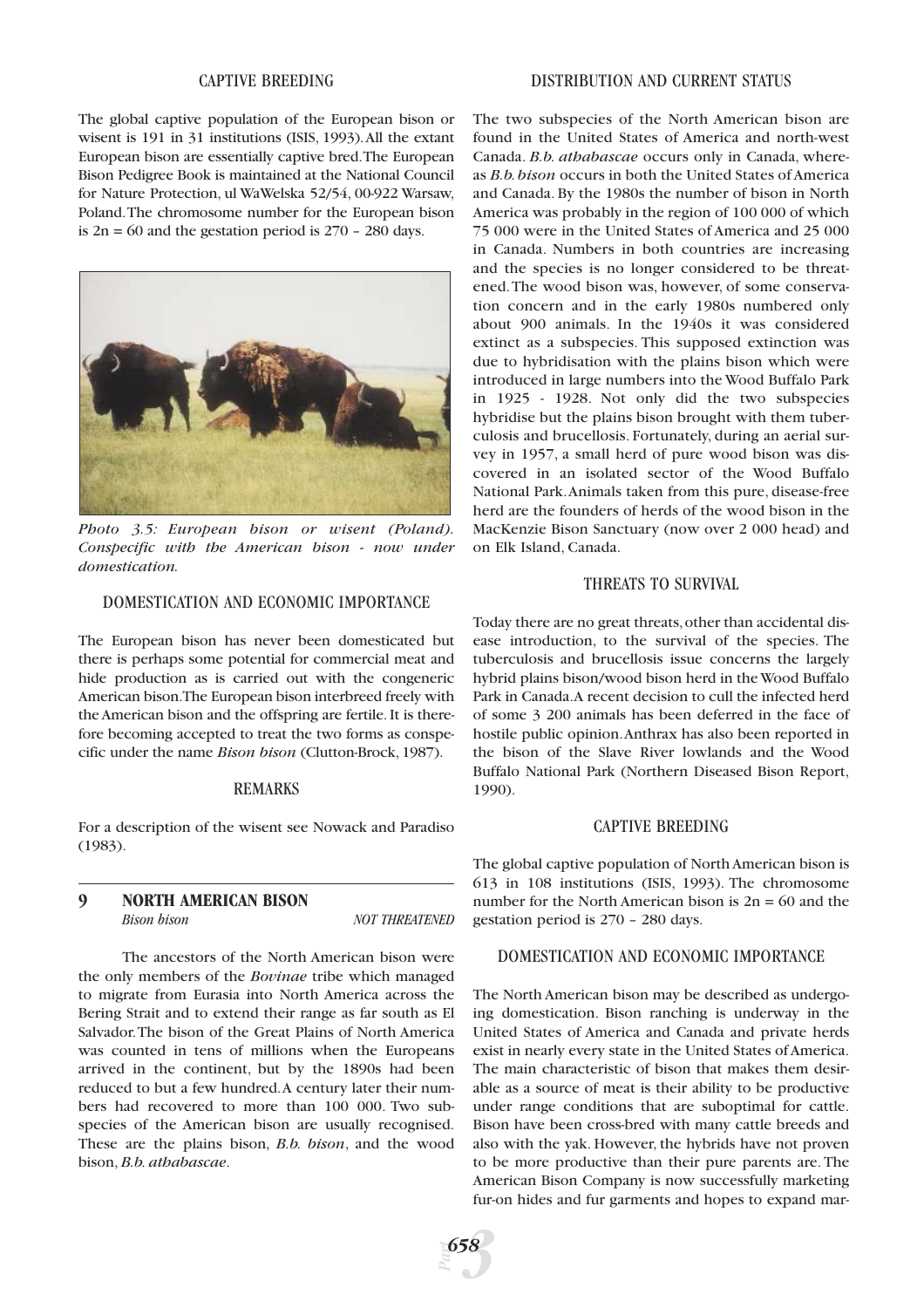#### CAPTIVE BREEDING

The global captive population of the European bison or wisent is 191 in 31 institutions (ISIS, 1993).All the extant European bison are essentially captive bred.The European Bison Pedigree Book is maintained at the National Council for Nature Protection, ul WaWelska 52/54, 00-922 Warsaw, Poland.The chromosome number for the European bison is  $2n = 60$  and the gestation period is  $270 - 280$  days.



*Photo 3.5: European bison or wisent (Poland). Conspecific with the American bison - now under domestication.*

# DOMESTICATION AND ECONOMIC IMPORTANCE

The European bison has never been domesticated but there is perhaps some potential for commercial meat and hide production as is carried out with the congeneric American bison.The European bison interbreed freely with the American bison and the offspring are fertile. It is therefore becoming accepted to treat the two forms as conspecific under the name *Bison bison* (Clutton-Brock, 1987).

#### REMARKS

For a description of the wisent see Nowack and Paradiso (1983).

# **9 NORTH AMERICAN BISON** *Bison bison NOT THREATENED*

The ancestors of the North American bison were the only members of the *Bovinae* tribe which managed to migrate from Eurasia into North America across the Bering Strait and to extend their range as far south as El Salvador.The bison of the Great Plains of North America was counted in tens of millions when the Europeans arrived in the continent, but by the 1890s had been reduced to but a few hundred.A century later their numbers had recovered to more than 100 000. Two subspecies of the American bison are usually recognised. These are the plains bison, *B.b. bison*, and the wood bison, *B.b. athabascae*.

The two subspecies of the North American bison are found in the United States of America and north-west Canada. *B.b. athabascae* occurs only in Canada, whereas *B.b.bison* occurs in both the United States of America and Canada. By the 1980s the number of bison in North America was probably in the region of 100 000 of which 75 000 were in the United States of America and 25 000 in Canada. Numbers in both countries are increasing and the species is no longer considered to be threatened.The wood bison was, however, of some conservation concern and in the early 1980s numbered only about 900 animals. In the 1940s it was considered extinct as a subspecies. This supposed extinction was due to hybridisation with the plains bison which were introduced in large numbers into the Wood Buffalo Park in 1925 - 1928. Not only did the two subspecies hybridise but the plains bison brought with them tuberculosis and brucellosis. Fortunately, during an aerial survey in 1957, a small herd of pure wood bison was discovered in an isolated sector of the Wood Buffalo National Park.Animals taken from this pure, disease-free herd are the founders of herds of the wood bison in the MacKenzie Bison Sanctuary (now over 2 000 head) and on Elk Island, Canada.

#### THREATS TO SURVIVAL

Today there are no great threats,other than accidental disease introduction, to the survival of the species. The tuberculosis and brucellosis issue concerns the largely hybrid plains bison/wood bison herd in the Wood Buffalo Park in Canada.A recent decision to cull the infected herd of some 3 200 animals has been deferred in the face of hostile public opinion.Anthrax has also been reported in the bison of the Slave River lowlands and the Wood Buffalo National Park (Northern Diseased Bison Report, 1990).

## CAPTIVE BREEDING

The global captive population of North American bison is 613 in 108 institutions (ISIS, 1993). The chromosome number for the North American bison is  $2n = 60$  and the gestation period is 270 – 280 days.

#### DOMESTICATION AND ECONOMIC IMPORTANCE

The North American bison may be described as undergoing domestication. Bison ranching is underway in the United States of America and Canada and private herds exist in nearly every state in the United States of America. The main characteristic of bison that makes them desirable as a source of meat is their ability to be productive under range conditions that are suboptimal for cattle. Bison have been cross-bred with many cattle breeds and also with the yak. However, the hybrids have not proven to be more productive than their pure parents are. The American Bison Company is now successfully marketing fur-on hides and fur garments and hopes to expand mar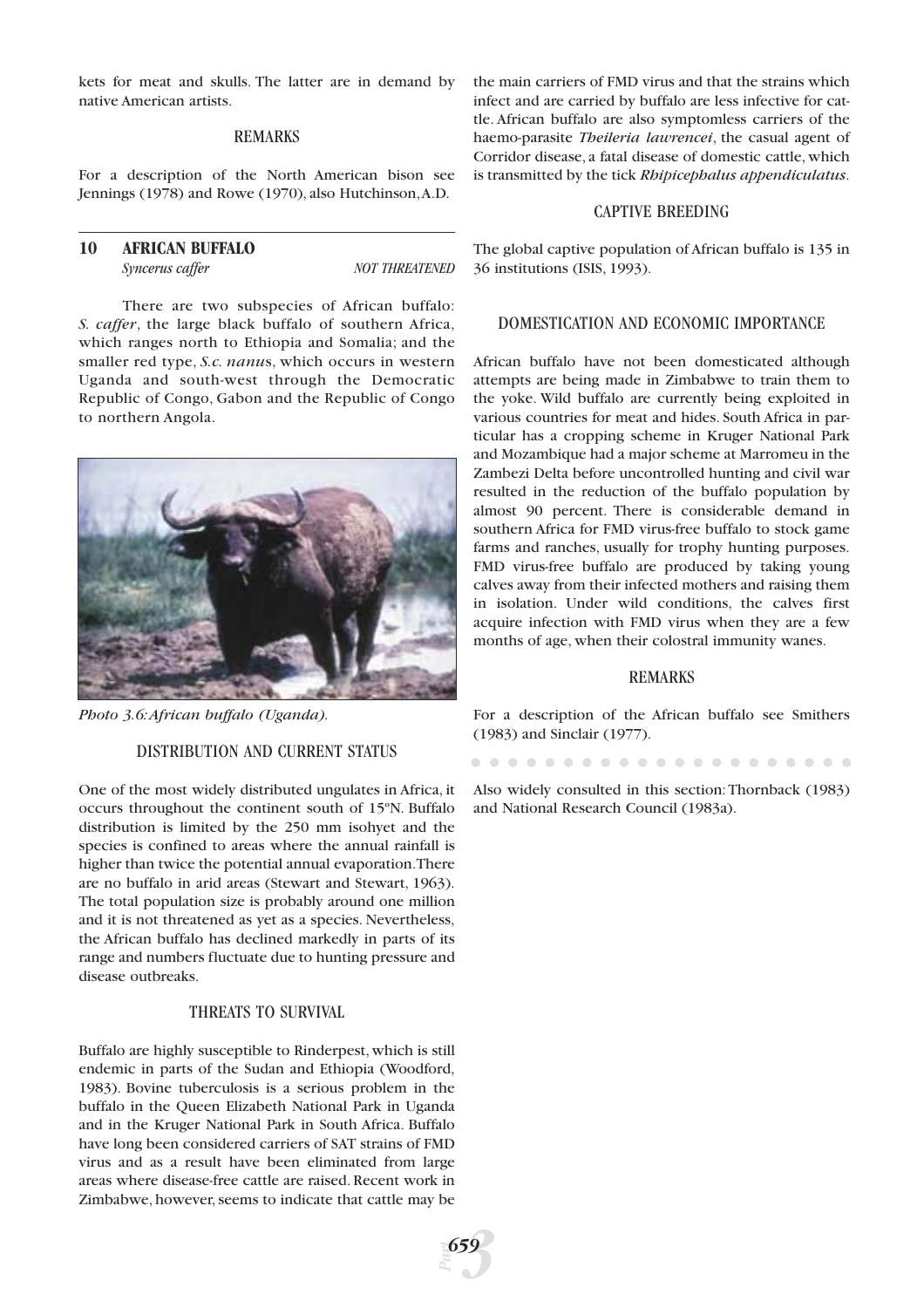kets for meat and skulls. The latter are in demand by native American artists.

#### REMARKS

For a description of the North American bison see Jennings (1978) and Rowe (1970), also Hutchinson,A.D.

# **10 AFRICAN BUFFALO Syncerus caffer** NOT THREATENED

There are two subspecies of African buffalo: *S. caffer*, the large black buffalo of southern Africa, which ranges north to Ethiopia and Somalia; and the smaller red type, *S.c. nanu*s, which occurs in western Uganda and south-west through the Democratic Republic of Congo, Gabon and the Republic of Congo to northern Angola.



*Photo 3.6:African buffalo (Uganda).*

#### DISTRIBUTION AND CURRENT STATUS

One of the most widely distributed ungulates in Africa, it occurs throughout the continent south of 15ºN. Buffalo distribution is limited by the 250 mm isohyet and the species is confined to areas where the annual rainfall is higher than twice the potential annual evaporation.There are no buffalo in arid areas (Stewart and Stewart, 1963). The total population size is probably around one million and it is not threatened as yet as a species. Nevertheless, the African buffalo has declined markedly in parts of its range and numbers fluctuate due to hunting pressure and disease outbreaks.

# THREATS TO SURVIVAL

Buffalo are highly susceptible to Rinderpest, which is still endemic in parts of the Sudan and Ethiopia (Woodford, 1983). Bovine tuberculosis is a serious problem in the buffalo in the Queen Elizabeth National Park in Uganda and in the Kruger National Park in South Africa. Buffalo have long been considered carriers of SAT strains of FMD virus and as a result have been eliminated from large areas where disease-free cattle are raised. Recent work in Zimbabwe, however, seems to indicate that cattle may be

the main carriers of FMD virus and that the strains which infect and are carried by buffalo are less infective for cattle. African buffalo are also symptomless carriers of the haemo-parasite *Theileria lawrencei*, the casual agent of Corridor disease, a fatal disease of domestic cattle, which is transmitted by the tick *Rhipicephalus appendiculatus*.

# CAPTIVE BREEDING

The global captive population of African buffalo is 135 in 36 institutions (ISIS, 1993).

# DOMESTICATION AND ECONOMIC IMPORTANCE

African buffalo have not been domesticated although attempts are being made in Zimbabwe to train them to the yoke. Wild buffalo are currently being exploited in various countries for meat and hides. South Africa in particular has a cropping scheme in Kruger National Park and Mozambique had a major scheme at Marromeu in the Zambezi Delta before uncontrolled hunting and civil war resulted in the reduction of the buffalo population by almost 90 percent. There is considerable demand in southern Africa for FMD virus-free buffalo to stock game farms and ranches, usually for trophy hunting purposes. FMD virus-free buffalo are produced by taking young calves away from their infected mothers and raising them in isolation. Under wild conditions, the calves first acquire infection with FMD virus when they are a few months of age, when their colostral immunity wanes.

#### REMARKS

For a description of the African buffalo see Smithers (1983) and Sinclair (1977).

Also widely consulted in this section:Thornback (1983) and National Research Council (1983a).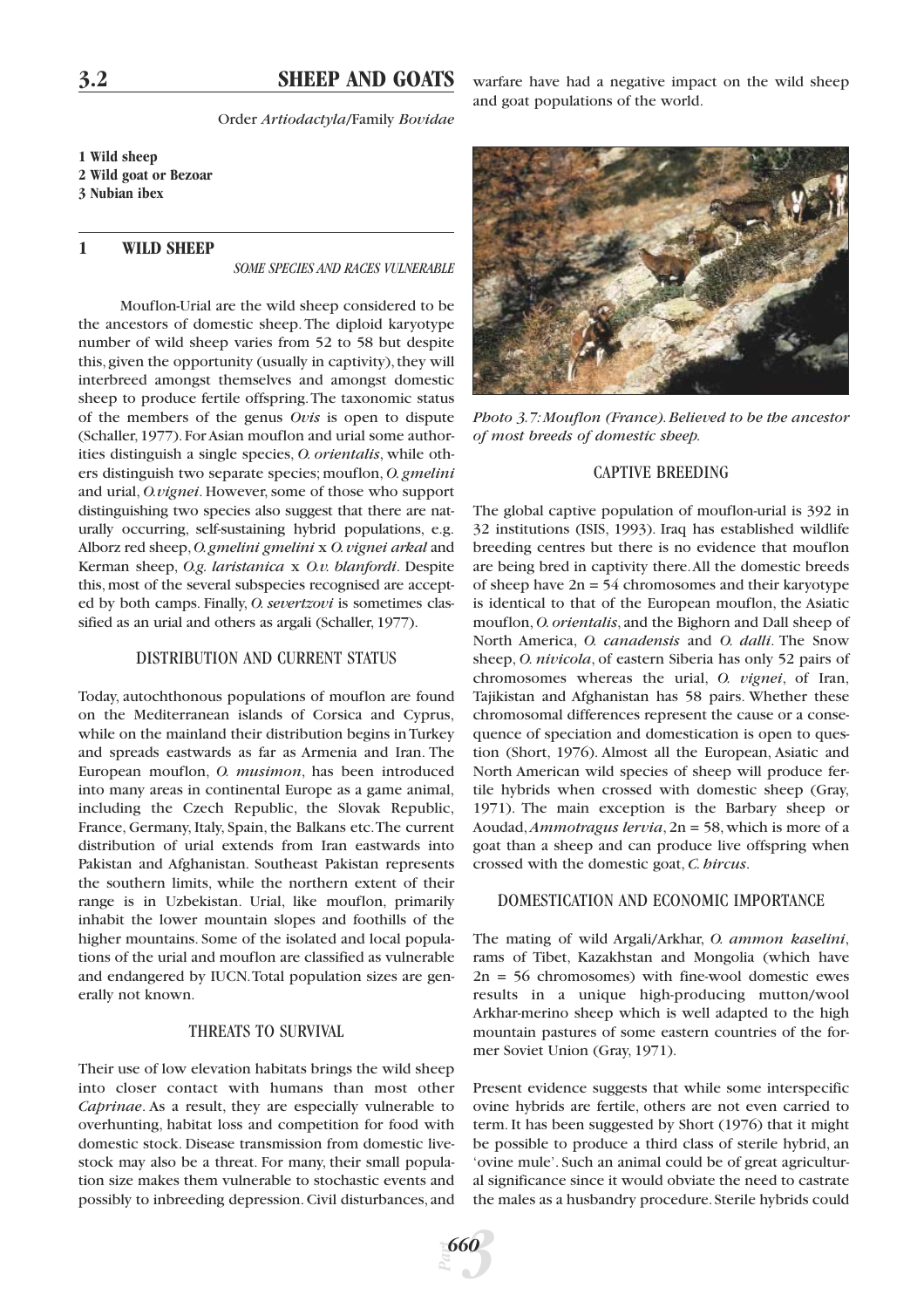# **3.2 SHEEP AND GOATS**

Order *Artiodactyla*/Family *Bovidae*

**1 Wild sheep 2 Wild goat or Bezoar 3 Nubian ibex**

# **1 WILD SHEEP**

*SOME SPECIES AND RACES VULNERABLE*

Mouflon-Urial are the wild sheep considered to be the ancestors of domestic sheep. The diploid karyotype number of wild sheep varies from 52 to 58 but despite this, given the opportunity (usually in captivity), they will interbreed amongst themselves and amongst domestic sheep to produce fertile offspring.The taxonomic status of the members of the genus *Ovis* is open to dispute (Schaller,1977).For Asian mouflon and urial some authorities distinguish a single species, *O. orientalis*, while others distinguish two separate species; mouflon, *O. gmelini* and urial, *O.vignei*. However, some of those who support distinguishing two species also suggest that there are naturally occurring, self-sustaining hybrid populations, e.g. Alborz red sheep,*O.gmelini gmelini* x *O.vignei arkal* and Kerman sheep, *O.g. laristanica* x *O.v. blanfordi*. Despite this, most of the several subspecies recognised are accepted by both camps. Finally, *O. severtzovi* is sometimes classified as an urial and others as argali (Schaller, 1977).

#### DISTRIBUTION AND CURRENT STATUS

Today, autochthonous populations of mouflon are found on the Mediterranean islands of Corsica and Cyprus, while on the mainland their distribution begins in Turkey and spreads eastwards as far as Armenia and Iran. The European mouflon, *O. musimon*, has been introduced into many areas in continental Europe as a game animal, including the Czech Republic, the Slovak Republic, France, Germany, Italy, Spain, the Balkans etc.The current distribution of urial extends from Iran eastwards into Pakistan and Afghanistan. Southeast Pakistan represents the southern limits, while the northern extent of their range is in Uzbekistan. Urial, like mouflon, primarily inhabit the lower mountain slopes and foothills of the higher mountains. Some of the isolated and local populations of the urial and mouflon are classified as vulnerable and endangered by IUCN.Total population sizes are generally not known.

# THREATS TO SURVIVAL

Their use of low elevation habitats brings the wild sheep into closer contact with humans than most other *Caprinae*. As a result, they are especially vulnerable to overhunting, habitat loss and competition for food with domestic stock. Disease transmission from domestic livestock may also be a threat. For many, their small population size makes them vulnerable to stochastic events and possibly to inbreeding depression. Civil disturbances, and

warfare have had a negative impact on the wild sheep and goat populations of the world.



*Photo 3.7:Mouflon (France).Believed to be the ancestor of most breeds of domestic sheep.*

#### CAPTIVE BREEDING

The global captive population of mouflon-urial is 392 in 32 institutions (ISIS, 1993). Iraq has established wildlife breeding centres but there is no evidence that mouflon are being bred in captivity there.All the domestic breeds of sheep have  $2n = 54$  chromosomes and their karyotype is identical to that of the European mouflon, the Asiatic mouflon, *O. orientalis*, and the Bighorn and Dall sheep of North America, *O. canadensis* and *O. dalli*. The Snow sheep, *O. nivicola*, of eastern Siberia has only 52 pairs of chromosomes whereas the urial, *O. vignei*, of Iran, Tajikistan and Afghanistan has 58 pairs. Whether these chromosomal differences represent the cause or a consequence of speciation and domestication is open to question (Short, 1976). Almost all the European, Asiatic and North American wild species of sheep will produce fertile hybrids when crossed with domestic sheep (Gray, 1971). The main exception is the Barbary sheep or Aoudad,*Ammotragus lervia*, 2n = 58, which is more of a goat than a sheep and can produce live offspring when crossed with the domestic goat, *C. hircus*.

#### DOMESTICATION AND ECONOMIC IMPORTANCE

The mating of wild Argali/Arkhar, *O. ammon kaselini*, rams of Tibet, Kazakhstan and Mongolia (which have  $2n = 56$  chromosomes) with fine-wool domestic ewes results in a unique high-producing mutton/wool Arkhar-merino sheep which is well adapted to the high mountain pastures of some eastern countries of the former Soviet Union (Gray, 1971).

Present evidence suggests that while some interspecific ovine hybrids are fertile, others are not even carried to term. It has been suggested by Short (1976) that it might be possible to produce a third class of sterile hybrid, an 'ovine mule'. Such an animal could be of great agricultural significance since it would obviate the need to castrate the males as a husbandry procedure. Sterile hybrids could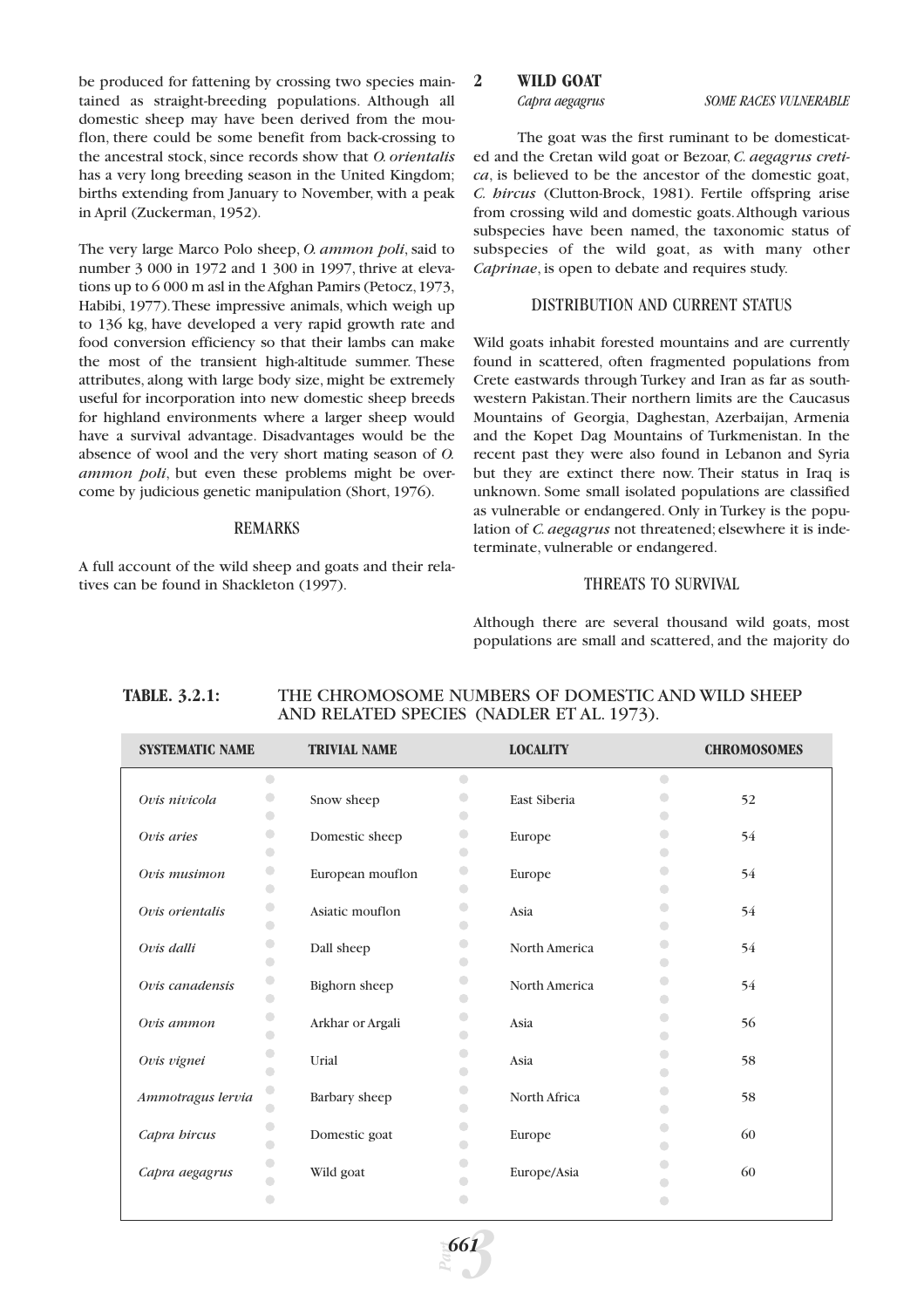be produced for fattening by crossing two species maintained as straight-breeding populations. Although all domestic sheep may have been derived from the mouflon, there could be some benefit from back-crossing to the ancestral stock, since records show that *O. orientalis* has a very long breeding season in the United Kingdom; births extending from January to November, with a peak in April (Zuckerman, 1952).

The very large Marco Polo sheep, *O. ammon poli*, said to number 3 000 in 1972 and 1 300 in 1997, thrive at elevations up to 6 000 m asl in the Afghan Pamirs (Petocz,1973, Habibi, 1977).These impressive animals, which weigh up to 136 kg, have developed a very rapid growth rate and food conversion efficiency so that their lambs can make the most of the transient high-altitude summer. These attributes, along with large body size, might be extremely useful for incorporation into new domestic sheep breeds for highland environments where a larger sheep would have a survival advantage. Disadvantages would be the absence of wool and the very short mating season of *O. ammon poli*, but even these problems might be overcome by judicious genetic manipulation (Short, 1976).

#### REMARKS

A full account of the wild sheep and goats and their relatives can be found in Shackleton (1997).

# **2 WILD GOAT**

*Capra aegagrus SOME RACES VULNERABLE*

The goat was the first ruminant to be domesticated and the Cretan wild goat or Bezoar, *C. aegagrus cretica*, is believed to be the ancestor of the domestic goat, *C. hircus* (Clutton-Brock, 1981). Fertile offspring arise from crossing wild and domestic goats.Although various subspecies have been named, the taxonomic status of subspecies of the wild goat, as with many other *Caprinae*, is open to debate and requires study.

#### DISTRIBUTION AND CURRENT STATUS

Wild goats inhabit forested mountains and are currently found in scattered, often fragmented populations from Crete eastwards through Turkey and Iran as far as southwestern Pakistan.Their northern limits are the Caucasus Mountains of Georgia, Daghestan, Azerbaijan, Armenia and the Kopet Dag Mountains of Turkmenistan. In the recent past they were also found in Lebanon and Syria but they are extinct there now. Their status in Iraq is unknown. Some small isolated populations are classified as vulnerable or endangered. Only in Turkey is the population of *C. aegagrus* not threatened; elsewhere it is indeterminate, vulnerable or endangered.

#### THREATS TO SURVIVAL

Although there are several thousand wild goats, most populations are small and scattered, and the majority do

# **TABLE. 3.2.1:** THE CHROMOSOME NUMBERS OF DOMESTIC AND WILD SHEEP AND RELATED SPECIES (NADLER ET AL. 1973).

| <b>SYSTEMATIC NAME</b> |                          | <b>TRIVIAL NAME</b> |                          | <b>LOCALITY</b> |            | <b>CHROMOSOMES</b> |
|------------------------|--------------------------|---------------------|--------------------------|-----------------|------------|--------------------|
|                        | $\bigcirc$               |                     | $\bigcirc$               |                 | $\bigcirc$ |                    |
| Ovis nivicola          | O                        | Snow sheep          | $\bigcirc$               | East Siberia    |            | 52                 |
|                        | $\bigcirc$               |                     | $\bullet$                |                 |            |                    |
| Ovis aries             | $\bigcirc$               | Domestic sheep      | $\bigcirc$               | Europe          | n.         | 54                 |
|                        | $\bigcirc$               |                     | $\bigcirc$               |                 |            |                    |
| Ovis musimon           | 0                        | European mouflon    | $\bullet$                | Europe          |            | 54                 |
|                        | $\bigcirc$               |                     | $\bigcirc$               |                 |            |                    |
| Ovis orientalis        | $\bigcirc$<br>$\bigcirc$ | Asiatic mouflon     | $\bigcirc$               | Asia            |            | 54                 |
|                        | $\bigcirc$               |                     | $\bigcirc$<br>$\bigcirc$ |                 |            |                    |
| Ovis dalli             | $\bigcirc$               | Dall sheep          | $\Box$                   | North America   |            | 54                 |
|                        | $\bigcirc$               |                     | 0                        |                 |            |                    |
| Ovis canadensis        | $\bigcirc$               | Bighorn sheep       | $\bigcirc$               | North America   |            | 54                 |
| Ovis ammon             | $\bigcirc$               | Arkhar or Argali    | $\bigcirc$               | Asia            |            | 56                 |
|                        | $\bigcap$                |                     | $\bigcirc$               |                 |            |                    |
| Ovis vignei            | 0                        | Urial               | $\bigcirc$               | Asia            |            | 58                 |
|                        | $\bigcirc$               |                     | $\Box$                   |                 |            |                    |
| Ammotragus lervia      | $\bigcirc$               | Barbary sheep       | $\Box$                   | North Africa    |            | 58                 |
|                        | $\bigcirc$               |                     | $\bigcirc$               |                 |            |                    |
| Capra bircus           | O                        | Domestic goat       | $\bigcirc$               | Europe          |            | 60                 |
|                        | $\bigcirc$               |                     | $\bigcirc$               |                 |            |                    |
| Capra aegagrus         | $\bigcirc$               | Wild goat           |                          | Europe/Asia     |            | 60                 |
|                        | O<br>O                   |                     |                          |                 |            |                    |
|                        |                          |                     |                          |                 |            |                    |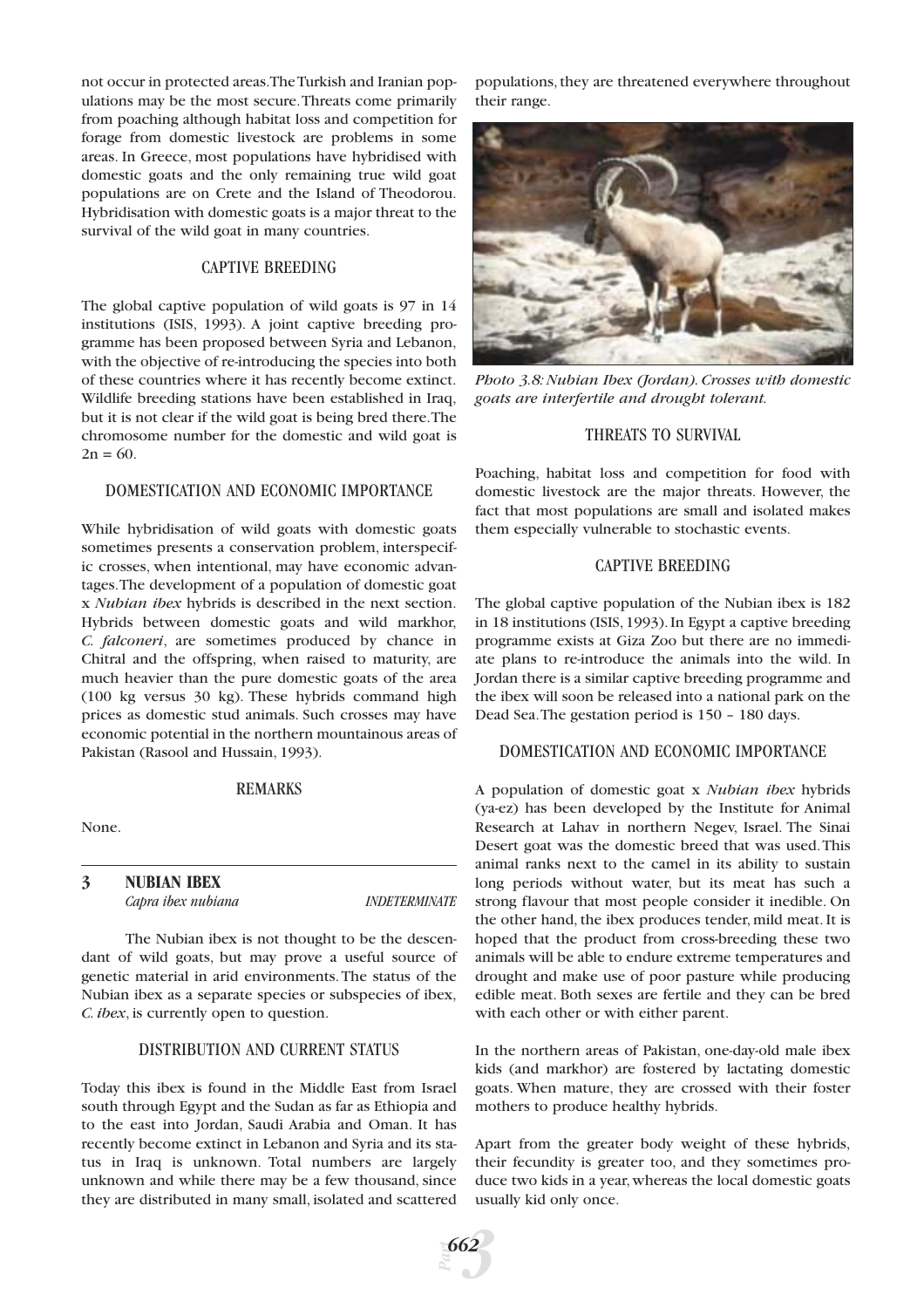not occur in protected areas.The Turkish and Iranian populations may be the most secure.Threats come primarily from poaching although habitat loss and competition for forage from domestic livestock are problems in some areas. In Greece, most populations have hybridised with domestic goats and the only remaining true wild goat populations are on Crete and the Island of Theodorou. Hybridisation with domestic goats is a major threat to the survival of the wild goat in many countries.

# CAPTIVE BREEDING

The global captive population of wild goats is 97 in 14 institutions (ISIS, 1993). A joint captive breeding programme has been proposed between Syria and Lebanon, with the objective of re-introducing the species into both of these countries where it has recently become extinct. Wildlife breeding stations have been established in Iraq, but it is not clear if the wild goat is being bred there.The chromosome number for the domestic and wild goat is  $2n = 60.$ 

#### DOMESTICATION AND ECONOMIC IMPORTANCE

While hybridisation of wild goats with domestic goats sometimes presents a conservation problem, interspecific crosses, when intentional, may have economic advantages.The development of a population of domestic goat x *Nubian ibex* hybrids is described in the next section. Hybrids between domestic goats and wild markhor, *C. falconeri*, are sometimes produced by chance in Chitral and the offspring, when raised to maturity, are much heavier than the pure domestic goats of the area (100 kg versus 30 kg). These hybrids command high prices as domestic stud animals. Such crosses may have economic potential in the northern mountainous areas of Pakistan (Rasool and Hussain, 1993).

#### REMARKS

None.

**3 NUBIAN IBEX** *Capra ibex nubiana INDETERMINATE*

The Nubian ibex is not thought to be the descendant of wild goats, but may prove a useful source of genetic material in arid environments. The status of the Nubian ibex as a separate species or subspecies of ibex, *C. ibex*, is currently open to question.

# DISTRIBUTION AND CURRENT STATUS

Today this ibex is found in the Middle East from Israel south through Egypt and the Sudan as far as Ethiopia and to the east into Jordan, Saudi Arabia and Oman. It has recently become extinct in Lebanon and Syria and its status in Iraq is unknown. Total numbers are largely unknown and while there may be a few thousand, since they are distributed in many small, isolated and scattered populations, they are threatened everywhere throughout their range.



*Photo 3.8: Nubian Ibex (Jordan). Crosses with domestic goats are interfertile and drought tolerant.*

# THREATS TO SURVIVAL

Poaching, habitat loss and competition for food with domestic livestock are the major threats. However, the fact that most populations are small and isolated makes them especially vulnerable to stochastic events.

# CAPTIVE BREEDING

The global captive population of the Nubian ibex is 182 in 18 institutions (ISIS, 1993). In Egypt a captive breeding programme exists at Giza Zoo but there are no immediate plans to re-introduce the animals into the wild. In Jordan there is a similar captive breeding programme and the ibex will soon be released into a national park on the Dead Sea.The gestation period is 150 – 180 days.

#### DOMESTICATION AND ECONOMIC IMPORTANCE

A population of domestic goat x *Nubian ibex* hybrids (ya-ez) has been developed by the Institute for Animal Research at Lahav in northern Negev, Israel. The Sinai Desert goat was the domestic breed that was used.This animal ranks next to the camel in its ability to sustain long periods without water, but its meat has such a strong flavour that most people consider it inedible. On the other hand, the ibex produces tender, mild meat. It is hoped that the product from cross-breeding these two animals will be able to endure extreme temperatures and drought and make use of poor pasture while producing edible meat. Both sexes are fertile and they can be bred with each other or with either parent.

In the northern areas of Pakistan, one-day-old male ibex kids (and markhor) are fostered by lactating domestic goats. When mature, they are crossed with their foster mothers to produce healthy hybrids.

Apart from the greater body weight of these hybrids, their fecundity is greater too, and they sometimes produce two kids in a year, whereas the local domestic goats usually kid only once.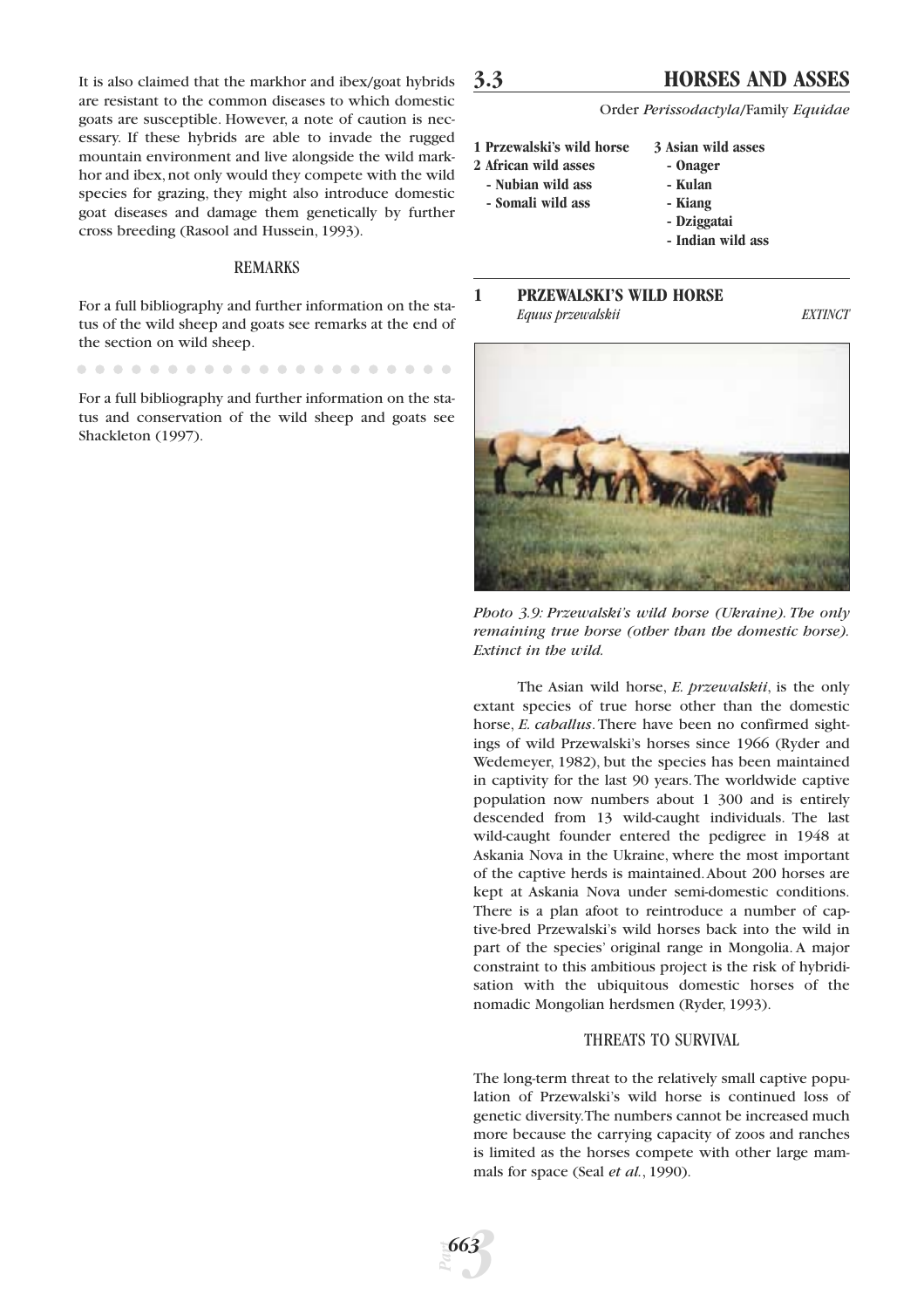It is also claimed that the markhor and ibex/goat hybrids are resistant to the common diseases to which domestic goats are susceptible. However, a note of caution is necessary. If these hybrids are able to invade the rugged mountain environment and live alongside the wild markhor and ibex, not only would they compete with the wild species for grazing, they might also introduce domestic goat diseases and damage them genetically by further cross breeding (Rasool and Hussein, 1993).

# REMARKS

For a full bibliography and further information on the status of the wild sheep and goats see remarks at the end of the section on wild sheep.

For a full bibliography and further information on the status and conservation of the wild sheep and goats see Shackleton (1997).

# **3.3 HORSES AND ASSES**

Order *Perissodactyla*/Family *Equidae*

- **1 Przewalski's wild horse 3 Asian wild asses**
- **2 African wild asses Onager**
- **Nubian wild ass Kulan**
- **Somali wild ass Kiang**
	-
	- **Dziggatai**
	- **Indian wild ass**

### **1 PRZEWALSKI'S WILD HORSE** *Equus przewalskii EXTINCT*



*Photo 3.9: Przewalski's wild horse (Ukraine). The only remaining true horse (other than the domestic horse). Extinct in the wild.*

The Asian wild horse, *E. przewalskii*, is the only extant species of true horse other than the domestic horse, *E. caballus*. There have been no confirmed sightings of wild Przewalski's horses since 1966 (Ryder and Wedemeyer, 1982), but the species has been maintained in captivity for the last 90 years.The worldwide captive population now numbers about 1 300 and is entirely descended from 13 wild-caught individuals. The last wild-caught founder entered the pedigree in 1948 at Askania Nova in the Ukraine, where the most important of the captive herds is maintained.About 200 horses are kept at Askania Nova under semi-domestic conditions. There is a plan afoot to reintroduce a number of captive-bred Przewalski's wild horses back into the wild in part of the species' original range in Mongolia. A major constraint to this ambitious project is the risk of hybridisation with the ubiquitous domestic horses of the nomadic Mongolian herdsmen (Ryder, 1993).

#### THREATS TO SURVIVAL

The long-term threat to the relatively small captive population of Przewalski's wild horse is continued loss of genetic diversity.The numbers cannot be increased much more because the carrying capacity of zoos and ranches is limited as the horses compete with other large mammals for space (Seal *et al.*, 1990).

*Part*

*3 663*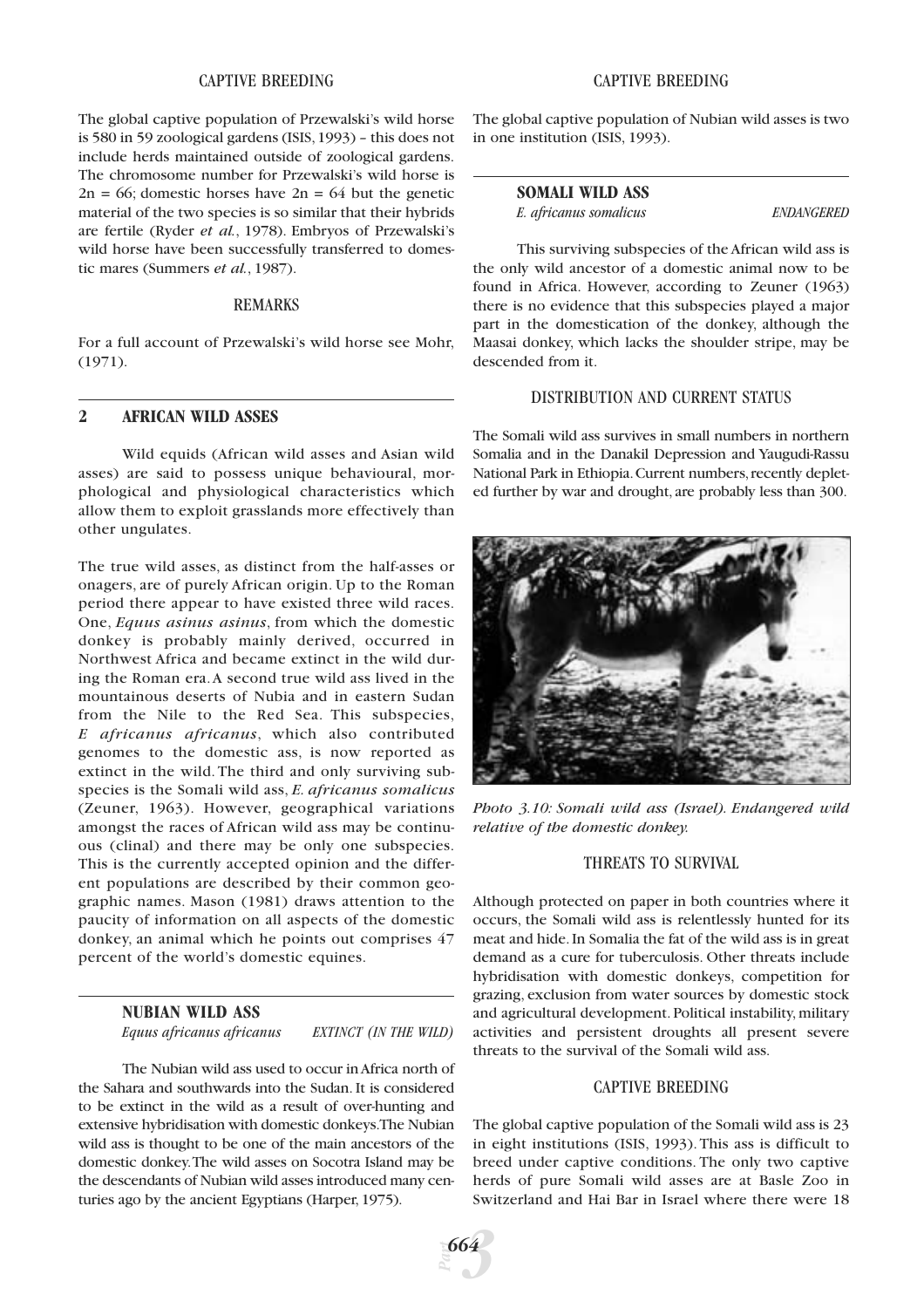# CAPTIVE BREEDING

The global captive population of Przewalski's wild horse is 580 in 59 zoological gardens (ISIS,1993) – this does not include herds maintained outside of zoological gardens. The chromosome number for Przewalski's wild horse is  $2n = 66$ ; domestic horses have  $2n = 64$  but the genetic material of the two species is so similar that their hybrids are fertile (Ryder *et al.*, 1978). Embryos of Przewalski's wild horse have been successfully transferred to domestic mares (Summers *et al.*, 1987).

#### REMARKS

For a full account of Przewalski's wild horse see Mohr, (1971).

# **2 AFRICAN WILD ASSES**

Wild equids (African wild asses and Asian wild asses) are said to possess unique behavioural, morphological and physiological characteristics which allow them to exploit grasslands more effectively than other ungulates.

The true wild asses, as distinct from the half-asses or onagers, are of purely African origin. Up to the Roman period there appear to have existed three wild races. One, *Equus asinus asinus*, from which the domestic donkey is probably mainly derived, occurred in Northwest Africa and became extinct in the wild during the Roman era.A second true wild ass lived in the mountainous deserts of Nubia and in eastern Sudan from the Nile to the Red Sea. This subspecies, *E africanus africanus*, which also contributed genomes to the domestic ass, is now reported as extinct in the wild. The third and only surviving subspecies is the Somali wild ass, *E. africanus somalicus* (Zeuner, 1963). However, geographical variations amongst the races of African wild ass may be continuous (clinal) and there may be only one subspecies. This is the currently accepted opinion and the different populations are described by their common geographic names. Mason (1981) draws attention to the paucity of information on all aspects of the domestic donkey, an animal which he points out comprises 47 percent of the world's domestic equines.

# **NUBIAN WILD ASS**

*Equus africanus africanus EXTINCT (IN THE WILD)*

The Nubian wild ass used to occur in Africa north of the Sahara and southwards into the Sudan. It is considered to be extinct in the wild as a result of over-hunting and extensive hybridisation with domestic donkeys.The Nubian wild ass is thought to be one of the main ancestors of the domestic donkey.The wild asses on Socotra Island may be the descendants of Nubian wild asses introduced many centuries ago by the ancient Egyptians (Harper, 1975).

#### CAPTIVE BREEDING

The global captive population of Nubian wild asses is two in one institution (ISIS, 1993).

#### **SOMALI WILD ASS**

*E. africanus somalicus ENDANGERED*

This surviving subspecies of the African wild ass is the only wild ancestor of a domestic animal now to be found in Africa. However, according to Zeuner (1963) there is no evidence that this subspecies played a major part in the domestication of the donkey, although the Maasai donkey, which lacks the shoulder stripe, may be descended from it.

### DISTRIBUTION AND CURRENT STATUS

The Somali wild ass survives in small numbers in northern Somalia and in the Danakil Depression and Yaugudi-Rassu National Park in Ethiopia. Current numbers, recently depleted further by war and drought, are probably less than 300.



*Photo 3.10: Somali wild ass (Israel). Endangered wild relative of the domestic donkey.*

# THREATS TO SURVIVAL

Although protected on paper in both countries where it occurs, the Somali wild ass is relentlessly hunted for its meat and hide.In Somalia the fat of the wild ass is in great demand as a cure for tuberculosis. Other threats include hybridisation with domestic donkeys, competition for grazing, exclusion from water sources by domestic stock and agricultural development. Political instability, military activities and persistent droughts all present severe threats to the survival of the Somali wild ass.

#### CAPTIVE BREEDING

The global captive population of the Somali wild ass is 23 in eight institutions (ISIS, 1993).This ass is difficult to breed under captive conditions. The only two captive herds of pure Somali wild asses are at Basle Zoo in Switzerland and Hai Bar in Israel where there were 18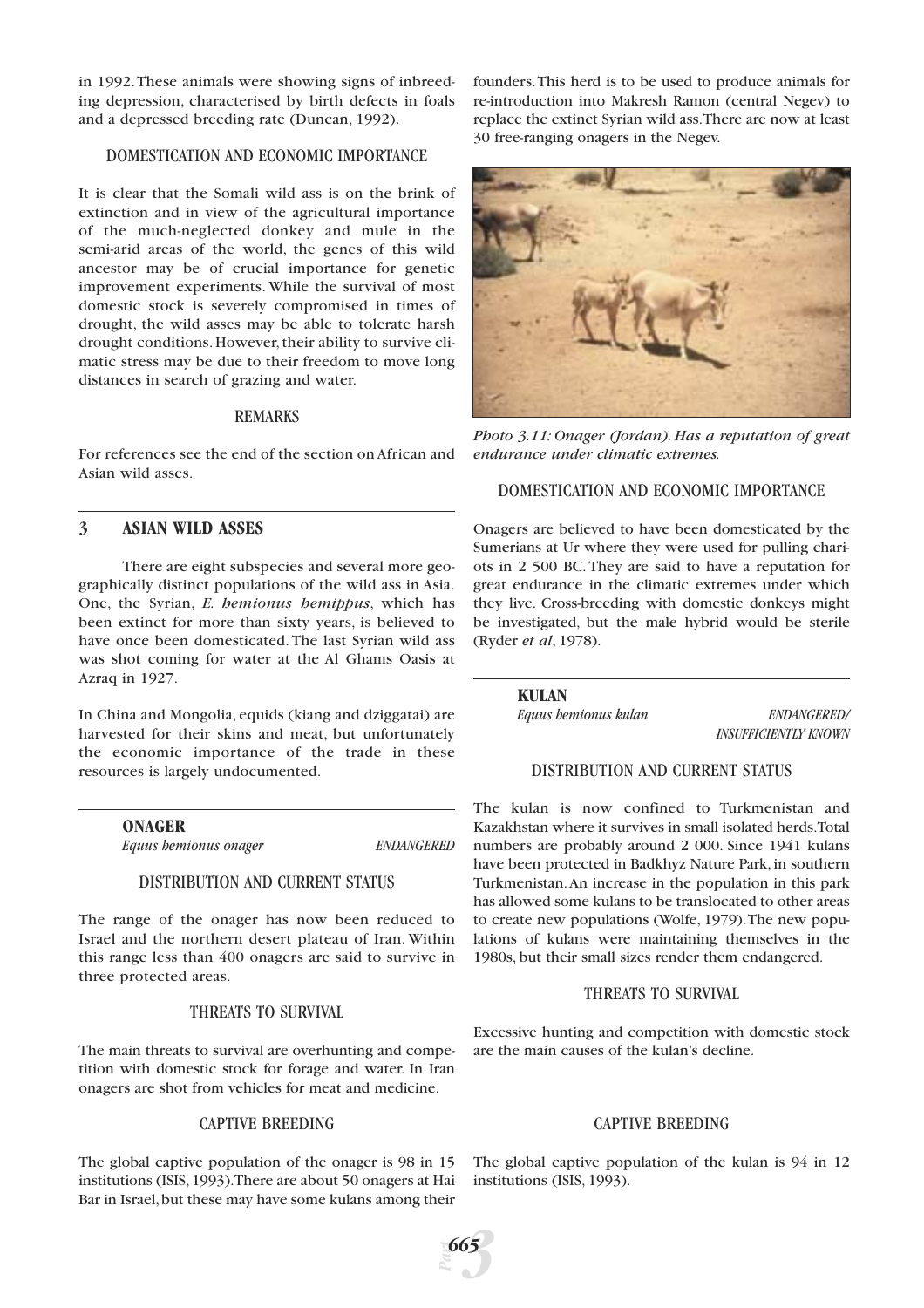in 1992.These animals were showing signs of inbreeding depression, characterised by birth defects in foals and a depressed breeding rate (Duncan, 1992).

# DOMESTICATION AND ECONOMIC IMPORTANCE

It is clear that the Somali wild ass is on the brink of extinction and in view of the agricultural importance of the much-neglected donkey and mule in the semi-arid areas of the world, the genes of this wild ancestor may be of crucial importance for genetic improvement experiments. While the survival of most domestic stock is severely compromised in times of drought, the wild asses may be able to tolerate harsh drought conditions. However, their ability to survive climatic stress may be due to their freedom to move long distances in search of grazing and water.

#### REMARKS

For references see the end of the section on African and Asian wild asses.

# **3 ASIAN WILD ASSES**

There are eight subspecies and several more geographically distinct populations of the wild ass in Asia. One, the Syrian, *E. hemionus hemippus*, which has been extinct for more than sixty years, is believed to have once been domesticated. The last Syrian wild ass was shot coming for water at the Al Ghams Oasis at Azraq in 1927.

In China and Mongolia, equids (kiang and dziggatai) are harvested for their skins and meat, but unfortunately the economic importance of the trade in these resources is largely undocumented.

**ONAGER**

*Equus hemionus onager ENDANGERED*

#### DISTRIBUTION AND CURRENT STATUS

The range of the onager has now been reduced to Israel and the northern desert plateau of Iran. Within this range less than 400 onagers are said to survive in three protected areas.

# THREATS TO SURVIVAL

The main threats to survival are overhunting and competition with domestic stock for forage and water. In Iran onagers are shot from vehicles for meat and medicine.

#### CAPTIVE BREEDING

The global captive population of the onager is 98 in 15 institutions (ISIS,1993).There are about 50 onagers at Hai Bar in Israel,but these may have some kulans among their

founders.This herd is to be used to produce animals for re-introduction into Makresh Ramon (central Negev) to replace the extinct Syrian wild ass.There are now at least 30 free-ranging onagers in the Negev.



*Photo 3.11: Onager (Jordan). Has a reputation of great endurance under climatic extremes.*

# DOMESTICATION AND ECONOMIC IMPORTANCE

Onagers are believed to have been domesticated by the Sumerians at Ur where they were used for pulling chariots in 2 500 BC. They are said to have a reputation for great endurance in the climatic extremes under which they live. Cross-breeding with domestic donkeys might be investigated, but the male hybrid would be sterile (Ryder *et al*, 1978).

> **KULAN** *Equus hemionus kulan ENDANGERED/*

*INSUFFICIENTLY KNOWN*

# DISTRIBUTION AND CURRENT STATUS

The kulan is now confined to Turkmenistan and Kazakhstan where it survives in small isolated herds.Total numbers are probably around 2 000. Since 1941 kulans have been protected in Badkhyz Nature Park, in southern Turkmenistan.An increase in the population in this park has allowed some kulans to be translocated to other areas to create new populations (Wolfe, 1979).The new populations of kulans were maintaining themselves in the 1980s, but their small sizes render them endangered.

# THREATS TO SURVIVAL

Excessive hunting and competition with domestic stock are the main causes of the kulan's decline.

# CAPTIVE BREEDING

The global captive population of the kulan is 94 in 12 institutions (ISIS, 1993).

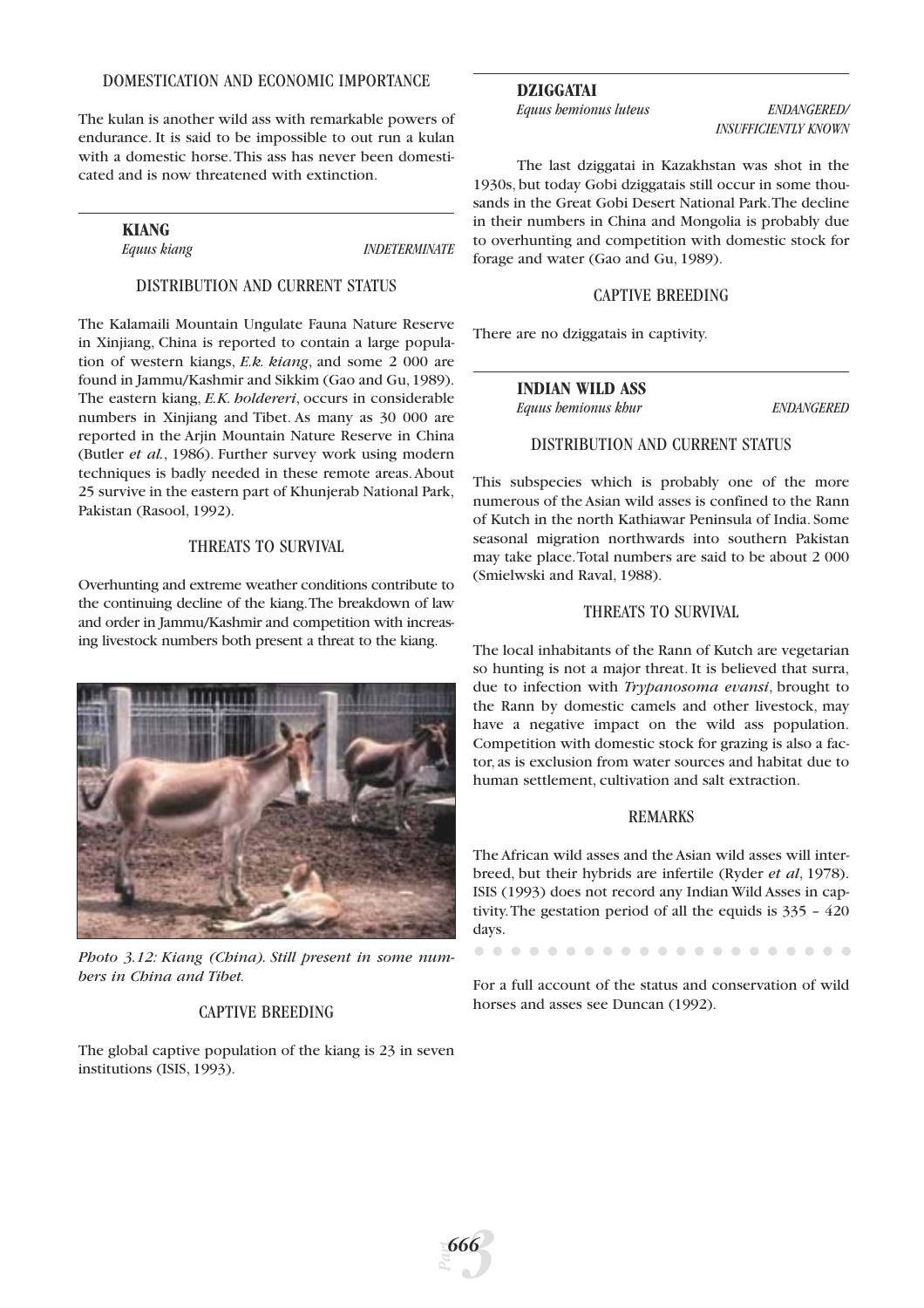#### DOMESTICATION AND ECONOMIC IMPORTANCE

The kulan is another wild ass with remarkable powers of endurance. It is said to be impossible to out run a kulan with a domestic horse.This ass has never been domesticated and is now threatened with extinction.

**KIANG**

*Equus kiang INDETERMINATE*

# DISTRIBUTION AND CURRENT STATUS

The Kalamaili Mountain Ungulate Fauna Nature Reserve in Xinjiang, China is reported to contain a large population of western kiangs, *E.k. kiang*, and some 2 000 are found in Jammu/Kashmir and Sikkim (Gao and Gu,1989). The eastern kiang, *E.K. holdereri*, occurs in considerable numbers in Xinjiang and Tibet. As many as 30 000 are reported in the Ariin Mountain Nature Reserve in China (Butler *et al.*, 1986). Further survey work using modern techniques is badly needed in these remote areas.About 25 survive in the eastern part of Khunjerab National Park, Pakistan (Rasool, 1992).

# THREATS TO SURVIVAL

Overhunting and extreme weather conditions contribute to the continuing decline of the kiang.The breakdown of law and order in Jammu/Kashmir and competition with increasing livestock numbers both present a threat to the kiang.



*Photo 3.12: Kiang (China). Still present in some numbers in China and Tibet.*

# CAPTIVE BREEDING

The global captive population of the kiang is 23 in seven institutions (ISIS, 1993).

# **DZIGGATAI**

*Equus hemionus luteus ENDANGERED/*

*INSUFFICIENTLY KNOWN*

The last dziggatai in Kazakhstan was shot in the 1930s, but today Gobi dziggatais still occur in some thousands in the Great Gobi Desert National Park.The decline in their numbers in China and Mongolia is probably due to overhunting and competition with domestic stock for forage and water (Gao and Gu, 1989).

#### CAPTIVE BREEDING

There are no dziggatais in captivity.

# **INDIAN WILD ASS**

*Equus hemionus khur ENDANGERED*

### DISTRIBUTION AND CURRENT STATUS

This subspecies which is probably one of the more numerous of the Asian wild asses is confined to the Rann of Kutch in the north Kathiawar Peninsula of India. Some seasonal migration northwards into southern Pakistan may take place.Total numbers are said to be about 2 000 (Smielwski and Raval, 1988).

#### THREATS TO SURVIVAL

The local inhabitants of the Rann of Kutch are vegetarian so hunting is not a major threat. It is believed that surra, due to infection with *Trypanosoma evansi*, brought to the Rann by domestic camels and other livestock, may have a negative impact on the wild ass population. Competition with domestic stock for grazing is also a factor, as is exclusion from water sources and habitat due to human settlement, cultivation and salt extraction.

#### REMARKS

The African wild asses and the Asian wild asses will interbreed, but their hybrids are infertile (Ryder *et al*, 1978). ISIS (1993) does not record any Indian Wild Asses in captivity.The gestation period of all the equids is 335 – 420 days.

For a full account of the status and conservation of wild horses and asses see Duncan (1992).

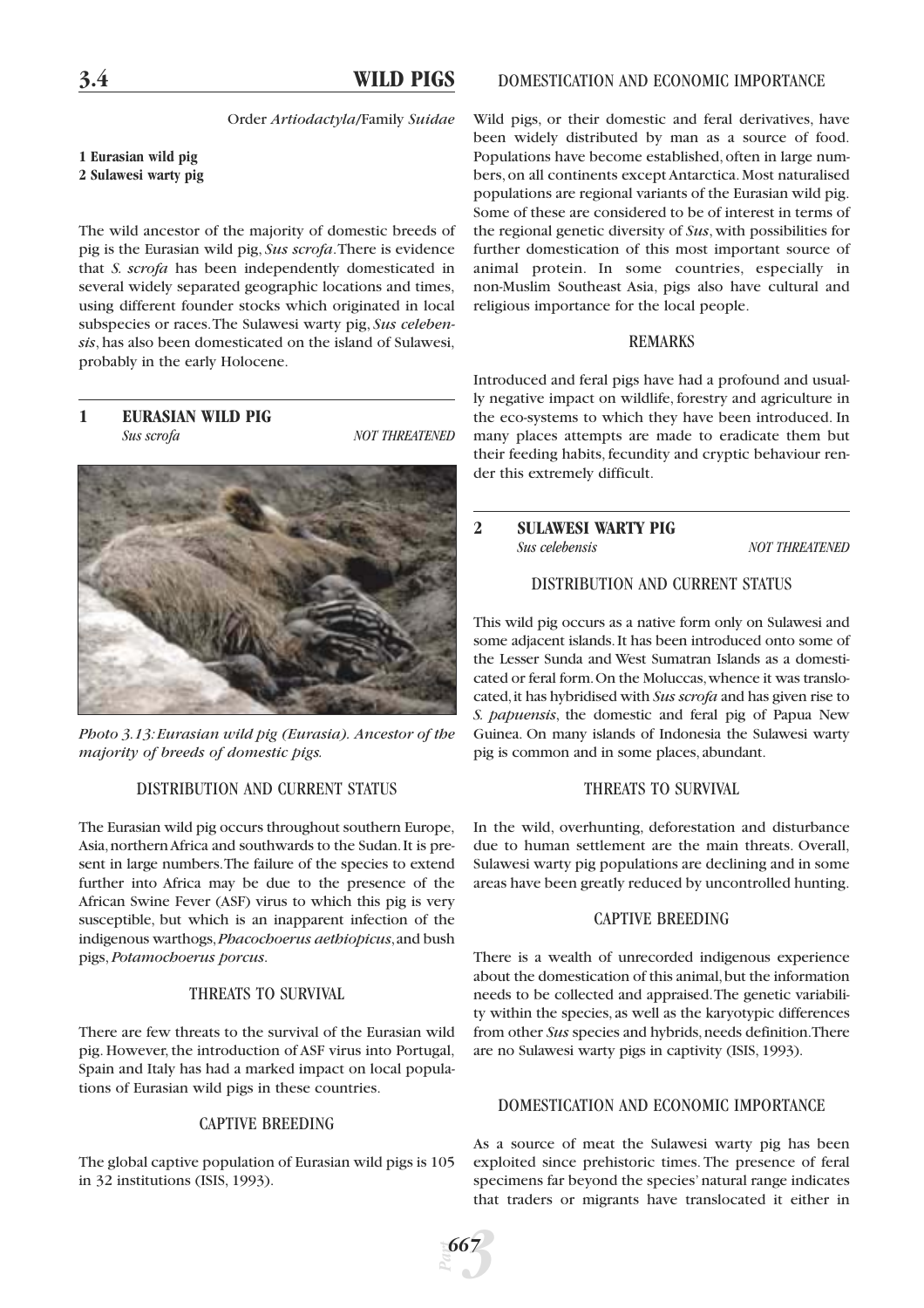# **3.4 WILD PIGS**

Order *Artiodactyla*/Family *Suidae*

#### **1 Eurasian wild pig 2 Sulawesi warty pig**

The wild ancestor of the majority of domestic breeds of pig is the Eurasian wild pig, *Sus scrofa*.There is evidence that *S. scrofa* has been independently domesticated in several widely separated geographic locations and times, using different founder stocks which originated in local subspecies or races.The Sulawesi warty pig, *Sus celebensis*, has also been domesticated on the island of Sulawesi, probably in the early Holocene.

**1 EURASIAN WILD PIG** *Sus scrofa NOT THREATENED*



*Photo 3.13:Eurasian wild pig (Eurasia). Ancestor of the majority of breeds of domestic pigs.*

# DISTRIBUTION AND CURRENT STATUS

The Eurasian wild pig occurs throughout southern Europe, Asia,northern Africa and southwards to the Sudan.It is present in large numbers.The failure of the species to extend further into Africa may be due to the presence of the African Swine Fever (ASF) virus to which this pig is very susceptible, but which is an inapparent infection of the indigenous warthogs,*Phacochoerus aethiopicus*,and bush pigs, *Potamochoerus porcus*.

# THREATS TO SURVIVAL

There are few threats to the survival of the Eurasian wild pig. However, the introduction of ASF virus into Portugal, Spain and Italy has had a marked impact on local populations of Eurasian wild pigs in these countries.

#### CAPTIVE BREEDING

The global captive population of Eurasian wild pigs is 105 in 32 institutions (ISIS, 1993).

Wild pigs, or their domestic and feral derivatives, have been widely distributed by man as a source of food. Populations have become established, often in large numbers, on all continents except Antarctica. Most naturalised populations are regional variants of the Eurasian wild pig. Some of these are considered to be of interest in terms of the regional genetic diversity of *Sus*, with possibilities for further domestication of this most important source of animal protein. In some countries, especially in non-Muslim Southeast Asia, pigs also have cultural and religious importance for the local people.

#### REMARKS

Introduced and feral pigs have had a profound and usually negative impact on wildlife, forestry and agriculture in the eco-systems to which they have been introduced. In many places attempts are made to eradicate them but their feeding habits, fecundity and cryptic behaviour render this extremely difficult.

# **2 SULAWESI WARTY PIG** *Sus celebensis NOT THREATENED*

# DISTRIBUTION AND CURRENT STATUS

This wild pig occurs as a native form only on Sulawesi and some adjacent islands.It has been introduced onto some of the Lesser Sunda and West Sumatran Islands as a domesticated or feral form.On the Moluccas,whence it was translocated,it has hybridised with *Sus scrofa* and has given rise to *S. papuensis*, the domestic and feral pig of Papua New Guinea. On many islands of Indonesia the Sulawesi warty pig is common and in some places, abundant.

# THREATS TO SURVIVAL

In the wild, overhunting, deforestation and disturbance due to human settlement are the main threats. Overall, Sulawesi warty pig populations are declining and in some areas have been greatly reduced by uncontrolled hunting.

# CAPTIVE BREEDING

There is a wealth of unrecorded indigenous experience about the domestication of this animal,but the information needs to be collected and appraised.The genetic variability within the species, as well as the karyotypic differences from other *Sus* species and hybrids, needs definition. There are no Sulawesi warty pigs in captivity (ISIS, 1993).

# DOMESTICATION AND ECONOMIC IMPORTANCE

As a source of meat the Sulawesi warty pig has been exploited since prehistoric times. The presence of feral specimens far beyond the species' natural range indicates that traders or migrants have translocated it either in

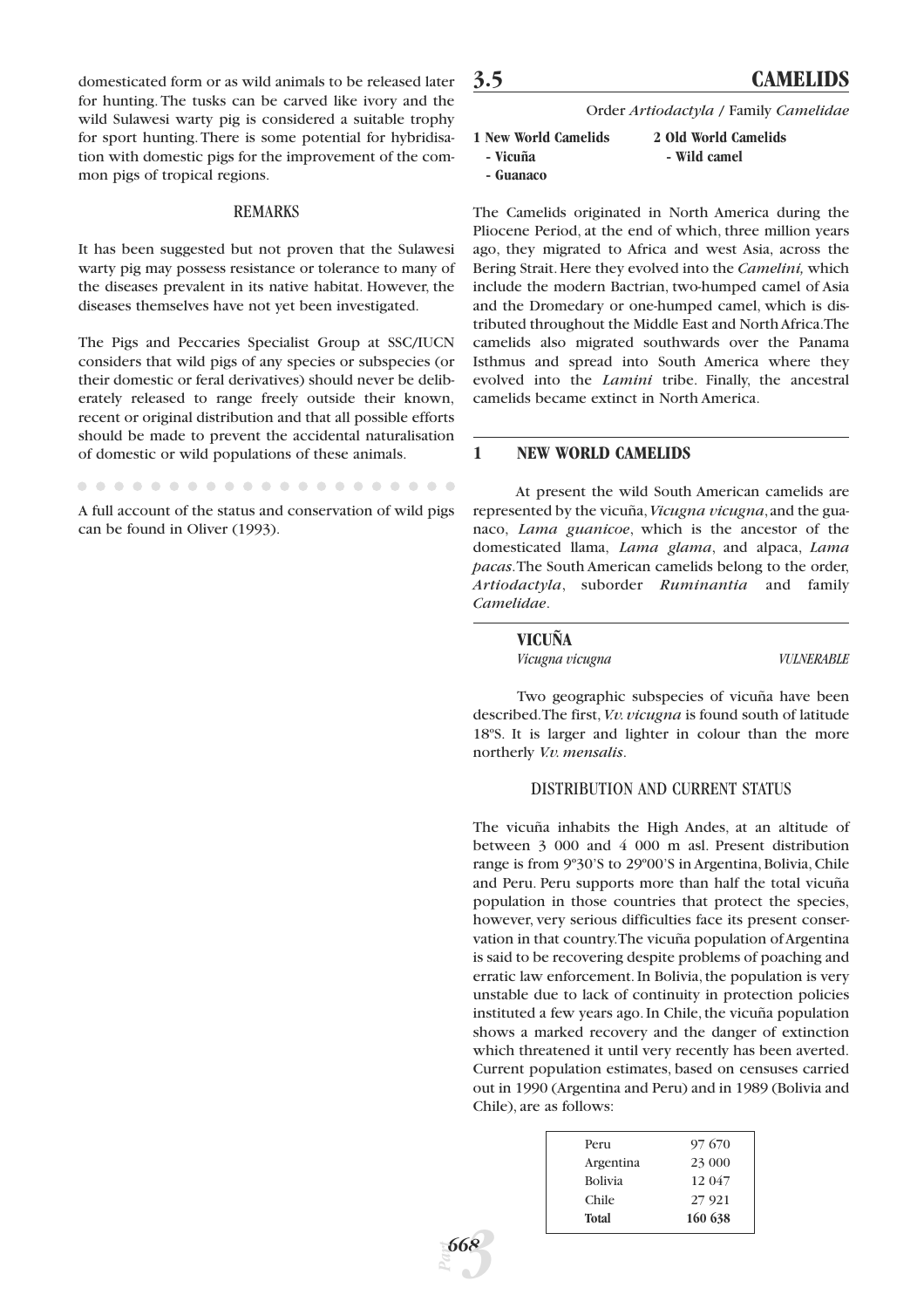domesticated form or as wild animals to be released later for hunting. The tusks can be carved like ivory and the wild Sulawesi warty pig is considered a suitable trophy for sport hunting. There is some potential for hybridisation with domestic pigs for the improvement of the common pigs of tropical regions.

#### REMARKS

It has been suggested but not proven that the Sulawesi warty pig may possess resistance or tolerance to many of the diseases prevalent in its native habitat. However, the diseases themselves have not yet been investigated.

The Pigs and Peccaries Specialist Group at SSC/IUCN considers that wild pigs of any species or subspecies (or their domestic or feral derivatives) should never be deliberately released to range freely outside their known, recent or original distribution and that all possible efforts should be made to prevent the accidental naturalisation of domestic or wild populations of these animals.

A full account of the status and conservation of wild pigs can be found in Oliver (1993).

# **3.5 CAMELIDS**

Order *Artiodactyla* / Family *Camelidae*

| 1 New World Camelids | 2 Old World Camelids |
|----------------------|----------------------|
| - Vicuña             | - Wild camel         |
| - Guanaco            |                      |

The Camelids originated in North America during the Pliocene Period, at the end of which, three million years ago, they migrated to Africa and west Asia, across the Bering Strait.Here they evolved into the *Camelini,* which include the modern Bactrian, two-humped camel of Asia and the Dromedary or one-humped camel, which is distributed throughout the Middle East and North Africa.The camelids also migrated southwards over the Panama Isthmus and spread into South America where they evolved into the *Lamini* tribe. Finally, the ancestral camelids became extinct in North America.

#### **1 NEW WORLD CAMELIDS**

At present the wild South American camelids are represented by the vicuña,*Vicugna vicugna*,and the guanaco, *Lama guanicoe*, which is the ancestor of the domesticated llama, *Lama glama*, and alpaca, *Lama pacas*.The South American camelids belong to the order, *Artiodactyla*, suborder *Ruminantia* and family *Camelidae*.

| VICUÑA          |                   |
|-----------------|-------------------|
| Vicugna vicugna | <b>VULNERABLE</b> |

Two geographic subspecies of vicuña have been described. The first, *V.v. vicugna* is found south of latitude 18ºS. It is larger and lighter in colour than the more northerly *V.v. mensalis*.

#### DISTRIBUTION AND CURRENT STATUS

The vicuña inhabits the High Andes, at an altitude of between 3 000 and 4 000 m asl. Present distribution range is from 9º30'S to 29º00'S in Argentina, Bolivia, Chile and Peru. Peru supports more than half the total vicuña population in those countries that protect the species, however, very serious difficulties face its present conservation in that country.The vicuña population of Argentina is said to be recovering despite problems of poaching and erratic law enforcement. In Bolivia, the population is very unstable due to lack of continuity in protection policies instituted a few years ago. In Chile, the vicuña population shows a marked recovery and the danger of extinction which threatened it until very recently has been averted. Current population estimates, based on censuses carried out in 1990 (Argentina and Peru) and in 1989 (Bolivia and Chile), are as follows:

| Peru           | 97670   |
|----------------|---------|
| Argentina      | 23 000  |
| <b>Bolivia</b> | 12 047  |
| Chile          | 27 9 21 |
| <b>Total</b>   | 160 638 |
|                |         |

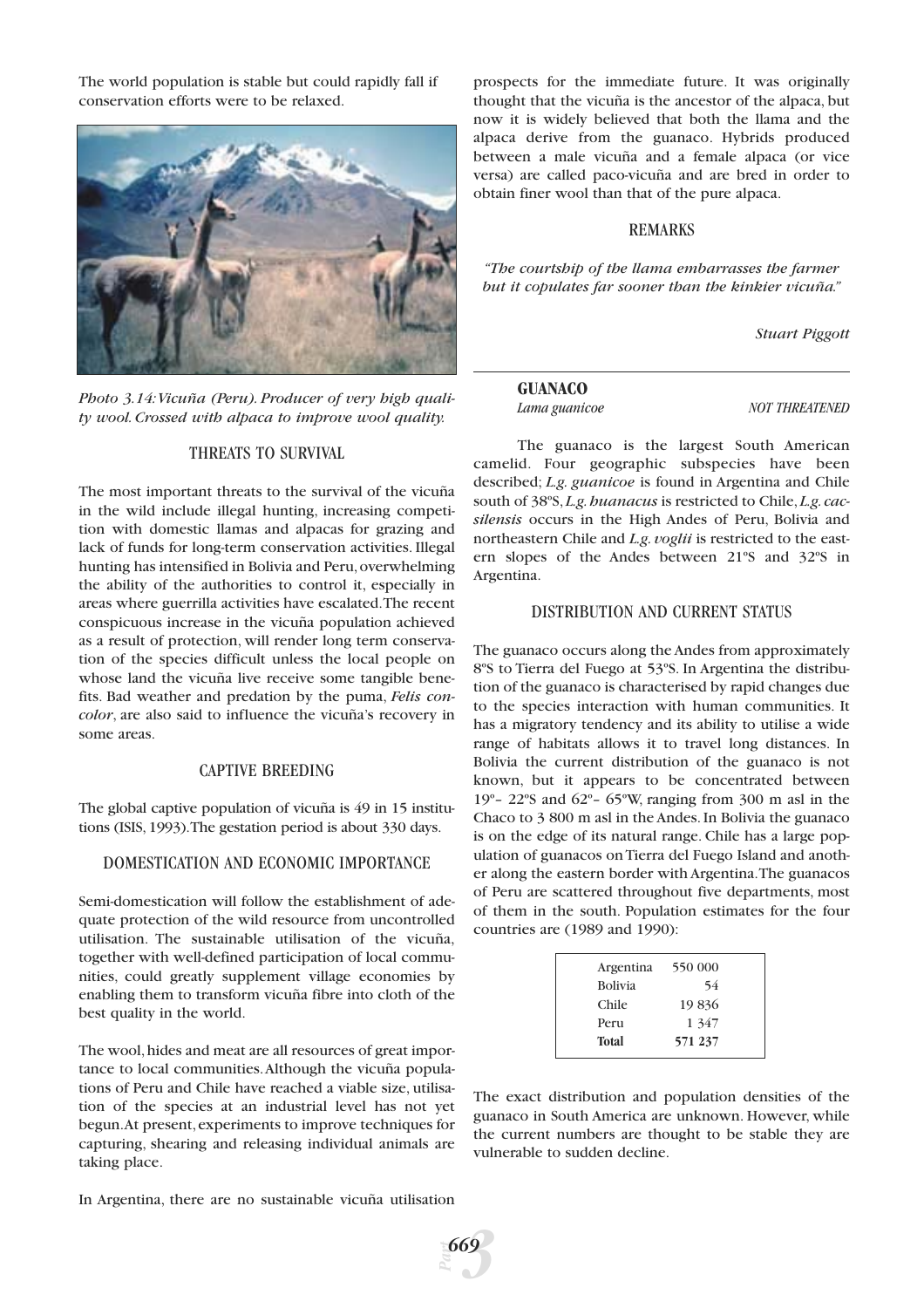The world population is stable but could rapidly fall if conservation efforts were to be relaxed.



*Photo 3.14:Vicuña (Peru). Producer of very high quality wool. Crossed with alpaca to improve wool quality.*

# THREATS TO SURVIVAL

The most important threats to the survival of the vicuña in the wild include illegal hunting, increasing competition with domestic llamas and alpacas for grazing and lack of funds for long-term conservation activities. Illegal hunting has intensified in Bolivia and Peru, overwhelming the ability of the authorities to control it, especially in areas where guerrilla activities have escalated.The recent conspicuous increase in the vicuña population achieved as a result of protection, will render long term conservation of the species difficult unless the local people on whose land the vicuña live receive some tangible benefits. Bad weather and predation by the puma, *Felis concolor*, are also said to influence the vicuña's recovery in some areas.

#### CAPTIVE BREEDING

The global captive population of vicuña is 49 in 15 institutions (ISIS, 1993).The gestation period is about 330 days.

#### DOMESTICATION AND ECONOMIC IMPORTANCE

Semi-domestication will follow the establishment of adequate protection of the wild resource from uncontrolled utilisation. The sustainable utilisation of the vicuña, together with well-defined participation of local communities, could greatly supplement village economies by enabling them to transform vicuña fibre into cloth of the best quality in the world.

The wool,hides and meat are all resources of great importance to local communities.Although the vicuña populations of Peru and Chile have reached a viable size, utilisation of the species at an industrial level has not yet begun.At present, experiments to improve techniques for capturing, shearing and releasing individual animals are taking place.

In Argentina, there are no sustainable vicuña utilisation

*Part*

*3 669*

prospects for the immediate future. It was originally thought that the vicuña is the ancestor of the alpaca, but now it is widely believed that both the llama and the alpaca derive from the guanaco. Hybrids produced between a male vicuña and a female alpaca (or vice versa) are called paco-vicuña and are bred in order to obtain finer wool than that of the pure alpaca.

#### REMARKS

*"The courtship of the llama embarrasses the farmer but it copulates far sooner than the kinkier vicuña."*

*Stuart Piggott*

#### **GUANACO**

*Lama guanicoe NOT THREATENED*

The guanaco is the largest South American camelid. Four geographic subspecies have been described; *L.g. guanicoe* is found in Argentina and Chile south of 38°S, L.g. *buanacus* is restricted to Chile, L.g. cac*silensis* occurs in the High Andes of Peru, Bolivia and northeastern Chile and *L.g. voglii* is restricted to the eastern slopes of the Andes between 21ºS and 32ºS in Argentina.

#### DISTRIBUTION AND CURRENT STATUS

The guanaco occurs along the Andes from approximately 8ºS to Tierra del Fuego at 53ºS. In Argentina the distribution of the guanaco is characterised by rapid changes due to the species interaction with human communities. It has a migratory tendency and its ability to utilise a wide range of habitats allows it to travel long distances. In Bolivia the current distribution of the guanaco is not known, but it appears to be concentrated between 19 $^{\circ}$ – 22 $^{\circ}$ S and 62 $^{\circ}$ – 65 $^{\circ}$ W, ranging from 300 m asl in the Chaco to 3 800 m asl in the Andes. In Bolivia the guanaco is on the edge of its natural range. Chile has a large population of guanacos on Tierra del Fuego Island and another along the eastern border with Argentina.The guanacos of Peru are scattered throughout five departments, most of them in the south. Population estimates for the four countries are (1989 and 1990):

| Argentina      | 550 000 |  |
|----------------|---------|--|
| <b>Bolivia</b> | 54      |  |
| Chile          | 19836   |  |
| Peru           | 1 3 4 7 |  |
| <b>Total</b>   | 571 237 |  |
|                |         |  |

The exact distribution and population densities of the guanaco in South America are unknown. However, while the current numbers are thought to be stable they are vulnerable to sudden decline.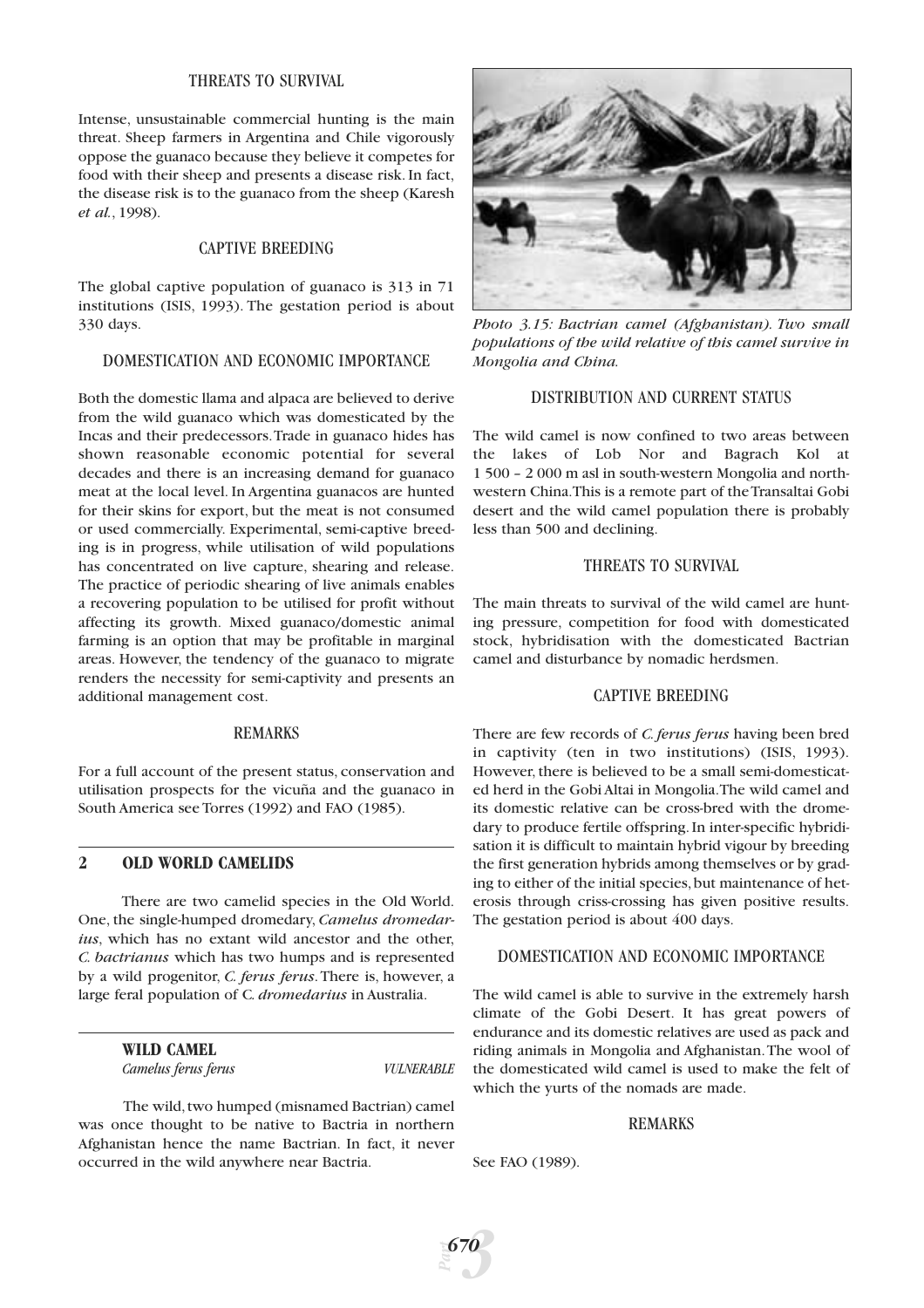# THREATS TO SURVIVAL

Intense, unsustainable commercial hunting is the main threat. Sheep farmers in Argentina and Chile vigorously oppose the guanaco because they believe it competes for food with their sheep and presents a disease risk. In fact, the disease risk is to the guanaco from the sheep (Karesh *et al.*, 1998).

# CAPTIVE BREEDING

The global captive population of guanaco is 313 in 71 institutions (ISIS, 1993). The gestation period is about 330 days.

#### DOMESTICATION AND ECONOMIC IMPORTANCE

Both the domestic llama and alpaca are believed to derive from the wild guanaco which was domesticated by the Incas and their predecessors.Trade in guanaco hides has shown reasonable economic potential for several decades and there is an increasing demand for guanaco meat at the local level. In Argentina guanacos are hunted for their skins for export, but the meat is not consumed or used commercially. Experimental, semi-captive breeding is in progress, while utilisation of wild populations has concentrated on live capture, shearing and release. The practice of periodic shearing of live animals enables a recovering population to be utilised for profit without affecting its growth. Mixed guanaco/domestic animal farming is an option that may be profitable in marginal areas. However, the tendency of the guanaco to migrate renders the necessity for semi-captivity and presents an additional management cost.

#### REMARKS

For a full account of the present status, conservation and utilisation prospects for the vicuña and the guanaco in South America see Torres (1992) and FAO (1985).

# **2 OLD WORLD CAMELIDS**

There are two camelid species in the Old World. One, the single-humped dromedary, *Camelus dromedarius*, which has no extant wild ancestor and the other, *C. bactrianus* which has two humps and is represented by a wild progenitor, *C. ferus ferus*.There is, however, a large feral population of C*. dromedarius* in Australia.

**WILD CAMEL**

*Camelus ferus ferus VULNERABLE*

The wild, two humped (misnamed Bactrian) camel was once thought to be native to Bactria in northern Afghanistan hence the name Bactrian. In fact, it never occurred in the wild anywhere near Bactria.



*Photo 3.15: Bactrian camel (Afghanistan). Two small populations of the wild relative of this camel survive in Mongolia and China.*

#### DISTRIBUTION AND CURRENT STATUS

The wild camel is now confined to two areas between the lakes of Lob Nor and Bagrach Kol at 1 500 – 2 000 m asl in south-western Mongolia and northwestern China.This is a remote part of the Transaltai Gobi desert and the wild camel population there is probably less than 500 and declining.

## THREATS TO SURVIVAL

The main threats to survival of the wild camel are hunting pressure, competition for food with domesticated stock, hybridisation with the domesticated Bactrian camel and disturbance by nomadic herdsmen.

# CAPTIVE BREEDING

There are few records of *C. ferus ferus* having been bred in captivity (ten in two institutions) (ISIS, 1993). However, there is believed to be a small semi-domesticated herd in the Gobi Altai in Mongolia.The wild camel and its domestic relative can be cross-bred with the dromedary to produce fertile offspring. In inter-specific hybridisation it is difficult to maintain hybrid vigour by breeding the first generation hybrids among themselves or by grading to either of the initial species, but maintenance of heterosis through criss-crossing has given positive results. The gestation period is about 400 days.

#### DOMESTICATION AND ECONOMIC IMPORTANCE

The wild camel is able to survive in the extremely harsh climate of the Gobi Desert. It has great powers of endurance and its domestic relatives are used as pack and riding animals in Mongolia and Afghanistan.The wool of the domesticated wild camel is used to make the felt of which the yurts of the nomads are made.

#### REMARKS

See FAO (1989).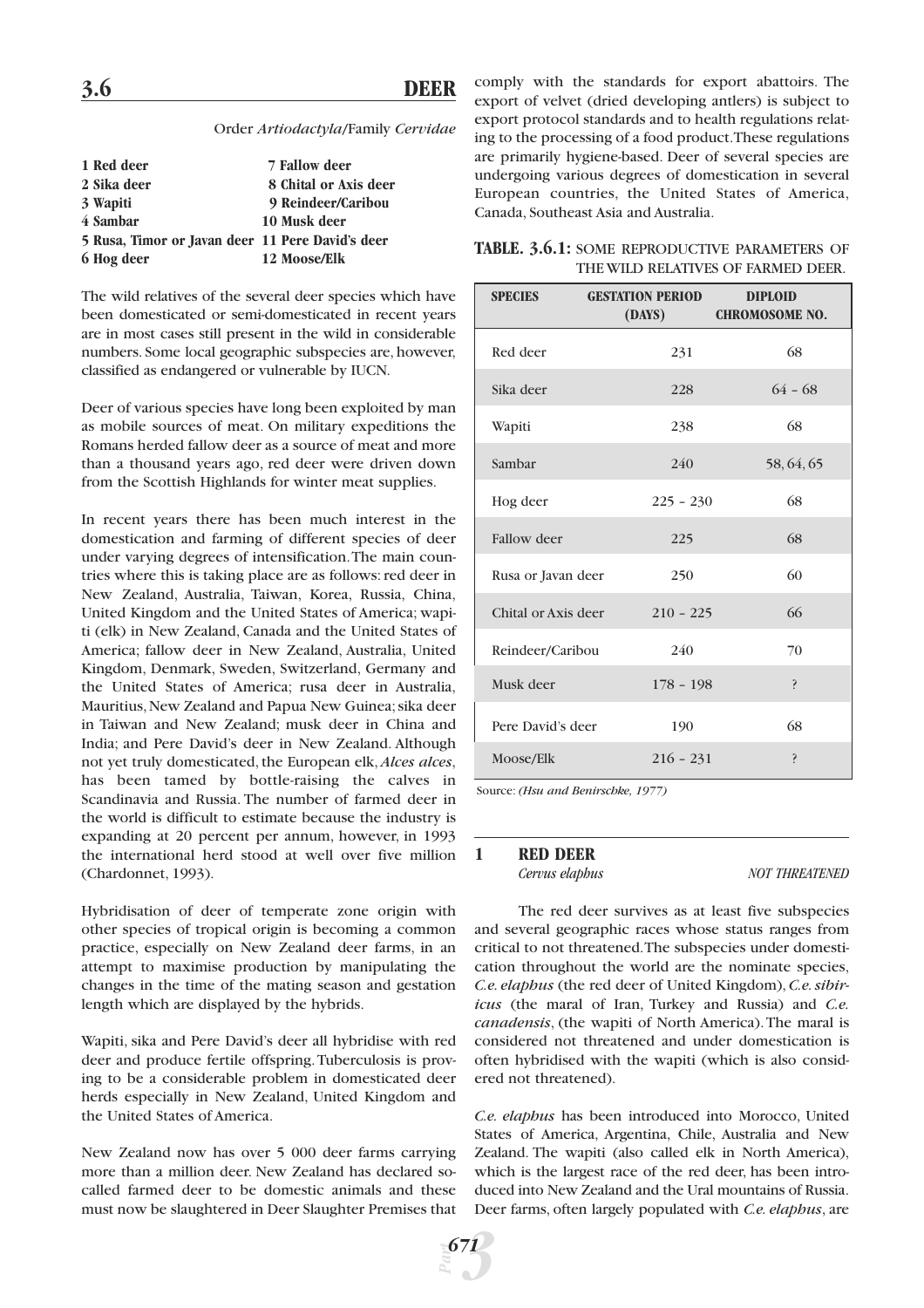#### Order *Artiodactyla*/Family *Cervidae*

| 1 Red deer                                       | 7 Fallow deer         |
|--------------------------------------------------|-----------------------|
| 2 Sika deer                                      | 8 Chital or Axis deer |
| 3 Wapiti                                         | 9 Reindeer/Caribou    |
| 4 Sambar                                         | 10 Musk deer          |
| 5 Rusa, Timor or Javan deer 11 Pere David's deer |                       |
| 6 Hog deer                                       | 12 Moose/Elk          |

The wild relatives of the several deer species which have been domesticated or semi-domesticated in recent years are in most cases still present in the wild in considerable numbers. Some local geographic subspecies are, however, classified as endangered or vulnerable by IUCN.

Deer of various species have long been exploited by man as mobile sources of meat. On military expeditions the Romans herded fallow deer as a source of meat and more than a thousand years ago, red deer were driven down from the Scottish Highlands for winter meat supplies.

In recent years there has been much interest in the domestication and farming of different species of deer under varying degrees of intensification.The main countries where this is taking place are as follows: red deer in New Zealand, Australia, Taiwan, Korea, Russia, China, United Kingdom and the United States of America; wapiti (elk) in New Zealand, Canada and the United States of America; fallow deer in New Zealand, Australia, United Kingdom, Denmark, Sweden, Switzerland, Germany and the United States of America; rusa deer in Australia, Mauritius, New Zealand and Papua New Guinea; sika deer in Taiwan and New Zealand; musk deer in China and India; and Pere David's deer in New Zealand. Although not yet truly domesticated, the European elk,*Alces alces*, has been tamed by bottle-raising the calves in Scandinavia and Russia. The number of farmed deer in the world is difficult to estimate because the industry is expanding at 20 percent per annum, however, in 1993 the international herd stood at well over five million (Chardonnet, 1993).

Hybridisation of deer of temperate zone origin with other species of tropical origin is becoming a common practice, especially on New Zealand deer farms, in an attempt to maximise production by manipulating the changes in the time of the mating season and gestation length which are displayed by the hybrids.

Wapiti, sika and Pere David's deer all hybridise with red deer and produce fertile offspring.Tuberculosis is proving to be a considerable problem in domesticated deer herds especially in New Zealand, United Kingdom and the United States of America.

New Zealand now has over 5 000 deer farms carrying more than a million deer. New Zealand has declared socalled farmed deer to be domestic animals and these must now be slaughtered in Deer Slaughter Premises that comply with the standards for export abattoirs. The export of velvet (dried developing antlers) is subject to export protocol standards and to health regulations relating to the processing of a food product.These regulations are primarily hygiene-based. Deer of several species are undergoing various degrees of domestication in several European countries, the United States of America, Canada, Southeast Asia and Australia.

|  |  | <b>TABLE. 3.6.1: SOME REPRODUCTIVE PARAMETERS OF</b> |  |  |
|--|--|------------------------------------------------------|--|--|
|  |  | THE WILD RELATIVES OF FARMED DEER.                   |  |  |

| <b>SPECIES</b>      | <b>GESTATION PERIOD</b><br>(DAYS) | <b>DIPLOID</b><br><b>CHROMOSOME NO.</b> |
|---------------------|-----------------------------------|-----------------------------------------|
| Red deer            | 231                               | 68                                      |
| Sika deer           | 228                               | $64 - 68$                               |
| Wapiti              | 238                               | 68                                      |
| Sambar              | 240                               | 58, 64, 65                              |
| Hog deer            | $225 - 230$                       | 68                                      |
| <b>Fallow</b> deer  | 225                               | 68                                      |
| Rusa or Javan deer  | 250                               | 60                                      |
| Chital or Axis deer | $210 - 225$                       | 66                                      |
| Reindeer/Caribou    | 240                               | 70                                      |
| Musk deer           | $178 - 198$                       | ŗ                                       |
| Pere David's deer   | 190                               | 68                                      |
| Moose/Elk           | $216 - 231$                       | Ş                                       |

Source: *(Hsu and Benirschke, 1977)*

#### **1 RED DEER**

*Cervus elaphus NOT THREATENED*

The red deer survives as at least five subspecies and several geographic races whose status ranges from critical to not threatened.The subspecies under domestication throughout the world are the nominate species, *C.e. elaphus* (the red deer of United Kingdom), *C.e. sibiricus* (the maral of Iran, Turkey and Russia) and *C.e. canadensis*, (the wapiti of North America).The maral is considered not threatened and under domestication is often hybridised with the wapiti (which is also considered not threatened).

*C.e. elaphus* has been introduced into Morocco, United States of America, Argentina, Chile, Australia and New Zealand. The wapiti (also called elk in North America), which is the largest race of the red deer, has been introduced into New Zealand and the Ural mountains of Russia. Deer farms, often largely populated with *C.e. elaphus*, are

*Part 3 671*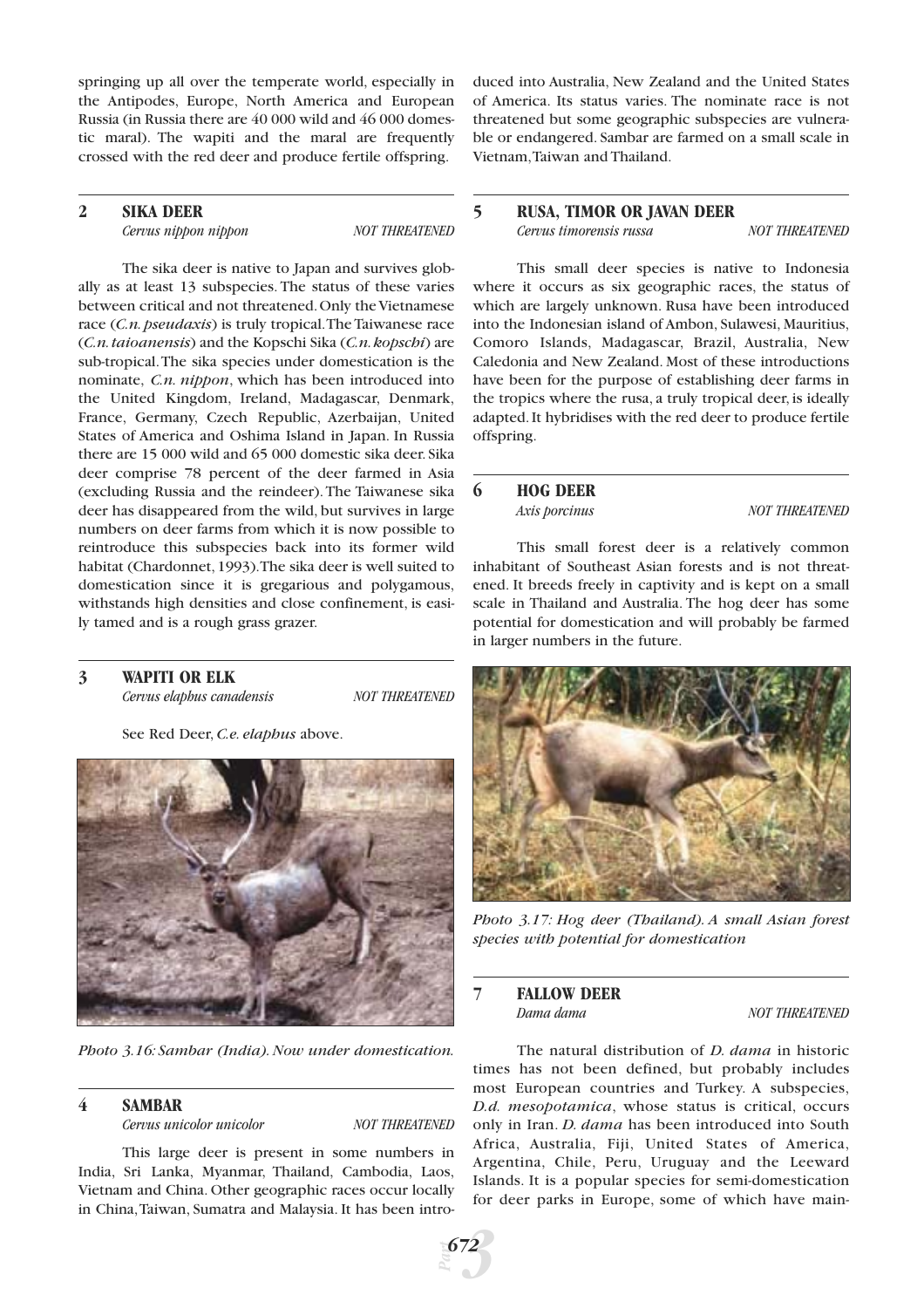springing up all over the temperate world, especially in the Antipodes, Europe, North America and European Russia (in Russia there are 40 000 wild and 46 000 domestic maral). The wapiti and the maral are frequently crossed with the red deer and produce fertile offspring.

# **2 SIKA DEER**

*Cervus nippon nippon NOT THREATENED*

The sika deer is native to Japan and survives globally as at least 13 subspecies. The status of these varies between critical and not threatened.Only the Vietnamese race (*C.n. pseudaxis*) is truly tropical.The Taiwanese race (*C.n.taioanensis*) and the Kopschi Sika (*C.n.kopschi*) are sub-tropical.The sika species under domestication is the nominate, *C.n. nippon*, which has been introduced into the United Kingdom, Ireland, Madagascar, Denmark, France, Germany, Czech Republic, Azerbaijan, United States of America and Oshima Island in Japan. In Russia there are 15 000 wild and 65 000 domestic sika deer. Sika deer comprise 78 percent of the deer farmed in Asia (excluding Russia and the reindeer). The Taiwanese sika deer has disappeared from the wild, but survives in large numbers on deer farms from which it is now possible to reintroduce this subspecies back into its former wild habitat (Chardonnet,1993).The sika deer is well suited to domestication since it is gregarious and polygamous, withstands high densities and close confinement, is easily tamed and is a rough grass grazer.

**3 WAPITI OR ELK**

*Cervus elaphus canadensis NOT THREATENED*

See Red Deer, *C.e. elaphus* above.



*Photo 3.16: Sambar (India). Now under domestication.*

# **4 SAMBAR**

*Cervus unicolor unicolor NOT THREATENED*

This large deer is present in some numbers in India, Sri Lanka, Myanmar, Thailand, Cambodia, Laos, Vietnam and China. Other geographic races occur locally in China,Taiwan, Sumatra and Malaysia. It has been intro-

duced into Australia, New Zealand and the United States of America. Its status varies. The nominate race is not threatened but some geographic subspecies are vulnerable or endangered. Sambar are farmed on a small scale in Vietnam,Taiwan and Thailand.

### **5 RUSA, TIMOR OR JAVAN DEER** *Cervus timorensis russa NOT THREATENED*

This small deer species is native to Indonesia where it occurs as six geographic races, the status of which are largely unknown. Rusa have been introduced into the Indonesian island of Ambon, Sulawesi, Mauritius, Comoro Islands, Madagascar, Brazil, Australia, New Caledonia and New Zealand. Most of these introductions have been for the purpose of establishing deer farms in the tropics where the rusa, a truly tropical deer, is ideally adapted.It hybridises with the red deer to produce fertile offspring.

# **6 HOG DEER**

*Axis porcinus NOT THREATENED* 

This small forest deer is a relatively common inhabitant of Southeast Asian forests and is not threatened. It breeds freely in captivity and is kept on a small scale in Thailand and Australia. The hog deer has some potential for domestication and will probably be farmed in larger numbers in the future.



*Photo 3.17: Hog deer (Thailand). A small Asian forest species with potential for domestication*

# **7 FALLOW DEER**

*NOT THREATENED* 

The natural distribution of *D. dama* in historic times has not been defined, but probably includes most European countries and Turkey. A subspecies, *D.d. mesopotamica*, whose status is critical, occurs only in Iran. *D. dama* has been introduced into South Africa, Australia, Fiji, United States of America, Argentina, Chile, Peru, Uruguay and the Leeward Islands. It is a popular species for semi-domestication for deer parks in Europe, some of which have main-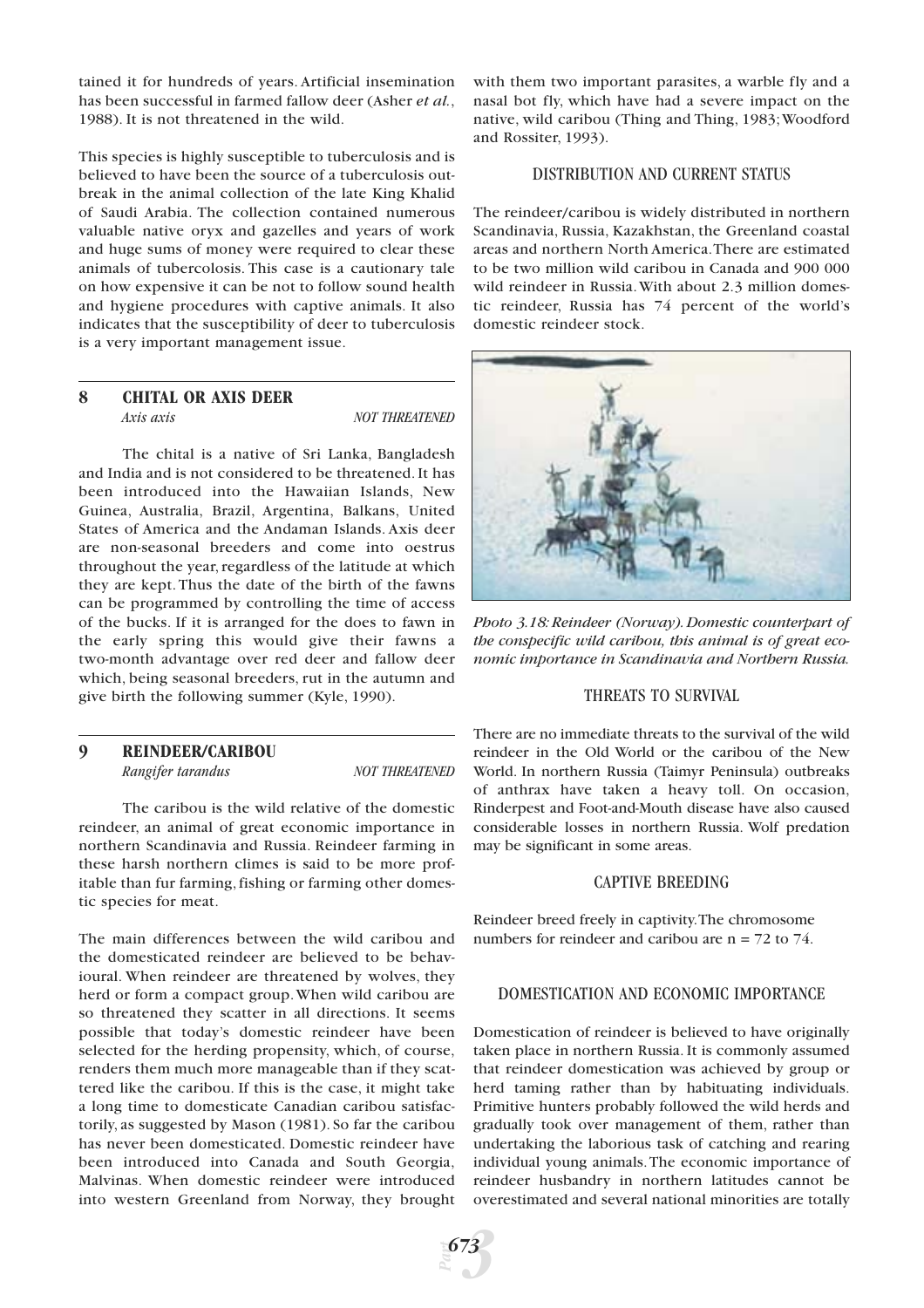tained it for hundreds of years. Artificial insemination has been successful in farmed fallow deer (Asher *et al.*, 1988). It is not threatened in the wild.

This species is highly susceptible to tuberculosis and is believed to have been the source of a tuberculosis outbreak in the animal collection of the late King Khalid of Saudi Arabia. The collection contained numerous valuable native oryx and gazelles and years of work and huge sums of money were required to clear these animals of tubercolosis. This case is a cautionary tale on how expensive it can be not to follow sound health and hygiene procedures with captive animals. It also indicates that the susceptibility of deer to tuberculosis is a very important management issue.

# **8 CHITAL OR AXIS DEER** *Axis axis NOT THREATENED*

The chital is a native of Sri Lanka, Bangladesh and India and is not considered to be threatened. It has been introduced into the Hawaiian Islands, New Guinea, Australia, Brazil, Argentina, Balkans, United States of America and the Andaman Islands. Axis deer are non-seasonal breeders and come into oestrus throughout the year, regardless of the latitude at which they are kept. Thus the date of the birth of the fawns can be programmed by controlling the time of access of the bucks. If it is arranged for the does to fawn in the early spring this would give their fawns a two-month advantage over red deer and fallow deer which, being seasonal breeders, rut in the autumn and give birth the following summer (Kyle, 1990).

# **9 REINDEER/CARIBOU** *Rangifer tarandus NOT THREATENED*

The caribou is the wild relative of the domestic reindeer, an animal of great economic importance in northern Scandinavia and Russia. Reindeer farming in these harsh northern climes is said to be more profitable than fur farming, fishing or farming other domestic species for meat.

The main differences between the wild caribou and the domesticated reindeer are believed to be behavioural. When reindeer are threatened by wolves, they herd or form a compact group.When wild caribou are so threatened they scatter in all directions. It seems possible that today's domestic reindeer have been selected for the herding propensity, which, of course, renders them much more manageable than if they scattered like the caribou. If this is the case, it might take a long time to domesticate Canadian caribou satisfactorily, as suggested by Mason (1981). So far the caribou has never been domesticated. Domestic reindeer have been introduced into Canada and South Georgia, Malvinas. When domestic reindeer were introduced into western Greenland from Norway, they brought

with them two important parasites, a warble fly and a nasal bot fly, which have had a severe impact on the native, wild caribou (Thing and Thing, 1983;Woodford and Rossiter, 1993).

# DISTRIBUTION AND CURRENT STATUS

The reindeer/caribou is widely distributed in northern Scandinavia, Russia, Kazakhstan, the Greenland coastal areas and northern North America.There are estimated to be two million wild caribou in Canada and 900 000 wild reindeer in Russia.With about 2.3 million domestic reindeer, Russia has 74 percent of the world's domestic reindeer stock.



*Photo 3.18: Reindeer (Norway). Domestic counterpart of the conspecific wild caribou, this animal is of great economic importance in Scandinavia and Northern Russia.*

# THREATS TO SURVIVAL

There are no immediate threats to the survival of the wild reindeer in the Old World or the caribou of the New World. In northern Russia (Taimyr Peninsula) outbreaks of anthrax have taken a heavy toll. On occasion, Rinderpest and Foot-and-Mouth disease have also caused considerable losses in northern Russia. Wolf predation may be significant in some areas.

# CAPTIVE BREEDING

Reindeer breed freely in captivity.The chromosome numbers for reindeer and caribou are n = 72 to 74.

# DOMESTICATION AND ECONOMIC IMPORTANCE

Domestication of reindeer is believed to have originally taken place in northern Russia. It is commonly assumed that reindeer domestication was achieved by group or herd taming rather than by habituating individuals. Primitive hunters probably followed the wild herds and gradually took over management of them, rather than undertaking the laborious task of catching and rearing individual young animals.The economic importance of reindeer husbandry in northern latitudes cannot be overestimated and several national minorities are totally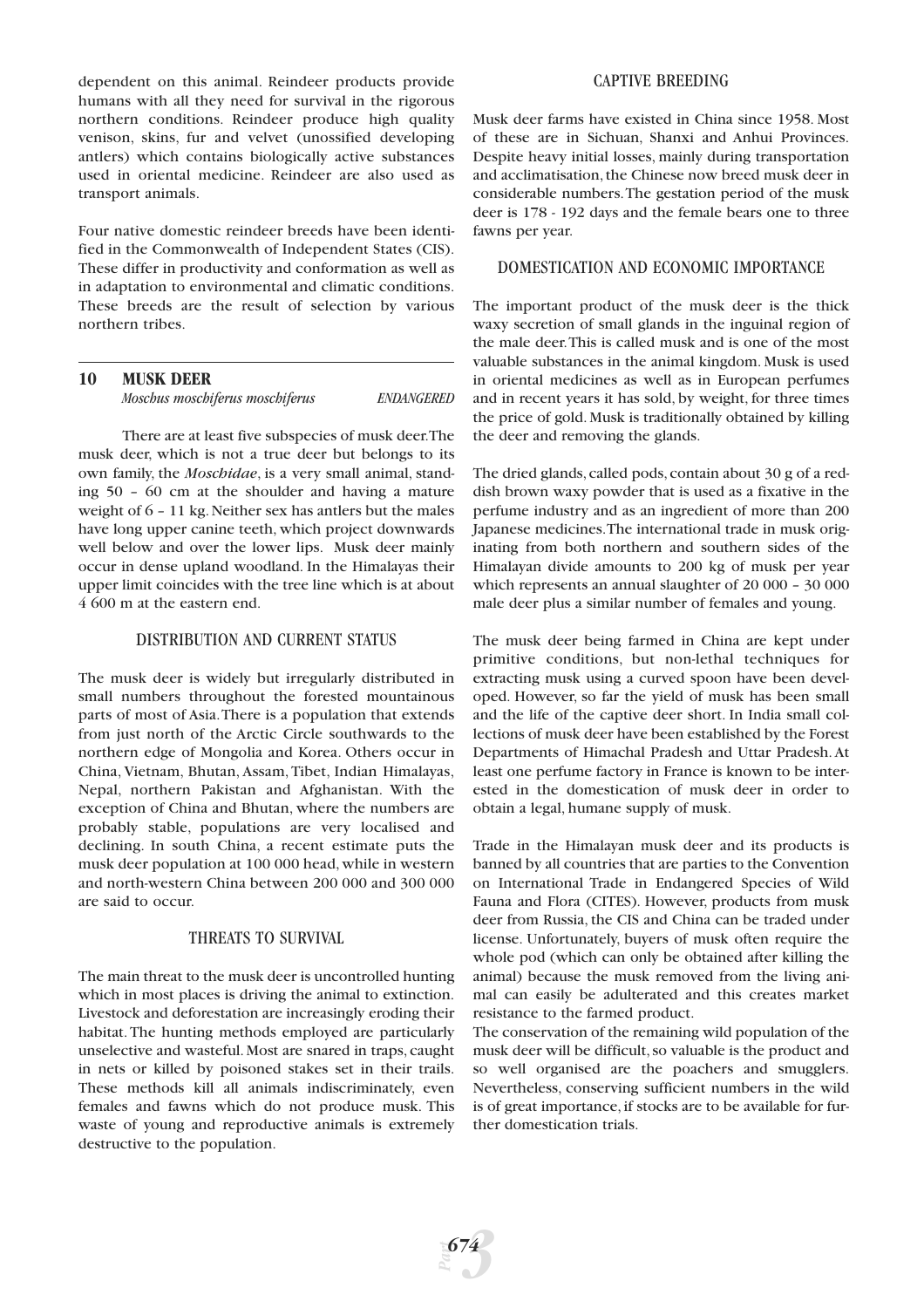dependent on this animal. Reindeer products provide humans with all they need for survival in the rigorous northern conditions. Reindeer produce high quality venison, skins, fur and velvet (unossified developing antlers) which contains biologically active substances used in oriental medicine. Reindeer are also used as transport animals.

Four native domestic reindeer breeds have been identified in the Commonwealth of Independent States (CIS). These differ in productivity and conformation as well as in adaptation to environmental and climatic conditions. These breeds are the result of selection by various northern tribes.

# **10 MUSK DEER**

*Moschus moschiferus moschiferus ENDANGERED*

There are at least five subspecies of musk deer.The musk deer, which is not a true deer but belongs to its own family, the *Moschidae*, is a very small animal, standing 50 – 60 cm at the shoulder and having a mature weight of 6 – 11 kg. Neither sex has antlers but the males have long upper canine teeth, which project downwards well below and over the lower lips. Musk deer mainly occur in dense upland woodland. In the Himalayas their upper limit coincides with the tree line which is at about 4 600 m at the eastern end.

# DISTRIBUTION AND CURRENT STATUS

The musk deer is widely but irregularly distributed in small numbers throughout the forested mountainous parts of most of Asia.There is a population that extends from just north of the Arctic Circle southwards to the northern edge of Mongolia and Korea. Others occur in China, Vietnam, Bhutan, Assam, Tibet, Indian Himalayas, Nepal, northern Pakistan and Afghanistan. With the exception of China and Bhutan, where the numbers are probably stable, populations are very localised and declining. In south China, a recent estimate puts the musk deer population at 100 000 head,while in western and north-western China between 200 000 and 300 000 are said to occur.

# THREATS TO SURVIVAL

The main threat to the musk deer is uncontrolled hunting which in most places is driving the animal to extinction. Livestock and deforestation are increasingly eroding their habitat. The hunting methods employed are particularly unselective and wasteful. Most are snared in traps, caught in nets or killed by poisoned stakes set in their trails. These methods kill all animals indiscriminately, even females and fawns which do not produce musk. This waste of young and reproductive animals is extremely destructive to the population.

# CAPTIVE BREEDING

Musk deer farms have existed in China since 1958. Most of these are in Sichuan, Shanxi and Anhui Provinces. Despite heavy initial losses, mainly during transportation and acclimatisation, the Chinese now breed musk deer in considerable numbers.The gestation period of the musk deer is 178 - 192 days and the female bears one to three fawns per year.

# DOMESTICATION AND ECONOMIC IMPORTANCE

The important product of the musk deer is the thick waxy secretion of small glands in the inguinal region of the male deer.This is called musk and is one of the most valuable substances in the animal kingdom. Musk is used in oriental medicines as well as in European perfumes and in recent years it has sold, by weight, for three times the price of gold. Musk is traditionally obtained by killing the deer and removing the glands.

The dried glands, called pods, contain about 30 g of a reddish brown waxy powder that is used as a fixative in the perfume industry and as an ingredient of more than 200 Japanese medicines.The international trade in musk originating from both northern and southern sides of the Himalayan divide amounts to 200 kg of musk per year which represents an annual slaughter of 20 000 – 30 000 male deer plus a similar number of females and young.

The musk deer being farmed in China are kept under primitive conditions, but non-lethal techniques for extracting musk using a curved spoon have been developed. However, so far the yield of musk has been small and the life of the captive deer short. In India small collections of musk deer have been established by the Forest Departments of Himachal Pradesh and Uttar Pradesh. At least one perfume factory in France is known to be interested in the domestication of musk deer in order to obtain a legal, humane supply of musk.

Trade in the Himalayan musk deer and its products is banned by all countries that are parties to the Convention on International Trade in Endangered Species of Wild Fauna and Flora (CITES). However, products from musk deer from Russia, the CIS and China can be traded under license. Unfortunately, buyers of musk often require the whole pod (which can only be obtained after killing the animal) because the musk removed from the living animal can easily be adulterated and this creates market resistance to the farmed product.

The conservation of the remaining wild population of the musk deer will be difficult, so valuable is the product and so well organised are the poachers and smugglers. Nevertheless, conserving sufficient numbers in the wild is of great importance, if stocks are to be available for further domestication trials.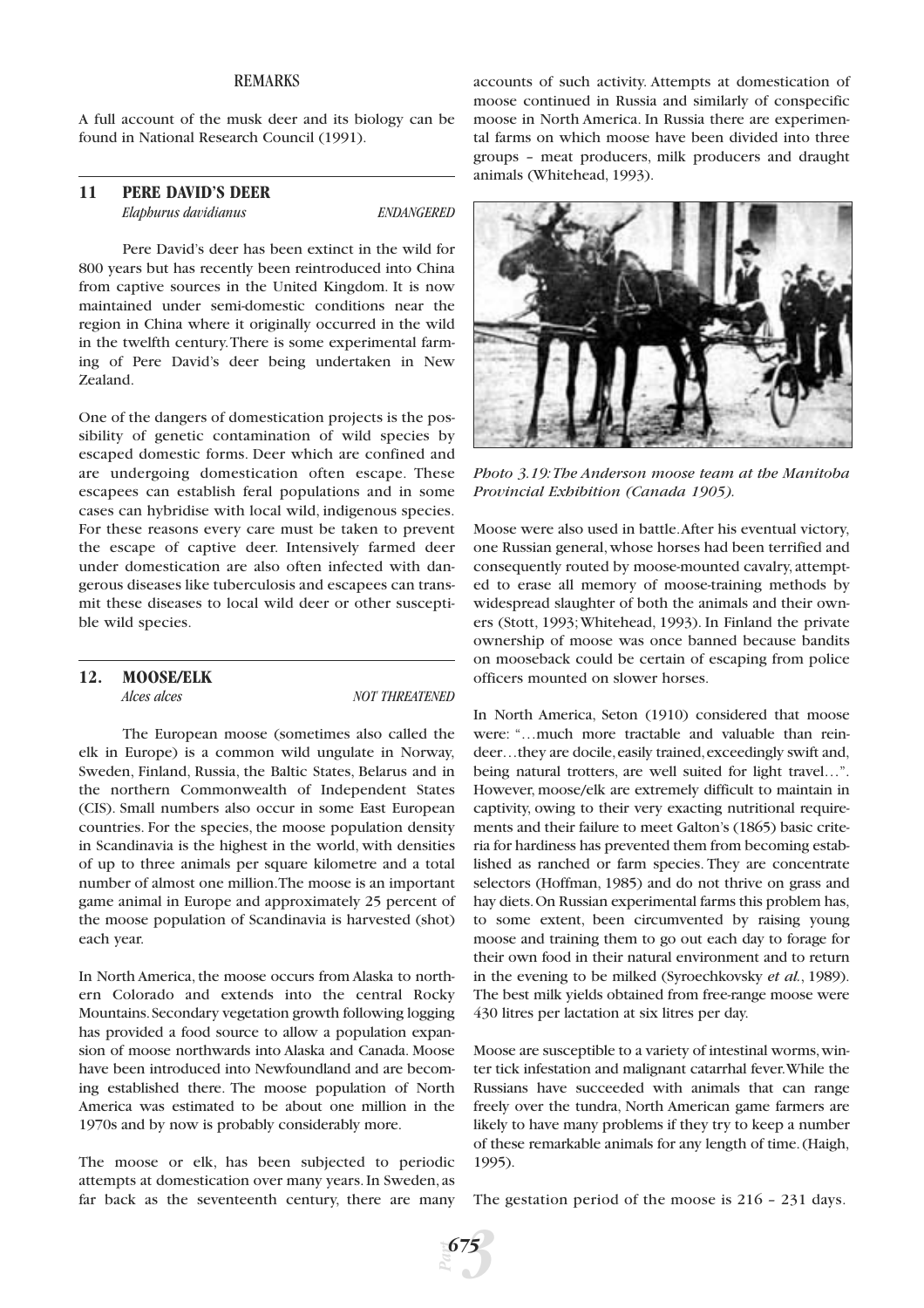# REMARKS

A full account of the musk deer and its biology can be found in National Research Council (1991).

### **11 PERE DAVID'S DEER** *Elaphurus davidianus ENDANGERED*

Pere David's deer has been extinct in the wild for 800 years but has recently been reintroduced into China from captive sources in the United Kingdom. It is now maintained under semi-domestic conditions near the region in China where it originally occurred in the wild in the twelfth century.There is some experimental farming of Pere David's deer being undertaken in New Zealand.

One of the dangers of domestication projects is the possibility of genetic contamination of wild species by escaped domestic forms. Deer which are confined and are undergoing domestication often escape. These escapees can establish feral populations and in some cases can hybridise with local wild, indigenous species. For these reasons every care must be taken to prevent the escape of captive deer. Intensively farmed deer under domestication are also often infected with dangerous diseases like tuberculosis and escapees can transmit these diseases to local wild deer or other susceptible wild species.

# **12. MOOSE/ELK**

*Alces alces* NOT THREATENED

The European moose (sometimes also called the elk in Europe) is a common wild ungulate in Norway, Sweden, Finland, Russia, the Baltic States, Belarus and in the northern Commonwealth of Independent States (CIS). Small numbers also occur in some East European countries. For the species, the moose population density in Scandinavia is the highest in the world, with densities of up to three animals per square kilometre and a total number of almost one million.The moose is an important game animal in Europe and approximately 25 percent of the moose population of Scandinavia is harvested (shot) each year.

In North America, the moose occurs from Alaska to northern Colorado and extends into the central Rocky Mountains.Secondary vegetation growth following logging has provided a food source to allow a population expansion of moose northwards into Alaska and Canada. Moose have been introduced into Newfoundland and are becoming established there. The moose population of North America was estimated to be about one million in the 1970s and by now is probably considerably more.

The moose or elk, has been subjected to periodic attempts at domestication over many years. In Sweden, as far back as the seventeenth century, there are many

accounts of such activity. Attempts at domestication of moose continued in Russia and similarly of conspecific moose in North America. In Russia there are experimental farms on which moose have been divided into three groups – meat producers, milk producers and draught animals (Whitehead, 1993).



*Photo 3.19:The Anderson moose team at the Manitoba Provincial Exhibition (Canada 1905).*

Moose were also used in battle.After his eventual victory, one Russian general,whose horses had been terrified and consequently routed by moose-mounted cavalry, attempted to erase all memory of moose-training methods by widespread slaughter of both the animals and their owners (Stott, 1993;Whitehead, 1993). In Finland the private ownership of moose was once banned because bandits on mooseback could be certain of escaping from police officers mounted on slower horses.

In North America, Seton (1910) considered that moose were: "…much more tractable and valuable than reindeer...they are docile, easily trained, exceedingly swift and, being natural trotters, are well suited for light travel…". However, moose/elk are extremely difficult to maintain in captivity, owing to their very exacting nutritional requirements and their failure to meet Galton's (1865) basic criteria for hardiness has prevented them from becoming established as ranched or farm species. They are concentrate selectors (Hoffman, 1985) and do not thrive on grass and hay diets.On Russian experimental farms this problem has, to some extent, been circumvented by raising young moose and training them to go out each day to forage for their own food in their natural environment and to return in the evening to be milked (Syroechkovsky *et al.*, 1989). The best milk yields obtained from free-range moose were 430 litres per lactation at six litres per day.

Moose are susceptible to a variety of intestinal worms, winter tick infestation and malignant catarrhal fever.While the Russians have succeeded with animals that can range freely over the tundra, North American game farmers are likely to have many problems if they try to keep a number of these remarkable animals for any length of time.(Haigh, 1995).

The gestation period of the moose is 216 – 231 days.

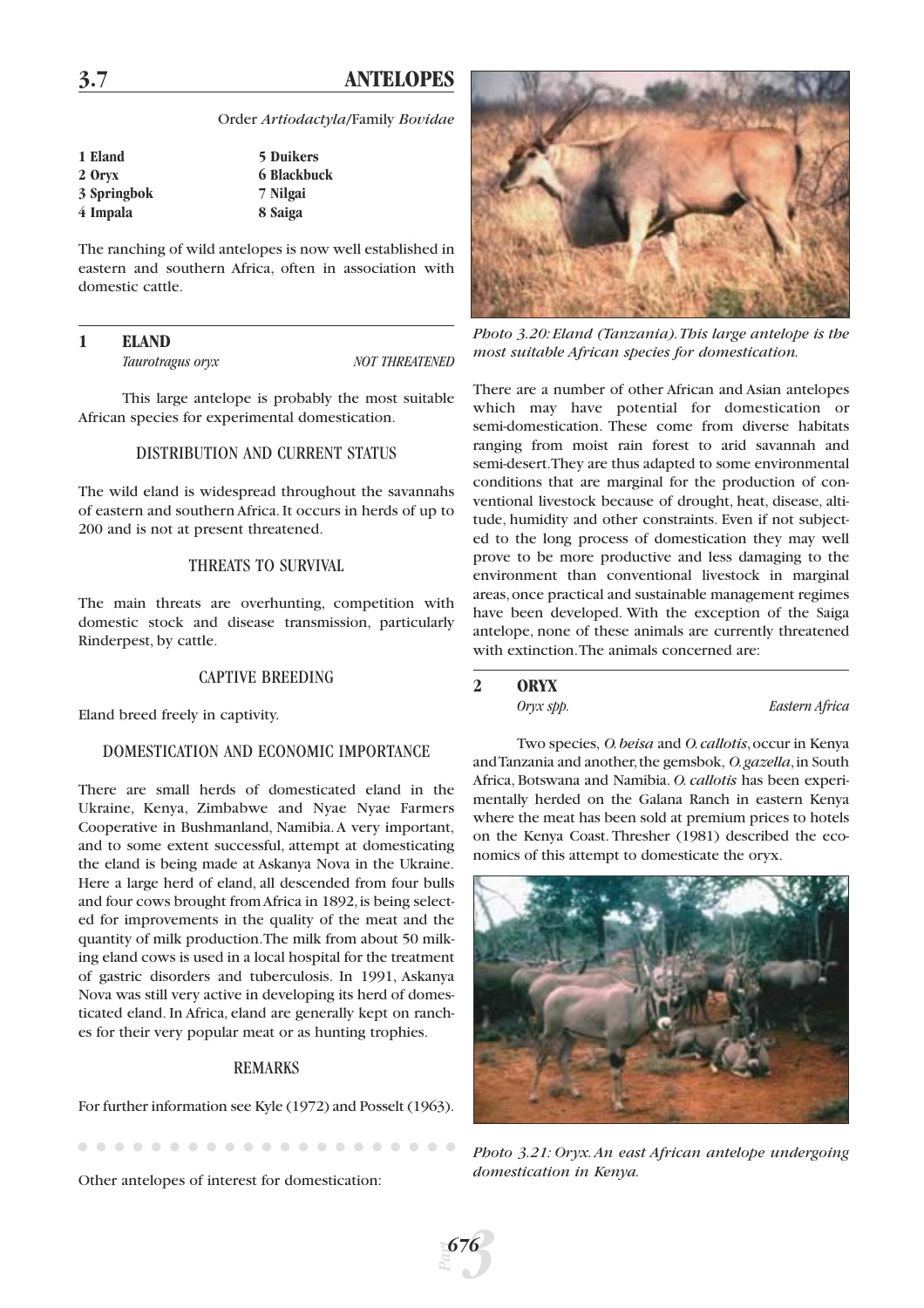# **3.7 ANTELOPES**

Order *Artiodactyla*/Family *Bovidae*

| 1 Eland     | <b>5 Duikers</b> |
|-------------|------------------|
| 2 Oryx      | 6 Blackbuck      |
| 3 Springbok | 7 Nilgai         |
| 4 Impala    | 8 Saiga          |

The ranching of wild antelopes is now well established in eastern and southern Africa, often in association with domestic cattle.

# **1 ELAND**

*Taurotragus oryx NOT THREATENED*

This large antelope is probably the most suitable African species for experimental domestication.

# DISTRIBUTION AND CURRENT STATUS

The wild eland is widespread throughout the savannahs of eastern and southern Africa. It occurs in herds of up to 200 and is not at present threatened.

# THREATS TO SURVIVAL

The main threats are overhunting, competition with domestic stock and disease transmission, particularly Rinderpest, by cattle.

# CAPTIVE BREEDING

Eland breed freely in captivity.

# DOMESTICATION AND ECONOMIC IMPORTANCE

There are small herds of domesticated eland in the Ukraine, Kenya, Zimbabwe and Nyae Nyae Farmers Cooperative in Bushmanland, Namibia.A very important, and to some extent successful, attempt at domesticating the eland is being made at Askanya Nova in the Ukraine. Here a large herd of eland, all descended from four bulls and four cows brought from Africa in 1892, is being selected for improvements in the quality of the meat and the quantity of milk production.The milk from about 50 milking eland cows is used in a local hospital for the treatment of gastric disorders and tuberculosis. In 1991, Askanya Nova was still very active in developing its herd of domesticated eland. In Africa, eland are generally kept on ranches for their very popular meat or as hunting trophies.

#### REMARKS

For further information see Kyle (1972) and Posselt (1963).

Other antelopes of interest for domestication:



*Photo 3.20: Eland (Tanzania).This large antelope is the most suitable African species for domestication.*

There are a number of other African and Asian antelopes which may have potential for domestication or semi-domestication. These come from diverse habitats ranging from moist rain forest to arid savannah and semi-desert.They are thus adapted to some environmental conditions that are marginal for the production of conventional livestock because of drought, heat, disease, altitude, humidity and other constraints. Even if not subjected to the long process of domestication they may well prove to be more productive and less damaging to the environment than conventional livestock in marginal areas,once practical and sustainable management regimes have been developed. With the exception of the Saiga antelope, none of these animals are currently threatened with extinction.The animals concerned are:

#### **2 ORYX**

*Oryx spp. Eastern Africa*

Two species, *O.beisa* and *O.callotis*,occur in Kenya and Tanzania and another,the gemsbok, *O.gazella*,in South Africa, Botswana and Namibia. *O. callotis* has been experimentally herded on the Galana Ranch in eastern Kenya where the meat has been sold at premium prices to hotels on the Kenya Coast. Thresher (1981) described the economics of this attempt to domesticate the oryx.



*Photo 3.21: Oryx. An east African antelope undergoing domestication in Kenya.*

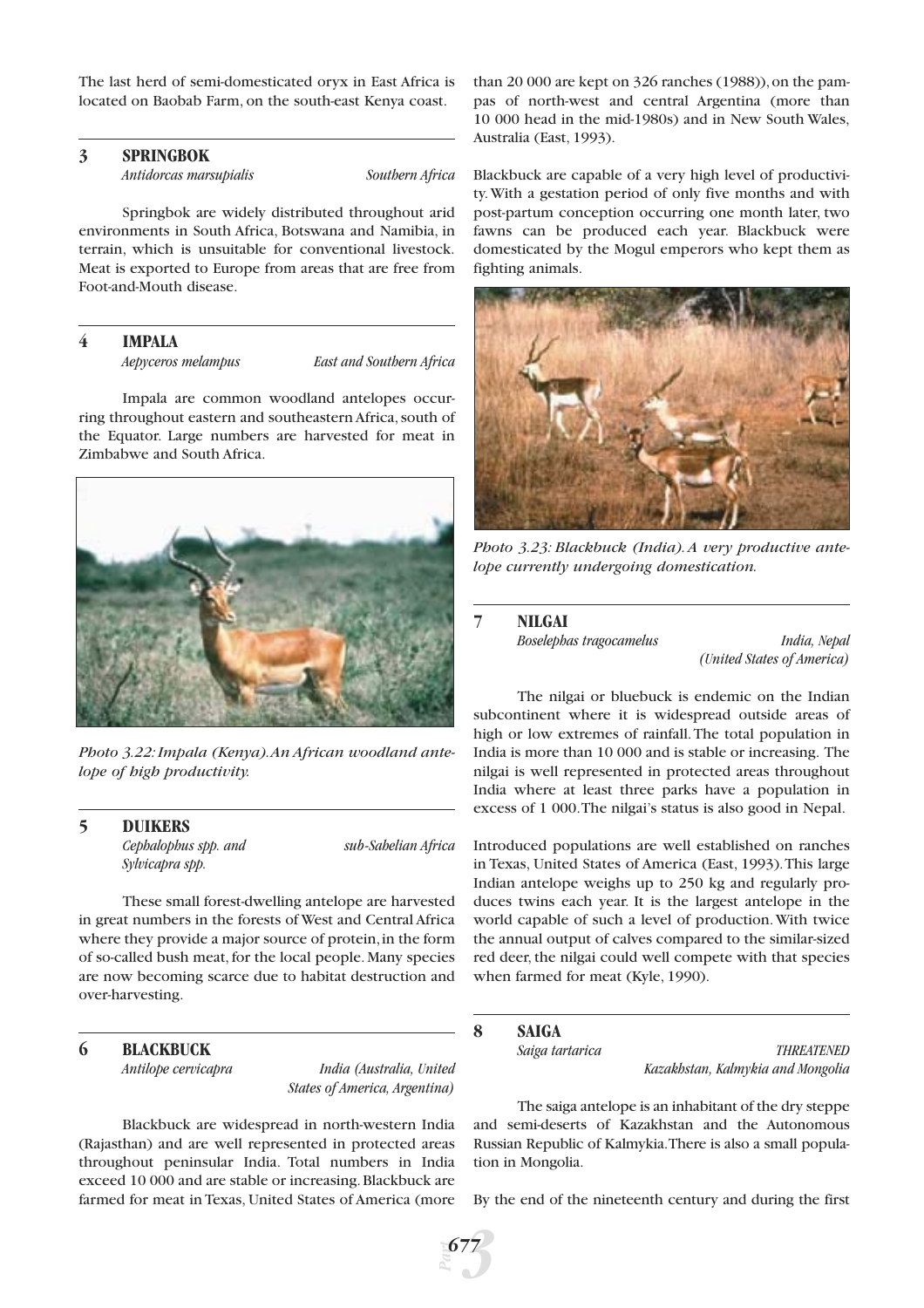The last herd of semi-domesticated oryx in East Africa is located on Baobab Farm, on the south-east Kenya coast.

# **3 SPRINGBOK**

*Antidorcas marsupialis Southern Africa*

Springbok are widely distributed throughout arid environments in South Africa, Botswana and Namibia, in terrain, which is unsuitable for conventional livestock. Meat is exported to Europe from areas that are free from Foot-and-Mouth disease.

# **4 IMPALA**

*Aepyceros melampus East and Southern Africa*

Impala are common woodland antelopes occurring throughout eastern and southeastern Africa, south of the Equator. Large numbers are harvested for meat in Zimbabwe and South Africa.



*Photo 3.22: Impala (Kenya).An African woodland antelope of high productivity.*

#### **5 DUIKERS**

*Cephalophus spp. and sub-Sahelian Africa Sylvicapra spp.*

These small forest-dwelling antelope are harvested in great numbers in the forests of West and Central Africa where they provide a major source of protein, in the form of so-called bush meat, for the local people. Many species are now becoming scarce due to habitat destruction and over-harvesting.

# **6 BLACKBUCK**

*Antilope cervicapra India (Australia, United States of America, Argentina)*

Blackbuck are widespread in north-western India (Rajasthan) and are well represented in protected areas throughout peninsular India. Total numbers in India exceed 10 000 and are stable or increasing.Blackbuck are farmed for meat in Texas, United States of America (more

than 20 000 are kept on  $326$  ranches (1988)), on the pampas of north-west and central Argentina (more than 10 000 head in the mid-1980s) and in New South Wales, Australia (East, 1993).

Blackbuck are capable of a very high level of productivity.With a gestation period of only five months and with post-partum conception occurring one month later, two fawns can be produced each year. Blackbuck were domesticated by the Mogul emperors who kept them as fighting animals.



*Photo 3.23: Blackbuck (India). A very productive antelope currently undergoing domestication.*

#### **7 NILGAI**

*Boselephas tragocamelus India, Nepal (United States of America)*

The nilgai or bluebuck is endemic on the Indian subcontinent where it is widespread outside areas of high or low extremes of rainfall.The total population in India is more than 10 000 and is stable or increasing. The nilgai is well represented in protected areas throughout India where at least three parks have a population in excess of 1 000.The nilgai's status is also good in Nepal.

Introduced populations are well established on ranches in Texas, United States of America (East, 1993).This large Indian antelope weighs up to 250 kg and regularly produces twins each year. It is the largest antelope in the world capable of such a level of production.With twice the annual output of calves compared to the similar-sized red deer, the nilgai could well compete with that species when farmed for meat (Kyle, 1990).

# **8 SAIGA**

*Saiga tartarica THREATENED Kazakhstan, Kalmykia and Mongolia*

The saiga antelope is an inhabitant of the dry steppe and semi-deserts of Kazakhstan and the Autonomous Russian Republic of Kalmykia.There is also a small population in Mongolia.

By the end of the nineteenth century and during the first

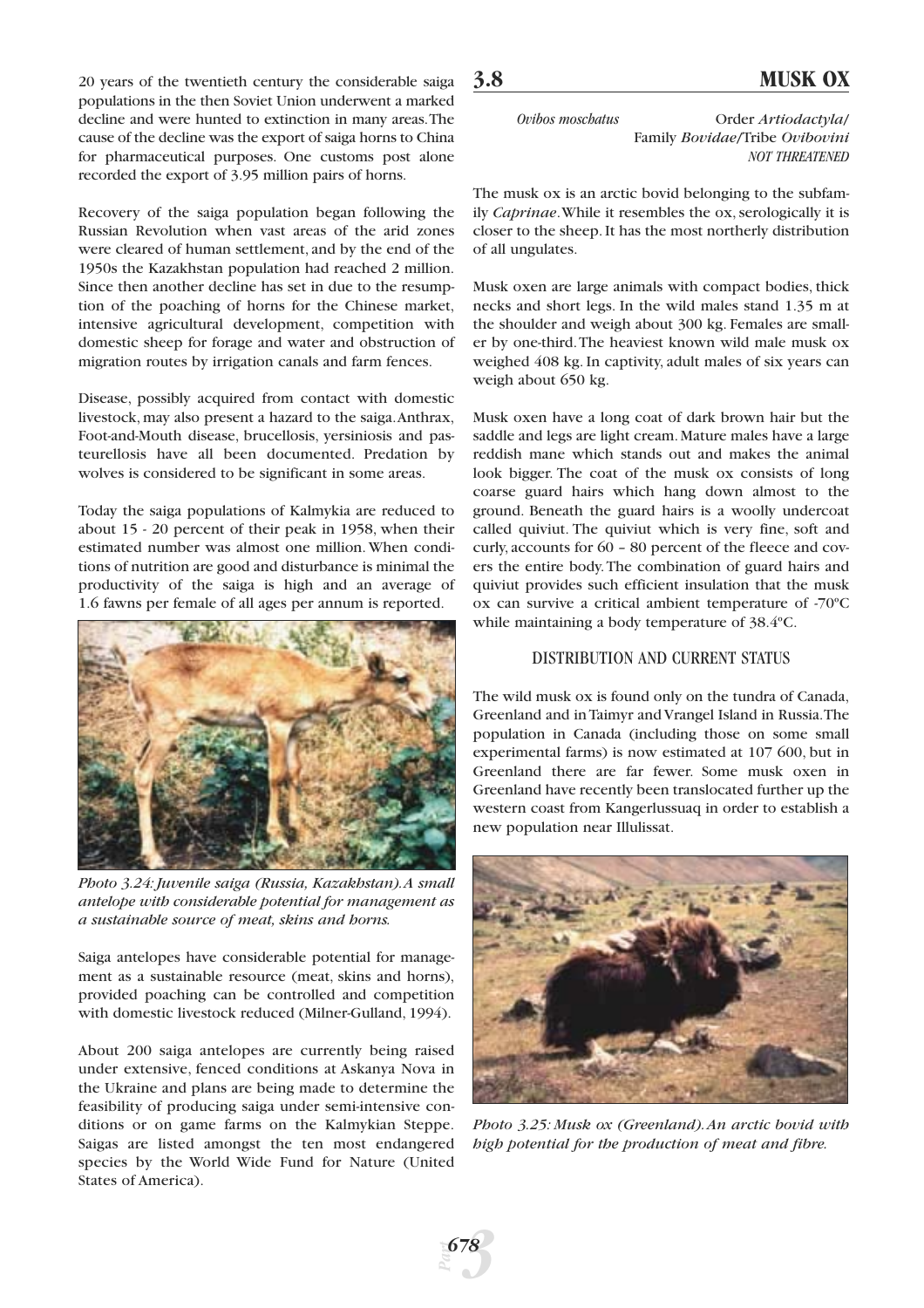20 years of the twentieth century the considerable saiga populations in the then Soviet Union underwent a marked decline and were hunted to extinction in many areas.The cause of the decline was the export of saiga horns to China for pharmaceutical purposes. One customs post alone recorded the export of 3.95 million pairs of horns.

Recovery of the saiga population began following the Russian Revolution when vast areas of the arid zones were cleared of human settlement, and by the end of the 1950s the Kazakhstan population had reached 2 million. Since then another decline has set in due to the resumption of the poaching of horns for the Chinese market, intensive agricultural development, competition with domestic sheep for forage and water and obstruction of migration routes by irrigation canals and farm fences.

Disease, possibly acquired from contact with domestic livestock, may also present a hazard to the saiga.Anthrax, Foot-and-Mouth disease, brucellosis, yersiniosis and pasteurellosis have all been documented. Predation by wolves is considered to be significant in some areas.

Today the saiga populations of Kalmykia are reduced to about 15 - 20 percent of their peak in 1958, when their estimated number was almost one million. When conditions of nutrition are good and disturbance is minimal the productivity of the saiga is high and an average of 1.6 fawns per female of all ages per annum is reported.



*Photo 3.24: Juvenile saiga (Russia, Kazakhstan).A small antelope with considerable potential for management as a sustainable source of meat, skins and horns.*

Saiga antelopes have considerable potential for management as a sustainable resource (meat, skins and horns), provided poaching can be controlled and competition with domestic livestock reduced (Milner-Gulland, 1994).

About 200 saiga antelopes are currently being raised under extensive, fenced conditions at Askanya Nova in the Ukraine and plans are being made to determine the feasibility of producing saiga under semi-intensive conditions or on game farms on the Kalmykian Steppe. Saigas are listed amongst the ten most endangered species by the World Wide Fund for Nature (United States of America).

*Part*

*3*

*678*

*Ovibos moschatus* Order *Artiodactyla*/

Family *Bovidae*/Tribe *Ovibovini NOT THREATENED*

The musk ox is an arctic bovid belonging to the subfamily *Caprinae*.While it resembles the ox, serologically it is closer to the sheep. It has the most northerly distribution of all ungulates.

Musk oxen are large animals with compact bodies, thick necks and short legs. In the wild males stand 1.35 m at the shoulder and weigh about 300 kg. Females are smaller by one-third.The heaviest known wild male musk ox weighed 408 kg. In captivity, adult males of six years can weigh about 650 kg.

Musk oxen have a long coat of dark brown hair but the saddle and legs are light cream. Mature males have a large reddish mane which stands out and makes the animal look bigger. The coat of the musk ox consists of long coarse guard hairs which hang down almost to the ground. Beneath the guard hairs is a woolly undercoat called quiviut. The quiviut which is very fine, soft and curly, accounts for 60 – 80 percent of the fleece and covers the entire body.The combination of guard hairs and quiviut provides such efficient insulation that the musk ox can survive a critical ambient temperature of -70ºC while maintaining a body temperature of 38.4ºC.

# DISTRIBUTION AND CURRENT STATUS

The wild musk ox is found only on the tundra of Canada, Greenland and in Taimyr and Vrangel Island in Russia.The population in Canada (including those on some small experimental farms) is now estimated at 107 600, but in Greenland there are far fewer. Some musk oxen in Greenland have recently been translocated further up the western coast from Kangerlussuaq in order to establish a new population near Illulissat.



*Photo 3.25: Musk ox (Greenland).An arctic bovid with high potential for the production of meat and fibre.*

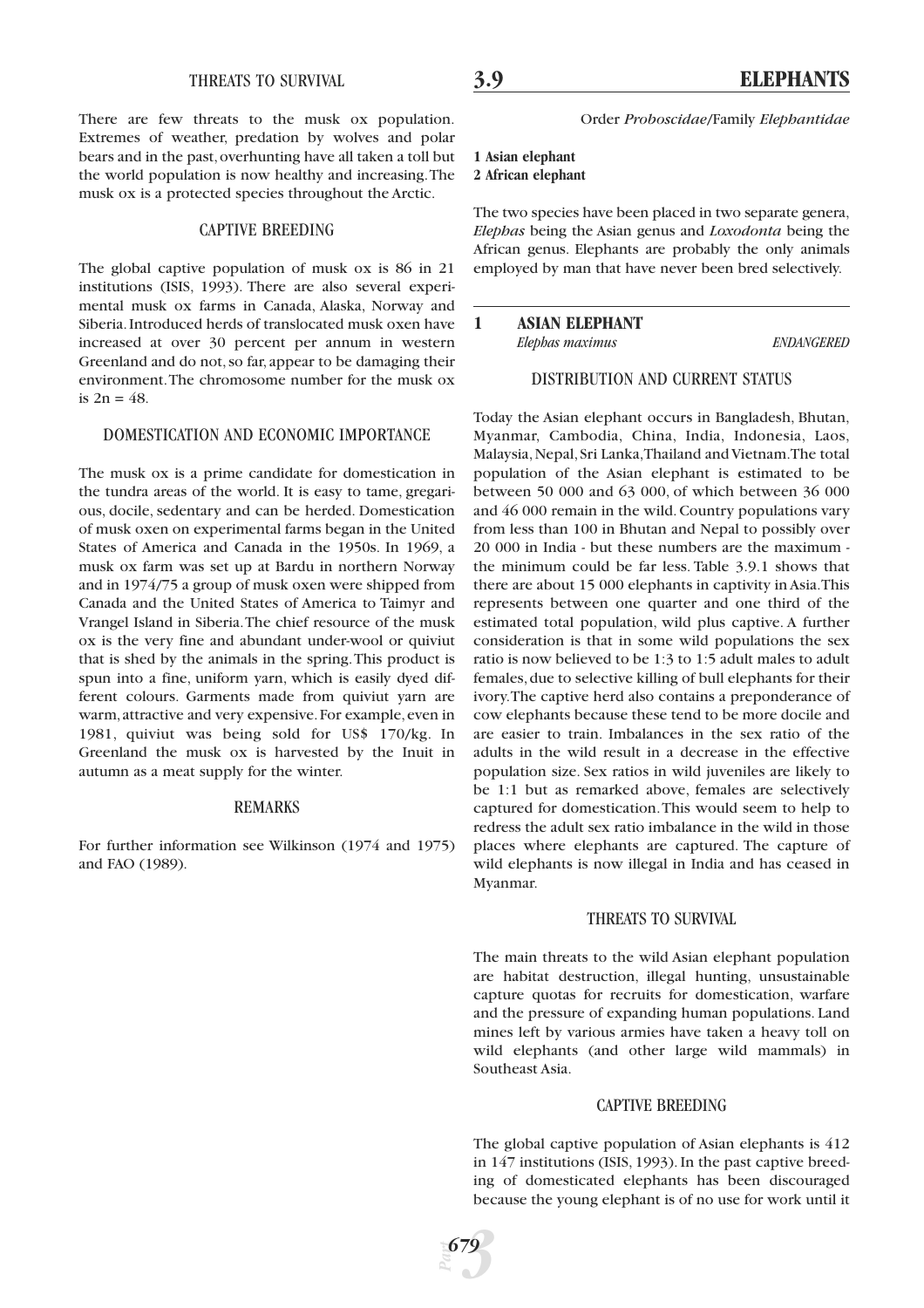#### THREATS TO SURVIVAL

There are few threats to the musk ox population. Extremes of weather, predation by wolves and polar bears and in the past,overhunting have all taken a toll but the world population is now healthy and increasing.The musk ox is a protected species throughout the Arctic.

#### CAPTIVE BREEDING

The global captive population of musk ox is 86 in 21 institutions (ISIS, 1993). There are also several experimental musk ox farms in Canada, Alaska, Norway and Siberia.Introduced herds of translocated musk oxen have increased at over 30 percent per annum in western Greenland and do not, so far, appear to be damaging their environment.The chromosome number for the musk ox is  $2n = 48$ .

# DOMESTICATION AND ECONOMIC IMPORTANCE

The musk ox is a prime candidate for domestication in the tundra areas of the world. It is easy to tame, gregarious, docile, sedentary and can be herded. Domestication of musk oxen on experimental farms began in the United States of America and Canada in the 1950s. In 1969, a musk ox farm was set up at Bardu in northern Norway and in 1974/75 a group of musk oxen were shipped from Canada and the United States of America to Taimyr and Vrangel Island in Siberia.The chief resource of the musk ox is the very fine and abundant under-wool or quiviut that is shed by the animals in the spring.This product is spun into a fine, uniform yarn, which is easily dyed different colours. Garments made from quiviut yarn are warm, attractive and very expensive. For example, even in 1981, quiviut was being sold for US\$ 170/kg. In Greenland the musk ox is harvested by the Inuit in autumn as a meat supply for the winter.

# REMARKS

For further information see Wilkinson (1974 and 1975) and FAO (1989).

Order *Proboscidae*/Family *Elephantidae*

# **1 Asian elephant 2 African elephant**

The two species have been placed in two separate genera, *Elephas* being the Asian genus and *Loxodonta* being the African genus. Elephants are probably the only animals employed by man that have never been bred selectively.

DISTRIBUTION AND CURRENT STATUS

# **1 ASIAN ELEPHANT**

*Elephas maximus ENDANGERED*

Today the Asian elephant occurs in Bangladesh, Bhutan, Myanmar, Cambodia, China, India, Indonesia, Laos, Malaysia,Nepal,Sri Lanka,Thailand and Vietnam.The total population of the Asian elephant is estimated to be between 50 000 and 63 000, of which between 36 000 and 46 000 remain in the wild. Country populations vary from less than 100 in Bhutan and Nepal to possibly over 20 000 in India - but these numbers are the maximum the minimum could be far less. Table 3.9.1 shows that there are about 15 000 elephants in captivity in Asia.This represents between one quarter and one third of the estimated total population, wild plus captive. A further consideration is that in some wild populations the sex ratio is now believed to be 1:3 to 1:5 adult males to adult females,due to selective killing of bull elephants for their ivory.The captive herd also contains a preponderance of cow elephants because these tend to be more docile and are easier to train. Imbalances in the sex ratio of the adults in the wild result in a decrease in the effective population size. Sex ratios in wild juveniles are likely to be 1:1 but as remarked above, females are selectively captured for domestication.This would seem to help to redress the adult sex ratio imbalance in the wild in those places where elephants are captured. The capture of wild elephants is now illegal in India and has ceased in Myanmar.

#### THREATS TO SURVIVAL

The main threats to the wild Asian elephant population are habitat destruction, illegal hunting, unsustainable capture quotas for recruits for domestication, warfare and the pressure of expanding human populations. Land mines left by various armies have taken a heavy toll on wild elephants (and other large wild mammals) in Southeast Asia.

#### CAPTIVE BREEDING

The global captive population of Asian elephants is 412 in 147 institutions (ISIS, 1993). In the past captive breeding of domesticated elephants has been discouraged because the young elephant is of no use for work until it

*Part*

*3 679*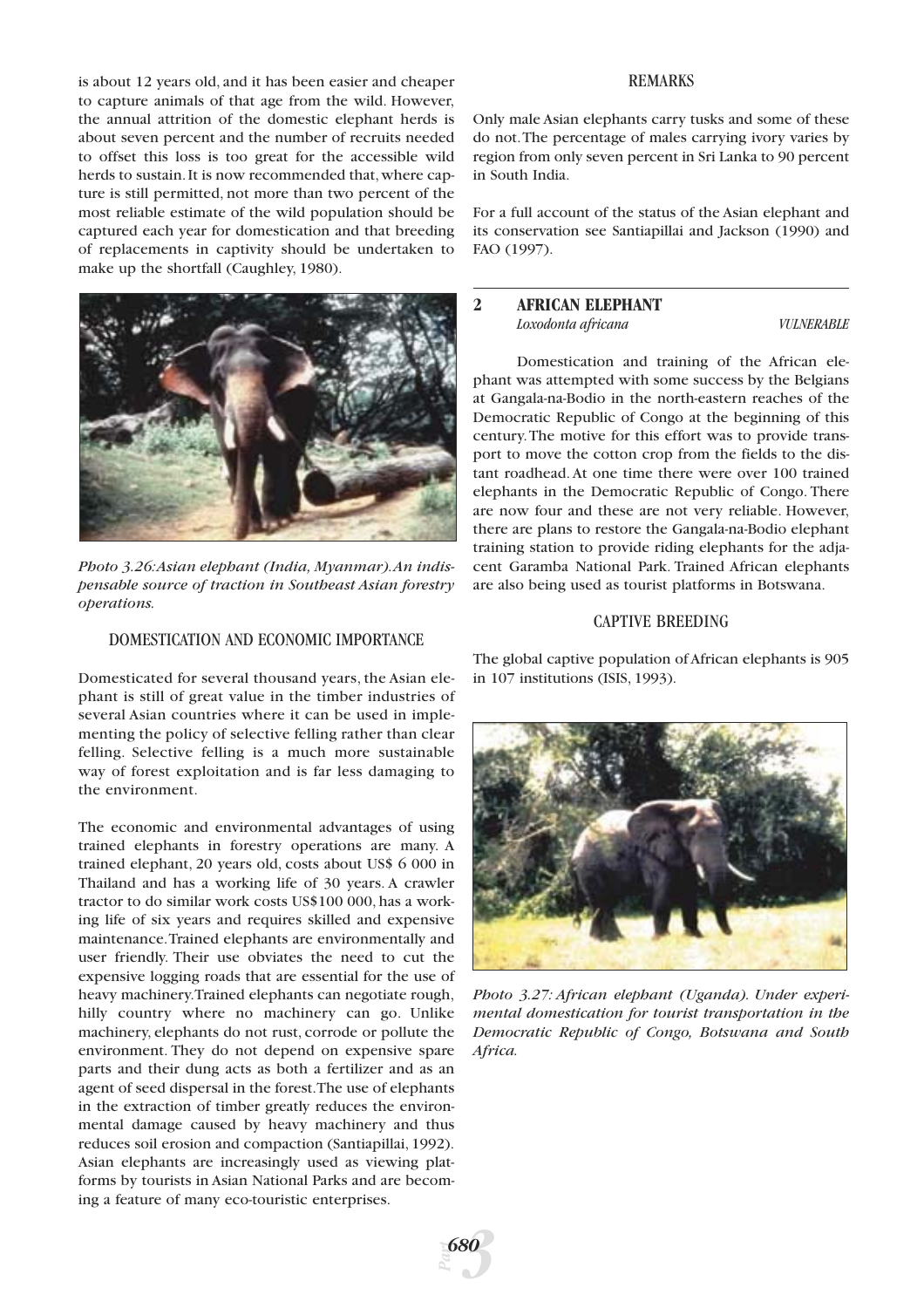is about 12 years old, and it has been easier and cheaper to capture animals of that age from the wild. However, the annual attrition of the domestic elephant herds is about seven percent and the number of recruits needed to offset this loss is too great for the accessible wild herds to sustain. It is now recommended that, where capture is still permitted, not more than two percent of the most reliable estimate of the wild population should be captured each year for domestication and that breeding of replacements in captivity should be undertaken to make up the shortfall (Caughley, 1980).



*Photo 3.26:Asian elephant (India, Myanmar).An indispensable source of traction in Southeast Asian forestry operations.*

# DOMESTICATION AND ECONOMIC IMPORTANCE

Domesticated for several thousand years, the Asian elephant is still of great value in the timber industries of several Asian countries where it can be used in implementing the policy of selective felling rather than clear felling. Selective felling is a much more sustainable way of forest exploitation and is far less damaging to the environment.

The economic and environmental advantages of using trained elephants in forestry operations are many. A trained elephant, 20 years old, costs about US\$ 6 000 in Thailand and has a working life of 30 years. A crawler tractor to do similar work costs US\$100 000, has a working life of six years and requires skilled and expensive maintenance.Trained elephants are environmentally and user friendly. Their use obviates the need to cut the expensive logging roads that are essential for the use of heavy machinery.Trained elephants can negotiate rough, hilly country where no machinery can go. Unlike machinery, elephants do not rust, corrode or pollute the environment. They do not depend on expensive spare parts and their dung acts as both a fertilizer and as an agent of seed dispersal in the forest.The use of elephants in the extraction of timber greatly reduces the environmental damage caused by heavy machinery and thus reduces soil erosion and compaction (Santiapillai, 1992). Asian elephants are increasingly used as viewing platforms by tourists in Asian National Parks and are becoming a feature of many eco-touristic enterprises.

#### REMARKS

Only male Asian elephants carry tusks and some of these do not.The percentage of males carrying ivory varies by region from only seven percent in Sri Lanka to 90 percent in South India.

For a full account of the status of the Asian elephant and its conservation see Santiapillai and Jackson (1990) and FAO (1997).

## **2 AFRICAN ELEPHANT** *Loxodonta africana VULNERABLE*

Domestication and training of the African elephant was attempted with some success by the Belgians at Gangala-na-Bodio in the north-eastern reaches of the Democratic Republic of Congo at the beginning of this century.The motive for this effort was to provide transport to move the cotton crop from the fields to the distant roadhead. At one time there were over 100 trained elephants in the Democratic Republic of Congo. There are now four and these are not very reliable. However, there are plans to restore the Gangala-na-Bodio elephant training station to provide riding elephants for the adjacent Garamba National Park. Trained African elephants are also being used as tourist platforms in Botswana.

# CAPTIVE BREEDING

The global captive population of African elephants is 905 in 107 institutions (ISIS, 1993).



*Photo 3.27: African elephant (Uganda). Under experimental domestication for tourist transportation in the Democratic Republic of Congo, Botswana and South Africa.*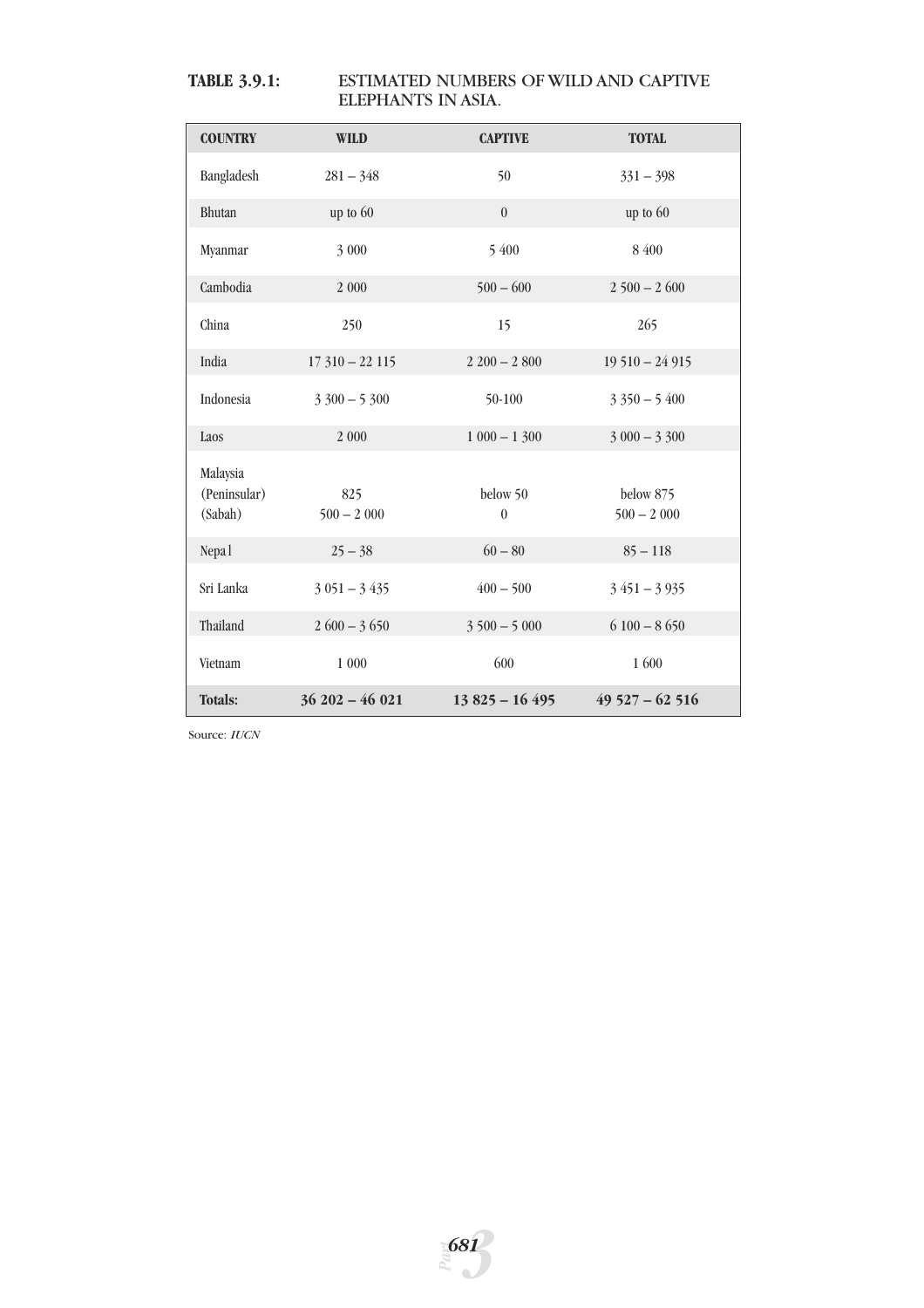# **TABLE 3.9.1:** ESTIMATED NUMBERS OF WILD AND CAPTIVE ELEPHANTS IN ASIA.

| <b>COUNTRY</b>                      | <b>WILD</b>         | <b>CAPTIVE</b>       | <b>TOTAL</b>              |
|-------------------------------------|---------------------|----------------------|---------------------------|
| Bangladesh                          | $281 - 348$         | 50                   | $331 - 398$               |
| Bhutan                              | up to 60            | $\theta$             | up to 60                  |
| Myanmar                             | 3 000               | 5 400                | 8 400                     |
| Cambodia                            | 2 000               | $500 - 600$          | $2500 - 2600$             |
| China                               | 250                 | 15                   | 265                       |
| India                               | $17310 - 22115$     | $2200 - 2800$        | $19510 - 24915$           |
| Indonesia                           | $3300 - 5300$       | 50-100               | $3350 - 5400$             |
| Laos                                | 2 000               | $1000 - 1300$        | $3000 - 3300$             |
| Malaysia<br>(Peninsular)<br>(Sabah) | 825<br>$500 - 2000$ | below 50<br>$\theta$ | below 875<br>$500 - 2000$ |
| Nepa <sub>1</sub>                   | $25 - 38$           | $60 - 80$            | $85 - 118$                |
| Sri Lanka                           | $3051 - 3435$       | $400 - 500$          | $3451 - 3935$             |
| Thailand                            | $2600 - 3650$       | $3500 - 5000$        | $6100 - 8650$             |
| Vietnam                             | $1\ 000$            | 600                  | 1 600                     |
| <b>Totals:</b>                      | $36202 - 46021$     | $13825 - 16495$      | $49527 - 62516$           |

Source: *IUCN*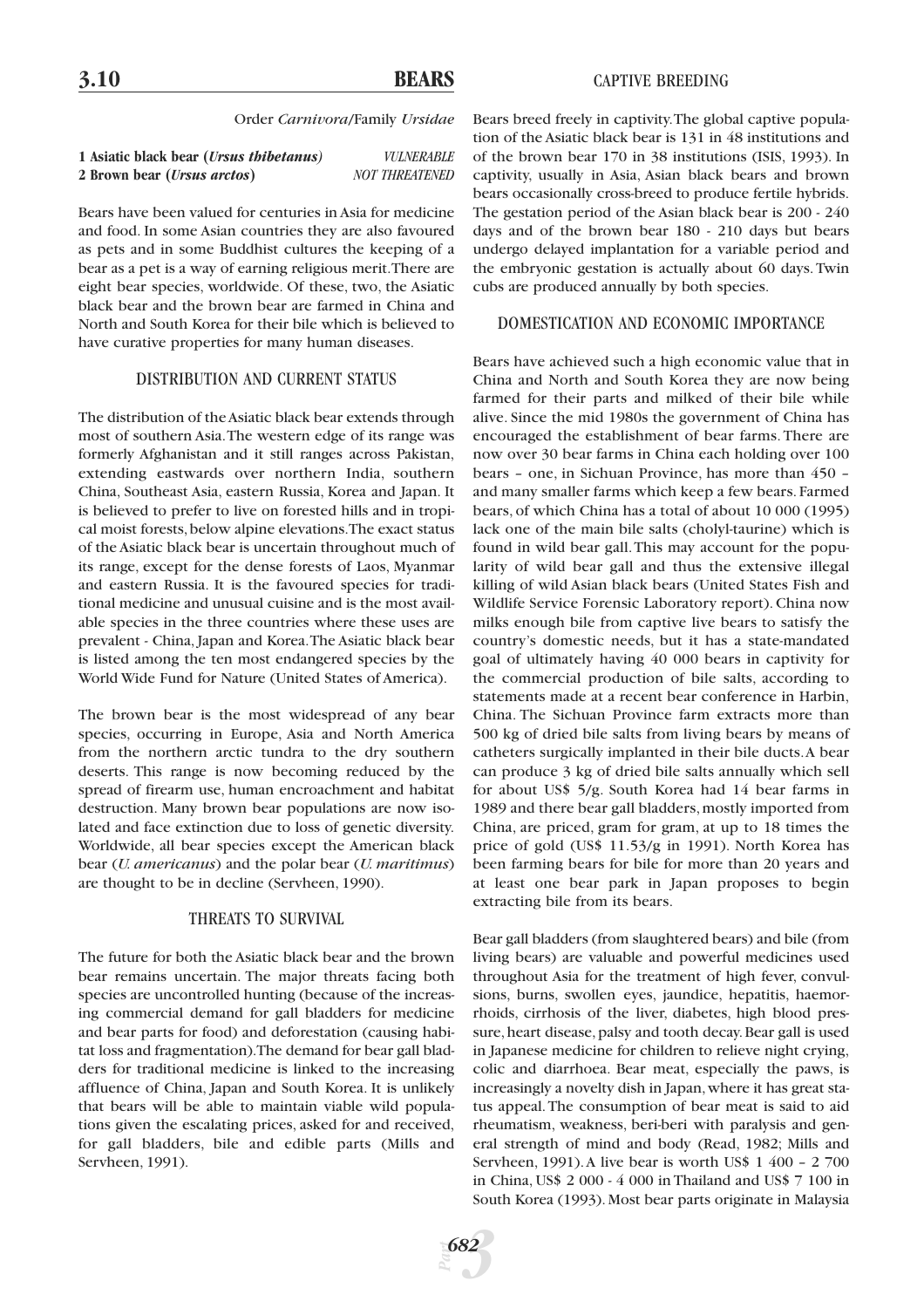# **3.10 BEARS**

#### CAPTIVE BREEDING

#### Order *Carnivora*/Family *Ursidae*

| 1 Asiatic black bear ( <i>Ursus thibetanus</i> ) | <b>VULNERABLE</b>     |
|--------------------------------------------------|-----------------------|
| 2 Brown bear ( <i>Ursus arctos</i> )             | <b>NOT THREATENED</b> |

Bears have been valued for centuries in Asia for medicine and food. In some Asian countries they are also favoured as pets and in some Buddhist cultures the keeping of a bear as a pet is a way of earning religious merit.There are eight bear species, worldwide. Of these, two, the Asiatic black bear and the brown bear are farmed in China and North and South Korea for their bile which is believed to have curative properties for many human diseases.

#### DISTRIBUTION AND CURRENT STATUS

The distribution of the Asiatic black bear extends through most of southern Asia.The western edge of its range was formerly Afghanistan and it still ranges across Pakistan, extending eastwards over northern India, southern China, Southeast Asia, eastern Russia, Korea and Japan. It is believed to prefer to live on forested hills and in tropical moist forests,below alpine elevations.The exact status of the Asiatic black bear is uncertain throughout much of its range, except for the dense forests of Laos, Myanmar and eastern Russia. It is the favoured species for traditional medicine and unusual cuisine and is the most available species in the three countries where these uses are prevalent - China, Japan and Korea.The Asiatic black bear is listed among the ten most endangered species by the World Wide Fund for Nature (United States of America).

The brown bear is the most widespread of any bear species, occurring in Europe, Asia and North America from the northern arctic tundra to the dry southern deserts. This range is now becoming reduced by the spread of firearm use, human encroachment and habitat destruction. Many brown bear populations are now isolated and face extinction due to loss of genetic diversity. Worldwide, all bear species except the American black bear (*U. americanus*) and the polar bear (*U. maritimus*) are thought to be in decline (Servheen, 1990).

#### THREATS TO SURVIVAL

The future for both the Asiatic black bear and the brown bear remains uncertain. The major threats facing both species are uncontrolled hunting (because of the increasing commercial demand for gall bladders for medicine and bear parts for food) and deforestation (causing habitat loss and fragmentation).The demand for bear gall bladders for traditional medicine is linked to the increasing affluence of China, Japan and South Korea. It is unlikely that bears will be able to maintain viable wild populations given the escalating prices, asked for and received, for gall bladders, bile and edible parts (Mills and Servheen, 1991).

Bears breed freely in captivity.The global captive population of the Asiatic black bear is 131 in 48 institutions and of the brown bear 170 in 38 institutions (ISIS, 1993). In captivity, usually in Asia, Asian black bears and brown bears occasionally cross-breed to produce fertile hybrids. The gestation period of the Asian black bear is 200 - 240 days and of the brown bear 180 - 210 days but bears undergo delayed implantation for a variable period and the embryonic gestation is actually about 60 days. Twin cubs are produced annually by both species.

#### DOMESTICATION AND ECONOMIC IMPORTANCE

Bears have achieved such a high economic value that in China and North and South Korea they are now being farmed for their parts and milked of their bile while alive. Since the mid 1980s the government of China has encouraged the establishment of bear farms. There are now over 30 bear farms in China each holding over 100 bears – one, in Sichuan Province, has more than 450 – and many smaller farms which keep a few bears. Farmed bears, of which China has a total of about 10 000 (1995) lack one of the main bile salts (cholyl-taurine) which is found in wild bear gall.This may account for the popularity of wild bear gall and thus the extensive illegal killing of wild Asian black bears (United States Fish and Wildlife Service Forensic Laboratory report). China now milks enough bile from captive live bears to satisfy the country's domestic needs, but it has a state-mandated goal of ultimately having 40 000 bears in captivity for the commercial production of bile salts, according to statements made at a recent bear conference in Harbin, China. The Sichuan Province farm extracts more than 500 kg of dried bile salts from living bears by means of catheters surgically implanted in their bile ducts.A bear can produce 3 kg of dried bile salts annually which sell for about US\$ 5/g. South Korea had 14 bear farms in 1989 and there bear gall bladders, mostly imported from China, are priced, gram for gram, at up to 18 times the price of gold (US\$ 11.53/g in 1991). North Korea has been farming bears for bile for more than 20 years and at least one bear park in Japan proposes to begin extracting bile from its bears.

Bear gall bladders (from slaughtered bears) and bile (from living bears) are valuable and powerful medicines used throughout Asia for the treatment of high fever, convulsions, burns, swollen eyes, jaundice, hepatitis, haemorrhoids, cirrhosis of the liver, diabetes, high blood pressure, heart disease, palsy and tooth decay. Bear gall is used in Japanese medicine for children to relieve night crying, colic and diarrhoea. Bear meat, especially the paws, is increasingly a novelty dish in Japan,where it has great status appeal.The consumption of bear meat is said to aid rheumatism, weakness, beri-beri with paralysis and general strength of mind and body (Read, 1982; Mills and Servheen, 1991).A live bear is worth US\$ 1 400 – 2 700 in China, US\$ 2 000 - 4 000 in Thailand and US\$ 7 100 in South Korea (1993). Most bear parts originate in Malaysia

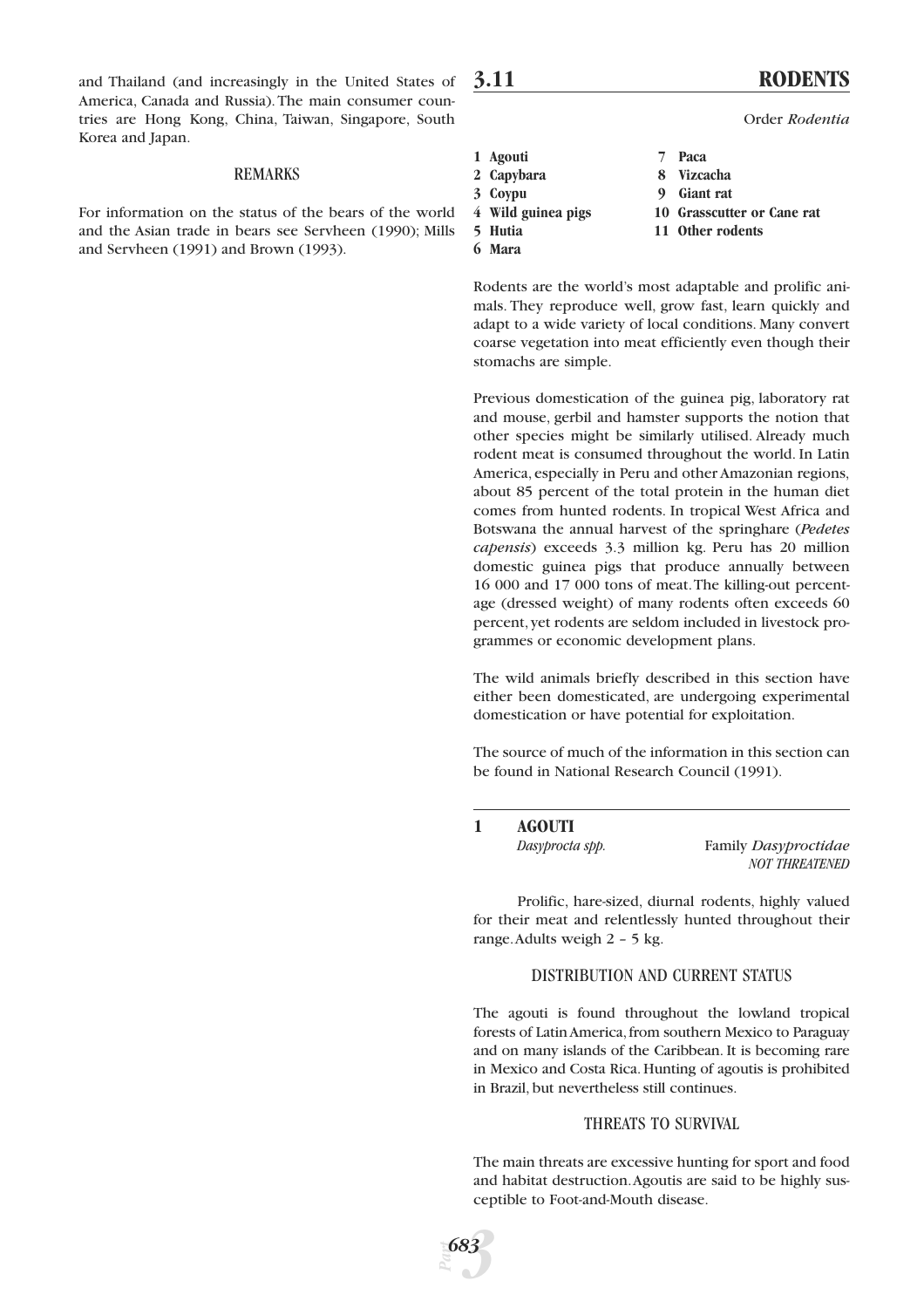and Thailand (and increasingly in the United States of America, Canada and Russia).The main consumer countries are Hong Kong, China, Taiwan, Singapore, South Korea and Japan.

#### REMARKS

For information on the status of the bears of the world and the Asian trade in bears see Servheen (1990); Mills and Servheen (1991) and Brown (1993).

# **3.11 RODENTS**

Order *Rodentia*

- **1 Agouti 7 Paca**
- 
- 
- 
- **6 Mara**
- **2 Capybara 8 Vizcacha**
- **3 Coypu 9 Giant rat**
- **4 Wild guinea pigs 10 Grasscutter or Cane rat**
- **5 Hutia 11 Other rodents**

Rodents are the world's most adaptable and prolific animals. They reproduce well, grow fast, learn quickly and adapt to a wide variety of local conditions. Many convert coarse vegetation into meat efficiently even though their stomachs are simple.

Previous domestication of the guinea pig, laboratory rat and mouse, gerbil and hamster supports the notion that other species might be similarly utilised. Already much rodent meat is consumed throughout the world. In Latin America, especially in Peru and other Amazonian regions, about 85 percent of the total protein in the human diet comes from hunted rodents. In tropical West Africa and Botswana the annual harvest of the springhare (*Pedetes capensis*) exceeds 3.3 million kg. Peru has 20 million domestic guinea pigs that produce annually between 16 000 and 17 000 tons of meat.The killing-out percentage (dressed weight) of many rodents often exceeds 60 percent, yet rodents are seldom included in livestock programmes or economic development plans.

The wild animals briefly described in this section have either been domesticated, are undergoing experimental domestication or have potential for exploitation.

The source of much of the information in this section can be found in National Research Council (1991).

# **1 AGOUTI**

| Dasyprocta spp. | Family Dasyproctidae  |
|-----------------|-----------------------|
|                 | <b>NOT THREATENED</b> |

Prolific, hare-sized, diurnal rodents, highly valued for their meat and relentlessly hunted throughout their range.Adults weigh 2 – 5 kg.

# DISTRIBUTION AND CURRENT STATUS

The agouti is found throughout the lowland tropical forests of Latin America, from southern Mexico to Paraguay and on many islands of the Caribbean. It is becoming rare in Mexico and Costa Rica. Hunting of agoutis is prohibited in Brazil, but nevertheless still continues.

#### THREATS TO SURVIVAL

The main threats are excessive hunting for sport and food and habitat destruction.Agoutis are said to be highly susceptible to Foot-and-Mouth disease.

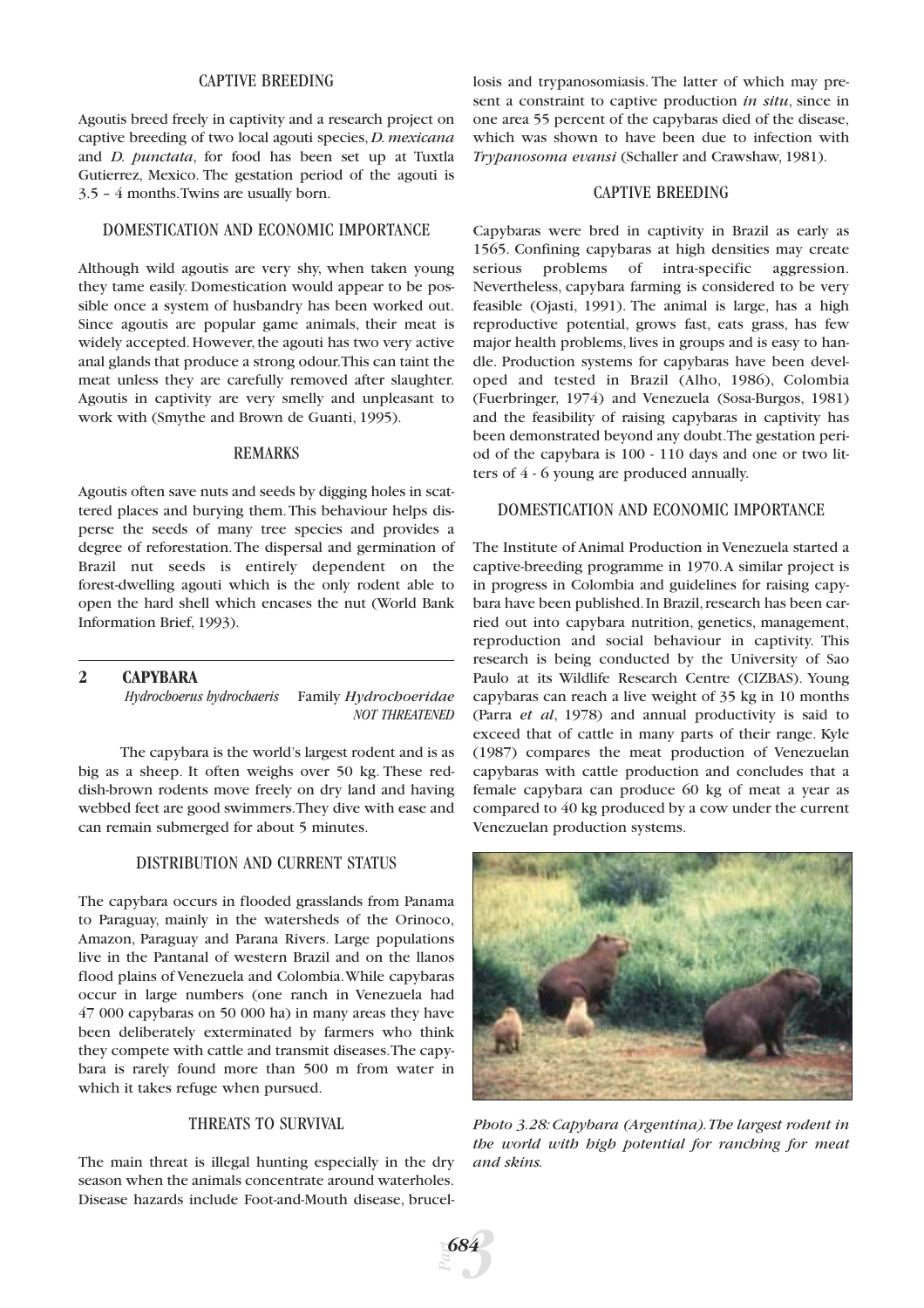# CAPTIVE BREEDING

Agoutis breed freely in captivity and a research project on captive breeding of two local agouti species, *D. mexicana* and *D. punctata*, for food has been set up at Tuxtla Gutierrez, Mexico. The gestation period of the agouti is 3.5 – 4 months.Twins are usually born.

## DOMESTICATION AND ECONOMIC IMPORTANCE

Although wild agoutis are very shy, when taken young they tame easily. Domestication would appear to be possible once a system of husbandry has been worked out. Since agoutis are popular game animals, their meat is widely accepted. However, the agouti has two very active anal glands that produce a strong odour.This can taint the meat unless they are carefully removed after slaughter. Agoutis in captivity are very smelly and unpleasant to work with (Smythe and Brown de Guanti, 1995).

#### REMARKS

Agoutis often save nuts and seeds by digging holes in scattered places and burying them.This behaviour helps disperse the seeds of many tree species and provides a degree of reforestation.The dispersal and germination of Brazil nut seeds is entirely dependent on the forest-dwelling agouti which is the only rodent able to open the hard shell which encases the nut (World Bank Information Brief, 1993).

#### **2 CAPYBARA**

*Hydrochoerus hydrochaeris* Family *Hydrochoeridae NOT THREATENED*

The capybara is the world's largest rodent and is as big as a sheep. It often weighs over 50 kg. These reddish-brown rodents move freely on dry land and having webbed feet are good swimmers.They dive with ease and can remain submerged for about 5 minutes.

#### DISTRIBUTION AND CURRENT STATUS

The capybara occurs in flooded grasslands from Panama to Paraguay, mainly in the watersheds of the Orinoco, Amazon, Paraguay and Parana Rivers. Large populations live in the Pantanal of western Brazil and on the llanos flood plains of Venezuela and Colombia.While capybaras occur in large numbers (one ranch in Venezuela had 47 000 capybaras on 50 000 ha) in many areas they have been deliberately exterminated by farmers who think they compete with cattle and transmit diseases.The capybara is rarely found more than 500 m from water in which it takes refuge when pursued.

# THREATS TO SURVIVAL

The main threat is illegal hunting especially in the dry season when the animals concentrate around waterholes. Disease hazards include Foot-and-Mouth disease, brucel-

*Part*

*3*

*684*

losis and trypanosomiasis. The latter of which may present a constraint to captive production *in situ*, since in one area 55 percent of the capybaras died of the disease, which was shown to have been due to infection with *Trypanosoma evansi* (Schaller and Crawshaw, 1981).

#### CAPTIVE BREEDING

Capybaras were bred in captivity in Brazil as early as 1565. Confining capybaras at high densities may create serious problems of intra-specific aggression. Nevertheless, capybara farming is considered to be very feasible (Ojasti, 1991). The animal is large, has a high reproductive potential, grows fast, eats grass, has few major health problems, lives in groups and is easy to handle. Production systems for capybaras have been developed and tested in Brazil (Alho, 1986), Colombia (Fuerbringer, 1974) and Venezuela (Sosa-Burgos, 1981) and the feasibility of raising capybaras in captivity has been demonstrated beyond any doubt.The gestation period of the capybara is 100 - 110 days and one or two litters of 4 - 6 young are produced annually.

# DOMESTICATION AND ECONOMIC IMPORTANCE

The Institute of Animal Production in Venezuela started a captive-breeding programme in 1970.A similar project is in progress in Colombia and guidelines for raising capybara have been published. In Brazil, research has been carried out into capybara nutrition, genetics, management, reproduction and social behaviour in captivity. This research is being conducted by the University of Sao Paulo at its Wildlife Research Centre (CIZBAS). Young capybaras can reach a live weight of 35 kg in 10 months (Parra *et al*, 1978) and annual productivity is said to exceed that of cattle in many parts of their range. Kyle (1987) compares the meat production of Venezuelan capybaras with cattle production and concludes that a female capybara can produce 60 kg of meat a year as compared to 40 kg produced by a cow under the current Venezuelan production systems.



*Photo 3.28: Capybara (Argentina).The largest rodent in the world with high potential for ranching for meat and skins.*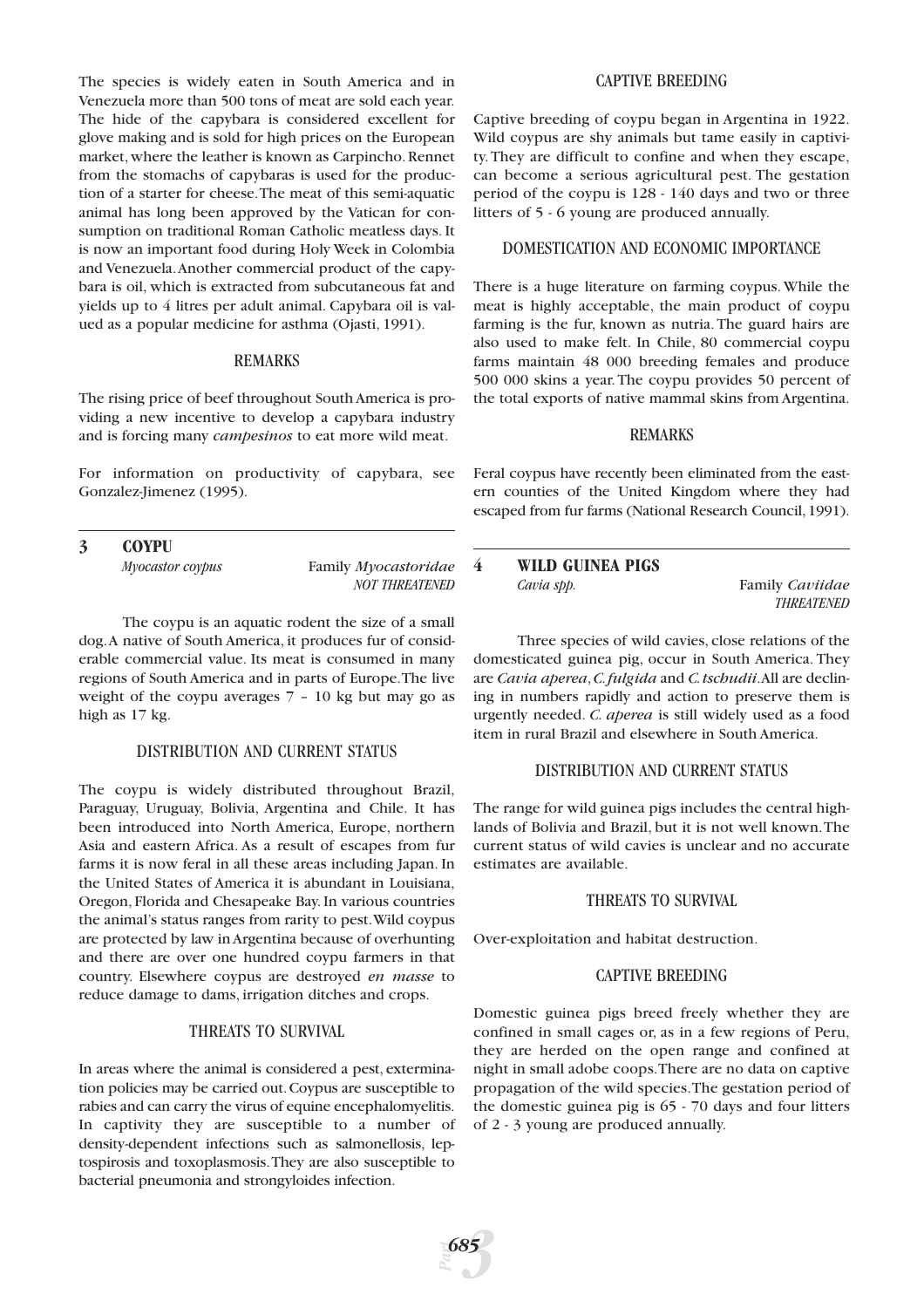The species is widely eaten in South America and in Venezuela more than 500 tons of meat are sold each year. The hide of the capybara is considered excellent for glove making and is sold for high prices on the European market, where the leather is known as Carpincho. Rennet from the stomachs of capybaras is used for the production of a starter for cheese.The meat of this semi-aquatic animal has long been approved by the Vatican for consumption on traditional Roman Catholic meatless days. It is now an important food during Holy Week in Colombia and Venezuela.Another commercial product of the capybara is oil, which is extracted from subcutaneous fat and yields up to 4 litres per adult animal. Capybara oil is valued as a popular medicine for asthma (Ojasti, 1991).

#### REMARKS

The rising price of beef throughout South America is providing a new incentive to develop a capybara industry and is forcing many *campesinos* to eat more wild meat.

For information on productivity of capybara, see Gonzalez-Jimenez (1995).

# **3 COYPU** *Myocastor coypus* Family *Myocastoridae NOT THREATENED*

The coypu is an aquatic rodent the size of a small dog.A native of South America, it produces fur of considerable commercial value. Its meat is consumed in many regions of South America and in parts of Europe.The live weight of the coypu averages 7 – 10 kg but may go as high as 17 kg.

# DISTRIBUTION AND CURRENT STATUS

The coypu is widely distributed throughout Brazil, Paraguay, Uruguay, Bolivia, Argentina and Chile. It has been introduced into North America, Europe, northern Asia and eastern Africa. As a result of escapes from fur farms it is now feral in all these areas including Japan. In the United States of America it is abundant in Louisiana, Oregon, Florida and Chesapeake Bay. In various countries the animal's status ranges from rarity to pest.Wild coypus are protected by law in Argentina because of overhunting and there are over one hundred coypu farmers in that country. Elsewhere coypus are destroyed *en masse* to reduce damage to dams, irrigation ditches and crops.

# THREATS TO SURVIVAL

In areas where the animal is considered a pest, extermination policies may be carried out.Coypus are susceptible to rabies and can carry the virus of equine encephalomyelitis. In captivity they are susceptible to a number of density-dependent infections such as salmonellosis, leptospirosis and toxoplasmosis.They are also susceptible to bacterial pneumonia and strongyloides infection.

# CAPTIVE BREEDING

Captive breeding of coypu began in Argentina in 1922. Wild coypus are shy animals but tame easily in captivity.They are difficult to confine and when they escape, can become a serious agricultural pest. The gestation period of the coypu is 128 - 140 days and two or three litters of 5 - 6 young are produced annually.

# DOMESTICATION AND ECONOMIC IMPORTANCE

There is a huge literature on farming coypus. While the meat is highly acceptable, the main product of coypu farming is the fur, known as nutria. The guard hairs are also used to make felt. In Chile, 80 commercial coypu farms maintain 48 000 breeding females and produce 500 000 skins a year.The coypu provides 50 percent of the total exports of native mammal skins from Argentina.

#### REMARKS

Feral coypus have recently been eliminated from the eastern counties of the United Kingdom where they had escaped from fur farms (National Research Council,1991).

### **4 WILD GUINEA PIGS** *Cavia spp.* Family *Caviidae THREATENED*

Three species of wild cavies, close relations of the domesticated guinea pig, occur in South America. They are *Cavia aperea*,*C.fulgida* and *C.tschudii*.All are declining in numbers rapidly and action to preserve them is urgently needed. *C. aperea* is still widely used as a food item in rural Brazil and elsewhere in South America.

# DISTRIBUTION AND CURRENT STATUS

The range for wild guinea pigs includes the central highlands of Bolivia and Brazil, but it is not well known.The current status of wild cavies is unclear and no accurate estimates are available.

#### THREATS TO SURVIVAL

Over-exploitation and habitat destruction.

#### CAPTIVE BREEDING

Domestic guinea pigs breed freely whether they are confined in small cages or, as in a few regions of Peru, they are herded on the open range and confined at night in small adobe coops.There are no data on captive propagation of the wild species.The gestation period of the domestic guinea pig is 65 - 70 days and four litters of 2 - 3 young are produced annually.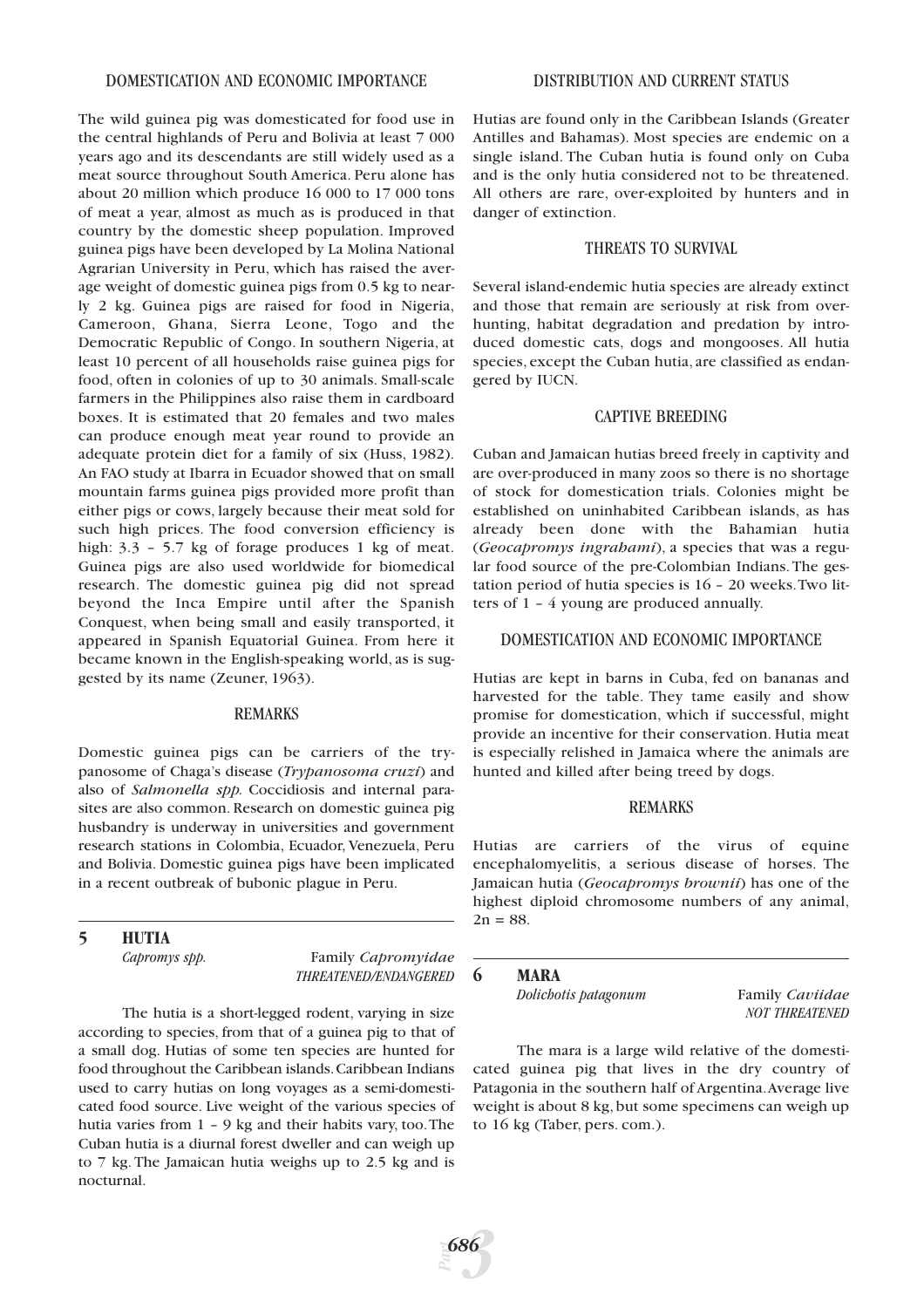#### DOMESTICATION AND ECONOMIC IMPORTANCE

The wild guinea pig was domesticated for food use in the central highlands of Peru and Bolivia at least 7 000 years ago and its descendants are still widely used as a meat source throughout South America. Peru alone has about 20 million which produce 16 000 to 17 000 tons of meat a year, almost as much as is produced in that country by the domestic sheep population. Improved guinea pigs have been developed by La Molina National Agrarian University in Peru, which has raised the average weight of domestic guinea pigs from 0.5 kg to nearly 2 kg. Guinea pigs are raised for food in Nigeria, Cameroon, Ghana, Sierra Leone, Togo and the Democratic Republic of Congo. In southern Nigeria, at least 10 percent of all households raise guinea pigs for food, often in colonies of up to 30 animals. Small-scale farmers in the Philippines also raise them in cardboard boxes. It is estimated that 20 females and two males can produce enough meat year round to provide an adequate protein diet for a family of six (Huss, 1982). An FAO study at Ibarra in Ecuador showed that on small mountain farms guinea pigs provided more profit than either pigs or cows, largely because their meat sold for such high prices. The food conversion efficiency is high:  $3.3 - 5.7$  kg of forage produces 1 kg of meat. Guinea pigs are also used worldwide for biomedical research. The domestic guinea pig did not spread beyond the Inca Empire until after the Spanish Conquest, when being small and easily transported, it appeared in Spanish Equatorial Guinea. From here it became known in the English-speaking world, as is suggested by its name (Zeuner, 1963).

#### REMARKS

Domestic guinea pigs can be carriers of the trypanosome of Chaga's disease (*Trypanosoma cruzi*) and also of *Salmonella spp.* Coccidiosis and internal parasites are also common. Research on domestic guinea pig husbandry is underway in universities and government research stations in Colombia, Ecuador, Venezuela, Peru and Bolivia. Domestic guinea pigs have been implicated in a recent outbreak of bubonic plague in Peru.

# **5 HUTIA**

*Capromys spp.* Family *Capromyidae THREATENED/ENDANGERED*

The hutia is a short-legged rodent, varying in size according to species, from that of a guinea pig to that of a small dog. Hutias of some ten species are hunted for food throughout the Caribbean islands.Caribbean Indians used to carry hutias on long voyages as a semi-domesticated food source. Live weight of the various species of hutia varies from 1 – 9 kg and their habits vary, too.The Cuban hutia is a diurnal forest dweller and can weigh up to 7 kg. The Jamaican hutia weighs up to 2.5 kg and is nocturnal.

Hutias are found only in the Caribbean Islands (Greater Antilles and Bahamas). Most species are endemic on a single island. The Cuban hutia is found only on Cuba and is the only hutia considered not to be threatened. All others are rare, over-exploited by hunters and in danger of extinction.

# THREATS TO SURVIVAL

Several island-endemic hutia species are already extinct and those that remain are seriously at risk from overhunting, habitat degradation and predation by introduced domestic cats, dogs and mongooses. All hutia species, except the Cuban hutia, are classified as endangered by IUCN.

#### CAPTIVE BREEDING

Cuban and Jamaican hutias breed freely in captivity and are over-produced in many zoos so there is no shortage of stock for domestication trials. Colonies might be established on uninhabited Caribbean islands, as has already been done with the Bahamian hutia (*Geocapromys ingrahami*), a species that was a regular food source of the pre-Colombian Indians.The gestation period of hutia species is 16 – 20 weeks.Two litters of 1 – 4 young are produced annually.

#### DOMESTICATION AND ECONOMIC IMPORTANCE

Hutias are kept in barns in Cuba, fed on bananas and harvested for the table. They tame easily and show promise for domestication, which if successful, might provide an incentive for their conservation. Hutia meat is especially relished in Jamaica where the animals are hunted and killed after being treed by dogs.

# REMARKS

Hutias are carriers of the virus of equine encephalomyelitis, a serious disease of horses. The Jamaican hutia (*Geocapromys brownii*) has one of the highest diploid chromosome numbers of any animal,  $2n = 88$ .

#### **6 MARA**

*Dolichotis patagonum* Family *Caviidae*

*NOT THREATENED*

The mara is a large wild relative of the domesticated guinea pig that lives in the dry country of Patagonia in the southern half of Argentina.Average live weight is about 8 kg, but some specimens can weigh up to 16 kg (Taber, pers. com.).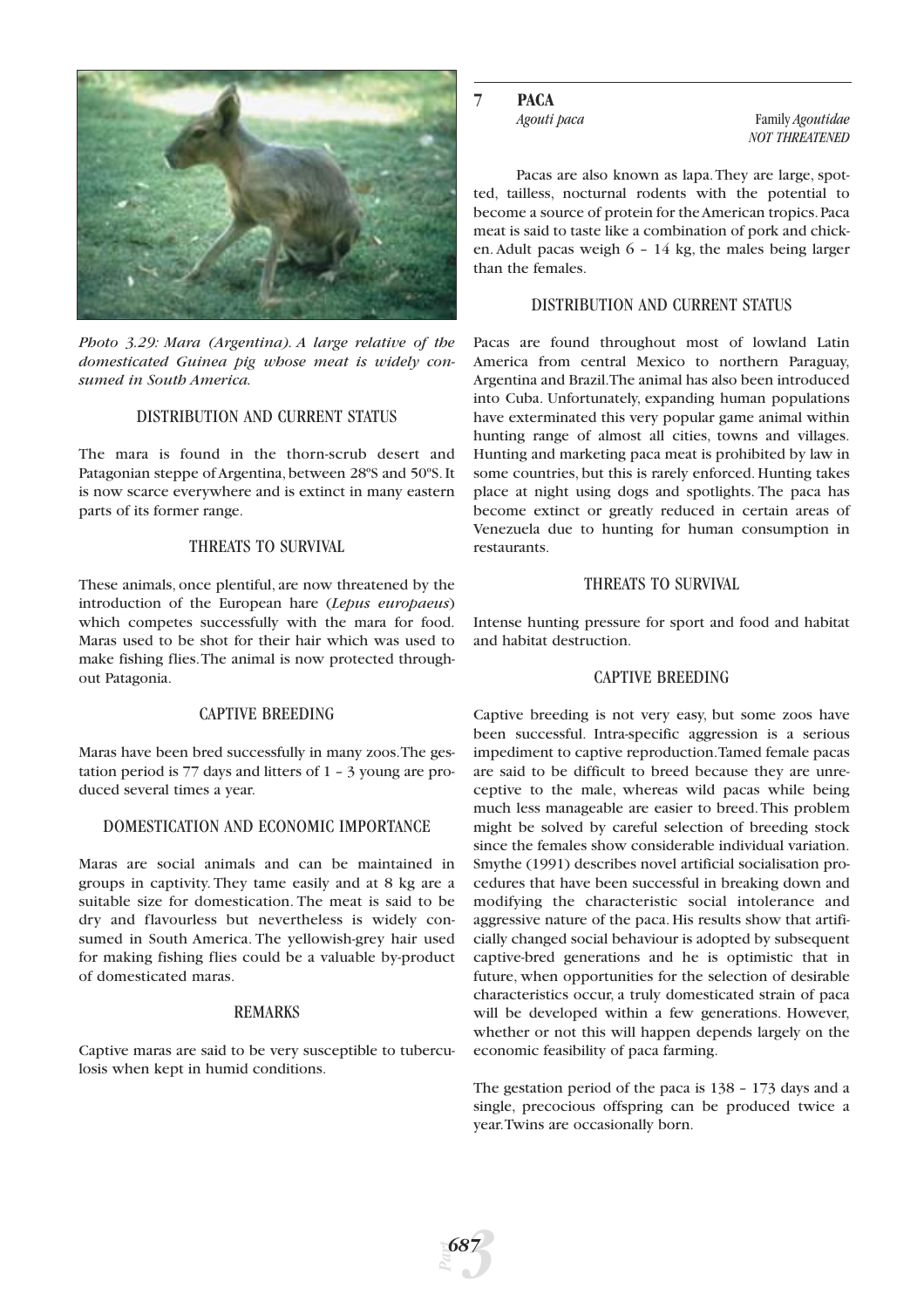

*Photo 3.29: Mara (Argentina). A large relative of the domesticated Guinea pig whose meat is widely consumed in South America.*

# DISTRIBUTION AND CURRENT STATUS

The mara is found in the thorn-scrub desert and Patagonian steppe of Argentina, between 28ºS and 50ºS. It is now scarce everywhere and is extinct in many eastern parts of its former range.

# THREATS TO SURVIVAL

These animals, once plentiful, are now threatened by the introduction of the European hare (*Lepus europaeus*) which competes successfully with the mara for food. Maras used to be shot for their hair which was used to make fishing flies.The animal is now protected throughout Patagonia.

# CAPTIVE BREEDING

Maras have been bred successfully in many zoos.The gestation period is 77 days and litters of 1 – 3 young are produced several times a year.

# DOMESTICATION AND ECONOMIC IMPORTANCE

Maras are social animals and can be maintained in groups in captivity. They tame easily and at 8 kg are a suitable size for domestication. The meat is said to be dry and flavourless but nevertheless is widely consumed in South America. The yellowish-grey hair used for making fishing flies could be a valuable by-product of domesticated maras.

# REMARKS

Captive maras are said to be very susceptible to tuberculosis when kept in humid conditions.

# **7 PACA**

*Agouti paca* Family *Agoutidae NOT THREATENED*

Pacas are also known as lapa.They are large, spotted, tailless, nocturnal rodents with the potential to become a source of protein for the American tropics.Paca meat is said to taste like a combination of pork and chicken. Adult pacas weigh 6 – 14 kg, the males being larger than the females.

# DISTRIBUTION AND CURRENT STATUS

Pacas are found throughout most of lowland Latin America from central Mexico to northern Paraguay, Argentina and Brazil.The animal has also been introduced into Cuba. Unfortunately, expanding human populations have exterminated this very popular game animal within hunting range of almost all cities, towns and villages. Hunting and marketing paca meat is prohibited by law in some countries, but this is rarely enforced. Hunting takes place at night using dogs and spotlights. The paca has become extinct or greatly reduced in certain areas of Venezuela due to hunting for human consumption in restaurants.

#### THREATS TO SURVIVAL

Intense hunting pressure for sport and food and habitat and habitat destruction.

# CAPTIVE BREEDING

Captive breeding is not very easy, but some zoos have been successful. Intra-specific aggression is a serious impediment to captive reproduction.Tamed female pacas are said to be difficult to breed because they are unreceptive to the male, whereas wild pacas while being much less manageable are easier to breed.This problem might be solved by careful selection of breeding stock since the females show considerable individual variation. Smythe (1991) describes novel artificial socialisation procedures that have been successful in breaking down and modifying the characteristic social intolerance and aggressive nature of the paca. His results show that artificially changed social behaviour is adopted by subsequent captive-bred generations and he is optimistic that in future, when opportunities for the selection of desirable characteristics occur, a truly domesticated strain of paca will be developed within a few generations. However, whether or not this will happen depends largely on the economic feasibility of paca farming.

The gestation period of the paca is 138 – 173 days and a single, precocious offspring can be produced twice a year.Twins are occasionally born.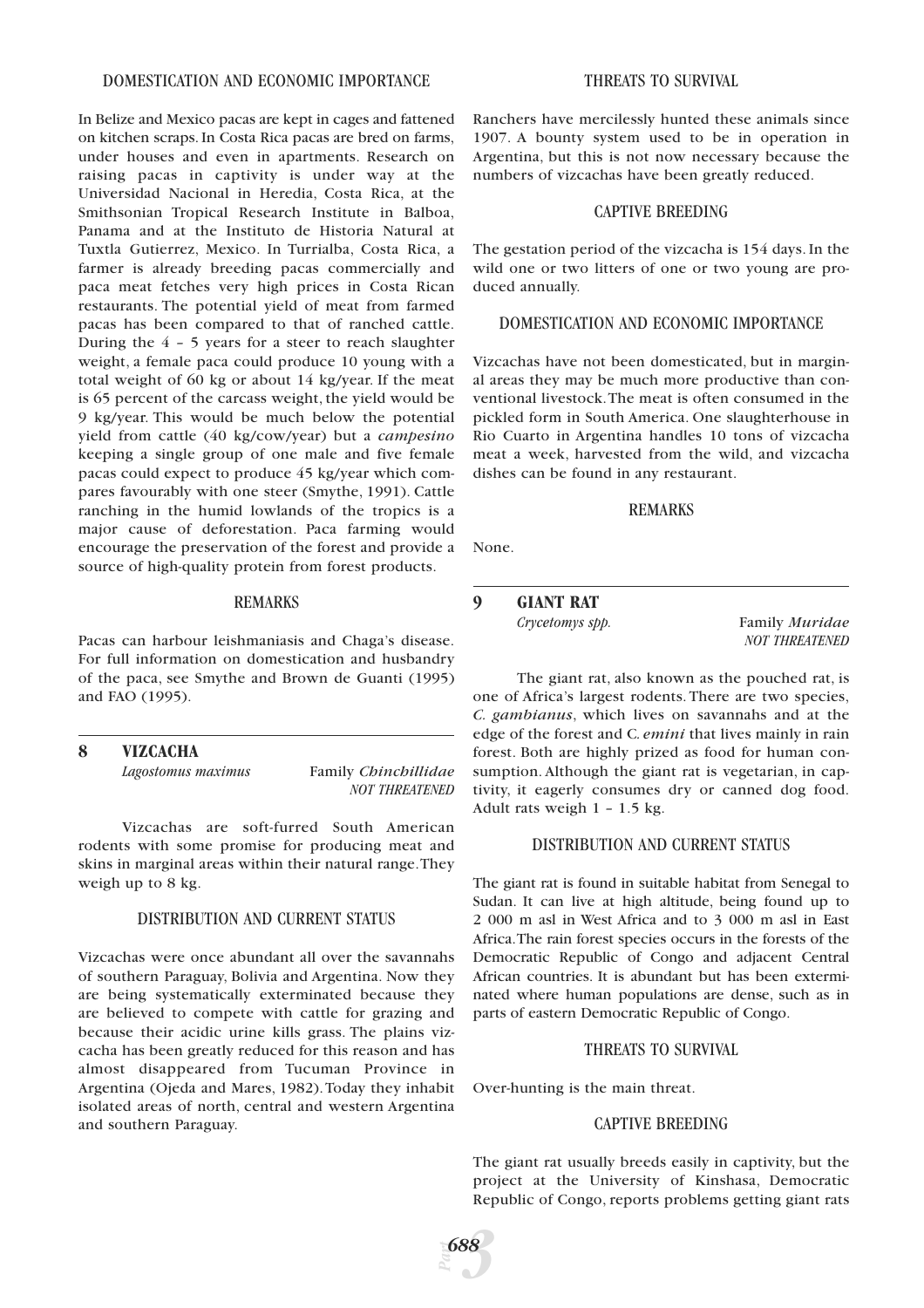#### DOMESTICATION AND ECONOMIC IMPORTANCE

In Belize and Mexico pacas are kept in cages and fattened on kitchen scraps. In Costa Rica pacas are bred on farms, under houses and even in apartments. Research on raising pacas in captivity is under way at the Universidad Nacional in Heredia, Costa Rica, at the Smithsonian Tropical Research Institute in Balboa, Panama and at the Instituto de Historia Natural at Tuxtla Gutierrez, Mexico. In Turrialba, Costa Rica, a farmer is already breeding pacas commercially and paca meat fetches very high prices in Costa Rican restaurants. The potential yield of meat from farmed pacas has been compared to that of ranched cattle. During the 4 – 5 years for a steer to reach slaughter weight, a female paca could produce 10 young with a total weight of 60 kg or about 14 kg/year. If the meat is 65 percent of the carcass weight, the yield would be 9 kg/year. This would be much below the potential yield from cattle (40 kg/cow/year) but a *campesino* keeping a single group of one male and five female pacas could expect to produce 45 kg/year which compares favourably with one steer (Smythe, 1991). Cattle ranching in the humid lowlands of the tropics is a major cause of deforestation. Paca farming would encourage the preservation of the forest and provide a source of high-quality protein from forest products.

# REMARKS

Pacas can harbour leishmaniasis and Chaga's disease. For full information on domestication and husbandry of the paca, see Smythe and Brown de Guanti (1995) and FAO (1995).

# **8 VIZCACHA**

*Lagostomus maximus* Family *Chinchillidae NOT THREATENED*

Vizcachas are soft-furred South American rodents with some promise for producing meat and skins in marginal areas within their natural range.They weigh up to 8 kg.

## DISTRIBUTION AND CURRENT STATUS

Vizcachas were once abundant all over the savannahs of southern Paraguay, Bolivia and Argentina. Now they are being systematically exterminated because they are believed to compete with cattle for grazing and because their acidic urine kills grass. The plains vizcacha has been greatly reduced for this reason and has almost disappeared from Tucuman Province in Argentina (Ojeda and Mares, 1982).Today they inhabit isolated areas of north, central and western Argentina and southern Paraguay.

### THREATS TO SURVIVAL

Ranchers have mercilessly hunted these animals since 1907. A bounty system used to be in operation in Argentina, but this is not now necessary because the numbers of vizcachas have been greatly reduced.

## CAPTIVE BREEDING

The gestation period of the vizcacha is 154 days. In the wild one or two litters of one or two young are produced annually.

## DOMESTICATION AND ECONOMIC IMPORTANCE

Vizcachas have not been domesticated, but in marginal areas they may be much more productive than conventional livestock.The meat is often consumed in the pickled form in South America. One slaughterhouse in Rio Cuarto in Argentina handles 10 tons of vizcacha meat a week, harvested from the wild, and vizcacha dishes can be found in any restaurant.

#### REMARKS

None.

# **9 GIANT RAT**

*Crycetomys spp.* Family *Muridae NOT THREATENED*

The giant rat, also known as the pouched rat, is one of Africa's largest rodents. There are two species, *C. gambianus*, which lives on savannahs and at the edge of the forest and C*. emini* that lives mainly in rain forest. Both are highly prized as food for human consumption. Although the giant rat is vegetarian, in captivity, it eagerly consumes dry or canned dog food. Adult rats weigh 1 – 1.5 kg.

### DISTRIBUTION AND CURRENT STATUS

The giant rat is found in suitable habitat from Senegal to Sudan. It can live at high altitude, being found up to 2 000 m asl in West Africa and to 3 000 m asl in East Africa.The rain forest species occurs in the forests of the Democratic Republic of Congo and adjacent Central African countries. It is abundant but has been exterminated where human populations are dense, such as in parts of eastern Democratic Republic of Congo.

# THREATS TO SURVIVAL

Over-hunting is the main threat.

# CAPTIVE BREEDING

The giant rat usually breeds easily in captivity, but the project at the University of Kinshasa, Democratic Republic of Congo, reports problems getting giant rats

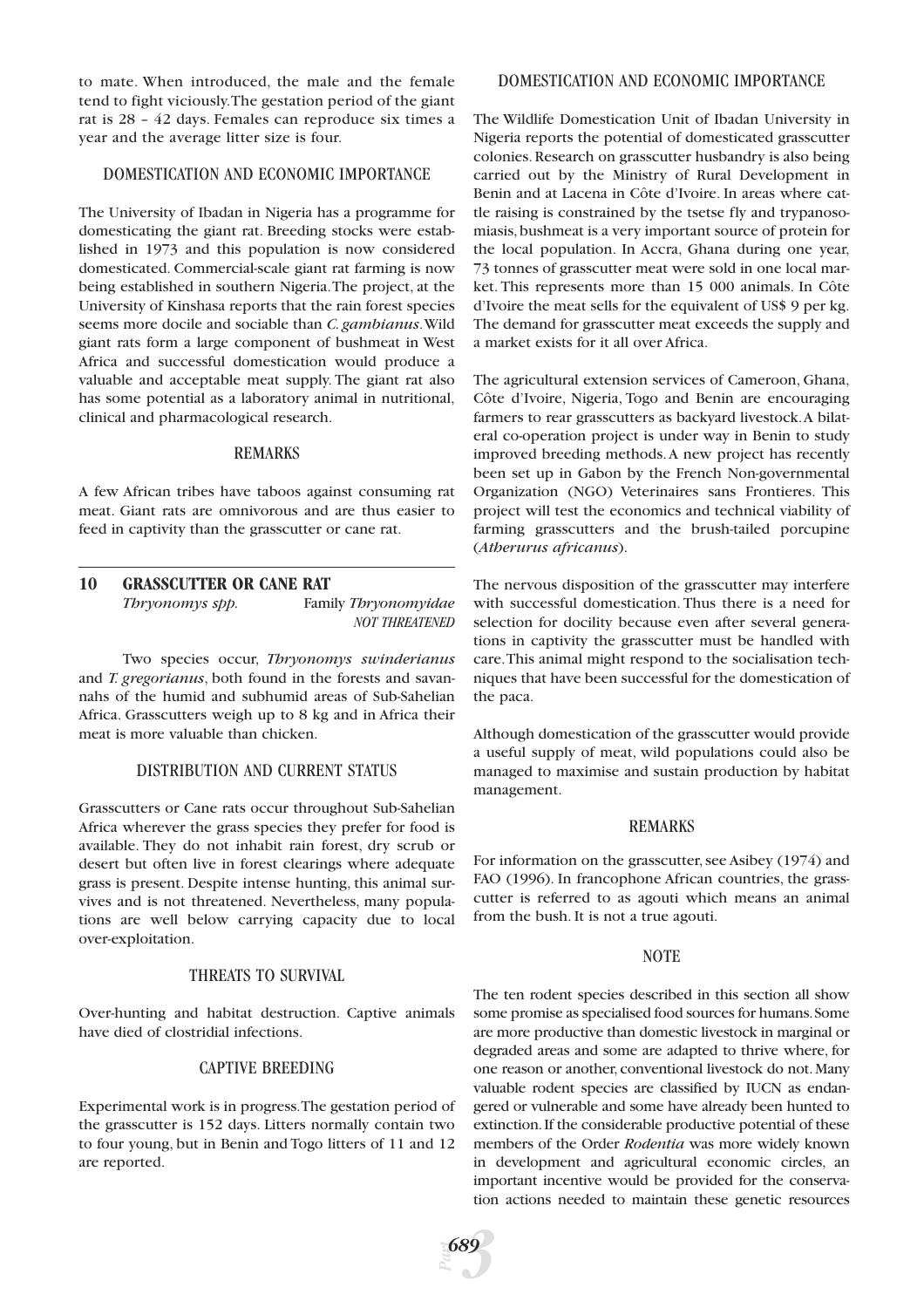to mate. When introduced, the male and the female tend to fight viciously.The gestation period of the giant rat is 28 – 42 days. Females can reproduce six times a year and the average litter size is four.

## DOMESTICATION AND ECONOMIC IMPORTANCE

The University of Ibadan in Nigeria has a programme for domesticating the giant rat. Breeding stocks were established in 1973 and this population is now considered domesticated. Commercial-scale giant rat farming is now being established in southern Nigeria.The project, at the University of Kinshasa reports that the rain forest species seems more docile and sociable than *C. gambianus*.Wild giant rats form a large component of bushmeat in West Africa and successful domestication would produce a valuable and acceptable meat supply. The giant rat also has some potential as a laboratory animal in nutritional, clinical and pharmacological research.

#### REMARKS

A few African tribes have taboos against consuming rat meat. Giant rats are omnivorous and are thus easier to feed in captivity than the grasscutter or cane rat.

# **10 GRASSCUTTER OR CANE RAT** *Thryonomys spp.* Family *Thryonomyidae NOT THREATENED*

Two species occur, *Thryonomys swinderianus* and *T. gregorianus*, both found in the forests and savannahs of the humid and subhumid areas of Sub-Sahelian Africa. Grasscutters weigh up to 8 kg and in Africa their meat is more valuable than chicken.

#### DISTRIBUTION AND CURRENT STATUS

Grasscutters or Cane rats occur throughout Sub-Sahelian Africa wherever the grass species they prefer for food is available. They do not inhabit rain forest, dry scrub or desert but often live in forest clearings where adequate grass is present. Despite intense hunting, this animal survives and is not threatened. Nevertheless, many populations are well below carrying capacity due to local over-exploitation.

# THREATS TO SURVIVAL

Over-hunting and habitat destruction. Captive animals have died of clostridial infections.

#### CAPTIVE BREEDING

Experimental work is in progress.The gestation period of the grasscutter is 152 days. Litters normally contain two to four young, but in Benin and Togo litters of 11 and 12 are reported.

#### DOMESTICATION AND ECONOMIC IMPORTANCE

The Wildlife Domestication Unit of Ibadan University in Nigeria reports the potential of domesticated grasscutter colonies. Research on grasscutter husbandry is also being carried out by the Ministry of Rural Development in Benin and at Lacena in Côte d'Ivoire. In areas where cattle raising is constrained by the tsetse fly and trypanosomiasis,bushmeat is a very important source of protein for the local population. In Accra, Ghana during one year, 73 tonnes of grasscutter meat were sold in one local market. This represents more than 15 000 animals. In Côte d'Ivoire the meat sells for the equivalent of US\$ 9 per kg. The demand for grasscutter meat exceeds the supply and a market exists for it all over Africa.

The agricultural extension services of Cameroon, Ghana, Côte d'Ivoire, Nigeria, Togo and Benin are encouraging farmers to rear grasscutters as backyard livestock.A bilateral co-operation project is under way in Benin to study improved breeding methods.A new project has recently been set up in Gabon by the French Non-governmental Organization (NGO) Veterinaires sans Frontieres. This project will test the economics and technical viability of farming grasscutters and the brush-tailed porcupine (*Atherurus africanus*).

The nervous disposition of the grasscutter may interfere with successful domestication. Thus there is a need for selection for docility because even after several generations in captivity the grasscutter must be handled with care.This animal might respond to the socialisation techniques that have been successful for the domestication of the paca.

Although domestication of the grasscutter would provide a useful supply of meat, wild populations could also be managed to maximise and sustain production by habitat management.

#### REMARKS

For information on the grasscutter, see Asibey (1974) and FAO (1996). In francophone African countries, the grasscutter is referred to as agouti which means an animal from the bush. It is not a true agouti.

#### **NOTE**

The ten rodent species described in this section all show some promise as specialised food sources for humans.Some are more productive than domestic livestock in marginal or degraded areas and some are adapted to thrive where, for one reason or another, conventional livestock do not. Many valuable rodent species are classified by IUCN as endangered or vulnerable and some have already been hunted to extinction.If the considerable productive potential of these members of the Order *Rodentia* was more widely known in development and agricultural economic circles, an important incentive would be provided for the conservation actions needed to maintain these genetic resources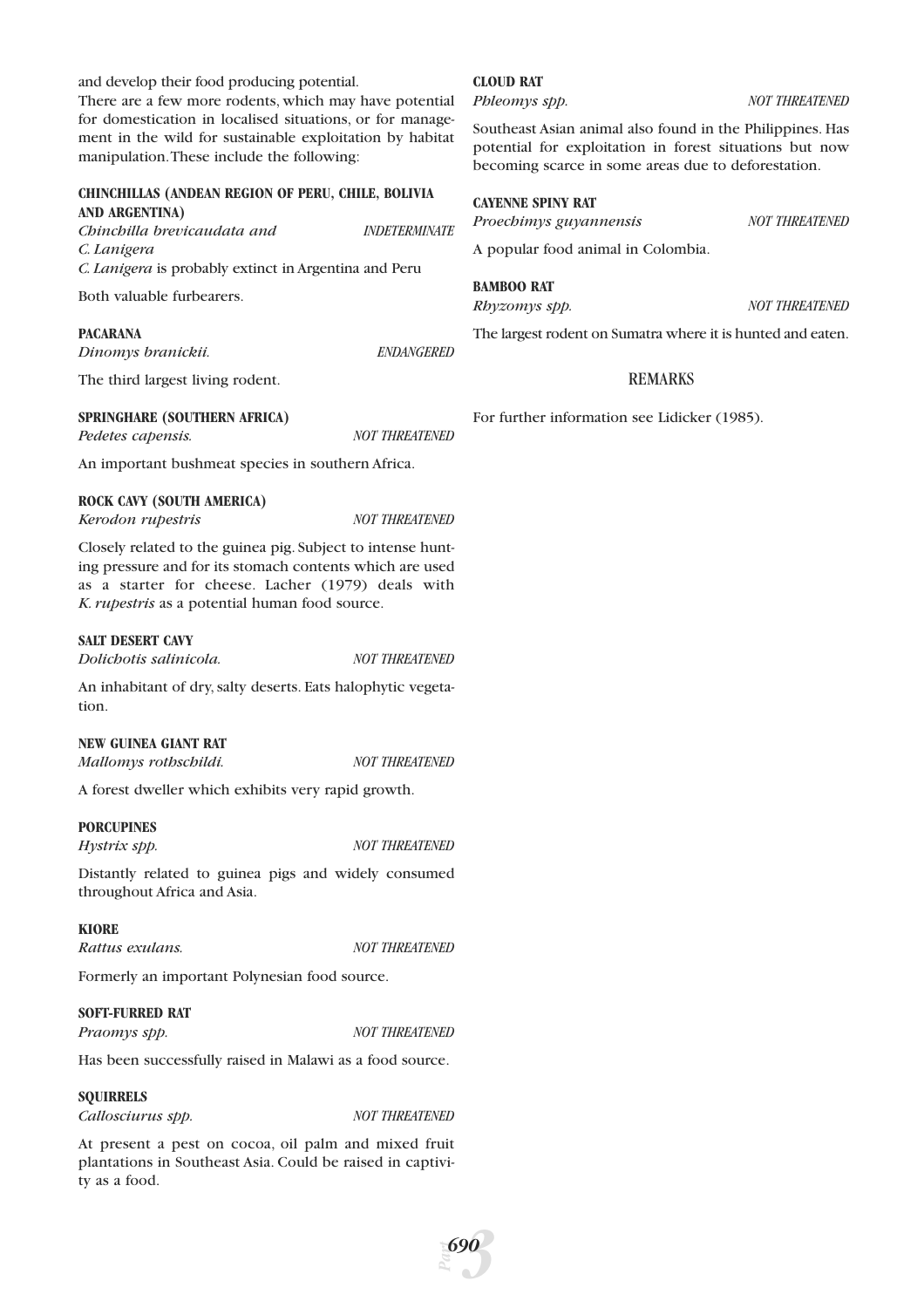and develop their food producing potential.

There are a few more rodents, which may have potential for domestication in localised situations, or for management in the wild for sustainable exploitation by habitat manipulation.These include the following:

#### **CHINCHILLAS (ANDEAN REGION OF PERU, CHILE, BOLIVIA AND ARGENTINA)**

*Chinchilla brevicaudata and INDETERMINATE C. Lanigera C. Lanigera* is probably extinct in Argentina and Peru

Both valuable furbearers.

#### **PACARANA**

*Dinomys branickii. ENDANGERED*

The third largest living rodent.

#### **SPRINGHARE (SOUTHERN AFRICA)**

*Pedetes capensis. NOT THREATENED*

An important bushmeat species in southern Africa.

#### **ROCK CAVY (SOUTH AMERICA)**

*Kerodon rupestris NOT THREATENED*

Closely related to the guinea pig. Subject to intense hunting pressure and for its stomach contents which are used as a starter for cheese. Lacher (1979) deals with *K. rupestris* as a potential human food source.

#### **SALT DESERT CAVY**

An inhabitant of dry, salty deserts. Eats halophytic vegetation.

#### **NEW GUINEA GIANT RAT**

*Mallomys rothschildi. NOT THREATENED*

A forest dweller which exhibits very rapid growth.

#### **PORCUPINES**

*Hystrix spp. NOT THREATENED*

Distantly related to guinea pigs and widely consumed throughout Africa and Asia.

#### **KIORE**

*Rattus exulans. NOT THREATENED*

Formerly an important Polynesian food source.

# **SOFT-FURRED RAT**

*Praomys spp. NOT THREATENED*

Has been successfully raised in Malawi as a food source.

#### **SQUIRRELS**

*Callosciurus spp. NOT THREATENED*

At present a pest on cocoa, oil palm and mixed fruit plantations in Southeast Asia. Could be raised in captivity as a food.

#### **CLOUD RAT**

*Phleomys spp. NOT THREATENED*

Southeast Asian animal also found in the Philippines. Has potential for exploitation in forest situations but now becoming scarce in some areas due to deforestation.

## **CAYENNE SPINY RAT**

*Proechimys guyannensis NOT THREATENED*

A popular food animal in Colombia.

#### **BAMBOO RAT**

*Rhyzomys spp. NOT THREATENED*

The largest rodent on Sumatra where it is hunted and eaten.

# REMARKS

For further information see Lidicker (1985).

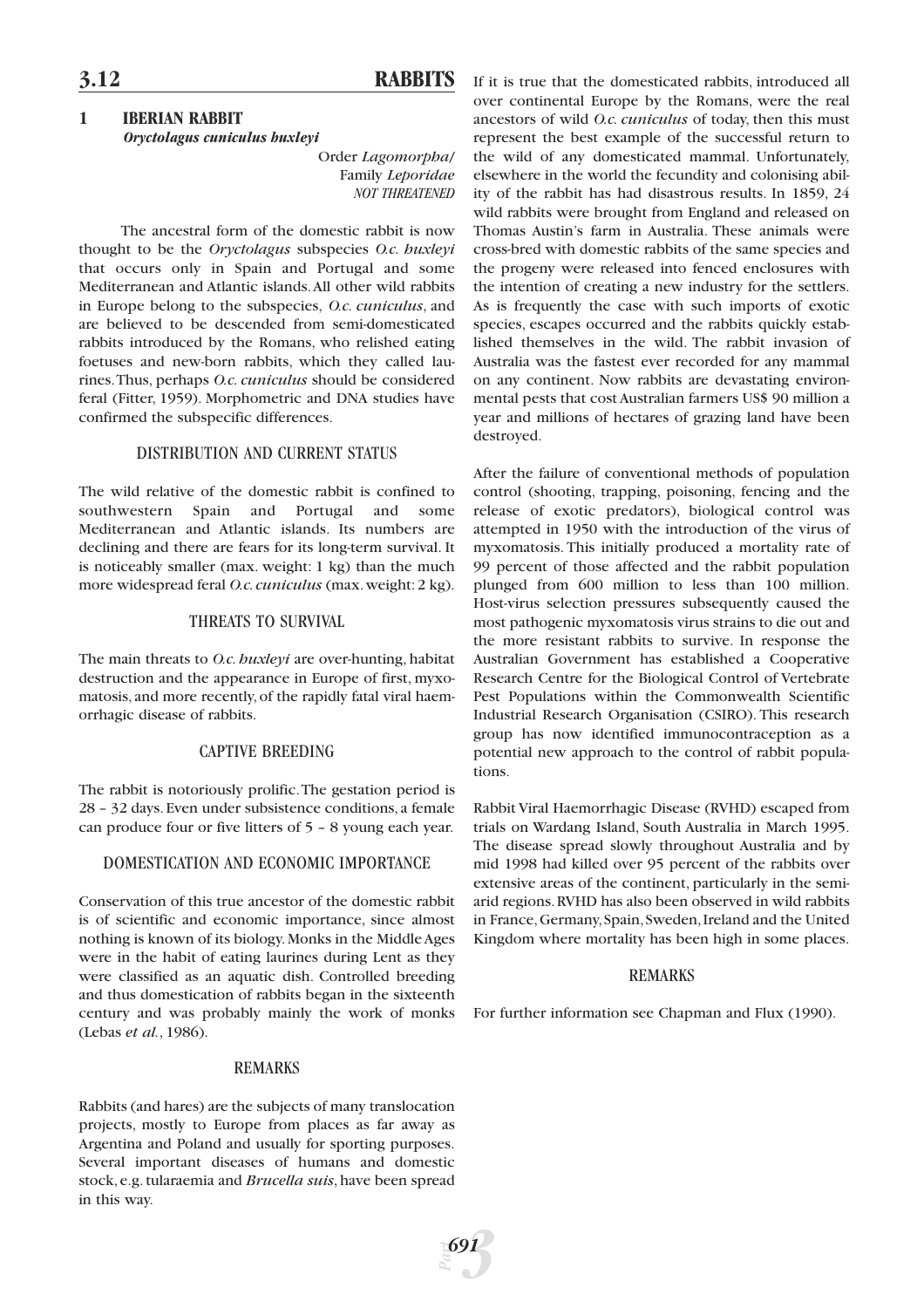# **3.12 RABBITS**

# **1 IBERIAN RABBIT** *Oryctolagus cuniculus huxleyi*

Order *Lagomorpha*/ Family *Leporidae NOT THREATENED*

The ancestral form of the domestic rabbit is now thought to be the *Oryctolagus* subspecies *O.c. huxleyi* that occurs only in Spain and Portugal and some Mediterranean and Atlantic islands.All other wild rabbits in Europe belong to the subspecies, *O.c. cuniculus*, and are believed to be descended from semi-domesticated rabbits introduced by the Romans, who relished eating foetuses and new-born rabbits, which they called laurines.Thus, perhaps *O.c. cuniculus* should be considered feral (Fitter, 1959). Morphometric and DNA studies have confirmed the subspecific differences.

# DISTRIBUTION AND CURRENT STATUS

The wild relative of the domestic rabbit is confined to southwestern Spain and Portugal and some Mediterranean and Atlantic islands. Its numbers are declining and there are fears for its long-term survival. It is noticeably smaller (max. weight: 1 kg) than the much more widespread feral *O.c.cuniculus* (max.weight:2 kg).

# THREATS TO SURVIVAL

The main threats to *O.c. huxleyi* are over-hunting, habitat destruction and the appearance in Europe of first, myxomatosis, and more recently, of the rapidly fatal viral haemorrhagic disease of rabbits.

# CAPTIVE BREEDING

The rabbit is notoriously prolific.The gestation period is 28 – 32 days. Even under subsistence conditions, a female can produce four or five litters of 5 – 8 young each year.

# DOMESTICATION AND ECONOMIC IMPORTANCE

Conservation of this true ancestor of the domestic rabbit is of scientific and economic importance, since almost nothing is known of its biology.Monks in the Middle Ages were in the habit of eating laurines during Lent as they were classified as an aquatic dish. Controlled breeding and thus domestication of rabbits began in the sixteenth century and was probably mainly the work of monks (Lebas *et al.*, 1986).

#### REMARKS

Rabbits (and hares) are the subjects of many translocation projects, mostly to Europe from places as far away as Argentina and Poland and usually for sporting purposes. Several important diseases of humans and domestic stock, e.g. tularaemia and *Brucella suis*, have been spread in this way.

If it is true that the domesticated rabbits, introduced all over continental Europe by the Romans, were the real ancestors of wild *O.c. cuniculus* of today, then this must represent the best example of the successful return to the wild of any domesticated mammal. Unfortunately, elsewhere in the world the fecundity and colonising ability of the rabbit has had disastrous results. In 1859, 24 wild rabbits were brought from England and released on Thomas Austin's farm in Australia. These animals were cross-bred with domestic rabbits of the same species and the progeny were released into fenced enclosures with the intention of creating a new industry for the settlers. As is frequently the case with such imports of exotic species, escapes occurred and the rabbits quickly established themselves in the wild. The rabbit invasion of Australia was the fastest ever recorded for any mammal on any continent. Now rabbits are devastating environmental pests that cost Australian farmers US\$ 90 million a year and millions of hectares of grazing land have been destroyed.

After the failure of conventional methods of population control (shooting, trapping, poisoning, fencing and the release of exotic predators), biological control was attempted in 1950 with the introduction of the virus of myxomatosis. This initially produced a mortality rate of 99 percent of those affected and the rabbit population plunged from 600 million to less than 100 million. Host-virus selection pressures subsequently caused the most pathogenic myxomatosis virus strains to die out and the more resistant rabbits to survive. In response the Australian Government has established a Cooperative Research Centre for the Biological Control of Vertebrate Pest Populations within the Commonwealth Scientific Industrial Research Organisation (CSIRO). This research group has now identified immunocontraception as a potential new approach to the control of rabbit populations.

Rabbit Viral Haemorrhagic Disease (RVHD) escaped from trials on Wardang Island, South Australia in March 1995. The disease spread slowly throughout Australia and by mid 1998 had killed over 95 percent of the rabbits over extensive areas of the continent, particularly in the semiarid regions.RVHD has also been observed in wild rabbits in France,Germany,Spain,Sweden,Ireland and the United Kingdom where mortality has been high in some places.

# REMARKS

For further information see Chapman and Flux (1990).

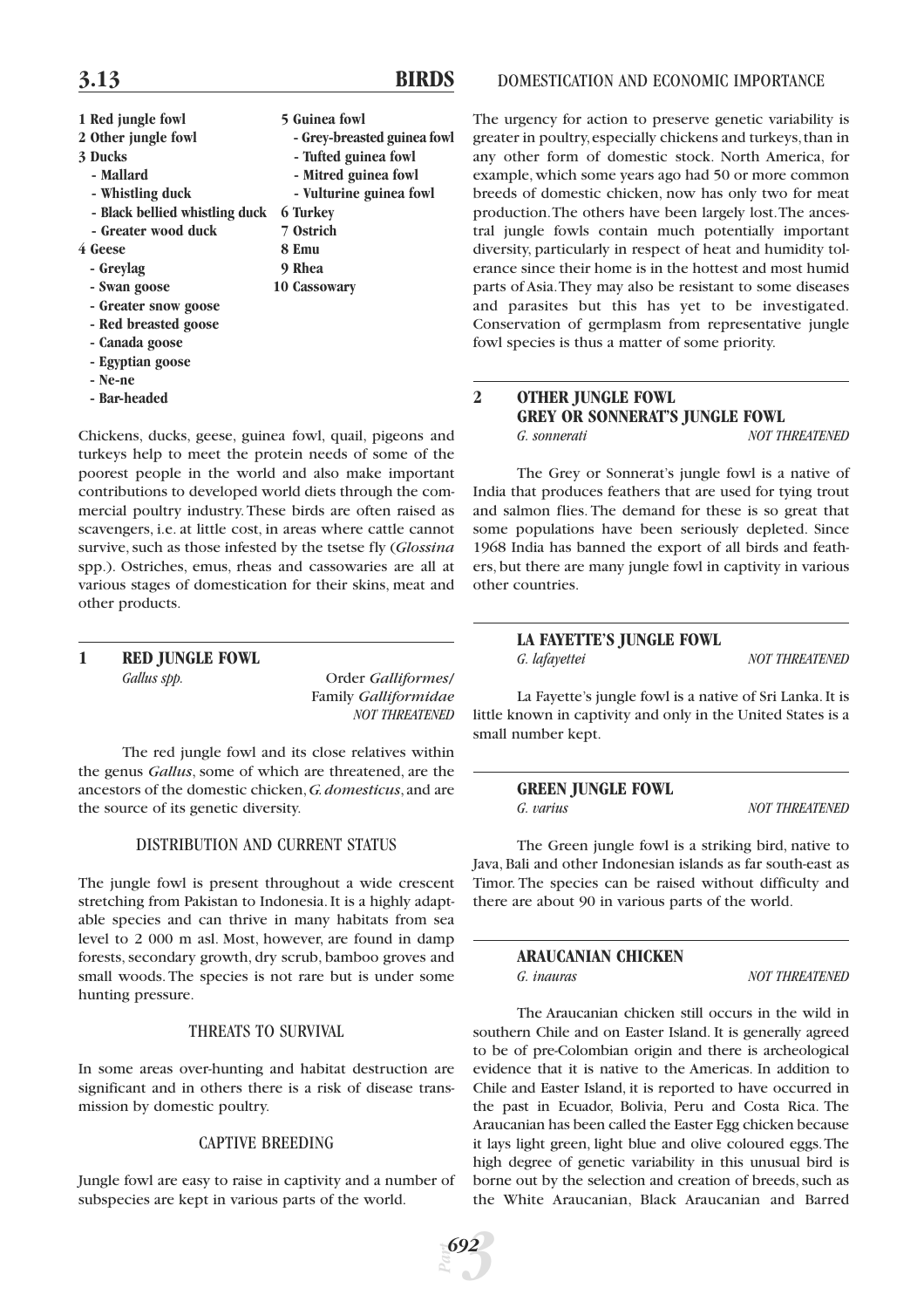- 
- 
- 
- 
- **Black bellied whistling duck 6 Turkey**
- **Greater wood duck 7 Ostrich**
- **4 Geese 8 Emu**
	- **Greylag 9 Rhea**
	- **Swan goose 10 Cassowary**
	- **Greater snow goose**
	- **Red breasted goose**
	- **Canada goose**
	- **Egyptian goose**
	- **Ne-ne**
	- **Bar-headed**
- **1 Red jungle fowl 5 Guinea fowl**
- **2 Other jungle fowl - Grey-breasted guinea fowl**
- **3 Ducks** Tufted guinea fowl
	- Mallard  **Mitred guinea fowl**
	- Whistling duck  **Vulturine guinea fowl** 
		-
		-
		-
		-
		-

Chickens, ducks, geese, guinea fowl, quail, pigeons and

turkeys help to meet the protein needs of some of the poorest people in the world and also make important contributions to developed world diets through the commercial poultry industry. These birds are often raised as scavengers, i.e. at little cost, in areas where cattle cannot survive, such as those infested by the tsetse fly (*Glossina* spp.). Ostriches, emus, rheas and cassowaries are all at various stages of domestication for their skins, meat and other products.

# **1 RED JUNGLE FOWL** *Gallus spp.* Order *Galliformes*/

Family *Galliformidae NOT THREATENED*

The red jungle fowl and its close relatives within the genus *Gallus*, some of which are threatened, are the ancestors of the domestic chicken,*G.domesticus*,and are the source of its genetic diversity.

# DISTRIBUTION AND CURRENT STATUS

The jungle fowl is present throughout a wide crescent stretching from Pakistan to Indonesia. It is a highly adaptable species and can thrive in many habitats from sea level to 2 000 m asl. Most, however, are found in damp forests, secondary growth, dry scrub, bamboo groves and small woods. The species is not rare but is under some hunting pressure.

# THREATS TO SURVIVAL

In some areas over-hunting and habitat destruction are significant and in others there is a risk of disease transmission by domestic poultry.

# CAPTIVE BREEDING

Jungle fowl are easy to raise in captivity and a number of subspecies are kept in various parts of the world.

The urgency for action to preserve genetic variability is greater in poultry,especially chickens and turkeys,than in any other form of domestic stock. North America, for example, which some years ago had 50 or more common breeds of domestic chicken, now has only two for meat production.The others have been largely lost.The ancestral jungle fowls contain much potentially important diversity, particularly in respect of heat and humidity tolerance since their home is in the hottest and most humid parts of Asia.They may also be resistant to some diseases and parasites but this has yet to be investigated. Conservation of germplasm from representative jungle fowl species is thus a matter of some priority.

# **2 OTHER JUNGLE FOWL GREY OR SONNERAT'S JUNGLE FOWL** *G. sonnerati NOT THREATENED*

The Grey or Sonnerat's jungle fowl is a native of India that produces feathers that are used for tying trout and salmon flies. The demand for these is so great that some populations have been seriously depleted. Since 1968 India has banned the export of all birds and feathers, but there are many jungle fowl in captivity in various other countries.

# **LA FAYETTE'S JUNGLE FOWL** *G. lafayettei NOT THREATENED*

La Fayette's jungle fowl is a native of Sri Lanka. It is little known in captivity and only in the United States is a small number kept.

# **GREEN JUNGLE FOWL**<br>*G. varius*

*NOT THREATENED* 

The Green jungle fowl is a striking bird, native to Java, Bali and other Indonesian islands as far south-east as Timor. The species can be raised without difficulty and there are about 90 in various parts of the world.

# **ARAUCANIAN CHICKEN** *G. inauras NOT THREATENED*

The Araucanian chicken still occurs in the wild in southern Chile and on Easter Island. It is generally agreed to be of pre-Colombian origin and there is archeological evidence that it is native to the Americas. In addition to Chile and Easter Island, it is reported to have occurred in the past in Ecuador, Bolivia, Peru and Costa Rica. The Araucanian has been called the Easter Egg chicken because it lays light green, light blue and olive coloured eggs.The high degree of genetic variability in this unusual bird is borne out by the selection and creation of breeds, such as the White Araucanian, Black Araucanian and Barred

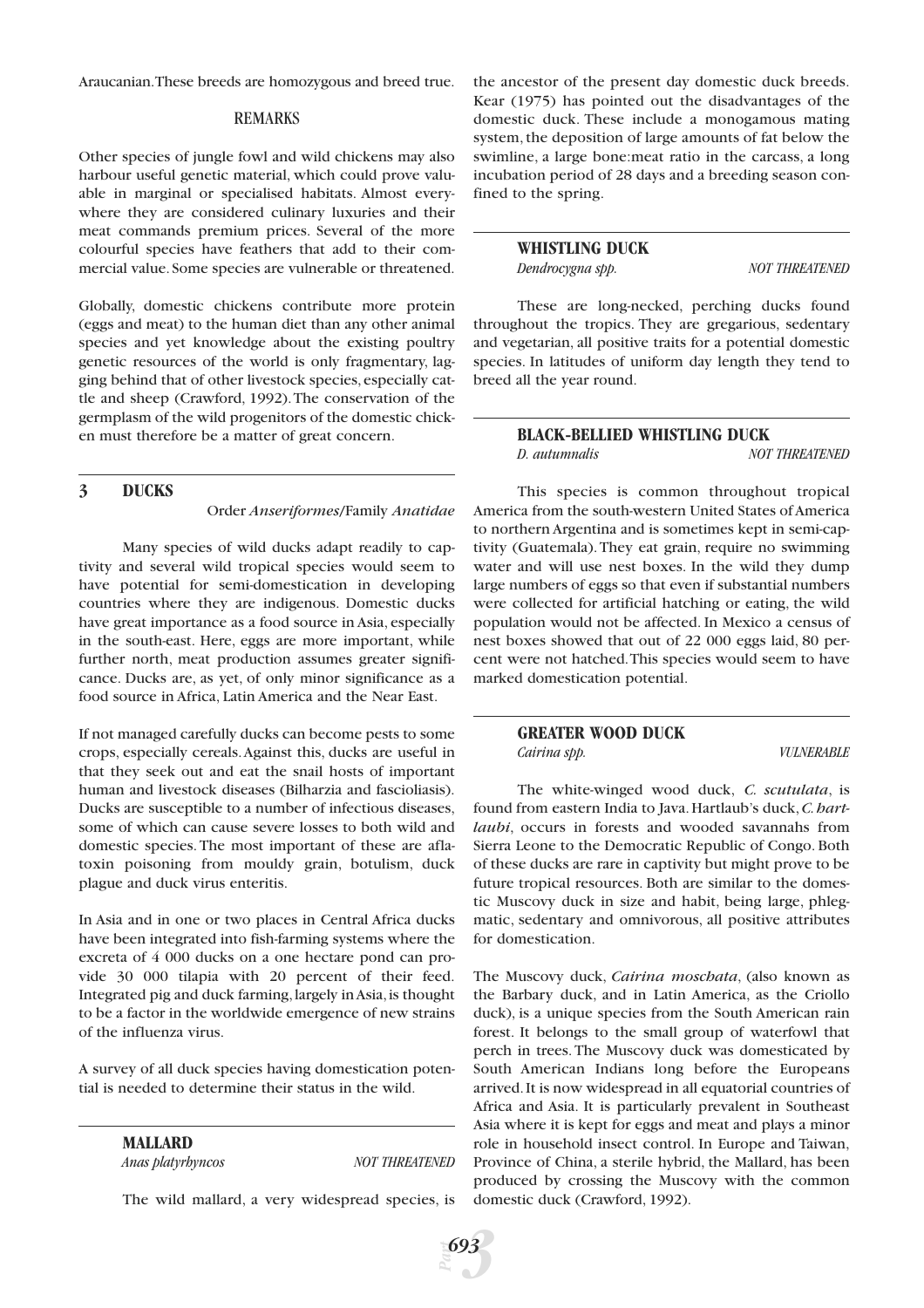Araucanian.These breeds are homozygous and breed true.

#### REMARKS

Other species of jungle fowl and wild chickens may also harbour useful genetic material, which could prove valuable in marginal or specialised habitats. Almost everywhere they are considered culinary luxuries and their meat commands premium prices. Several of the more colourful species have feathers that add to their commercial value. Some species are vulnerable or threatened.

Globally, domestic chickens contribute more protein (eggs and meat) to the human diet than any other animal species and yet knowledge about the existing poultry genetic resources of the world is only fragmentary, lagging behind that of other livestock species, especially cattle and sheep (Crawford, 1992).The conservation of the germplasm of the wild progenitors of the domestic chicken must therefore be a matter of great concern.

# **3 DUCKS**

Order *Anseriformes*/Family *Anatidae*

Many species of wild ducks adapt readily to captivity and several wild tropical species would seem to have potential for semi-domestication in developing countries where they are indigenous. Domestic ducks have great importance as a food source in Asia, especially in the south-east. Here, eggs are more important, while further north, meat production assumes greater significance. Ducks are, as yet, of only minor significance as a food source in Africa, Latin America and the Near East.

If not managed carefully ducks can become pests to some crops, especially cereals.Against this, ducks are useful in that they seek out and eat the snail hosts of important human and livestock diseases (Bilharzia and fascioliasis). Ducks are susceptible to a number of infectious diseases, some of which can cause severe losses to both wild and domestic species. The most important of these are aflatoxin poisoning from mouldy grain, botulism, duck plague and duck virus enteritis.

In Asia and in one or two places in Central Africa ducks have been integrated into fish-farming systems where the excreta of 4 000 ducks on a one hectare pond can provide 30 000 tilapia with 20 percent of their feed. Integrated pig and duck farming,largely in Asia,is thought to be a factor in the worldwide emergence of new strains of the influenza virus.

A survey of all duck species having domestication potential is needed to determine their status in the wild.

> **MALLARD** *Anas platyrhyncos NOT THREATENED*

The wild mallard, a very widespread species, is

the ancestor of the present day domestic duck breeds. Kear (1975) has pointed out the disadvantages of the domestic duck. These include a monogamous mating system, the deposition of large amounts of fat below the swimline, a large bone:meat ratio in the carcass, a long incubation period of 28 days and a breeding season confined to the spring.

# **WHISTLING DUCK**

*Dendrocygna spp. NOT THREATENED*

These are long-necked, perching ducks found throughout the tropics. They are gregarious, sedentary and vegetarian, all positive traits for a potential domestic species. In latitudes of uniform day length they tend to breed all the year round.

# **BLACK-BELLIED WHISTLING DUCK** *D. autumnalis NOT THREATENED*

This species is common throughout tropical America from the south-western United States of America to northern Argentina and is sometimes kept in semi-captivity (Guatemala). They eat grain, require no swimming water and will use nest boxes. In the wild they dump large numbers of eggs so that even if substantial numbers were collected for artificial hatching or eating, the wild population would not be affected. In Mexico a census of nest boxes showed that out of 22 000 eggs laid, 80 percent were not hatched.This species would seem to have marked domestication potential.

> **GREATER WOOD DUCK** *Cairina spp. VULNERABLE*

The white-winged wood duck, *C. scutulata*, is found from eastern India to Java.Hartlaub's duck,*C.hartlaubi*, occurs in forests and wooded savannahs from Sierra Leone to the Democratic Republic of Congo. Both of these ducks are rare in captivity but might prove to be future tropical resources. Both are similar to the domestic Muscovy duck in size and habit, being large, phlegmatic, sedentary and omnivorous, all positive attributes for domestication.

The Muscovy duck, *Cairina moschata*, (also known as the Barbary duck, and in Latin America, as the Criollo duck), is a unique species from the South American rain forest. It belongs to the small group of waterfowl that perch in trees. The Muscovy duck was domesticated by South American Indians long before the Europeans arrived.It is now widespread in all equatorial countries of Africa and Asia. It is particularly prevalent in Southeast Asia where it is kept for eggs and meat and plays a minor role in household insect control. In Europe and Taiwan, Province of China, a sterile hybrid, the Mallard, has been produced by crossing the Muscovy with the common domestic duck (Crawford, 1992).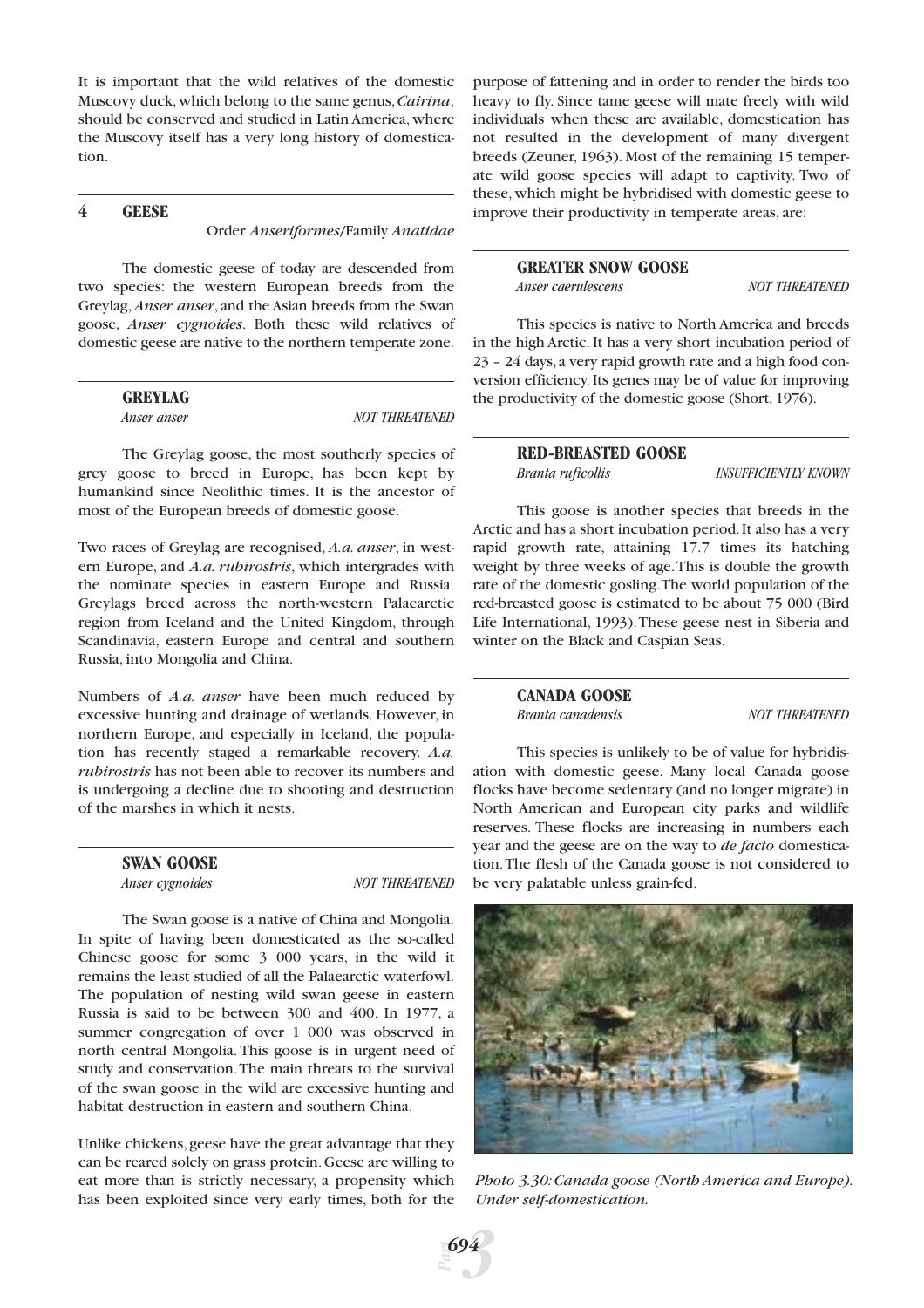It is important that the wild relatives of the domestic Muscovy duck,which belong to the same genus,*Cairina*, should be conserved and studied in Latin America, where the Muscovy itself has a very long history of domestication.

# **4 GEESE**

Order *Anseriformes*/Family *Anatidae*

The domestic geese of today are descended from two species: the western European breeds from the Greylag, *Anser anser*, and the Asian breeds from the Swan goose, *Anser cygnoides*. Both these wild relatives of domestic geese are native to the northern temperate zone.

# **GREYLAG**

*Anser anser NOT THREATENED* 

The Greylag goose, the most southerly species of grey goose to breed in Europe, has been kept by humankind since Neolithic times. It is the ancestor of most of the European breeds of domestic goose.

Two races of Greylag are recognised, *A.a. anser*, in western Europe, and *A.a. rubirostris*, which intergrades with the nominate species in eastern Europe and Russia. Greylags breed across the north-western Palaearctic region from Iceland and the United Kingdom, through Scandinavia, eastern Europe and central and southern Russia, into Mongolia and China.

Numbers of *A.a. anser* have been much reduced by excessive hunting and drainage of wetlands. However, in northern Europe, and especially in Iceland, the population has recently staged a remarkable recovery. *A.a. rubirostris* has not been able to recover its numbers and is undergoing a decline due to shooting and destruction of the marshes in which it nests.

| <b>SWAN GOOSE</b> |  |
|-------------------|--|
| Anser cygnoides   |  |

*Anser cygnoides NOT THREATENED*

The Swan goose is a native of China and Mongolia. In spite of having been domesticated as the so-called Chinese goose for some 3 000 years, in the wild it remains the least studied of all the Palaearctic waterfowl. The population of nesting wild swan geese in eastern Russia is said to be between 300 and 400. In 1977, a summer congregation of over 1 000 was observed in north central Mongolia. This goose is in urgent need of study and conservation.The main threats to the survival of the swan goose in the wild are excessive hunting and habitat destruction in eastern and southern China.

Unlike chickens,geese have the great advantage that they can be reared solely on grass protein.Geese are willing to eat more than is strictly necessary, a propensity which has been exploited since very early times, both for the

purpose of fattening and in order to render the birds too heavy to fly. Since tame geese will mate freely with wild individuals when these are available, domestication has not resulted in the development of many divergent breeds (Zeuner, 1963). Most of the remaining 15 temperate wild goose species will adapt to captivity. Two of these, which might be hybridised with domestic geese to improve their productivity in temperate areas, are:

## **GREATER SNOW GOOSE**

*Anser caerulescens NOT THREATENED*

This species is native to North America and breeds in the high Arctic. It has a very short incubation period of 23 – 24 days,a very rapid growth rate and a high food conversion efficiency. Its genes may be of value for improving the productivity of the domestic goose (Short, 1976).

**RED-BREASTED GOOSE**

*Branta ruficollis INSUFFICIENTLY KNOWN*

This goose is another species that breeds in the Arctic and has a short incubation period.It also has a very rapid growth rate, attaining 17.7 times its hatching weight by three weeks of age.This is double the growth rate of the domestic gosling.The world population of the red-breasted goose is estimated to be about 75 000 (Bird Life International, 1993).These geese nest in Siberia and winter on the Black and Caspian Seas.

# **CANADA GOOSE**

*Branta canadensis NOT THREATENED*

This species is unlikely to be of value for hybridisation with domestic geese. Many local Canada goose flocks have become sedentary (and no longer migrate) in North American and European city parks and wildlife reserves. These flocks are increasing in numbers each year and the geese are on the way to *de facto* domestication.The flesh of the Canada goose is not considered to be very palatable unless grain-fed.



*Photo 3.30:Canada goose (North America and Europe). Under self-domestication.*

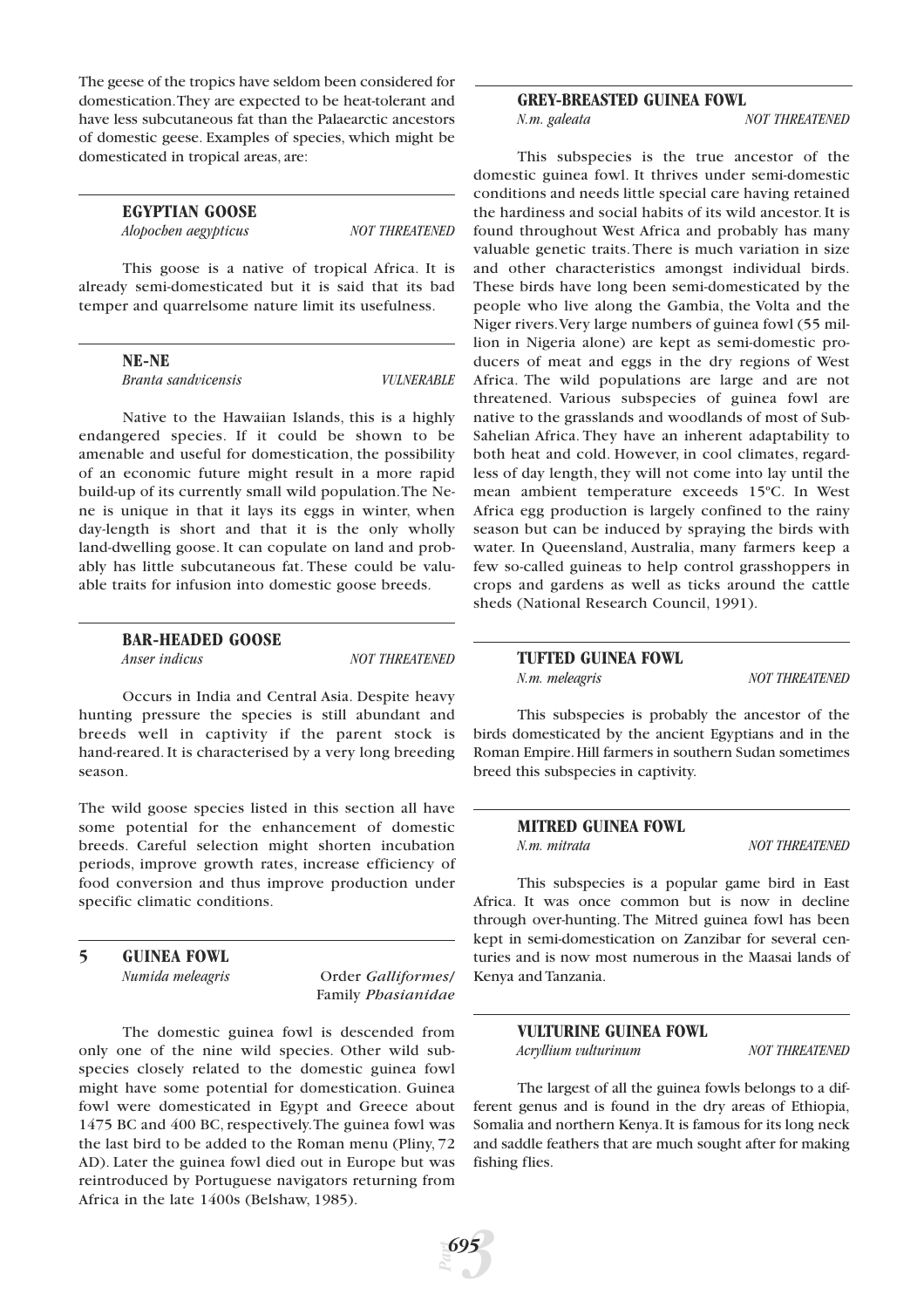The geese of the tropics have seldom been considered for domestication.They are expected to be heat-tolerant and have less subcutaneous fat than the Palaearctic ancestors of domestic geese. Examples of species, which might be domesticated in tropical areas, are:

> **EGYPTIAN GOOSE** *Alopochen aegypticus NOT THREATENED*

This goose is a native of tropical Africa. It is already semi-domesticated but it is said that its bad temper and quarrelsome nature limit its usefulness.

**NE-NE**

*Branta sandvicensis VULNERABLE*

Native to the Hawaiian Islands, this is a highly endangered species. If it could be shown to be amenable and useful for domestication, the possibility of an economic future might result in a more rapid build-up of its currently small wild population.The Nene is unique in that it lays its eggs in winter, when day-length is short and that it is the only wholly land-dwelling goose. It can copulate on land and probably has little subcutaneous fat. These could be valuable traits for infusion into domestic goose breeds.

# **BAR-HEADED GOOSE**

*Anser indicus NOT THREATENED* 

Occurs in India and Central Asia. Despite heavy hunting pressure the species is still abundant and breeds well in captivity if the parent stock is hand-reared. It is characterised by a very long breeding season.

The wild goose species listed in this section all have some potential for the enhancement of domestic breeds. Careful selection might shorten incubation periods, improve growth rates, increase efficiency of food conversion and thus improve production under specific climatic conditions.

# **5 GUINEA FOWL**

*Numida meleagris* Order *Galliformes*/ Family *Phasianidae*

The domestic guinea fowl is descended from only one of the nine wild species. Other wild subspecies closely related to the domestic guinea fowl might have some potential for domestication. Guinea fowl were domesticated in Egypt and Greece about 1475 BC and 400 BC, respectively.The guinea fowl was the last bird to be added to the Roman menu (Pliny, 72 AD). Later the guinea fowl died out in Europe but was reintroduced by Portuguese navigators returning from Africa in the late 1400s (Belshaw, 1985).

#### **GREY-BREASTED GUINEA FOWL**

*N.m. galeata NOT THREATENED*

This subspecies is the true ancestor of the domestic guinea fowl. It thrives under semi-domestic conditions and needs little special care having retained the hardiness and social habits of its wild ancestor. It is found throughout West Africa and probably has many valuable genetic traits. There is much variation in size and other characteristics amongst individual birds. These birds have long been semi-domesticated by the people who live along the Gambia, the Volta and the Niger rivers.Very large numbers of guinea fowl (55 million in Nigeria alone) are kept as semi-domestic producers of meat and eggs in the dry regions of West Africa. The wild populations are large and are not threatened. Various subspecies of guinea fowl are native to the grasslands and woodlands of most of Sub-Sahelian Africa. They have an inherent adaptability to both heat and cold. However, in cool climates, regardless of day length, they will not come into lay until the mean ambient temperature exceeds 15ºC. In West Africa egg production is largely confined to the rainy season but can be induced by spraying the birds with water. In Queensland, Australia, many farmers keep a few so-called guineas to help control grasshoppers in crops and gardens as well as ticks around the cattle sheds (National Research Council, 1991).

# **TUFTED GUINEA FOWL**

*N.m. meleagris NOT THREATENED* 

This subspecies is probably the ancestor of the birds domesticated by the ancient Egyptians and in the Roman Empire.Hill farmers in southern Sudan sometimes breed this subspecies in captivity.

# **MITRED GUINEA FOWL**

*N.m. mitrata NOT THREATENED*

This subspecies is a popular game bird in East Africa. It was once common but is now in decline through over-hunting. The Mitred guinea fowl has been kept in semi-domestication on Zanzibar for several centuries and is now most numerous in the Maasai lands of Kenya and Tanzania.

> **VULTURINE GUINEA FOWL** *Acryllium vulturinum NOT THREATENED*

The largest of all the guinea fowls belongs to a different genus and is found in the dry areas of Ethiopia, Somalia and northern Kenya.It is famous for its long neck and saddle feathers that are much sought after for making fishing flies.

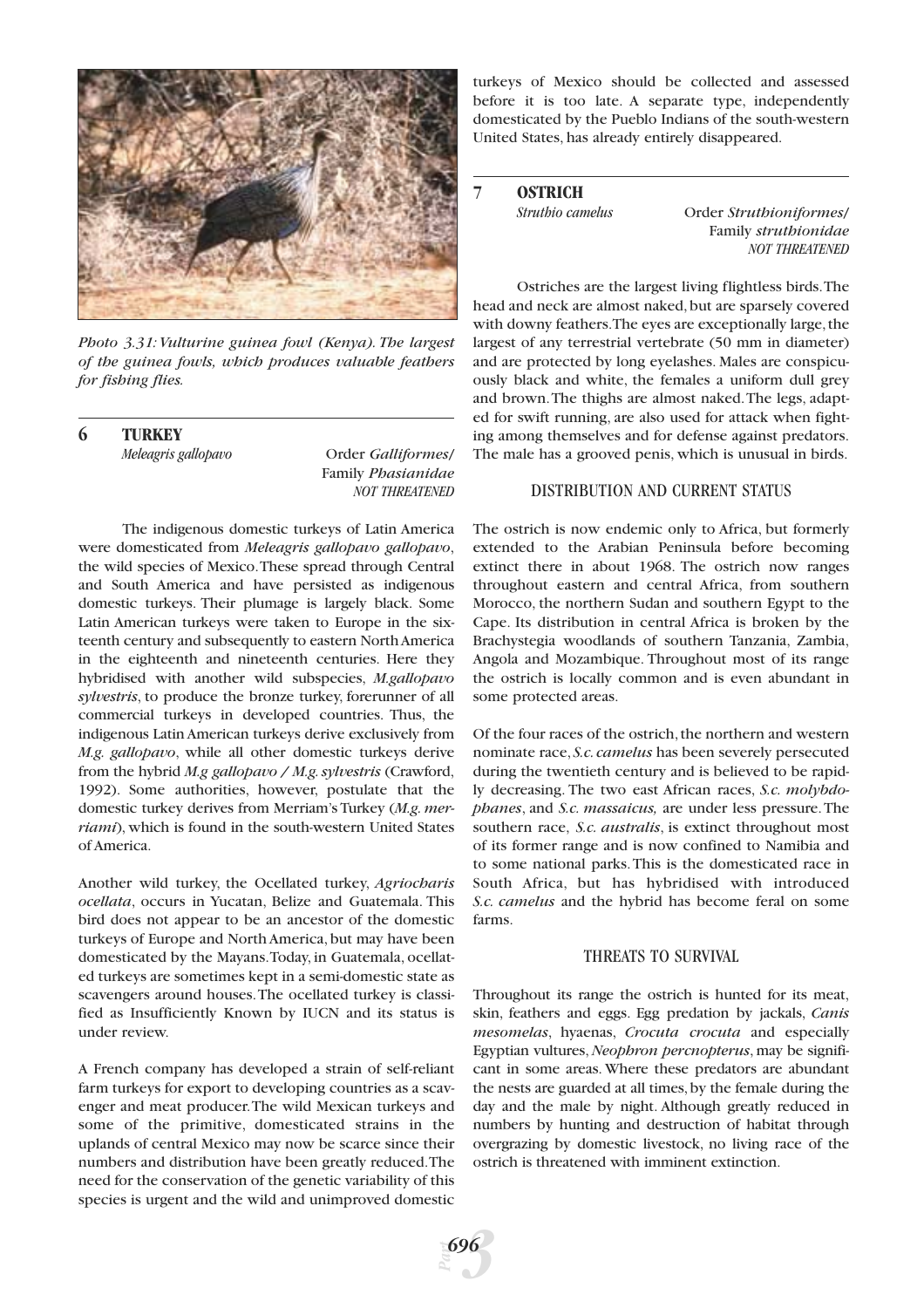

*Photo 3.31: Vulturine guinea fowl (Kenya). The largest of the guinea fowls, which produces valuable feathers for fishing flies.*

**6 TURKEY**

*Meleagris gallopavo* Order *Galliformes*/ Family *Phasianidae NOT THREATENED*

The indigenous domestic turkeys of Latin America were domesticated from *Meleagris gallopavo gallopavo*, the wild species of Mexico.These spread through Central and South America and have persisted as indigenous domestic turkeys. Their plumage is largely black. Some Latin American turkeys were taken to Europe in the sixteenth century and subsequently to eastern North America in the eighteenth and nineteenth centuries. Here they hybridised with another wild subspecies, *M.gallopavo sylvestris*, to produce the bronze turkey, forerunner of all commercial turkeys in developed countries. Thus, the indigenous Latin American turkeys derive exclusively from *M.g. gallopavo*, while all other domestic turkeys derive from the hybrid *M.g gallopavo / M.g.sylvestris* (Crawford, 1992). Some authorities, however, postulate that the domestic turkey derives from Merriam's Turkey (*M.g. merriami*), which is found in the south-western United States of America.

Another wild turkey, the Ocellated turkey, *Agriocharis ocellata*, occurs in Yucatan, Belize and Guatemala. This bird does not appear to be an ancestor of the domestic turkeys of Europe and North America, but may have been domesticated by the Mayans.Today, in Guatemala, ocellated turkeys are sometimes kept in a semi-domestic state as scavengers around houses.The ocellated turkey is classified as Insufficiently Known by IUCN and its status is under review.

A French company has developed a strain of self-reliant farm turkeys for export to developing countries as a scavenger and meat producer.The wild Mexican turkeys and some of the primitive, domesticated strains in the uplands of central Mexico may now be scarce since their numbers and distribution have been greatly reduced.The need for the conservation of the genetic variability of this species is urgent and the wild and unimproved domestic

turkeys of Mexico should be collected and assessed before it is too late. A separate type, independently domesticated by the Pueblo Indians of the south-western United States, has already entirely disappeared.

# **7 OSTRICH**

*Struthio camelus* Order *Struthioniformes*/ Family *struthionidae NOT THREATENED*

Ostriches are the largest living flightless birds.The head and neck are almost naked, but are sparsely covered with downy feathers. The eyes are exceptionally large, the largest of any terrestrial vertebrate (50 mm in diameter) and are protected by long eyelashes. Males are conspicuously black and white, the females a uniform dull grey and brown.The thighs are almost naked.The legs, adapted for swift running, are also used for attack when fighting among themselves and for defense against predators. The male has a grooved penis, which is unusual in birds.

# DISTRIBUTION AND CURRENT STATUS

The ostrich is now endemic only to Africa, but formerly extended to the Arabian Peninsula before becoming extinct there in about 1968. The ostrich now ranges throughout eastern and central Africa, from southern Morocco, the northern Sudan and southern Egypt to the Cape. Its distribution in central Africa is broken by the Brachystegia woodlands of southern Tanzania, Zambia, Angola and Mozambique. Throughout most of its range the ostrich is locally common and is even abundant in some protected areas.

Of the four races of the ostrich, the northern and western nominate race, *S.c.camelus* has been severely persecuted during the twentieth century and is believed to be rapidly decreasing. The two east African races, *S.c. molybdophanes*, and *S.c. massaicus,* are under less pressure.The southern race, *S.c. australis*, is extinct throughout most of its former range and is now confined to Namibia and to some national parks.This is the domesticated race in South Africa, but has hybridised with introduced *S.c. camelus* and the hybrid has become feral on some farms.

# THREATS TO SURVIVAL

Throughout its range the ostrich is hunted for its meat, skin, feathers and eggs. Egg predation by jackals, *Canis mesomelas*, hyaenas, *Crocuta crocuta* and especially Egyptian vultures,*Neophron percnopterus*, may be significant in some areas. Where these predators are abundant the nests are guarded at all times, by the female during the day and the male by night. Although greatly reduced in numbers by hunting and destruction of habitat through overgrazing by domestic livestock, no living race of the ostrich is threatened with imminent extinction.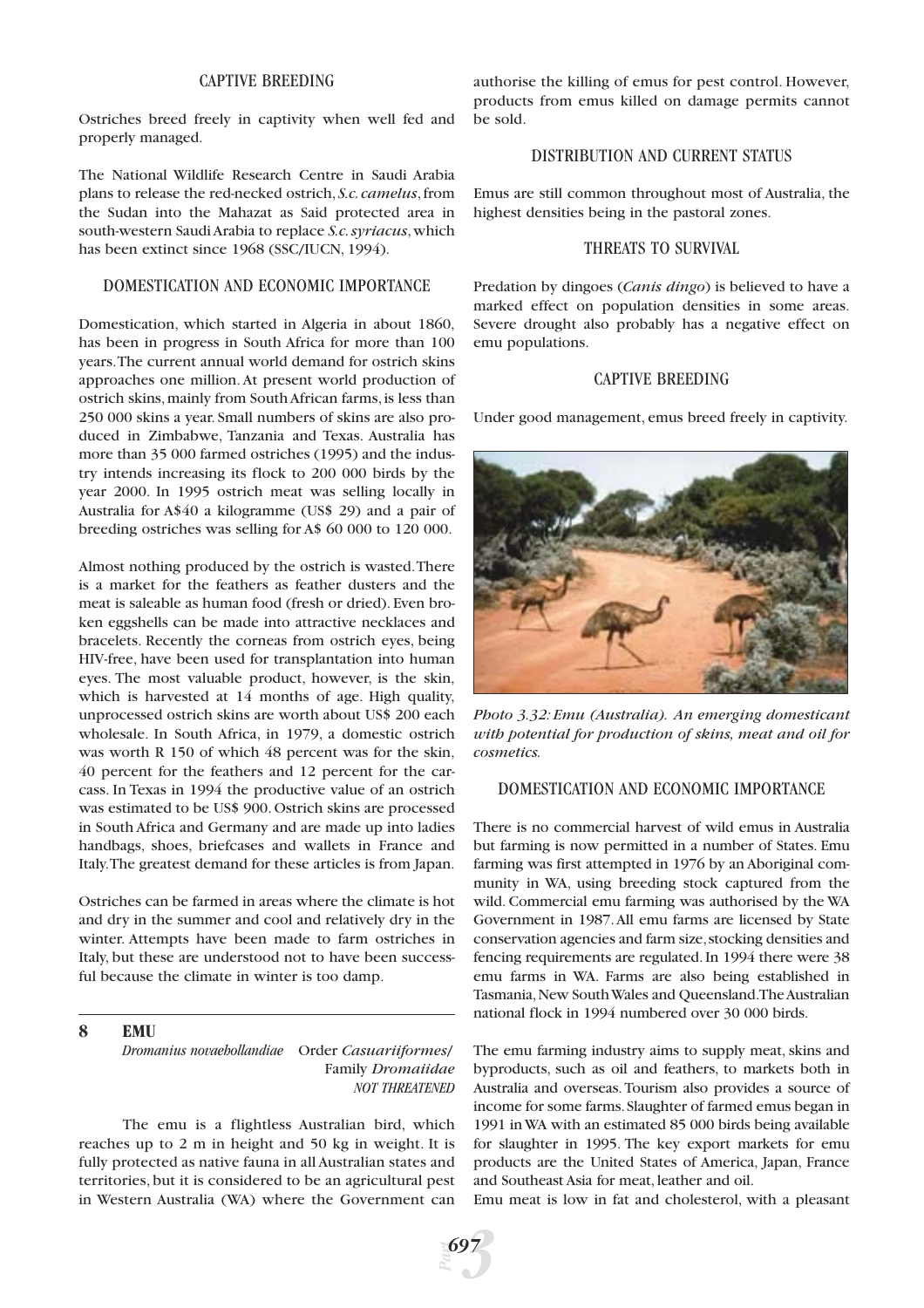# CAPTIVE BREEDING

Ostriches breed freely in captivity when well fed and properly managed.

The National Wildlife Research Centre in Saudi Arabia plans to release the red-necked ostrich, *S.c.camelus*,from the Sudan into the Mahazat as Said protected area in south-western Saudi Arabia to replace *S.c.syriacus*,which has been extinct since 1968 (SSC/IUCN, 1994).

# DOMESTICATION AND ECONOMIC IMPORTANCE

Domestication, which started in Algeria in about 1860, has been in progress in South Africa for more than 100 years.The current annual world demand for ostrich skins approaches one million. At present world production of ostrich skins, mainly from South African farms, is less than 250 000 skins a year. Small numbers of skins are also produced in Zimbabwe, Tanzania and Texas. Australia has more than 35 000 farmed ostriches (1995) and the industry intends increasing its flock to 200 000 birds by the year 2000. In 1995 ostrich meat was selling locally in Australia for A\$40 a kilogramme (US\$ 29) and a pair of breeding ostriches was selling for A\$ 60 000 to 120 000.

Almost nothing produced by the ostrich is wasted.There is a market for the feathers as feather dusters and the meat is saleable as human food (fresh or dried). Even broken eggshells can be made into attractive necklaces and bracelets. Recently the corneas from ostrich eyes, being HIV-free, have been used for transplantation into human eyes. The most valuable product, however, is the skin, which is harvested at 14 months of age. High quality, unprocessed ostrich skins are worth about US\$ 200 each wholesale. In South Africa, in 1979, a domestic ostrich was worth R 150 of which 48 percent was for the skin, 40 percent for the feathers and 12 percent for the carcass. In Texas in 1994 the productive value of an ostrich was estimated to be US\$ 900. Ostrich skins are processed in South Africa and Germany and are made up into ladies handbags, shoes, briefcases and wallets in France and Italy.The greatest demand for these articles is from Japan.

Ostriches can be farmed in areas where the climate is hot and dry in the summer and cool and relatively dry in the winter. Attempts have been made to farm ostriches in Italy, but these are understood not to have been successful because the climate in winter is too damp.

## **8 EMU**

*Dromanius novaehollandiae* Order *Casuariiformes*/ Family *Dromaiidae NOT THREATENED*

The emu is a flightless Australian bird, which reaches up to 2 m in height and 50 kg in weight. It is fully protected as native fauna in all Australian states and territories, but it is considered to be an agricultural pest in Western Australia (WA) where the Government can

authorise the killing of emus for pest control. However, products from emus killed on damage permits cannot be sold.

#### DISTRIBUTION AND CURRENT STATUS

Emus are still common throughout most of Australia, the highest densities being in the pastoral zones.

## THREATS TO SURVIVAL

Predation by dingoes (*Canis dingo*) is believed to have a marked effect on population densities in some areas. Severe drought also probably has a negative effect on emu populations.

#### CAPTIVE BREEDING

Under good management, emus breed freely in captivity.



*Photo 3.32: Emu (Australia). An emerging domesticant with potential for production of skins, meat and oil for cosmetics.*

# DOMESTICATION AND ECONOMIC IMPORTANCE

There is no commercial harvest of wild emus in Australia but farming is now permitted in a number of States. Emu farming was first attempted in 1976 by an Aboriginal community in WA, using breeding stock captured from the wild. Commercial emu farming was authorised by the WA Government in 1987.All emu farms are licensed by State conservation agencies and farm size,stocking densities and fencing requirements are regulated. In 1994 there were 38 emu farms in WA. Farms are also being established in Tasmania,New South Wales and Queensland.The Australian national flock in 1994 numbered over 30 000 birds.

The emu farming industry aims to supply meat, skins and byproducts, such as oil and feathers, to markets both in Australia and overseas.Tourism also provides a source of income for some farms.Slaughter of farmed emus began in 1991 in WA with an estimated 85 000 birds being available for slaughter in 1995. The key export markets for emu products are the United States of America, Japan, France and Southeast Asia for meat, leather and oil.

Emu meat is low in fat and cholesterol, with a pleasant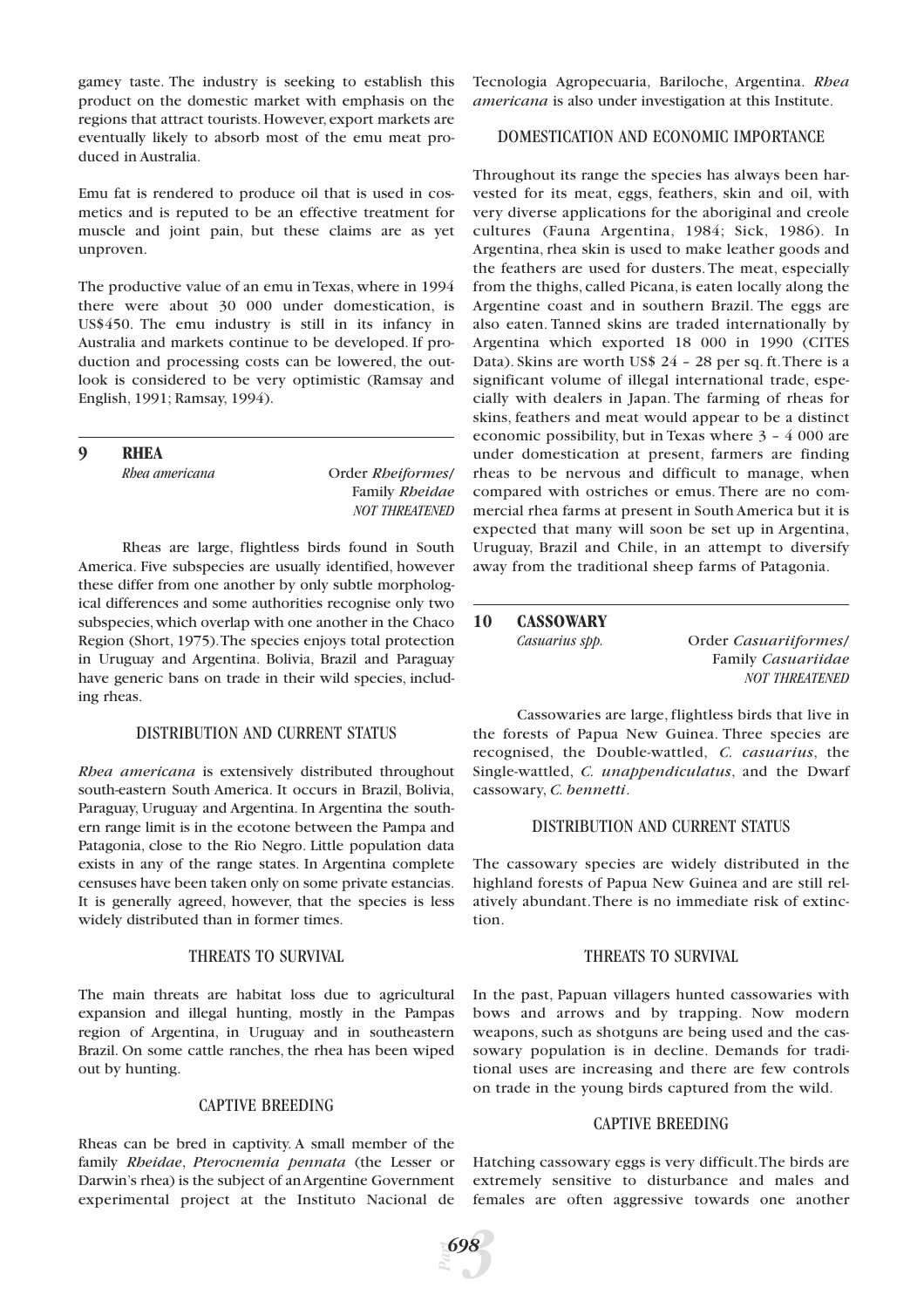gamey taste. The industry is seeking to establish this product on the domestic market with emphasis on the regions that attract tourists. However, export markets are eventually likely to absorb most of the emu meat produced in Australia.

Emu fat is rendered to produce oil that is used in cosmetics and is reputed to be an effective treatment for muscle and joint pain, but these claims are as yet unproven.

The productive value of an emu in Texas, where in 1994 there were about 30 000 under domestication, is US\$450. The emu industry is still in its infancy in Australia and markets continue to be developed. If production and processing costs can be lowered, the outlook is considered to be very optimistic (Ramsay and English, 1991; Ramsay, 1994).

**9 RHEA**

*Order Rheiformes/* Family *Rheidae NOT THREATENED*

Rheas are large, flightless birds found in South America. Five subspecies are usually identified, however these differ from one another by only subtle morphological differences and some authorities recognise only two subspecies,which overlap with one another in the Chaco Region (Short, 1975).The species enjoys total protection in Uruguay and Argentina. Bolivia, Brazil and Paraguay have generic bans on trade in their wild species, including rheas.

# DISTRIBUTION AND CURRENT STATUS

*Rhea americana* is extensively distributed throughout south-eastern South America. It occurs in Brazil, Bolivia, Paraguay, Uruguay and Argentina. In Argentina the southern range limit is in the ecotone between the Pampa and Patagonia, close to the Rio Negro. Little population data exists in any of the range states. In Argentina complete censuses have been taken only on some private estancias. It is generally agreed, however, that the species is less widely distributed than in former times.

# THREATS TO SURVIVAL

The main threats are habitat loss due to agricultural expansion and illegal hunting, mostly in the Pampas region of Argentina, in Uruguay and in southeastern Brazil. On some cattle ranches, the rhea has been wiped out by hunting.

# CAPTIVE BREEDING

Rheas can be bred in captivity. A small member of the family *Rheidae*, *Pterocnemia pennata* (the Lesser or Darwin's rhea) is the subject of an Argentine Government experimental project at the Instituto Nacional de Tecnologia Agropecuaria, Bariloche, Argentina. *Rhea americana* is also under investigation at this Institute.

# DOMESTICATION AND ECONOMIC IMPORTANCE

Throughout its range the species has always been harvested for its meat, eggs, feathers, skin and oil, with very diverse applications for the aboriginal and creole cultures (Fauna Argentina, 1984; Sick, 1986). In Argentina, rhea skin is used to make leather goods and the feathers are used for dusters. The meat, especially from the thighs, called Picana, is eaten locally along the Argentine coast and in southern Brazil. The eggs are also eaten. Tanned skins are traded internationally by Argentina which exported 18 000 in 1990 (CITES Data). Skins are worth US\$ 24 – 28 per sq. ft.There is a significant volume of illegal international trade, especially with dealers in Japan. The farming of rheas for skins, feathers and meat would appear to be a distinct economic possibility, but in Texas where 3 – 4 000 are under domestication at present, farmers are finding rheas to be nervous and difficult to manage, when compared with ostriches or emus. There are no commercial rhea farms at present in South America but it is expected that many will soon be set up in Argentina, Uruguay, Brazil and Chile, in an attempt to diversify away from the traditional sheep farms of Patagonia.

#### **10 CASSOWARY**

*Casuarius spp.* Order *Casuariiformes*/ Family *Casuariidae NOT THREATENED*

Cassowaries are large, flightless birds that live in the forests of Papua New Guinea. Three species are recognised, the Double-wattled, *C. casuarius*, the Single-wattled, *C. unappendiculatus*, and the Dwarf cassowary, *C. bennetti*.

# DISTRIBUTION AND CURRENT STATUS

The cassowary species are widely distributed in the highland forests of Papua New Guinea and are still relatively abundant.There is no immediate risk of extinction.

# THREATS TO SURVIVAL

In the past, Papuan villagers hunted cassowaries with bows and arrows and by trapping. Now modern weapons, such as shotguns are being used and the cassowary population is in decline. Demands for traditional uses are increasing and there are few controls on trade in the young birds captured from the wild.

# CAPTIVE BREEDING

Hatching cassowary eggs is very difficult.The birds are extremely sensitive to disturbance and males and females are often aggressive towards one another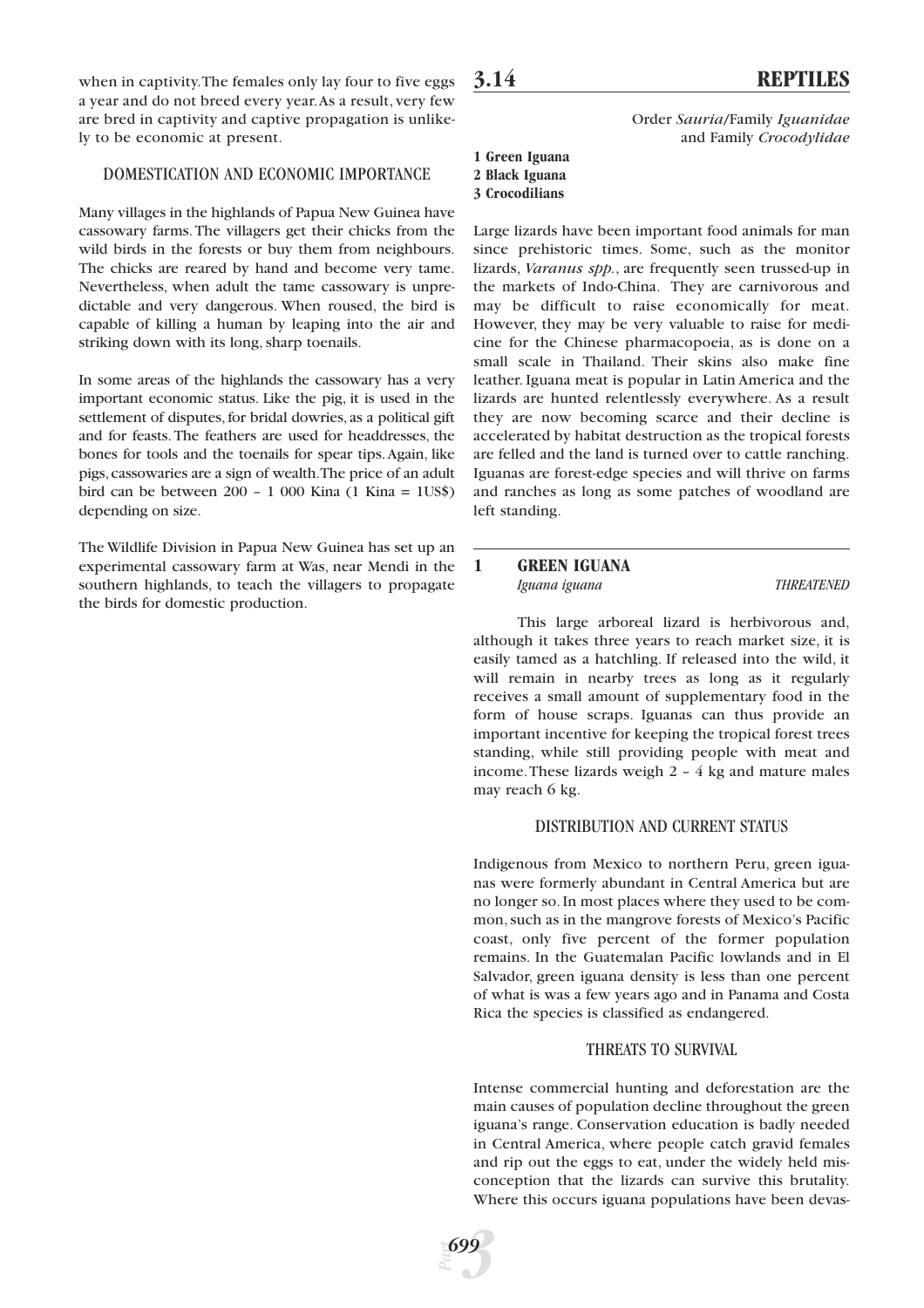when in captivity.The females only lay four to five eggs a year and do not breed every year.As a result, very few are bred in captivity and captive propagation is unlikely to be economic at present.

# DOMESTICATION AND ECONOMIC IMPORTANCE

Many villages in the highlands of Papua New Guinea have cassowary farms.The villagers get their chicks from the wild birds in the forests or buy them from neighbours. The chicks are reared by hand and become very tame. Nevertheless, when adult the tame cassowary is unpredictable and very dangerous. When roused, the bird is capable of killing a human by leaping into the air and striking down with its long, sharp toenails.

In some areas of the highlands the cassowary has a very important economic status. Like the pig, it is used in the settlement of disputes, for bridal dowries, as a political gift and for feasts. The feathers are used for headdresses, the bones for tools and the toenails for spear tips.Again, like pigs,cassowaries are a sign of wealth.The price of an adult bird can be between 200 – 1 000 Kina (1 Kina = 1US\$) depending on size.

The Wildlife Division in Papua New Guinea has set up an experimental cassowary farm at Was, near Mendi in the southern highlands, to teach the villagers to propagate the birds for domestic production.

Order *Sauria*/Family *Iguanidae* and Family *Crocodylidae*

#### **1 Green Iguana 2 Black Iguana**

# **3 Crocodilians**

Large lizards have been important food animals for man since prehistoric times. Some, such as the monitor lizards, *Varanus spp.*, are frequently seen trussed-up in the markets of Indo-China. They are carnivorous and may be difficult to raise economically for meat. However, they may be very valuable to raise for medicine for the Chinese pharmacopoeia, as is done on a small scale in Thailand. Their skins also make fine leather. Iguana meat is popular in Latin America and the lizards are hunted relentlessly everywhere. As a result they are now becoming scarce and their decline is accelerated by habitat destruction as the tropical forests are felled and the land is turned over to cattle ranching. Iguanas are forest-edge species and will thrive on farms and ranches as long as some patches of woodland are left standing.

# **1 GREEN IGUANA** *Iguana iguana THREATENED*

This large arboreal lizard is herbivorous and, although it takes three years to reach market size, it is easily tamed as a hatchling. If released into the wild, it will remain in nearby trees as long as it regularly receives a small amount of supplementary food in the form of house scraps. Iguanas can thus provide an important incentive for keeping the tropical forest trees standing, while still providing people with meat and income.These lizards weigh 2 – 4 kg and mature males may reach 6 kg.

# DISTRIBUTION AND CURRENT STATUS

Indigenous from Mexico to northern Peru, green iguanas were formerly abundant in Central America but are no longer so. In most places where they used to be common, such as in the mangrove forests of Mexico's Pacific coast, only five percent of the former population remains. In the Guatemalan Pacific lowlands and in El Salvador, green iguana density is less than one percent of what is was a few years ago and in Panama and Costa Rica the species is classified as endangered.

# THREATS TO SURVIVAL

Intense commercial hunting and deforestation are the main causes of population decline throughout the green iguana's range. Conservation education is badly needed in Central America, where people catch gravid females and rip out the eggs to eat, under the widely held misconception that the lizards can survive this brutality. Where this occurs iguana populations have been devas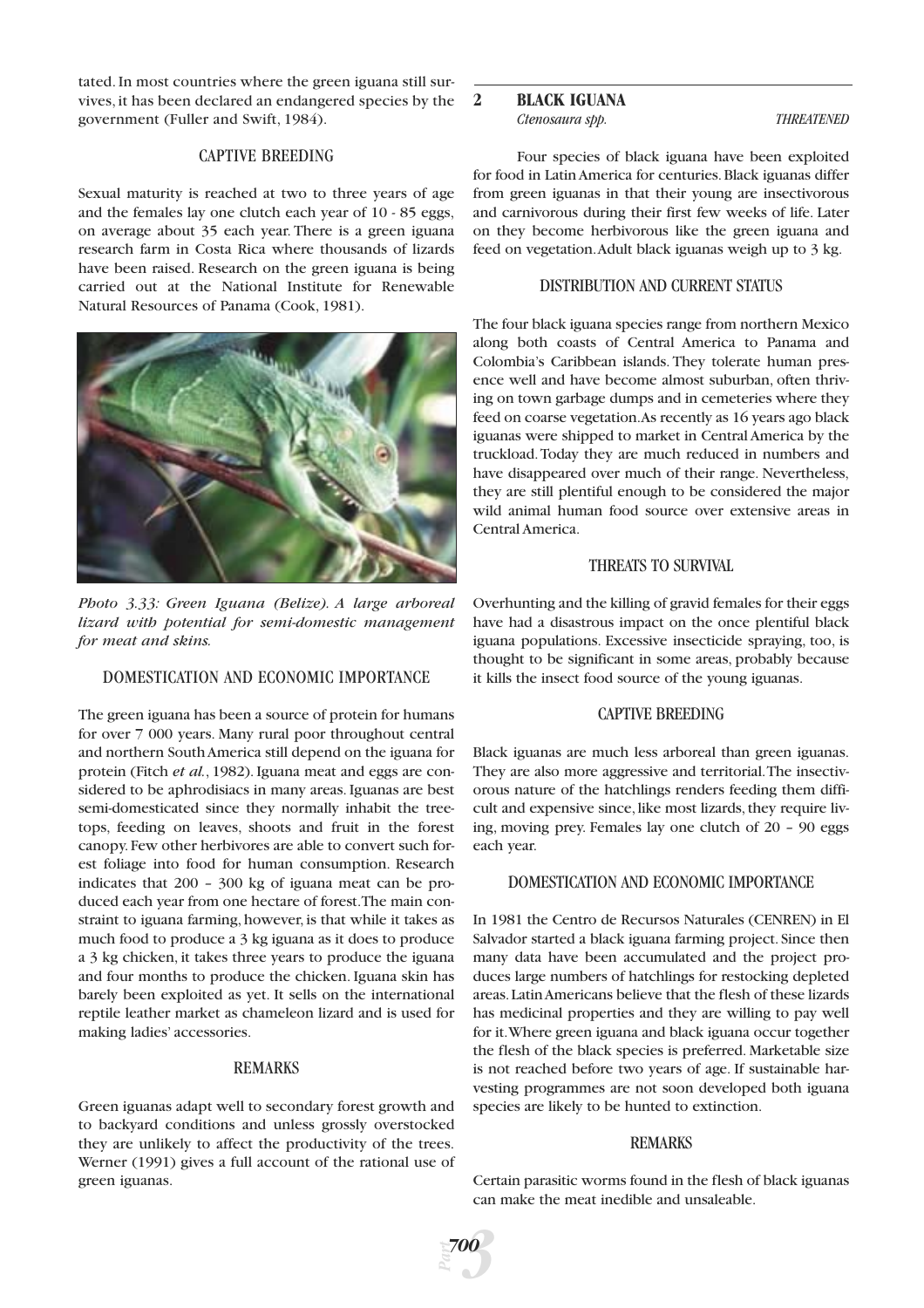tated. In most countries where the green iguana still survives, it has been declared an endangered species by the government (Fuller and Swift, 1984).

#### CAPTIVE BREEDING

Sexual maturity is reached at two to three years of age and the females lay one clutch each year of 10 - 85 eggs, on average about 35 each year. There is a green iguana research farm in Costa Rica where thousands of lizards have been raised. Research on the green iguana is being carried out at the National Institute for Renewable Natural Resources of Panama (Cook, 1981).



*Photo 3.33: Green Iguana (Belize). A large arboreal lizard with potential for semi-domestic management for meat and skins.*

# DOMESTICATION AND ECONOMIC IMPORTANCE

The green iguana has been a source of protein for humans for over 7 000 years. Many rural poor throughout central and northern South America still depend on the iguana for protein (Fitch *et al.*, 1982). Iguana meat and eggs are considered to be aphrodisiacs in many areas. Iguanas are best semi-domesticated since they normally inhabit the treetops, feeding on leaves, shoots and fruit in the forest canopy.Few other herbivores are able to convert such forest foliage into food for human consumption. Research indicates that 200 – 300 kg of iguana meat can be produced each year from one hectare of forest.The main constraint to iguana farming, however, is that while it takes as much food to produce a 3 kg iguana as it does to produce a 3 kg chicken, it takes three years to produce the iguana and four months to produce the chicken. Iguana skin has barely been exploited as yet. It sells on the international reptile leather market as chameleon lizard and is used for making ladies' accessories.

#### REMARKS

Green iguanas adapt well to secondary forest growth and to backyard conditions and unless grossly overstocked they are unlikely to affect the productivity of the trees. Werner (1991) gives a full account of the rational use of green iguanas.

### **2 BLACK IGUANA** *Ctenosaura spp. THREATENED*

Four species of black iguana have been exploited for food in Latin America for centuries.Black iguanas differ from green iguanas in that their young are insectivorous and carnivorous during their first few weeks of life. Later on they become herbivorous like the green iguana and feed on vegetation.Adult black iguanas weigh up to 3 kg.

#### DISTRIBUTION AND CURRENT STATUS

The four black iguana species range from northern Mexico along both coasts of Central America to Panama and Colombia's Caribbean islands. They tolerate human presence well and have become almost suburban, often thriving on town garbage dumps and in cemeteries where they feed on coarse vegetation.As recently as 16 years ago black iguanas were shipped to market in Central America by the truckload.Today they are much reduced in numbers and have disappeared over much of their range. Nevertheless, they are still plentiful enough to be considered the major wild animal human food source over extensive areas in Central America.

# THREATS TO SURVIVAL

Overhunting and the killing of gravid females for their eggs have had a disastrous impact on the once plentiful black iguana populations. Excessive insecticide spraying, too, is thought to be significant in some areas, probably because it kills the insect food source of the young iguanas.

#### CAPTIVE BREEDING

Black iguanas are much less arboreal than green iguanas. They are also more aggressive and territorial.The insectivorous nature of the hatchlings renders feeding them difficult and expensive since, like most lizards, they require living, moving prey. Females lay one clutch of 20 – 90 eggs each year.

#### DOMESTICATION AND ECONOMIC IMPORTANCE

In 1981 the Centro de Recursos Naturales (CENREN) in El Salvador started a black iguana farming project. Since then many data have been accumulated and the project produces large numbers of hatchlings for restocking depleted areas.Latin Americans believe that the flesh of these lizards has medicinal properties and they are willing to pay well for it.Where green iguana and black iguana occur together the flesh of the black species is preferred. Marketable size is not reached before two years of age. If sustainable harvesting programmes are not soon developed both iguana species are likely to be hunted to extinction.

#### REMARKS

Certain parasitic worms found in the flesh of black iguanas can make the meat inedible and unsaleable.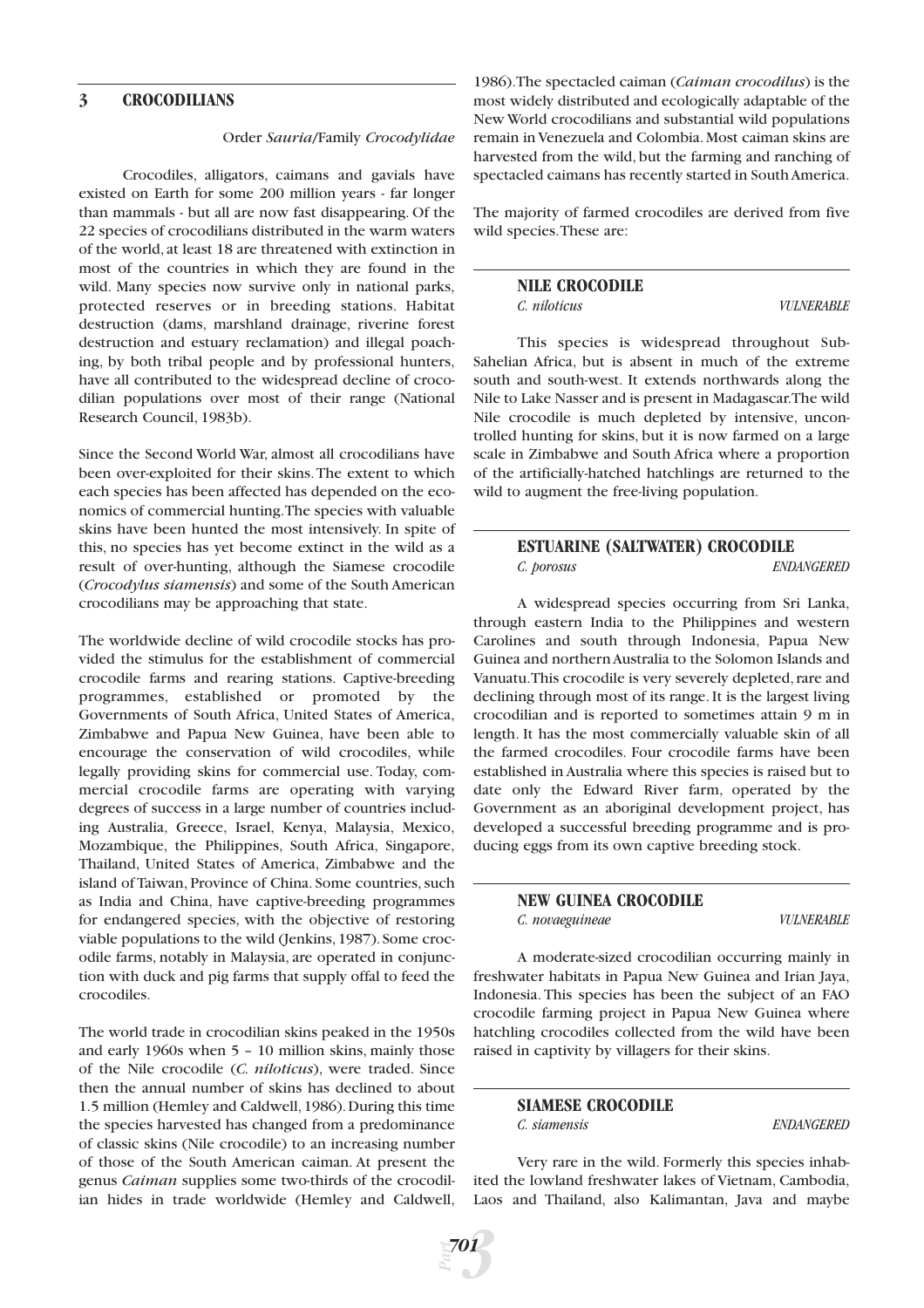#### **3 CROCODILIANS**

#### Order *Sauria*/Family *Crocodylidae*

Crocodiles, alligators, caimans and gavials have existed on Earth for some 200 million years - far longer than mammals - but all are now fast disappearing. Of the 22 species of crocodilians distributed in the warm waters of the world, at least 18 are threatened with extinction in most of the countries in which they are found in the wild. Many species now survive only in national parks, protected reserves or in breeding stations. Habitat destruction (dams, marshland drainage, riverine forest destruction and estuary reclamation) and illegal poaching, by both tribal people and by professional hunters, have all contributed to the widespread decline of crocodilian populations over most of their range (National Research Council, 1983b).

Since the Second World War, almost all crocodilians have been over-exploited for their skins.The extent to which each species has been affected has depended on the economics of commercial hunting.The species with valuable skins have been hunted the most intensively. In spite of this, no species has yet become extinct in the wild as a result of over-hunting, although the Siamese crocodile (*Crocodylus siamensis*) and some of the South American crocodilians may be approaching that state.

The worldwide decline of wild crocodile stocks has provided the stimulus for the establishment of commercial crocodile farms and rearing stations. Captive-breeding programmes, established or promoted by the Governments of South Africa, United States of America, Zimbabwe and Papua New Guinea, have been able to encourage the conservation of wild crocodiles, while legally providing skins for commercial use. Today, commercial crocodile farms are operating with varying degrees of success in a large number of countries including Australia, Greece, Israel, Kenya, Malaysia, Mexico, Mozambique, the Philippines, South Africa, Singapore, Thailand, United States of America, Zimbabwe and the island of Taiwan, Province of China. Some countries, such as India and China, have captive-breeding programmes for endangered species, with the objective of restoring viable populations to the wild (Jenkins, 1987). Some crocodile farms, notably in Malaysia, are operated in conjunction with duck and pig farms that supply offal to feed the crocodiles.

The world trade in crocodilian skins peaked in the 1950s and early 1960s when 5 – 10 million skins, mainly those of the Nile crocodile (*C. niloticus*), were traded. Since then the annual number of skins has declined to about 1.5 million (Hemley and Caldwell,1986).During this time the species harvested has changed from a predominance of classic skins (Nile crocodile) to an increasing number of those of the South American caiman. At present the genus *Caiman* supplies some two-thirds of the crocodilian hides in trade worldwide (Hemley and Caldwell,

1986).The spectacled caiman (*Caiman crocodilus*) is the most widely distributed and ecologically adaptable of the New World crocodilians and substantial wild populations remain in Venezuela and Colombia.Most caiman skins are harvested from the wild, but the farming and ranching of spectacled caimans has recently started in South America.

The majority of farmed crocodiles are derived from five wild species.These are:

#### **NILE CROCODILE** *C. niloticus VULNERABLE*

This species is widespread throughout Sub-Sahelian Africa, but is absent in much of the extreme south and south-west. It extends northwards along the Nile to Lake Nasser and is present in Madagascar.The wild Nile crocodile is much depleted by intensive, uncontrolled hunting for skins, but it is now farmed on a large scale in Zimbabwe and South Africa where a proportion of the artificially-hatched hatchlings are returned to the wild to augment the free-living population.

# **ESTUARINE (SALTWATER) CROCODILE** *C. porosus ENDANGERED*

A widespread species occurring from Sri Lanka, through eastern India to the Philippines and western Carolines and south through Indonesia, Papua New Guinea and northern Australia to the Solomon Islands and Vanuatu.This crocodile is very severely depleted,rare and declining through most of its range. It is the largest living crocodilian and is reported to sometimes attain 9 m in length. It has the most commercially valuable skin of all the farmed crocodiles. Four crocodile farms have been established in Australia where this species is raised but to date only the Edward River farm, operated by the Government as an aboriginal development project, has developed a successful breeding programme and is producing eggs from its own captive breeding stock.

#### **NEW GUINEA CROCODILE** *C. novaeguineae VULNERABLE*

A moderate-sized crocodilian occurring mainly in freshwater habitats in Papua New Guinea and Irian Jaya, Indonesia. This species has been the subject of an FAO crocodile farming project in Papua New Guinea where hatchling crocodiles collected from the wild have been raised in captivity by villagers for their skins.

# **SIAMESE CROCODILE**

*C. siamensis ENDANGERED*

Very rare in the wild. Formerly this species inhabited the lowland freshwater lakes of Vietnam, Cambodia, Laos and Thailand, also Kalimantan, Java and maybe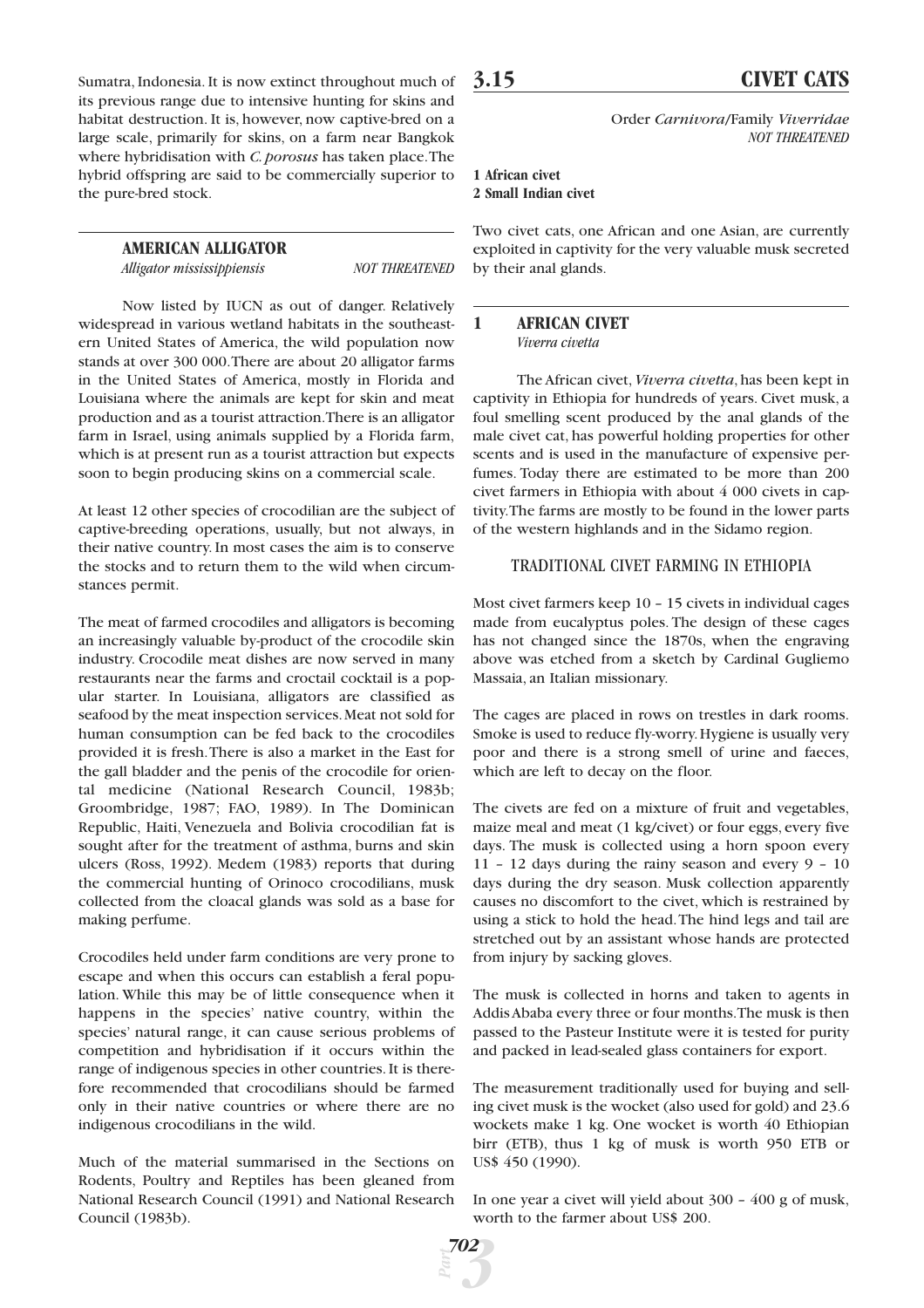Sumatra, Indonesia. It is now extinct throughout much of its previous range due to intensive hunting for skins and habitat destruction. It is, however, now captive-bred on a large scale, primarily for skins, on a farm near Bangkok where hybridisation with *C. porosus* has taken place.The hybrid offspring are said to be commercially superior to the pure-bred stock.

#### **AMERICAN ALLIGATOR**

*Alligator mississippiensis NOT THREATENED*

Now listed by IUCN as out of danger. Relatively widespread in various wetland habitats in the southeastern United States of America, the wild population now stands at over 300 000.There are about 20 alligator farms in the United States of America, mostly in Florida and Louisiana where the animals are kept for skin and meat production and as a tourist attraction.There is an alligator farm in Israel, using animals supplied by a Florida farm, which is at present run as a tourist attraction but expects soon to begin producing skins on a commercial scale.

At least 12 other species of crocodilian are the subject of captive-breeding operations, usually, but not always, in their native country. In most cases the aim is to conserve the stocks and to return them to the wild when circumstances permit.

The meat of farmed crocodiles and alligators is becoming an increasingly valuable by-product of the crocodile skin industry. Crocodile meat dishes are now served in many restaurants near the farms and croctail cocktail is a popular starter. In Louisiana, alligators are classified as seafood by the meat inspection services.Meat not sold for human consumption can be fed back to the crocodiles provided it is fresh.There is also a market in the East for the gall bladder and the penis of the crocodile for oriental medicine (National Research Council, 1983b; Groombridge, 1987; FAO, 1989). In The Dominican Republic, Haiti, Venezuela and Bolivia crocodilian fat is sought after for the treatment of asthma, burns and skin ulcers (Ross, 1992). Medem (1983) reports that during the commercial hunting of Orinoco crocodilians, musk collected from the cloacal glands was sold as a base for making perfume.

Crocodiles held under farm conditions are very prone to escape and when this occurs can establish a feral population. While this may be of little consequence when it happens in the species' native country, within the species' natural range, it can cause serious problems of competition and hybridisation if it occurs within the range of indigenous species in other countries. It is therefore recommended that crocodilians should be farmed only in their native countries or where there are no indigenous crocodilians in the wild.

Much of the material summarised in the Sections on Rodents, Poultry and Reptiles has been gleaned from National Research Council (1991) and National Research Council (1983b).

*Part*

*3*

*702*

Order *Carnivora*/Family *Viverridae NOT THREATENED*

# **1 African civet 2 Small Indian civet**

Two civet cats, one African and one Asian, are currently exploited in captivity for the very valuable musk secreted by their anal glands.

#### **1 AFRICAN CIVET** *Viverra civetta*

The African civet,*Viverra civetta*, has been kept in captivity in Ethiopia for hundreds of years. Civet musk, a foul smelling scent produced by the anal glands of the male civet cat, has powerful holding properties for other scents and is used in the manufacture of expensive perfumes. Today there are estimated to be more than 200 civet farmers in Ethiopia with about 4 000 civets in captivity.The farms are mostly to be found in the lower parts of the western highlands and in the Sidamo region.

# TRADITIONAL CIVET FARMING IN ETHIOPIA

Most civet farmers keep 10 – 15 civets in individual cages made from eucalyptus poles. The design of these cages has not changed since the 1870s, when the engraving above was etched from a sketch by Cardinal Gugliemo Massaia, an Italian missionary.

The cages are placed in rows on trestles in dark rooms. Smoke is used to reduce fly-worry.Hygiene is usually very poor and there is a strong smell of urine and faeces, which are left to decay on the floor.

The civets are fed on a mixture of fruit and vegetables, maize meal and meat (1 kg/civet) or four eggs, every five days. The musk is collected using a horn spoon every 11 – 12 days during the rainy season and every 9 – 10 days during the dry season. Musk collection apparently causes no discomfort to the civet, which is restrained by using a stick to hold the head.The hind legs and tail are stretched out by an assistant whose hands are protected from injury by sacking gloves.

The musk is collected in horns and taken to agents in Addis Ababa every three or four months.The musk is then passed to the Pasteur Institute were it is tested for purity and packed in lead-sealed glass containers for export.

The measurement traditionally used for buying and selling civet musk is the wocket (also used for gold) and 23.6 wockets make 1 kg. One wocket is worth 40 Ethiopian birr (ETB), thus 1 kg of musk is worth 950 ETB or US\$ 450 (1990).

In one year a civet will yield about 300 – 400 g of musk, worth to the farmer about US\$ 200.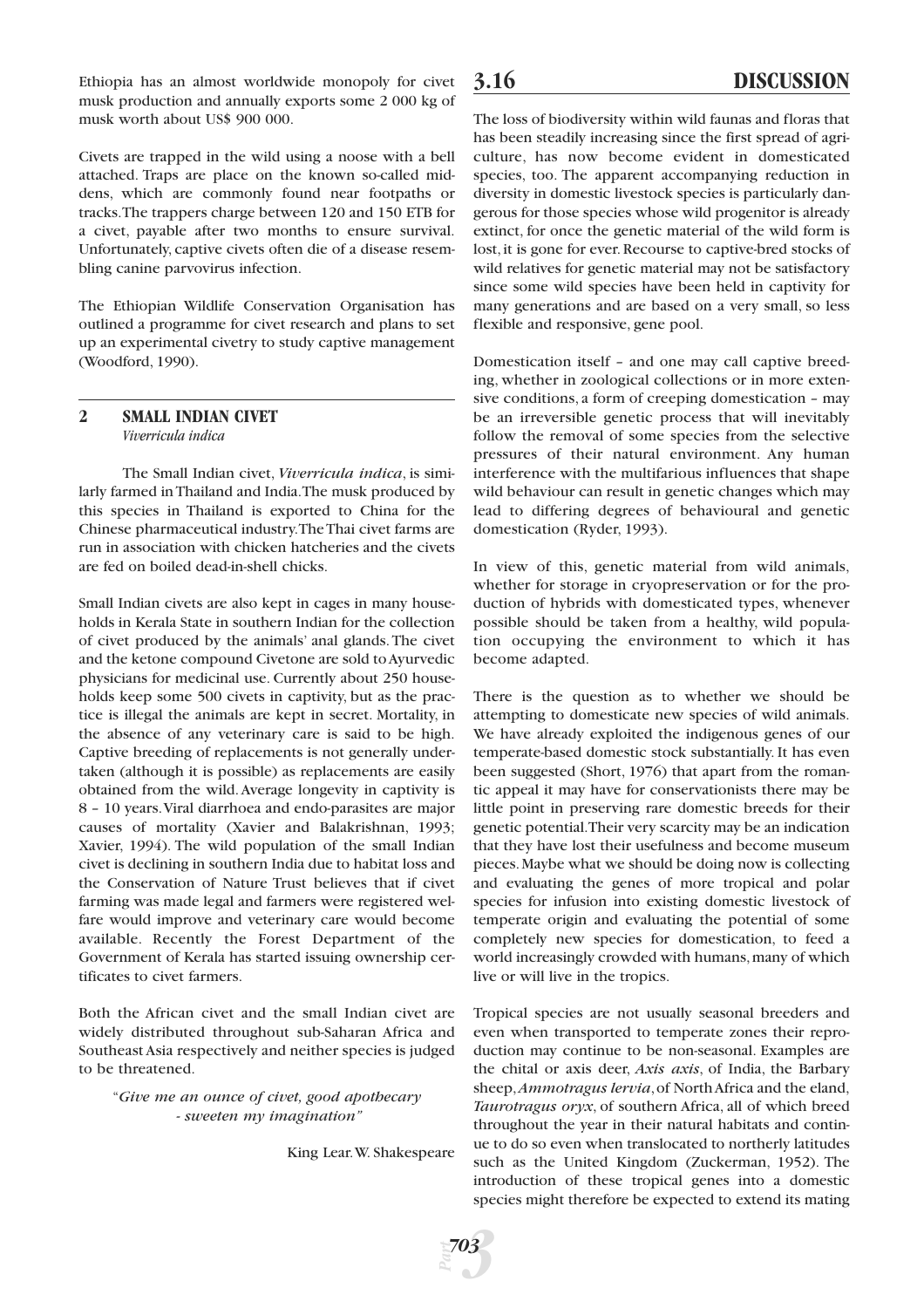Ethiopia has an almost worldwide monopoly for civet musk production and annually exports some 2 000 kg of musk worth about US\$ 900 000.

Civets are trapped in the wild using a noose with a bell attached. Traps are place on the known so-called middens, which are commonly found near footpaths or tracks.The trappers charge between 120 and 150 ETB for a civet, payable after two months to ensure survival. Unfortunately, captive civets often die of a disease resembling canine parvovirus infection.

The Ethiopian Wildlife Conservation Organisation has outlined a programme for civet research and plans to set up an experimental civetry to study captive management (Woodford, 1990).

## **2 SMALL INDIAN CIVET** *Viverricula indica*

The Small Indian civet, *Viverricula indica*, is similarly farmed in Thailand and India.The musk produced by this species in Thailand is exported to China for the Chinese pharmaceutical industry.The Thai civet farms are run in association with chicken hatcheries and the civets are fed on boiled dead-in-shell chicks.

Small Indian civets are also kept in cages in many households in Kerala State in southern Indian for the collection of civet produced by the animals' anal glands.The civet and the ketone compound Civetone are sold to Ayurvedic physicians for medicinal use. Currently about 250 households keep some 500 civets in captivity, but as the practice is illegal the animals are kept in secret. Mortality, in the absence of any veterinary care is said to be high. Captive breeding of replacements is not generally undertaken (although it is possible) as replacements are easily obtained from the wild.Average longevity in captivity is 8 – 10 years.Viral diarrhoea and endo-parasites are major causes of mortality (Xavier and Balakrishnan, 1993; Xavier, 1994). The wild population of the small Indian civet is declining in southern India due to habitat loss and the Conservation of Nature Trust believes that if civet farming was made legal and farmers were registered welfare would improve and veterinary care would become available. Recently the Forest Department of the Government of Kerala has started issuing ownership certificates to civet farmers.

Both the African civet and the small Indian civet are widely distributed throughout sub-Saharan Africa and Southeast Asia respectively and neither species is judged to be threatened.

#### "*Give me an ounce of civet, good apothecary - sweeten my imagination"*

King Lear.W. Shakespeare

The loss of biodiversity within wild faunas and floras that has been steadily increasing since the first spread of agriculture, has now become evident in domesticated species, too. The apparent accompanying reduction in diversity in domestic livestock species is particularly dangerous for those species whose wild progenitor is already extinct, for once the genetic material of the wild form is lost, it is gone for ever. Recourse to captive-bred stocks of wild relatives for genetic material may not be satisfactory since some wild species have been held in captivity for many generations and are based on a very small, so less flexible and responsive, gene pool.

Domestication itself – and one may call captive breeding, whether in zoological collections or in more extensive conditions, a form of creeping domestication – may be an irreversible genetic process that will inevitably follow the removal of some species from the selective pressures of their natural environment. Any human interference with the multifarious influences that shape wild behaviour can result in genetic changes which may lead to differing degrees of behavioural and genetic domestication (Ryder, 1993).

In view of this, genetic material from wild animals, whether for storage in cryopreservation or for the production of hybrids with domesticated types, whenever possible should be taken from a healthy, wild population occupying the environment to which it has become adapted.

There is the question as to whether we should be attempting to domesticate new species of wild animals. We have already exploited the indigenous genes of our temperate-based domestic stock substantially. It has even been suggested (Short, 1976) that apart from the romantic appeal it may have for conservationists there may be little point in preserving rare domestic breeds for their genetic potential.Their very scarcity may be an indication that they have lost their usefulness and become museum pieces.Maybe what we should be doing now is collecting and evaluating the genes of more tropical and polar species for infusion into existing domestic livestock of temperate origin and evaluating the potential of some completely new species for domestication, to feed a world increasingly crowded with humans, many of which live or will live in the tropics.

Tropical species are not usually seasonal breeders and even when transported to temperate zones their reproduction may continue to be non-seasonal. Examples are the chital or axis deer, *Axis axis*, of India, the Barbary sheep, *Ammotragus lervia*, of North Africa and the eland, *Taurotragus oryx*, of southern Africa, all of which breed throughout the year in their natural habitats and continue to do so even when translocated to northerly latitudes such as the United Kingdom (Zuckerman, 1952). The introduction of these tropical genes into a domestic species might therefore be expected to extend its mating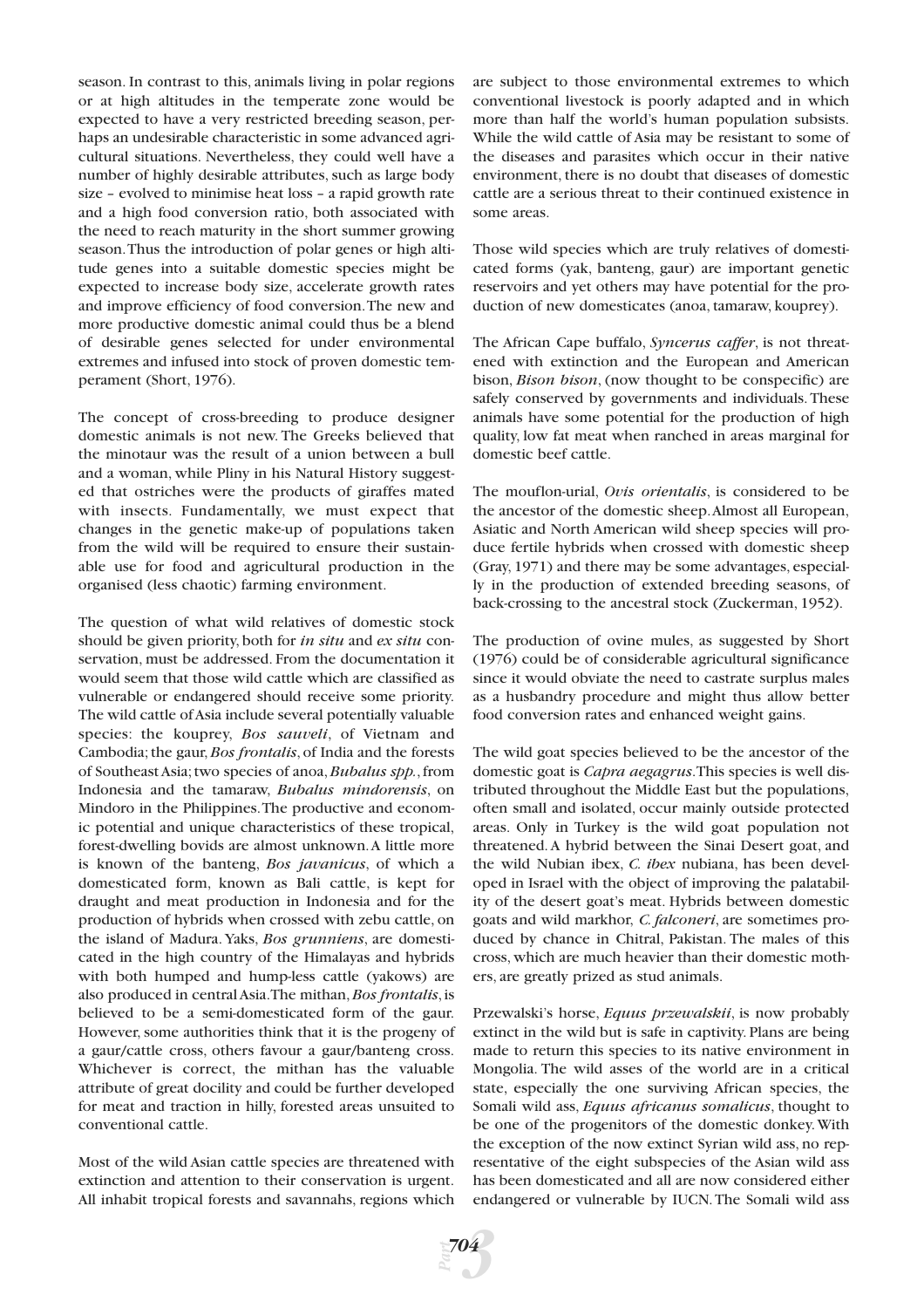season. In contrast to this, animals living in polar regions or at high altitudes in the temperate zone would be expected to have a very restricted breeding season, perhaps an undesirable characteristic in some advanced agricultural situations. Nevertheless, they could well have a number of highly desirable attributes, such as large body size – evolved to minimise heat loss – a rapid growth rate and a high food conversion ratio, both associated with the need to reach maturity in the short summer growing season.Thus the introduction of polar genes or high altitude genes into a suitable domestic species might be expected to increase body size, accelerate growth rates and improve efficiency of food conversion.The new and more productive domestic animal could thus be a blend of desirable genes selected for under environmental extremes and infused into stock of proven domestic temperament (Short, 1976).

The concept of cross-breeding to produce designer domestic animals is not new. The Greeks believed that the minotaur was the result of a union between a bull and a woman, while Pliny in his Natural History suggested that ostriches were the products of giraffes mated with insects. Fundamentally, we must expect that changes in the genetic make-up of populations taken from the wild will be required to ensure their sustainable use for food and agricultural production in the organised (less chaotic) farming environment.

The question of what wild relatives of domestic stock should be given priority, both for *in situ* and *ex situ* conservation, must be addressed. From the documentation it would seem that those wild cattle which are classified as vulnerable or endangered should receive some priority. The wild cattle of Asia include several potentially valuable species: the kouprey, *Bos sauveli*, of Vietnam and Cambodia; the gaur,*Bos frontalis*, of India and the forests of Southeast Asia;two species of anoa,*Bubalus spp.*,from Indonesia and the tamaraw, *Bubalus mindorensis*, on Mindoro in the Philippines.The productive and economic potential and unique characteristics of these tropical, forest-dwelling bovids are almost unknown.A little more is known of the banteng, *Bos javanicus*, of which a domesticated form, known as Bali cattle, is kept for draught and meat production in Indonesia and for the production of hybrids when crossed with zebu cattle, on the island of Madura. Yaks, *Bos grunniens*, are domesticated in the high country of the Himalayas and hybrids with both humped and hump-less cattle (yakows) are also produced in central Asia.The mithan,*Bos frontalis*,is believed to be a semi-domesticated form of the gaur. However, some authorities think that it is the progeny of a gaur/cattle cross, others favour a gaur/banteng cross. Whichever is correct, the mithan has the valuable attribute of great docility and could be further developed for meat and traction in hilly, forested areas unsuited to conventional cattle.

Most of the wild Asian cattle species are threatened with extinction and attention to their conservation is urgent. All inhabit tropical forests and savannahs, regions which are subject to those environmental extremes to which conventional livestock is poorly adapted and in which more than half the world's human population subsists. While the wild cattle of Asia may be resistant to some of the diseases and parasites which occur in their native environment, there is no doubt that diseases of domestic cattle are a serious threat to their continued existence in some areas.

Those wild species which are truly relatives of domesticated forms (yak, banteng, gaur) are important genetic reservoirs and yet others may have potential for the production of new domesticates (anoa, tamaraw, kouprey).

The African Cape buffalo, *Syncerus caffer*, is not threatened with extinction and the European and American bison, *Bison bison*, (now thought to be conspecific) are safely conserved by governments and individuals. These animals have some potential for the production of high quality, low fat meat when ranched in areas marginal for domestic beef cattle.

The mouflon-urial, *Ovis orientalis*, is considered to be the ancestor of the domestic sheep.Almost all European, Asiatic and North American wild sheep species will produce fertile hybrids when crossed with domestic sheep (Gray, 1971) and there may be some advantages, especially in the production of extended breeding seasons, of back-crossing to the ancestral stock (Zuckerman, 1952).

The production of ovine mules, as suggested by Short (1976) could be of considerable agricultural significance since it would obviate the need to castrate surplus males as a husbandry procedure and might thus allow better food conversion rates and enhanced weight gains.

The wild goat species believed to be the ancestor of the domestic goat is *Capra aegagrus*.This species is well distributed throughout the Middle East but the populations, often small and isolated, occur mainly outside protected areas. Only in Turkey is the wild goat population not threatened. A hybrid between the Sinai Desert goat, and the wild Nubian ibex, *C. ibex* nubiana, has been developed in Israel with the object of improving the palatability of the desert goat's meat. Hybrids between domestic goats and wild markhor, *C. falconeri*, are sometimes produced by chance in Chitral, Pakistan. The males of this cross, which are much heavier than their domestic mothers, are greatly prized as stud animals.

Przewalski's horse, *Equus przewalskii*, is now probably extinct in the wild but is safe in captivity. Plans are being made to return this species to its native environment in Mongolia. The wild asses of the world are in a critical state, especially the one surviving African species, the Somali wild ass, *Equus africanus somalicus*, thought to be one of the progenitors of the domestic donkey. With the exception of the now extinct Syrian wild ass, no representative of the eight subspecies of the Asian wild ass has been domesticated and all are now considered either endangered or vulnerable by IUCN.The Somali wild ass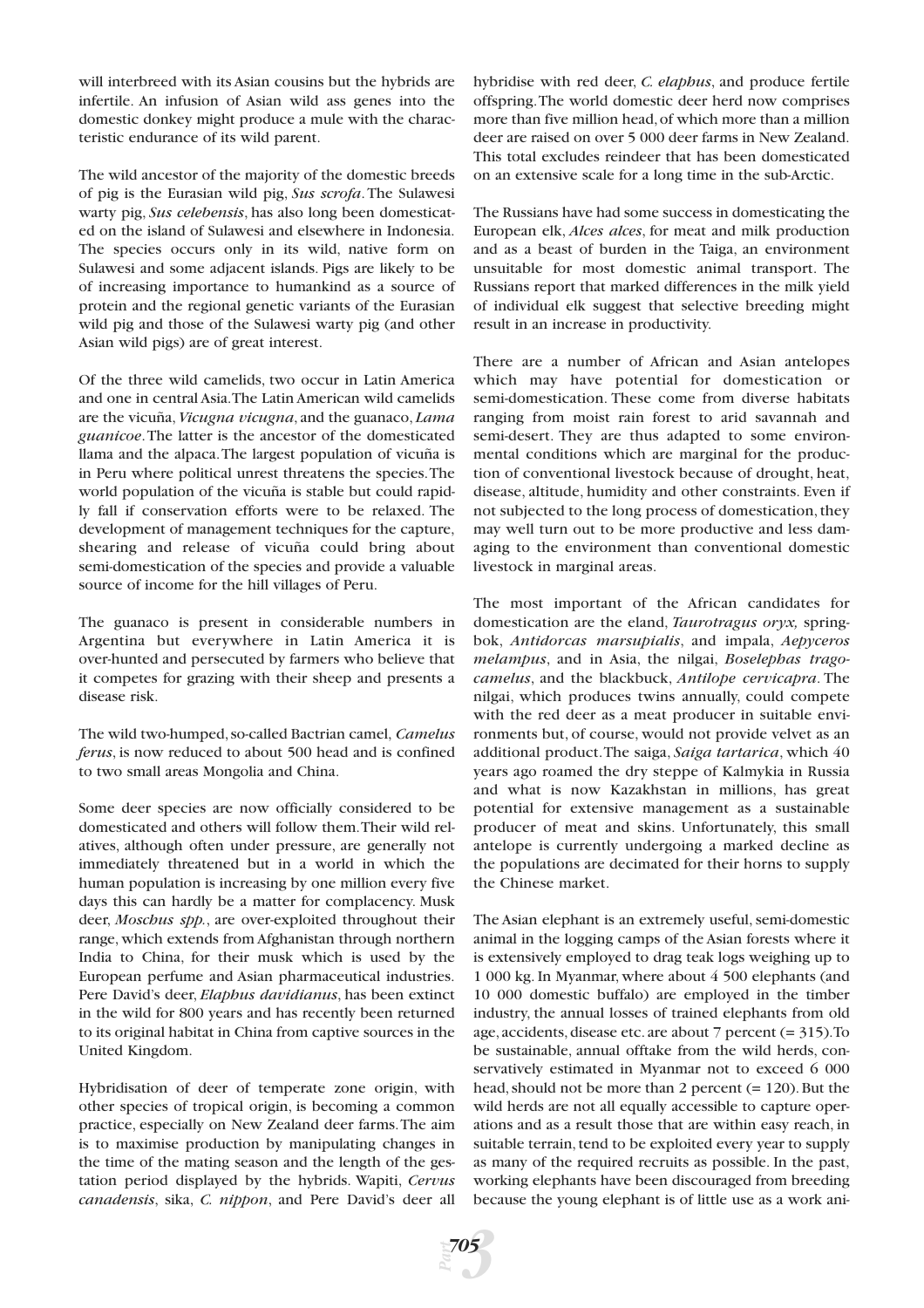will interbreed with its Asian cousins but the hybrids are infertile. An infusion of Asian wild ass genes into the domestic donkey might produce a mule with the characteristic endurance of its wild parent.

The wild ancestor of the majority of the domestic breeds of pig is the Eurasian wild pig, *Sus scrofa*.The Sulawesi warty pig, *Sus celebensis*, has also long been domesticated on the island of Sulawesi and elsewhere in Indonesia. The species occurs only in its wild, native form on Sulawesi and some adjacent islands. Pigs are likely to be of increasing importance to humankind as a source of protein and the regional genetic variants of the Eurasian wild pig and those of the Sulawesi warty pig (and other Asian wild pigs) are of great interest.

Of the three wild camelids, two occur in Latin America and one in central Asia.The Latin American wild camelids are the vicuña,*Vicugna vicugna*, and the guanaco, *Lama guanicoe*.The latter is the ancestor of the domesticated llama and the alpaca.The largest population of vicuña is in Peru where political unrest threatens the species.The world population of the vicuña is stable but could rapidly fall if conservation efforts were to be relaxed. The development of management techniques for the capture, shearing and release of vicuña could bring about semi-domestication of the species and provide a valuable source of income for the hill villages of Peru.

The guanaco is present in considerable numbers in Argentina but everywhere in Latin America it is over-hunted and persecuted by farmers who believe that it competes for grazing with their sheep and presents a disease risk.

The wild two-humped,so-called Bactrian camel, *Camelus ferus*, is now reduced to about 500 head and is confined to two small areas Mongolia and China.

Some deer species are now officially considered to be domesticated and others will follow them.Their wild relatives, although often under pressure, are generally not immediately threatened but in a world in which the human population is increasing by one million every five days this can hardly be a matter for complacency. Musk deer, *Moschus spp.*, are over-exploited throughout their range, which extends from Afghanistan through northern India to China, for their musk which is used by the European perfume and Asian pharmaceutical industries. Pere David's deer, *Elaphus davidianus*, has been extinct in the wild for 800 years and has recently been returned to its original habitat in China from captive sources in the United Kingdom.

Hybridisation of deer of temperate zone origin, with other species of tropical origin, is becoming a common practice, especially on New Zealand deer farms.The aim is to maximise production by manipulating changes in the time of the mating season and the length of the gestation period displayed by the hybrids. Wapiti, *Cervus canadensis*, sika, *C. nippon*, and Pere David's deer all

hybridise with red deer, *C. elaphus*, and produce fertile offspring.The world domestic deer herd now comprises more than five million head,of which more than a million deer are raised on over 5 000 deer farms in New Zealand. This total excludes reindeer that has been domesticated on an extensive scale for a long time in the sub-Arctic.

The Russians have had some success in domesticating the European elk, *Alces alces*, for meat and milk production and as a beast of burden in the Taiga, an environment unsuitable for most domestic animal transport. The Russians report that marked differences in the milk yield of individual elk suggest that selective breeding might result in an increase in productivity.

There are a number of African and Asian antelopes which may have potential for domestication or semi-domestication. These come from diverse habitats ranging from moist rain forest to arid savannah and semi-desert. They are thus adapted to some environmental conditions which are marginal for the production of conventional livestock because of drought, heat, disease, altitude, humidity and other constraints. Even if not subjected to the long process of domestication, they may well turn out to be more productive and less damaging to the environment than conventional domestic livestock in marginal areas.

The most important of the African candidates for domestication are the eland, *Taurotragus oryx,* springbok, *Antidorcas marsupialis*, and impala, *Aepyceros melampus*, and in Asia, the nilgai, *Boselephas tragocamelus*, and the blackbuck, *Antilope cervicapra*. The nilgai, which produces twins annually, could compete with the red deer as a meat producer in suitable environments but, of course, would not provide velvet as an additional product.The saiga, *Saiga tartarica*, which 40 years ago roamed the dry steppe of Kalmykia in Russia and what is now Kazakhstan in millions, has great potential for extensive management as a sustainable producer of meat and skins. Unfortunately, this small antelope is currently undergoing a marked decline as the populations are decimated for their horns to supply the Chinese market.

The Asian elephant is an extremely useful, semi-domestic animal in the logging camps of the Asian forests where it is extensively employed to drag teak logs weighing up to 1 000 kg. In Myanmar, where about 4 500 elephants (and 10 000 domestic buffalo) are employed in the timber industry, the annual losses of trained elephants from old age,accidents,disease etc.are about 7 percent (= 315).To be sustainable, annual offtake from the wild herds, conservatively estimated in Myanmar not to exceed 6 000 head, should not be more than 2 percent (= 120). But the wild herds are not all equally accessible to capture operations and as a result those that are within easy reach, in suitable terrain, tend to be exploited every year to supply as many of the required recruits as possible. In the past, working elephants have been discouraged from breeding because the young elephant is of little use as a work ani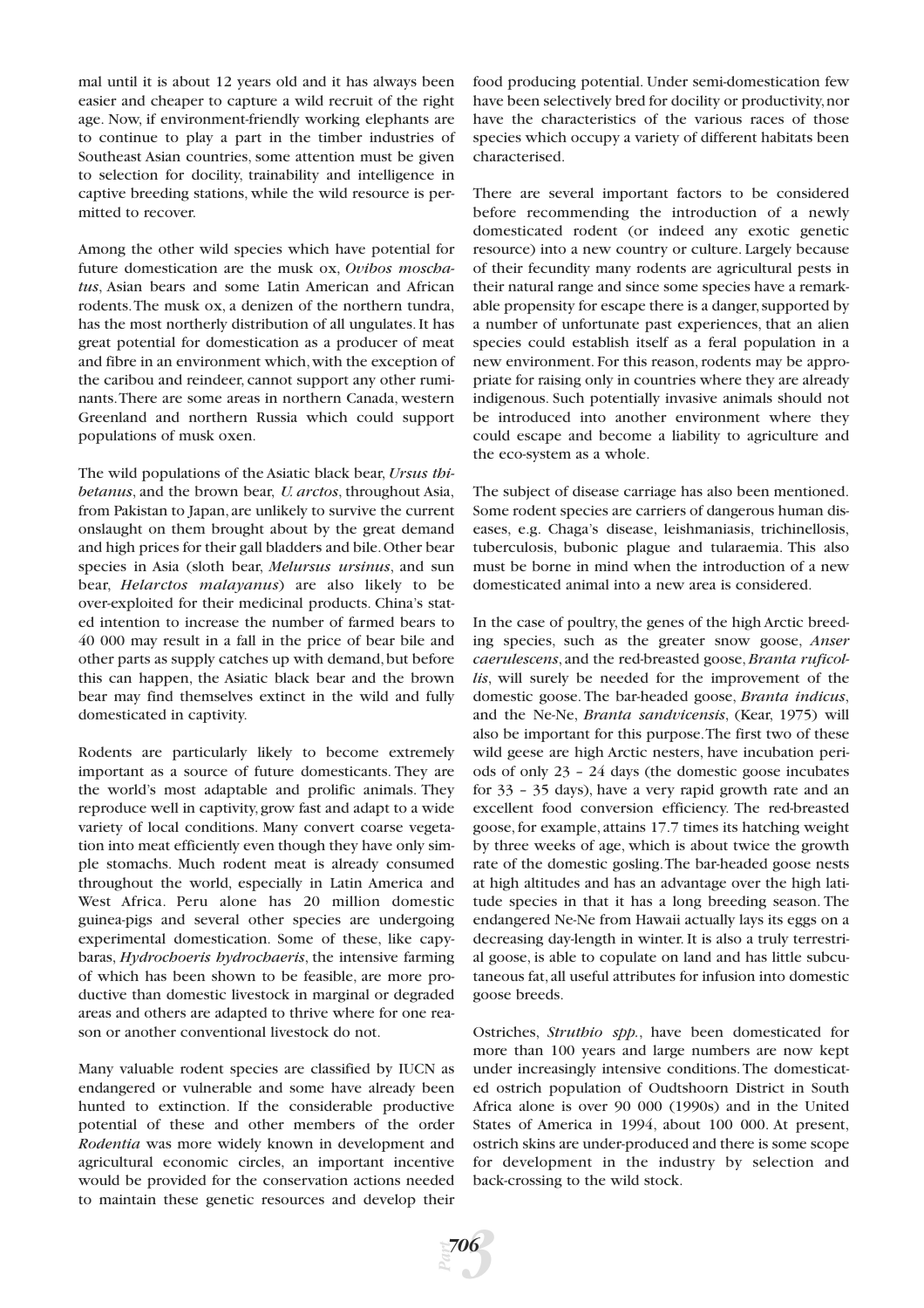mal until it is about 12 years old and it has always been easier and cheaper to capture a wild recruit of the right age. Now, if environment-friendly working elephants are to continue to play a part in the timber industries of Southeast Asian countries, some attention must be given to selection for docility, trainability and intelligence in captive breeding stations, while the wild resource is permitted to recover.

Among the other wild species which have potential for future domestication are the musk ox, *Ovibos moschatus*, Asian bears and some Latin American and African rodents.The musk ox, a denizen of the northern tundra, has the most northerly distribution of all ungulates. It has great potential for domestication as a producer of meat and fibre in an environment which, with the exception of the caribou and reindeer, cannot support any other ruminants.There are some areas in northern Canada, western Greenland and northern Russia which could support populations of musk oxen.

The wild populations of the Asiatic black bear, *Ursus thibetanus*, and the brown bear, *U. arctos*, throughout Asia, from Pakistan to Japan, are unlikely to survive the current onslaught on them brought about by the great demand and high prices for their gall bladders and bile.Other bear species in Asia (sloth bear, *Melursus ursinus*, and sun bear, *Helarctos malayanus*) are also likely to be over-exploited for their medicinal products. China's stated intention to increase the number of farmed bears to 40 000 may result in a fall in the price of bear bile and other parts as supply catches up with demand,but before this can happen, the Asiatic black bear and the brown bear may find themselves extinct in the wild and fully domesticated in captivity.

Rodents are particularly likely to become extremely important as a source of future domesticants. They are the world's most adaptable and prolific animals. They reproduce well in captivity, grow fast and adapt to a wide variety of local conditions. Many convert coarse vegetation into meat efficiently even though they have only simple stomachs. Much rodent meat is already consumed throughout the world, especially in Latin America and West Africa. Peru alone has 20 million domestic guinea-pigs and several other species are undergoing experimental domestication. Some of these, like capybaras, *Hydrochoeris hydrochaeris*, the intensive farming of which has been shown to be feasible, are more productive than domestic livestock in marginal or degraded areas and others are adapted to thrive where for one reason or another conventional livestock do not.

Many valuable rodent species are classified by IUCN as endangered or vulnerable and some have already been hunted to extinction. If the considerable productive potential of these and other members of the order *Rodentia* was more widely known in development and agricultural economic circles, an important incentive would be provided for the conservation actions needed to maintain these genetic resources and develop their

food producing potential. Under semi-domestication few have been selectively bred for docility or productivity,nor have the characteristics of the various races of those species which occupy a variety of different habitats been characterised.

There are several important factors to be considered before recommending the introduction of a newly domesticated rodent (or indeed any exotic genetic resource) into a new country or culture. Largely because of their fecundity many rodents are agricultural pests in their natural range and since some species have a remarkable propensity for escape there is a danger, supported by a number of unfortunate past experiences, that an alien species could establish itself as a feral population in a new environment. For this reason, rodents may be appropriate for raising only in countries where they are already indigenous. Such potentially invasive animals should not be introduced into another environment where they could escape and become a liability to agriculture and the eco-system as a whole.

The subject of disease carriage has also been mentioned. Some rodent species are carriers of dangerous human diseases, e.g. Chaga's disease, leishmaniasis, trichinellosis, tuberculosis, bubonic plague and tularaemia. This also must be borne in mind when the introduction of a new domesticated animal into a new area is considered.

In the case of poultry, the genes of the high Arctic breeding species, such as the greater snow goose, *Anser caerulescens*, and the red-breasted goose,*Branta ruficollis*, will surely be needed for the improvement of the domestic goose. The bar-headed goose, *Branta indicus*, and the Ne-Ne, *Branta sandvicensis*, (Kear, 1975) will also be important for this purpose.The first two of these wild geese are high Arctic nesters, have incubation periods of only 23 – 24 days (the domestic goose incubates for 33 – 35 days), have a very rapid growth rate and an excellent food conversion efficiency. The red-breasted goose, for example, attains 17.7 times its hatching weight by three weeks of age, which is about twice the growth rate of the domestic gosling.The bar-headed goose nests at high altitudes and has an advantage over the high latitude species in that it has a long breeding season. The endangered Ne-Ne from Hawaii actually lays its eggs on a decreasing day-length in winter. It is also a truly terrestrial goose, is able to copulate on land and has little subcutaneous fat,all useful attributes for infusion into domestic goose breeds.

Ostriches, *Struthio spp.*, have been domesticated for more than 100 years and large numbers are now kept under increasingly intensive conditions.The domesticated ostrich population of Oudtshoorn District in South Africa alone is over 90 000 (1990s) and in the United States of America in 1994, about 100 000. At present, ostrich skins are under-produced and there is some scope for development in the industry by selection and back-crossing to the wild stock.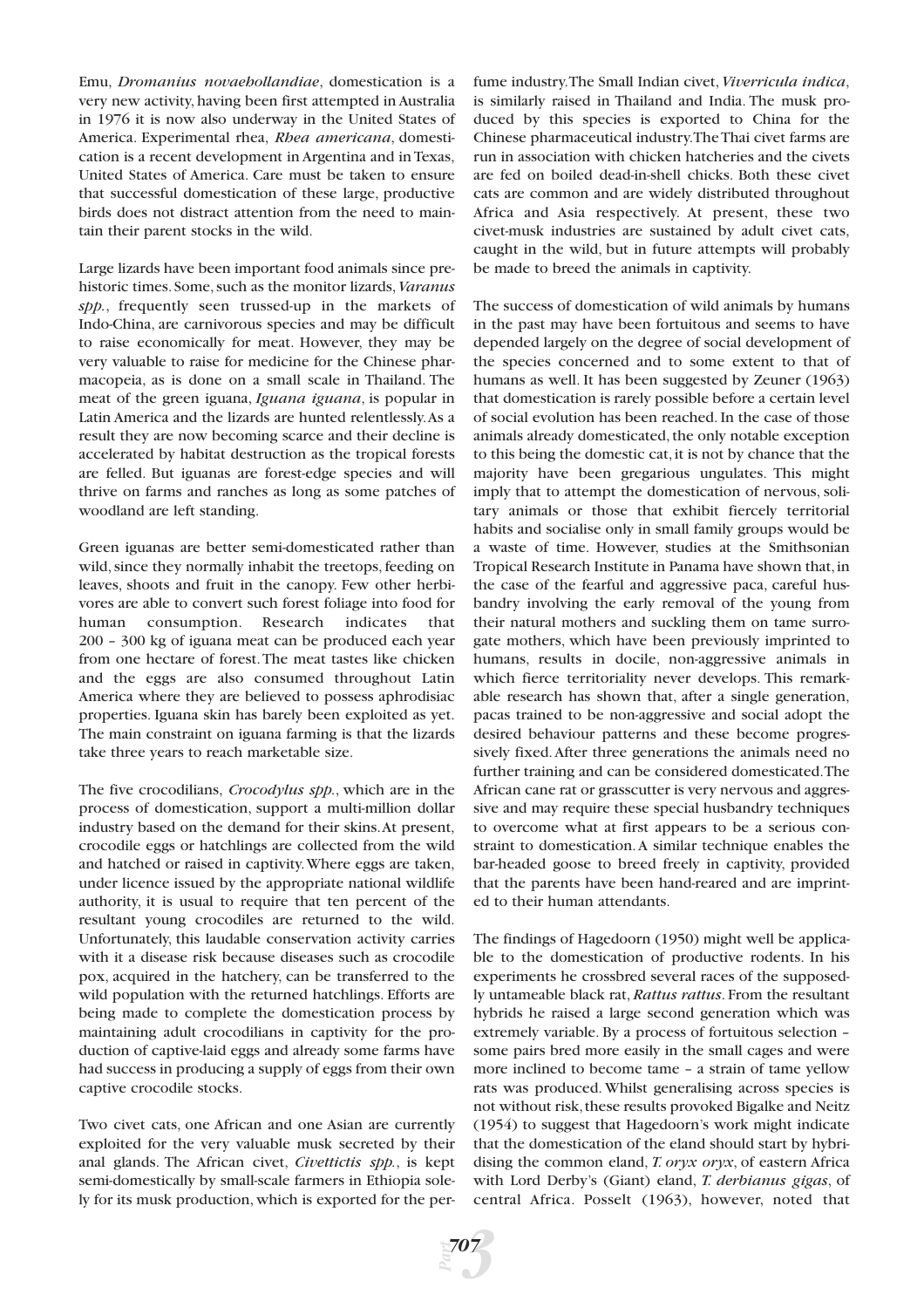Emu, *Dromanius novaehollandiae*, domestication is a very new activity, having been first attempted in Australia in 1976 it is now also underway in the United States of America. Experimental rhea, *Rhea americana*, domestication is a recent development in Argentina and in Texas, United States of America. Care must be taken to ensure that successful domestication of these large, productive birds does not distract attention from the need to maintain their parent stocks in the wild.

Large lizards have been important food animals since prehistoric times.Some,such as the monitor lizards,*Varanus spp.*, frequently seen trussed-up in the markets of Indo-China, are carnivorous species and may be difficult to raise economically for meat. However, they may be very valuable to raise for medicine for the Chinese pharmacopeia, as is done on a small scale in Thailand. The meat of the green iguana, *Iguana iguana*, is popular in Latin America and the lizards are hunted relentlessly.As a result they are now becoming scarce and their decline is accelerated by habitat destruction as the tropical forests are felled. But iguanas are forest-edge species and will thrive on farms and ranches as long as some patches of woodland are left standing.

Green iguanas are better semi-domesticated rather than wild, since they normally inhabit the treetops, feeding on leaves, shoots and fruit in the canopy. Few other herbivores are able to convert such forest foliage into food for human consumption. Research indicates that 200 – 300 kg of iguana meat can be produced each year from one hectare of forest.The meat tastes like chicken and the eggs are also consumed throughout Latin America where they are believed to possess aphrodisiac properties. Iguana skin has barely been exploited as yet. The main constraint on iguana farming is that the lizards take three years to reach marketable size.

The five crocodilians, *Crocodylus spp.*, which are in the process of domestication, support a multi-million dollar industry based on the demand for their skins.At present, crocodile eggs or hatchlings are collected from the wild and hatched or raised in captivity.Where eggs are taken, under licence issued by the appropriate national wildlife authority, it is usual to require that ten percent of the resultant young crocodiles are returned to the wild. Unfortunately, this laudable conservation activity carries with it a disease risk because diseases such as crocodile pox, acquired in the hatchery, can be transferred to the wild population with the returned hatchlings. Efforts are being made to complete the domestication process by maintaining adult crocodilians in captivity for the production of captive-laid eggs and already some farms have had success in producing a supply of eggs from their own captive crocodile stocks.

Two civet cats, one African and one Asian are currently exploited for the very valuable musk secreted by their anal glands. The African civet, *Civettictis spp.*, is kept semi-domestically by small-scale farmers in Ethiopia solely for its musk production, which is exported for the per-

fume industry.The Small Indian civet,*Viverricula indica*, is similarly raised in Thailand and India. The musk produced by this species is exported to China for the Chinese pharmaceutical industry.The Thai civet farms are run in association with chicken hatcheries and the civets are fed on boiled dead-in-shell chicks. Both these civet cats are common and are widely distributed throughout Africa and Asia respectively. At present, these two civet-musk industries are sustained by adult civet cats, caught in the wild, but in future attempts will probably be made to breed the animals in captivity.

The success of domestication of wild animals by humans in the past may have been fortuitous and seems to have depended largely on the degree of social development of the species concerned and to some extent to that of humans as well. It has been suggested by Zeuner (1963) that domestication is rarely possible before a certain level of social evolution has been reached. In the case of those animals already domesticated, the only notable exception to this being the domestic cat,it is not by chance that the majority have been gregarious ungulates. This might imply that to attempt the domestication of nervous, solitary animals or those that exhibit fiercely territorial habits and socialise only in small family groups would be a waste of time. However, studies at the Smithsonian Tropical Research Institute in Panama have shown that,in the case of the fearful and aggressive paca, careful husbandry involving the early removal of the young from their natural mothers and suckling them on tame surrogate mothers, which have been previously imprinted to humans, results in docile, non-aggressive animals in which fierce territoriality never develops. This remarkable research has shown that, after a single generation, pacas trained to be non-aggressive and social adopt the desired behaviour patterns and these become progressively fixed.After three generations the animals need no further training and can be considered domesticated.The African cane rat or grasscutter is very nervous and aggressive and may require these special husbandry techniques to overcome what at first appears to be a serious constraint to domestication.A similar technique enables the bar-headed goose to breed freely in captivity, provided that the parents have been hand-reared and are imprinted to their human attendants.

The findings of Hagedoorn (1950) might well be applicable to the domestication of productive rodents. In his experiments he crossbred several races of the supposedly untameable black rat,*Rattus rattus*. From the resultant hybrids he raised a large second generation which was extremely variable. By a process of fortuitous selection – some pairs bred more easily in the small cages and were more inclined to become tame – a strain of tame yellow rats was produced. Whilst generalising across species is not without risk, these results provoked Bigalke and Neitz (1954) to suggest that Hagedoorn's work might indicate that the domestication of the eland should start by hybridising the common eland, *T. oryx oryx*, of eastern Africa with Lord Derby's (Giant) eland, *T. derbianus gigas*, of central Africa. Posselt (1963), however, noted that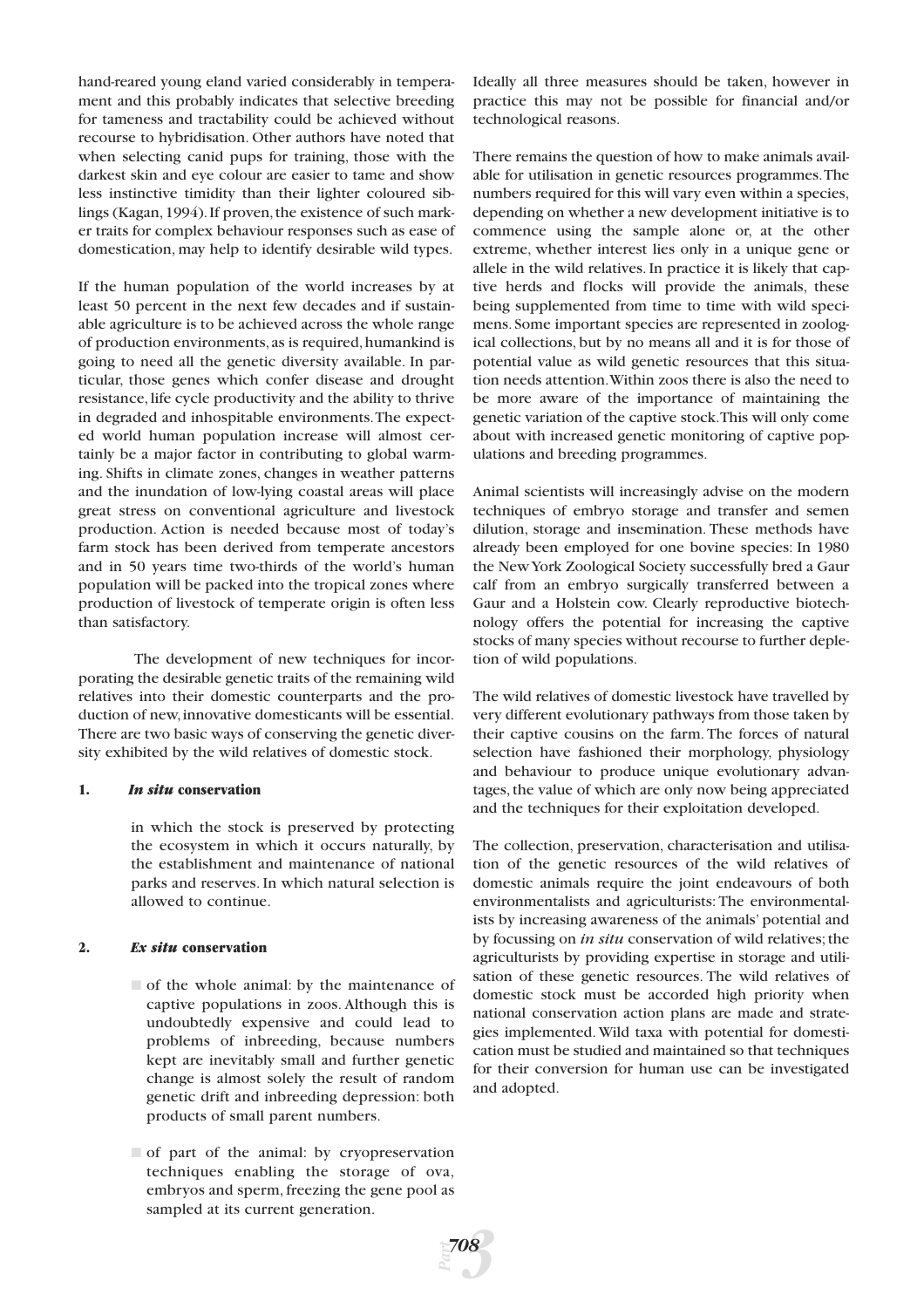hand-reared young eland varied considerably in temperament and this probably indicates that selective breeding for tameness and tractability could be achieved without recourse to hybridisation. Other authors have noted that when selecting canid pups for training, those with the darkest skin and eye colour are easier to tame and show less instinctive timidity than their lighter coloured siblings (Kagan, 1994). If proven, the existence of such marker traits for complex behaviour responses such as ease of domestication, may help to identify desirable wild types.

If the human population of the world increases by at least 50 percent in the next few decades and if sustainable agriculture is to be achieved across the whole range of production environments,as is required,humankind is going to need all the genetic diversity available. In particular, those genes which confer disease and drought resistance, life cycle productivity and the ability to thrive in degraded and inhospitable environments.The expected world human population increase will almost certainly be a major factor in contributing to global warming. Shifts in climate zones, changes in weather patterns and the inundation of low-lying coastal areas will place great stress on conventional agriculture and livestock production. Action is needed because most of today's farm stock has been derived from temperate ancestors and in 50 years time two-thirds of the world's human population will be packed into the tropical zones where production of livestock of temperate origin is often less than satisfactory.

The development of new techniques for incorporating the desirable genetic traits of the remaining wild relatives into their domestic counterparts and the production of new,innovative domesticants will be essential. There are two basic ways of conserving the genetic diversity exhibited by the wild relatives of domestic stock.

#### **1.** *In situ* **conservation**

in which the stock is preserved by protecting the ecosystem in which it occurs naturally, by the establishment and maintenance of national parks and reserves. In which natural selection is allowed to continue.

#### **2.** *Ex situ* **conservation**

- of the whole animal: by the maintenance of captive populations in zoos. Although this is undoubtedly expensive and could lead to problems of inbreeding, because numbers kept are inevitably small and further genetic change is almost solely the result of random genetic drift and inbreeding depression: both products of small parent numbers.
- $\Box$  of part of the animal: by cryopreservation techniques enabling the storage of ova, embryos and sperm, freezing the gene pool as sampled at its current generation.

Ideally all three measures should be taken, however in practice this may not be possible for financial and/or technological reasons.

There remains the question of how to make animals available for utilisation in genetic resources programmes.The numbers required for this will vary even within a species, depending on whether a new development initiative is to commence using the sample alone or, at the other extreme, whether interest lies only in a unique gene or allele in the wild relatives. In practice it is likely that captive herds and flocks will provide the animals, these being supplemented from time to time with wild specimens. Some important species are represented in zoological collections, but by no means all and it is for those of potential value as wild genetic resources that this situation needs attention.Within zoos there is also the need to be more aware of the importance of maintaining the genetic variation of the captive stock.This will only come about with increased genetic monitoring of captive populations and breeding programmes.

Animal scientists will increasingly advise on the modern techniques of embryo storage and transfer and semen dilution, storage and insemination. These methods have already been employed for one bovine species: In 1980 the New York Zoological Society successfully bred a Gaur calf from an embryo surgically transferred between a Gaur and a Holstein cow. Clearly reproductive biotechnology offers the potential for increasing the captive stocks of many species without recourse to further depletion of wild populations.

The wild relatives of domestic livestock have travelled by very different evolutionary pathways from those taken by their captive cousins on the farm. The forces of natural selection have fashioned their morphology, physiology and behaviour to produce unique evolutionary advantages, the value of which are only now being appreciated and the techniques for their exploitation developed.

The collection, preservation, characterisation and utilisation of the genetic resources of the wild relatives of domestic animals require the joint endeavours of both environmentalists and agriculturists: The environmentalists by increasing awareness of the animals' potential and by focussing on *in situ* conservation of wild relatives; the agriculturists by providing expertise in storage and utilisation of these genetic resources. The wild relatives of domestic stock must be accorded high priority when national conservation action plans are made and strategies implemented. Wild taxa with potential for domestication must be studied and maintained so that techniques for their conversion for human use can be investigated and adopted.

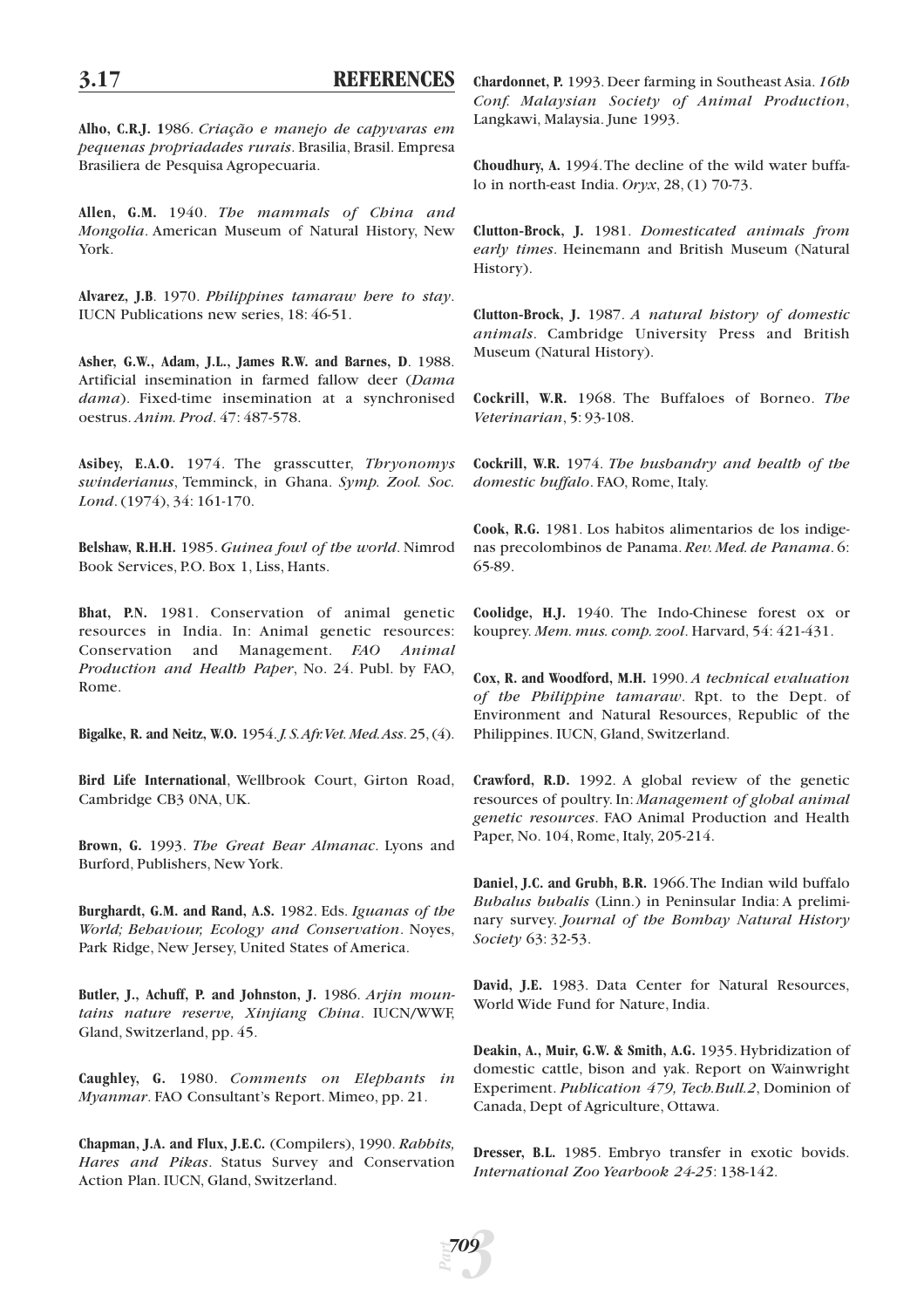**Alho, C.R.J. 1**986. *Criação e manejo de capyvaras em pequenas propriadades rurais*. Brasilia, Brasil. Empresa Brasiliera de Pesquisa Agropecuaria.

**Allen, G.M.** 1940. *The mammals of China and Mongolia*. American Museum of Natural History, New York.

**Alvarez, J.B**. 1970. *Philippines tamaraw here to stay*. IUCN Publications new series, 18: 46-51.

**Asher, G.W., Adam, J.L., James R.W. and Barnes, D**. 1988. Artificial insemination in farmed fallow deer (*Dama dama*). Fixed-time insemination at a synchronised oestrus. *Anim. Prod*. 47: 487-578.

**Asibey, E.A.O.** 1974. The grasscutter, *Thryonomys swinderianus*, Temminck, in Ghana. *Symp. Zool. Soc. Lond*. (1974), 34: 161-170.

**Belshaw, R.H.H.** 1985. *Guinea fowl of the world*. Nimrod Book Services, P.O. Box 1, Liss, Hants.

**Bhat, P.N.** 1981. Conservation of animal genetic resources in India. In: Animal genetic resources: Conservation and Management. *FAO Animal Production and Health Paper*, No. 24. Publ. by FAO, Rome.

**Bigalke, R. and Neitz, W.O.** 1954.*J. S.Afr.Vet. Med.Ass*. 25, (4).

**Bird Life International**, Wellbrook Court, Girton Road, Cambridge CB3 0NA, UK.

**Brown, G.** 1993. *The Great Bear Almanac*. Lyons and Burford, Publishers, New York.

**Burghardt, G.M. and Rand, A.S.** 1982. Eds. *Iguanas of the World; Behaviour, Ecology and Conservation*. Noyes, Park Ridge, New Jersey, United States of America.

**Butler, J., Achuff, P. and Johnston, J.** 1986. *Arjin mountains nature reserve, Xinjiang China*. IUCN/WWF, Gland, Switzerland, pp. 45.

**Caughley, G.** 1980. *Comments on Elephants in Myanmar*. FAO Consultant's Report. Mimeo, pp. 21.

**Chapman, J.A. and Flux, J.E.C.** (Compilers), 1990. *Rabbits, Hares and Pikas*. Status Survey and Conservation Action Plan. IUCN, Gland, Switzerland.

**Chardonnet, P.** 1993. Deer farming in Southeast Asia. *16th Conf. Malaysian Society of Animal Production*, Langkawi, Malaysia. June 1993.

**Choudhury, A.** 1994.The decline of the wild water buffalo in north-east India. *Oryx*, 28, (1) 70-73.

**Clutton-Brock, J.** 1981. *Domesticated animals from early times*. Heinemann and British Museum (Natural History).

**Clutton-Brock, J.** 1987. *A natural history of domestic animals*. Cambridge University Press and British Museum (Natural History).

**Cockrill, W.R.** 1968. The Buffaloes of Borneo. *The Veterinarian*, **5**: 93-108.

**Cockrill, W.R.** 1974. *The husbandry and health of the domestic buffalo*. FAO, Rome, Italy.

**Cook, R.G.** 1981. Los habitos alimentarios de los indigenas precolombinos de Panama. *Rev. Med. de Panama*. 6: 65-89.

**Coolidge, H.J.** 1940. The Indo-Chinese forest ox or kouprey. *Mem. mus. comp. zool*. Harvard, 54: 421-431.

**Cox, R. and Woodford, M.H.** 1990. *A technical evaluation of the Philippine tamaraw*. Rpt. to the Dept. of Environment and Natural Resources, Republic of the Philippines. IUCN, Gland, Switzerland.

**Crawford, R.D.** 1992. A global review of the genetic resources of poultry. In: *Management of global animal genetic resources*. FAO Animal Production and Health Paper, No. 104, Rome, Italy, 205-214.

**Daniel, J.C. and Grubh, B.R.** 1966.The Indian wild buffalo *Bubalus bubalis* (Linn.) in Peninsular India: A preliminary survey. *Journal of the Bombay Natural History Society* 63: 32-53.

**David, J.E.** 1983. Data Center for Natural Resources, World Wide Fund for Nature, India.

**Deakin, A., Muir, G.W. & Smith, A.G.** 1935. Hybridization of domestic cattle, bison and yak. Report on Wainwright Experiment. *Publication 479, Tech.Bull.2*, Dominion of Canada, Dept of Agriculture, Ottawa.

**Dresser, B.L.** 1985. Embryo transfer in exotic bovids. *International Zoo Yearbook 24-25*: 138-142.

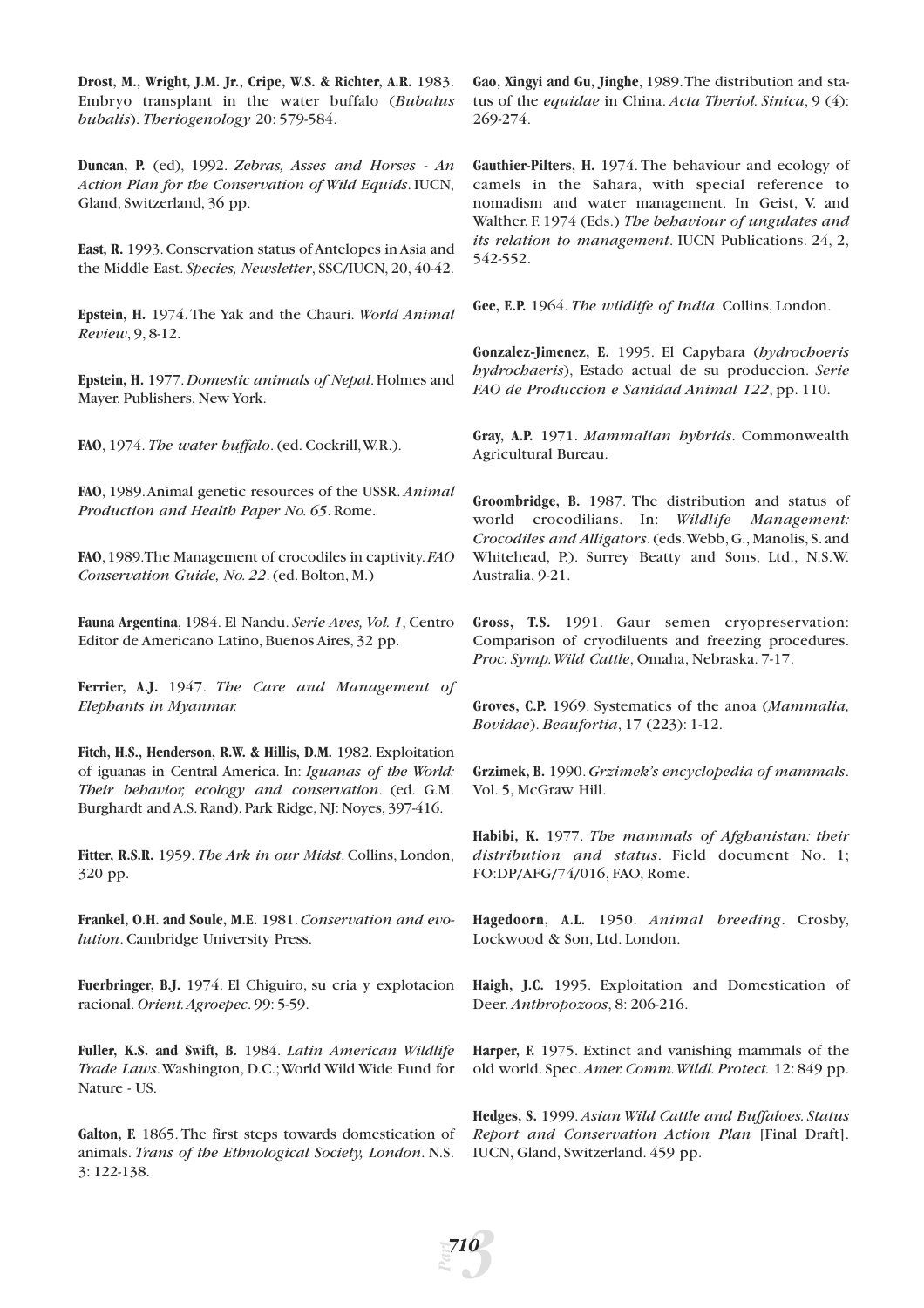**Drost, M., Wright, J.M. Jr., Cripe, W.S. & Richter, A.R.** 1983. Embryo transplant in the water buffalo (*Bubalus bubalis*). *Theriogenology* 20: 579-584.

**Duncan, P.** (ed), 1992. *Zebras, Asses and Horses - An Action Plan for the Conservation of Wild Equids*. IUCN, Gland, Switzerland, 36 pp.

**East, R.** 1993.Conservation status of Antelopes in Asia and the Middle East. *Species, Newsletter*, SSC/IUCN, 20, 40-42.

**Epstein, H.** 1974. The Yak and the Chauri. *World Animal Review*, 9, 8-12.

**Epstein, H.** 1977.*Domestic animals of Nepal*.Holmes and Mayer, Publishers, New York.

**FAO**, 1974. *The water buffalo*. (ed. Cockrill,W.R.).

**FAO**, 1989.Animal genetic resources of the USSR. *Animal Production and Health Paper No. 65*. Rome.

**FAO**,1989.The Management of crocodiles in captivity.*FAO Conservation Guide, No. 22*. (ed. Bolton, M.)

**Fauna Argentina**, 1984. El Nandu. *Serie Aves, Vol. 1*, Centro Editor de Americano Latino, Buenos Aires, 32 pp.

**Ferrier, A.J.** 1947. *The Care and Management of Elephants in Myanmar.*

**Fitch, H.S., Henderson, R.W. & Hillis, D.M.** 1982. Exploitation of iguanas in Central America. In: *Iguanas of the World: Their behavior, ecology and conservation*. (ed. G.M. Burghardt and A.S. Rand). Park Ridge, NJ: Noyes, 397-416.

**Fitter, R.S.R.** 1959. *The Ark in our Midst*. Collins, London, 320 pp.

**Frankel, O.H. and Soule, M.E.** 1981.*Conservation and evolution*. Cambridge University Press.

**Fuerbringer, B.J.** 1974. El Chiguiro, su cria y explotacion racional. *Orient.Agroepec*. 99: 5-59.

**Fuller, K.S. and Swift, B.** 1984. *Latin American Wildlife Trade Laws*.Washington, D.C.;World Wild Wide Fund for Nature - US.

**Galton, F.** 1865. The first steps towards domestication of animals. *Trans of the Ethnological Society, London*. N.S. 3: 122-138.

*Part*

*3*

*710*

**Gao, Xingyi and Gu, Jinghe**, 1989.The distribution and status of the *equidae* in China. *Acta Theriol. Sinica*, 9 (4): 269-274.

**Gauthier-Pilters, H.** 1974. The behaviour and ecology of camels in the Sahara, with special reference to nomadism and water management. In Geist, V. and Walther, F. 1974 (Eds.) *The behaviour of ungulates and its relation to management*. IUCN Publications. 24, 2, 542-552.

**Gee, E.P.** 1964. *The wildlife of India*. Collins, London.

**Gonzalez-Jimenez, E.** 1995. El Capybara (*hydrochoeris hydrochaeris*), Estado actual de su produccion. *Serie FAO de Produccion e Sanidad Animal 122*, pp. 110.

**Gray, A.P.** 1971. *Mammalian hybrids*. Commonwealth Agricultural Bureau.

**Groombridge, B.** 1987. The distribution and status of world crocodilians. In: *Wildlife Management: Crocodiles and Alligators*. (eds.Webb, G., Manolis, S. and Whitehead, P.). Surrey Beatty and Sons, Ltd., N.S.W. Australia, 9-21.

**Gross, T.S.** 1991. Gaur semen cryopreservation: Comparison of cryodiluents and freezing procedures. *Proc. Symp.Wild Cattle*, Omaha, Nebraska. 7-17.

**Groves, C.P.** 1969. Systematics of the anoa (*Mammalia, Bovidae*). *Beaufortia*, 17 (223): 1-12.

**Grzimek, B.** 1990.*Grzimek's encyclopedia of mammals*. Vol. 5, McGraw Hill.

**Habibi, K.** 1977. *The mammals of Afghanistan: their distribution and status*. Field document No. 1; FO:DP/AFG/74/016, FAO, Rome.

**Hagedoorn, A.L.** 1950. *Animal breeding*. Crosby, Lockwood & Son, Ltd. London.

**Haigh, J.C.** 1995. Exploitation and Domestication of Deer. *Anthropozoos*, 8: 206-216.

**Harper, F.** 1975. Extinct and vanishing mammals of the old world. Spec. *Amer. Comm.Wildl. Protect.* 12: 849 pp.

**Hedges, S.** 1999. *Asian Wild Cattle and Buffaloes. Status Report and Conservation Action Plan* [Final Draft]. IUCN, Gland, Switzerland. 459 pp.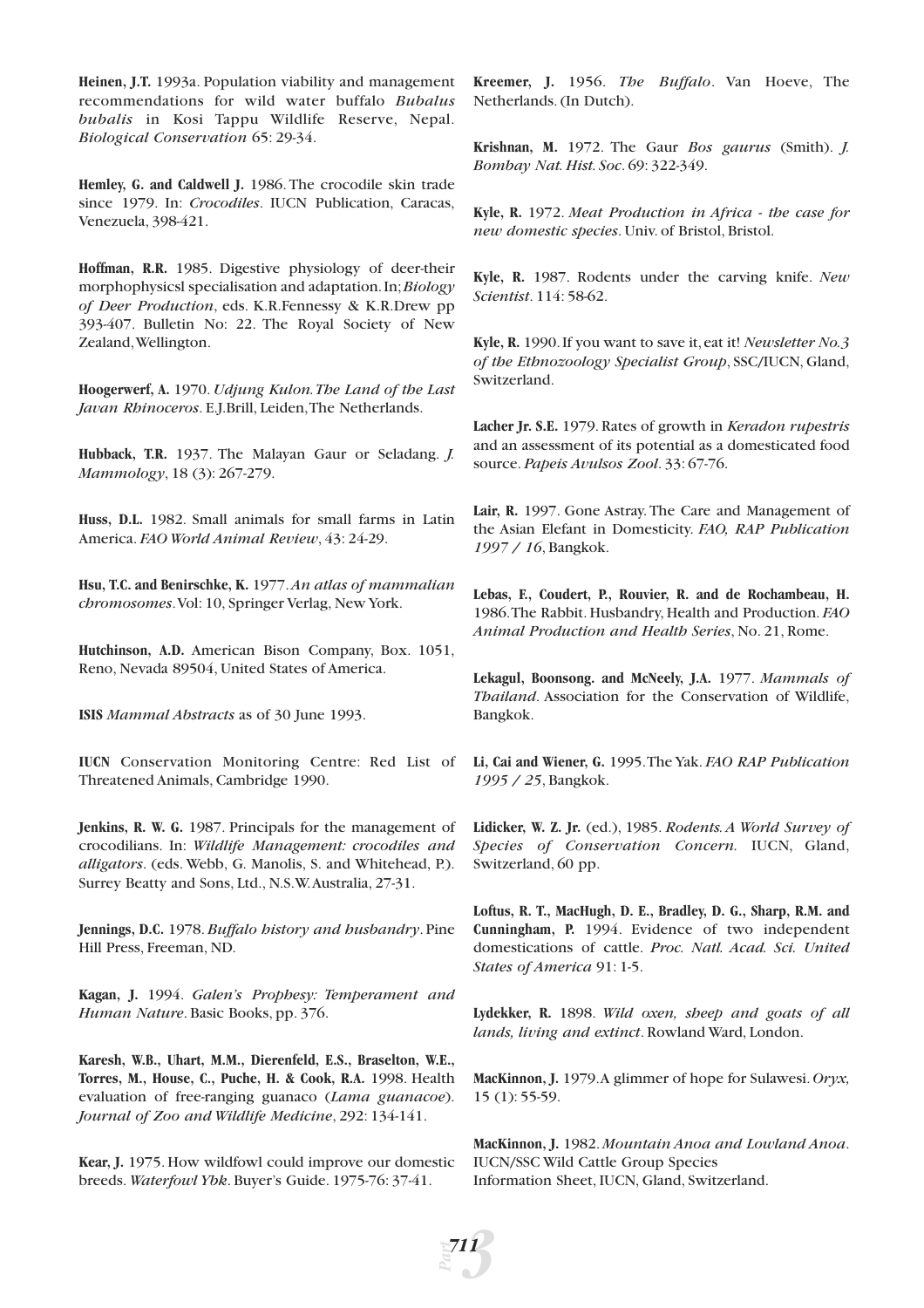**Heinen, J.T.** 1993a. Population viability and management recommendations for wild water buffalo *Bubalus bubalis* in Kosi Tappu Wildlife Reserve, Nepal. *Biological Conservation* 65: 29-34.

**Hemley, G. and Caldwell J.** 1986. The crocodile skin trade since 1979. In: *Crocodiles*. IUCN Publication, Caracas, Venezuela, 398-421.

**Hoffman, R.R.** 1985. Digestive physiology of deer-their morphophysicsl specialisation and adaptation.In;*Biology of Deer Production*, eds. K.R.Fennessy & K.R.Drew pp 393-407. Bulletin No: 22. The Royal Society of New Zealand,Wellington.

**Hoogerwerf, A.** 1970. *Udjung Kulon.The Land of the Last Javan Rhinoceros*. E.J.Brill, Leiden,The Netherlands.

**Hubback, T.R.** 1937. The Malayan Gaur or Seladang. *J. Mammology*, 18 (3): 267-279.

**Huss, D.L.** 1982. Small animals for small farms in Latin America. *FAO World Animal Review*, 43: 24-29.

**Hsu, T.C. and Benirschke, K.** 1977.*An atlas of mammalian chromosomes*.Vol: 10, Springer Verlag, New York.

**Hutchinson, A.D.** American Bison Company, Box. 1051, Reno, Nevada 89504, United States of America.

**ISIS** *Mammal Abstracts* as of 30 June 1993.

**IUCN** Conservation Monitoring Centre: Red List of Threatened Animals, Cambridge 1990.

**Jenkins, R. W. G.** 1987. Principals for the management of crocodilians. In: *Wildlife Management: crocodiles and alligators*. (eds. Webb, G. Manolis, S. and Whitehead, P.). Surrey Beatty and Sons, Ltd., N.S.W.Australia, 27-31.

**Jennings, D.C.** 1978.*Buffalo history and husbandry*. Pine Hill Press, Freeman, ND.

**Kagan, J.** 1994. *Galen's Prophesy: Temperament and Human Nature*. Basic Books, pp. 376.

**Karesh, W.B., Uhart, M.M., Dierenfeld, E.S., Braselton, W.E., Torres, M., House, C., Puche, H. & Cook, R.A.** 1998. Health evaluation of free-ranging guanaco (*Lama guanacoe*). *Journal of Zoo and Wildlife Medicine*, 292: 134-141.

**Kear, J.** 1975. How wildfowl could improve our domestic breeds. *Waterfowl Ybk*. Buyer's Guide. 1975-76: 37-41.

*Part*

*3 711*

**Kreemer, J.** 1956. *The Buffalo*. Van Hoeve, The Netherlands. (In Dutch).

**Krishnan, M.** 1972. The Gaur *Bos gaurus* (Smith). *J. Bombay Nat. Hist. Soc*. 69: 322-349.

**Kyle, R.** 1972. *Meat Production in Africa - the case for new domestic species*. Univ. of Bristol, Bristol.

**Kyle, R.** 1987. Rodents under the carving knife. *New Scientist*. 114: 58-62.

**Kyle, R.** 1990.If you want to save it,eat it! *Newsletter No.3 of the Ethnozoology Specialist Group*, SSC/IUCN, Gland, Switzerland.

**Lacher Jr. S.E.** 1979. Rates of growth in *Keradon rupestris* and an assessment of its potential as a domesticated food source. *Papeis Avulsos Zool*. 33: 67-76.

Lair, R. 1997. Gone Astray. The Care and Management of the Asian Elefant in Domesticity. *FAO, RAP Publication 1997 / 16*, Bangkok.

**Lebas, F., Coudert, P., Rouvier, R. and de Rochambeau, H.** 1986.The Rabbit. Husbandry, Health and Production. *FAO Animal Production and Health Series*, No. 21, Rome.

**Lekagul, Boonsong. and McNeely, J.A.** 1977. *Mammals of Thailand*. Association for the Conservation of Wildlife, Bangkok.

**Li, Cai and Wiener, G.** 1995.The Yak. *FAO RAP Publication 1995 / 25*, Bangkok.

**Lidicker, W. Z. Jr.** (ed.), 1985. *Rodents. A World Survey of Species of Conservation Concern.* IUCN, Gland, Switzerland, 60 pp.

**Loftus, R. T., MacHugh, D. E., Bradley, D. G., Sharp, R.M. and Cunningham, P.** 1994. Evidence of two independent domestications of cattle. *Proc. Natl. Acad. Sci. United States of America* 91: 1-5.

**Lydekker, R.** 1898. *Wild oxen, sheep and goats of all lands, living and extinct*. Rowland Ward, London.

**MacKinnon, J.** 1979.A glimmer of hope for Sulawesi.*Oryx,* 15 (1): 55-59.

**MacKinnon, J.** 1982. *Mountain Anoa and Lowland Anoa*. IUCN/SSC Wild Cattle Group Species Information Sheet, IUCN, Gland, Switzerland.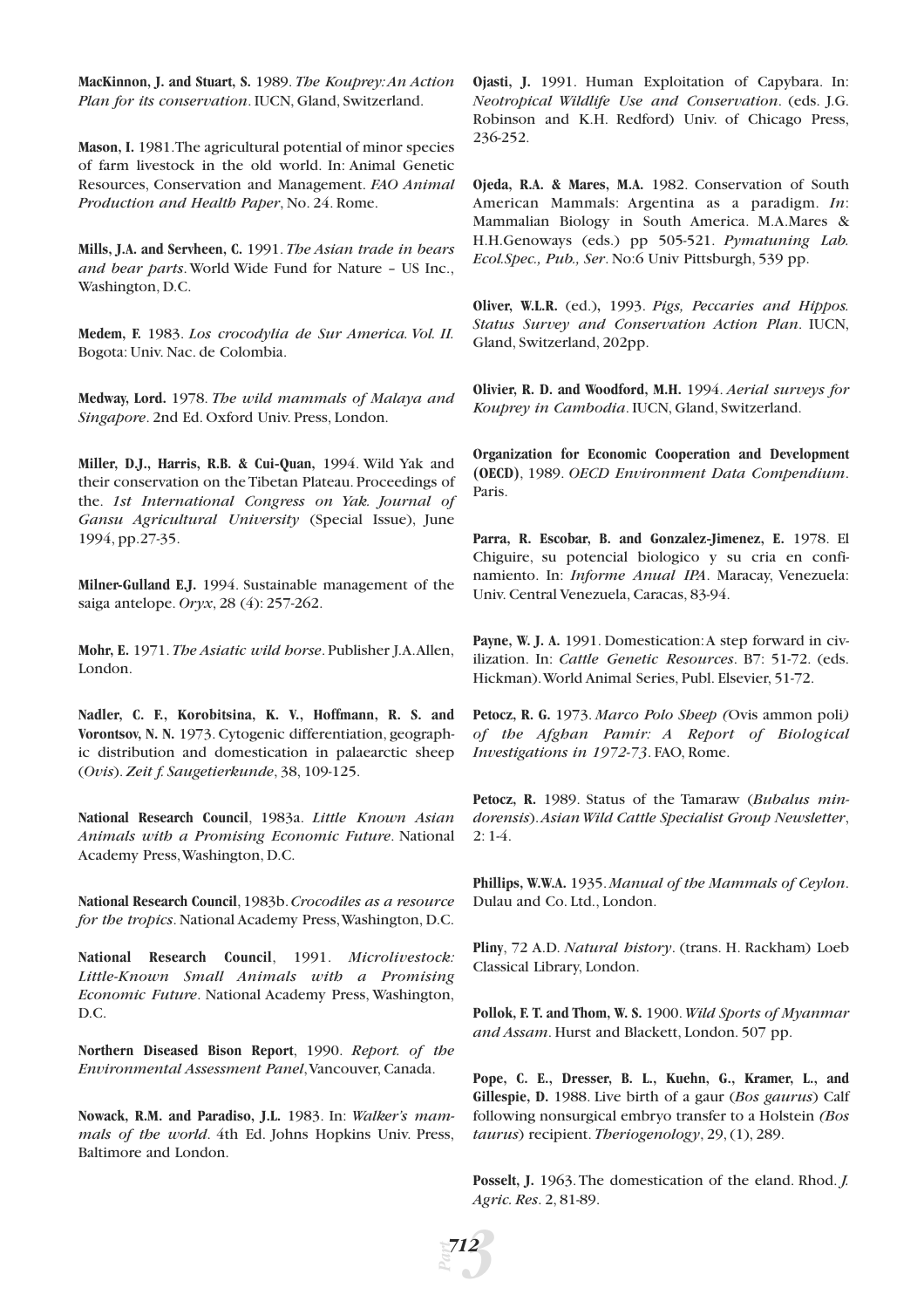**MacKinnon, J. and Stuart, S.** 1989. *The Kouprey:An Action Plan for its conservation*. IUCN, Gland, Switzerland.

**Mason, I.** 1981.The agricultural potential of minor species of farm livestock in the old world. In: Animal Genetic Resources, Conservation and Management. *FAO Animal Production and Health Paper*, No. 24. Rome.

**Mills, J.A. and Servheen, C.** 1991. *The Asian trade in bears and bear parts*. World Wide Fund for Nature – US Inc., Washington, D.C.

**Medem, F.** 1983. *Los crocodylia de Sur America. Vol. II.* Bogota: Univ. Nac. de Colombia.

**Medway, Lord.** 1978. *The wild mammals of Malaya and Singapore*. 2nd Ed. Oxford Univ. Press, London.

**Miller, D.J., Harris, R.B. & Cui-Quan,** 1994. Wild Yak and their conservation on the Tibetan Plateau. Proceedings of the. *1st International Congress on Yak. Journal of Gansu Agricultural University* (Special Issue), June 1994, pp.27-35.

**Milner-Gulland E.J.** 1994. Sustainable management of the saiga antelope. *Oryx*, 28 (4): 257-262.

**Mohr, E.** 1971. *The Asiatic wild horse*. Publisher J.A.Allen, London.

**Nadler, C. F., Korobitsina, K. V., Hoffmann, R. S. and Vorontsov, N. N.** 1973. Cytogenic differentiation, geographic distribution and domestication in palaearctic sheep (*Ovis*). *Zeit f. Saugetierkunde*, 38, 109-125.

**National Research Council**, 1983a. *Little Known Asian Animals with a Promising Economic Future*. National Academy Press,Washington, D.C.

**National Research Council**,1983b.*Crocodiles as a resource for the tropics*. National Academy Press,Washington, D.C.

**National Research Council**, 1991. *Microlivestock: Little-Known Small Animals with a Promising Economic Future*. National Academy Press, Washington, D.C.

**Northern Diseased Bison Report**, 1990. *Report. of the Environmental Assessment Panel*,Vancouver, Canada.

**Nowack, R.M. and Paradiso, J.L.** 1983. In: *Walker's mammals of the world*. 4th Ed. Johns Hopkins Univ. Press, Baltimore and London.

**Ojasti, J.** 1991. Human Exploitation of Capybara. In: *Neotropical Wildlife Use and Conservation*. (eds. J.G. Robinson and K.H. Redford) Univ. of Chicago Press, 236-252.

**Ojeda, R.A. & Mares, M.A.** 1982. Conservation of South American Mammals: Argentina as a paradigm. *In*: Mammalian Biology in South America. M.A.Mares & H.H.Genoways (eds.) pp 505-521. *Pymatuning Lab. Ecol.Spec., Pub., Ser*. No:6 Univ Pittsburgh, 539 pp.

**Oliver, W.L.R.** (ed.)**,** 1993. *Pigs, Peccaries and Hippos. Status Survey and Conservation Action Plan*. IUCN, Gland, Switzerland, 202pp.

**Olivier, R. D. and Woodford, M.H.** 1994. *Aerial surveys for Kouprey in Cambodia*. IUCN, Gland, Switzerland.

**Organization for Economic Cooperation and Development (OECD)**, 1989. *OECD Environment Data Compendium*. Paris.

Parra, R. Escobar, B. and Gonzalez-Jimenez, E. 1978. El Chiguire, su potencial biologico y su cria en confinamiento. In: *Informe Anual IPA*. Maracay, Venezuela: Univ. Central Venezuela, Caracas, 83-94.

**Payne, W. J. A.** 1991. Domestication:A step forward in civilization. In: *Cattle Genetic Resources*. B7: 51-72. (eds. Hickman).World Animal Series, Publ. Elsevier, 51-72.

**Petocz, R. G.** 1973. *Marco Polo Sheep (*Ovis ammon poli*) of the Afghan Pamir: A Report of Biological Investigations in 1972-73*. FAO, Rome.

**Petocz, R.** 1989. Status of the Tamaraw (*Bubalus mindorensis*).*Asian Wild Cattle Specialist Group Newsletter*, 2: 1-4.

**Phillips, W.W.A.** 1935.*Manual of the Mammals of Ceylon*. Dulau and Co. Ltd., London.

**Pliny**, 72 A.D. *Natural history*. (trans. H. Rackham) Loeb Classical Library, London.

**Pollok, F. T. and Thom, W. S.** 1900.*Wild Sports of Myanmar and Assam*. Hurst and Blackett, London. 507 pp.

**Pope, C. E., Dresser, B. L., Kuehn, G., Kramer, L., and Gillespie, D.** 1988. Live birth of a gaur (*Bos gaurus*) Calf following nonsurgical embryo transfer to a Holstein *(Bos taurus*) recipient. *Theriogenology*, 29, (1), 289.

**Posselt, J.** 1963.The domestication of the eland. Rhod. *J. Agric. Res*. 2, 81-89.

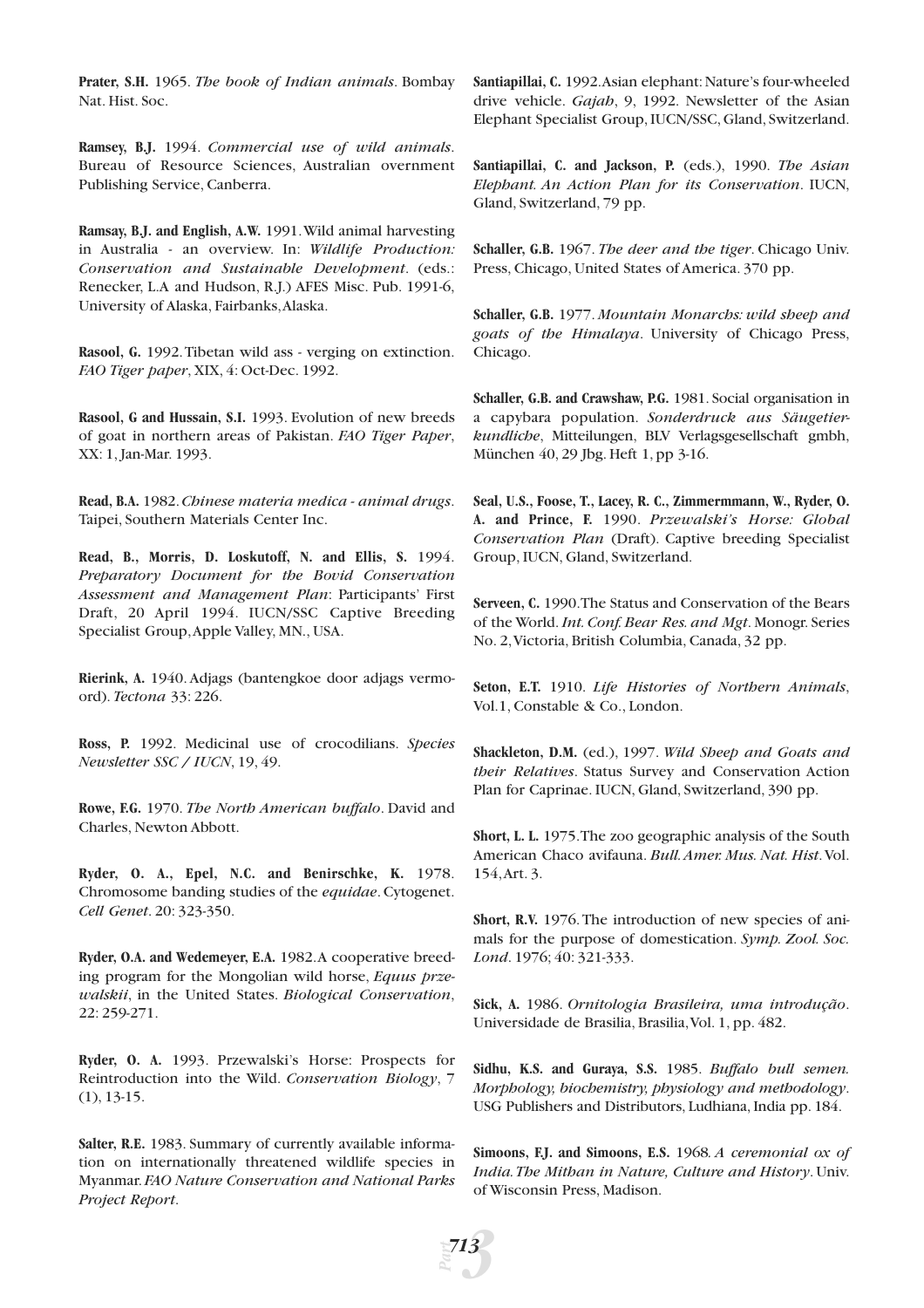**Prater, S.H.** 1965. *The book of Indian animals*. Bombay Nat. Hist. Soc.

**Ramsey, B.J.** 1994. *Commercial use of wild animals*. Bureau of Resource Sciences, Australian overnment Publishing Service, Canberra.

**Ramsay, B.J. and English, A.W.** 1991.Wild animal harvesting in Australia - an overview. In: *Wildlife Production: Conservation and Sustainable Development*. (eds.: Renecker, L.A and Hudson, R.J.) AFES Misc. Pub. 1991-6, University of Alaska, Fairbanks,Alaska.

**Rasool, G.** 1992.Tibetan wild ass - verging on extinction. *FAO Tiger paper*, XIX, 4: Oct-Dec. 1992.

**Rasool, G and Hussain, S.I.** 1993. Evolution of new breeds of goat in northern areas of Pakistan. *FAO Tiger Paper*, XX: 1, Jan-Mar. 1993.

**Read, B.A.** 1982.*Chinese materia medica - animal drugs*. Taipei, Southern Materials Center Inc.

**Read, B., Morris, D. Loskutoff, N. and Ellis, S.** 1994. *Preparatory Document for the Bovid Conservation Assessment and Management Plan*: Participants' First Draft, 20 April 1994. IUCN/SSC Captive Breeding Specialist Group,Apple Valley, MN., USA.

**Rierink, A.** 1940. Adjags (bantengkoe door adjags vermoord). *Tectona* 33: 226.

**Ross, P.** 1992. Medicinal use of crocodilians. *Species Newsletter SSC / IUCN*, 19, 49.

**Rowe, F.G.** 1970. *The North American buffalo*. David and Charles, Newton Abbott.

**Ryder, O. A., Epel, N.C. and Benirschke, K.** 1978. Chromosome banding studies of the *equidae*. Cytogenet. *Cell Genet*. 20: 323-350.

**Ryder, O.A. and Wedemeyer, E.A.** 1982.A cooperative breeding program for the Mongolian wild horse, *Equus przewalskii*, in the United States. *Biological Conservation*, 22: 259-271.

**Ryder, O. A.** 1993. Przewalski's Horse: Prospects for Reintroduction into the Wild. *Conservation Biology*, 7 (1), 13-15.

**Salter, R.E.** 1983. Summary of currently available information on internationally threatened wildlife species in Myanmar.*FAO Nature Conservation and National Parks Project Report*.

Santiapillai, C. 1992. Asian elephant: Nature's four-wheeled drive vehicle. *Gajah*, 9, 1992. Newsletter of the Asian Elephant Specialist Group, IUCN/SSC, Gland, Switzerland.

**Santiapillai, C. and Jackson, P.** (eds.), 1990. *The Asian Elephant. An Action Plan for its Conservation*. IUCN, Gland, Switzerland, 79 pp.

**Schaller, G.B.** 1967. *The deer and the tiger*. Chicago Univ. Press, Chicago, United States of America. 370 pp.

**Schaller, G.B.** 1977. *Mountain Monarchs: wild sheep and goats of the Himalaya*. University of Chicago Press, Chicago.

**Schaller, G.B. and Crawshaw, P.G.** 1981. Social organisation in a capybara population. *Sonderdruck aus Säugetierkundliche*, Mitteilungen, BLV Verlagsgesellschaft gmbh, München 40, 29 Jbg. Heft 1, pp 3-16.

**Seal, U.S., Foose, T., Lacey, R. C., Zimmermmann, W., Ryder, O. A. and Prince, F.** 1990. *Przewalski's Horse: Global Conservation Plan* (Draft). Captive breeding Specialist Group, IUCN, Gland, Switzerland.

**Serveen, C.** 1990.The Status and Conservation of the Bears of the World.*Int. Conf. Bear Res. and Mgt*. Monogr. Series No. 2,Victoria, British Columbia, Canada, 32 pp.

**Seton, E.T.** 1910. *Life Histories of Northern Animals*, Vol.1, Constable & Co., London.

**Shackleton, D.M.** (ed.), 1997. *Wild Sheep and Goats and their Relatives*. Status Survey and Conservation Action Plan for Caprinae. IUCN, Gland, Switzerland, 390 pp.

**Short, L. L.** 1975.The zoo geographic analysis of the South American Chaco avifauna. *Bull.Amer. Mus. Nat. Hist*.Vol. 154,Art. 3.

**Short, R.V.** 1976.The introduction of new species of animals for the purpose of domestication. *Symp. Zool. Soc. Lond*. 1976; 40: 321-333.

**Sick, A.** 1986. *Ornitologia Brasileira, uma introdução*. Universidade de Brasilia, Brasilia,Vol. 1, pp. 482.

**Sidhu, K.S. and Guraya, S.S.** 1985. *Buffalo bull semen. Morphology, biochemistry, physiology and methodology*. USG Publishers and Distributors, Ludhiana, India pp. 184.

**Simoons, F.J. and Simoons, E.S.** 1968*. A ceremonial ox of India.The Mithan in Nature, Culture and History*. Univ. of Wisconsin Press, Madison.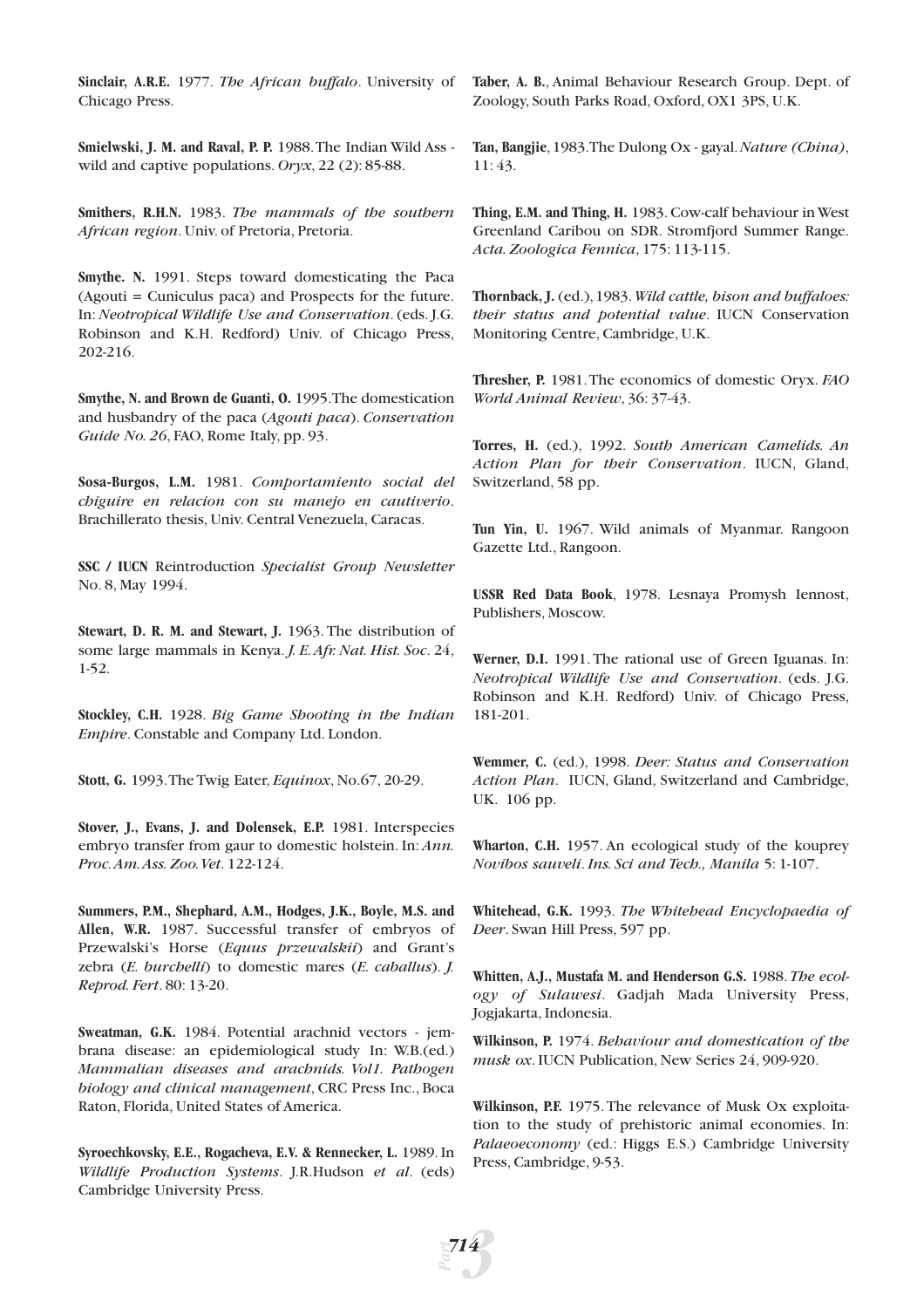**Sinclair, A.R.E.** 1977. *The African buffalo*. University of Chicago Press.

**Smielwski, J. M. and Raval, P. P.** 1988.The Indian Wild Ass wild and captive populations. *Oryx*, 22 (2): 85-88.

**Smithers, R.H.N.** 1983. *The mammals of the southern African region*. Univ. of Pretoria, Pretoria.

**Smythe. N.** 1991. Steps toward domesticating the Paca (Agouti = Cuniculus paca) and Prospects for the future. In: *Neotropical Wildlife Use and Conservation*. (eds. J.G. Robinson and K.H. Redford) Univ. of Chicago Press, 202-216.

**Smythe, N. and Brown de Guanti, O.** 1995.The domestication and husbandry of the paca (*Agouti paca*). *Conservation Guide No. 26*, FAO, Rome Italy, pp. 93.

**Sosa-Burgos, L.M.** 1981. *Comportamiento social del chiguire en relacion con su manejo en cautiverio*. Brachillerato thesis, Univ. Central Venezuela, Caracas.

**SSC / IUCN** Reintroduction *Specialist Group Newsletter* No. 8, May 1994.

**Stewart, D. R. M. and Stewart, J.** 1963. The distribution of some large mammals in Kenya. *J. E.Afr. Nat. Hist. Soc*. 24, 1-52.

**Stockley, C.H.** 1928. *Big Game Shooting in the Indian Empire*. Constable and Company Ltd. London.

**Stott, G.** 1993.The Twig Eater, *Equinox*, No.67, 20-29.

**Stover, J., Evans, J. and Dolensek, E.P.** 1981. Interspecies embryo transfer from gaur to domestic holstein. In: *Ann. Proc.Am.Ass. Zoo.Vet*. 122-124.

**Summers, P.M., Shephard, A.M., Hodges, J.K., Boyle, M.S. and Allen, W.R.** 1987. Successful transfer of embryos of Przewalski's Horse (*Equus przewalskii*) and Grant's zebra (*E. burchelli*) to domestic mares (*E. caballus*). *J. Reprod. Fert*. 80: 13-20.

**Sweatman, G.K.** 1984. Potential arachnid vectors - jembrana disease: an epidemiological study In: W.B.(ed.) *Mammalian diseases and arachnids. Vol1. Pathogen biology and clinical management*, CRC Press Inc., Boca Raton, Florida, United States of America.

**Syroechkovsky, E.E., Rogacheva, E.V. & Rennecker, L.** 1989. In *Wildlife Production Systems*. J.R.Hudson *et al*. (eds) Cambridge University Press.

**Taber, A. B.**, Animal Behaviour Research Group. Dept. of Zoology, South Parks Road, Oxford, OX1 3PS, U.K.

**Tan, Bangjie**,1983.The Dulong Ox - gayal.*Nature (China)*, 11: 43.

**Thing, E.M. and Thing, H.** 1983. Cow-calf behaviour in West Greenland Caribou on SDR. Stromfjord Summer Range. *Acta. Zoologica Fennica*, 175: 113-115.

**Thornback, J.** (ed.),1983.*Wild cattle, bison and buffaloes: their status and potential value*. IUCN Conservation Monitoring Centre, Cambridge, U.K.

**Thresher, P.** 1981.The economics of domestic Oryx. *FAO World Animal Review*, 36: 37-43.

**Torres, H.** (ed.), 1992. *South American Camelids. An Action Plan for their Conservation*. IUCN, Gland, Switzerland, 58 pp.

**Tun Yin, U.** 1967. Wild animals of Myanmar. Rangoon Gazette Ltd., Rangoon.

**USSR Red Data Book**, 1978. Lesnaya Promysh Iennost, Publishers, Moscow.

**Werner, D.I.** 1991. The rational use of Green Iguanas. In: *Neotropical Wildlife Use and Conservation*. (eds. J.G. Robinson and K.H. Redford) Univ. of Chicago Press, 181-201.

**Wemmer, C.** (ed.), 1998. *Deer: Status and Conservation Action Plan*. IUCN, Gland, Switzerland and Cambridge, UK. 106 pp.

**Wharton, C.H.** 1957. An ecological study of the kouprey *Novibos sauveli*.*Ins. Sci and Tech., Manila* 5: 1-107.

**Whitehead, G.K.** 1993. *The Whitehead Encyclopaedia of Deer*. Swan Hill Press, 597 pp.

**Whitten, A.J., Mustafa M. and Henderson G.S.** 1988. *The ecology of Sulawesi*. Gadjah Mada University Press, Jogjakarta, Indonesia.

**Wilkinson, P.** 1974. *Behaviour and domestication of the musk ox*. IUCN Publication, New Series 24, 909-920.

**Wilkinson, P.F.** 1975.The relevance of Musk Ox exploitation to the study of prehistoric animal economies. In: *Palaeoeconomy* (ed.: Higgs E.S.) Cambridge University Press, Cambridge, 9-53.

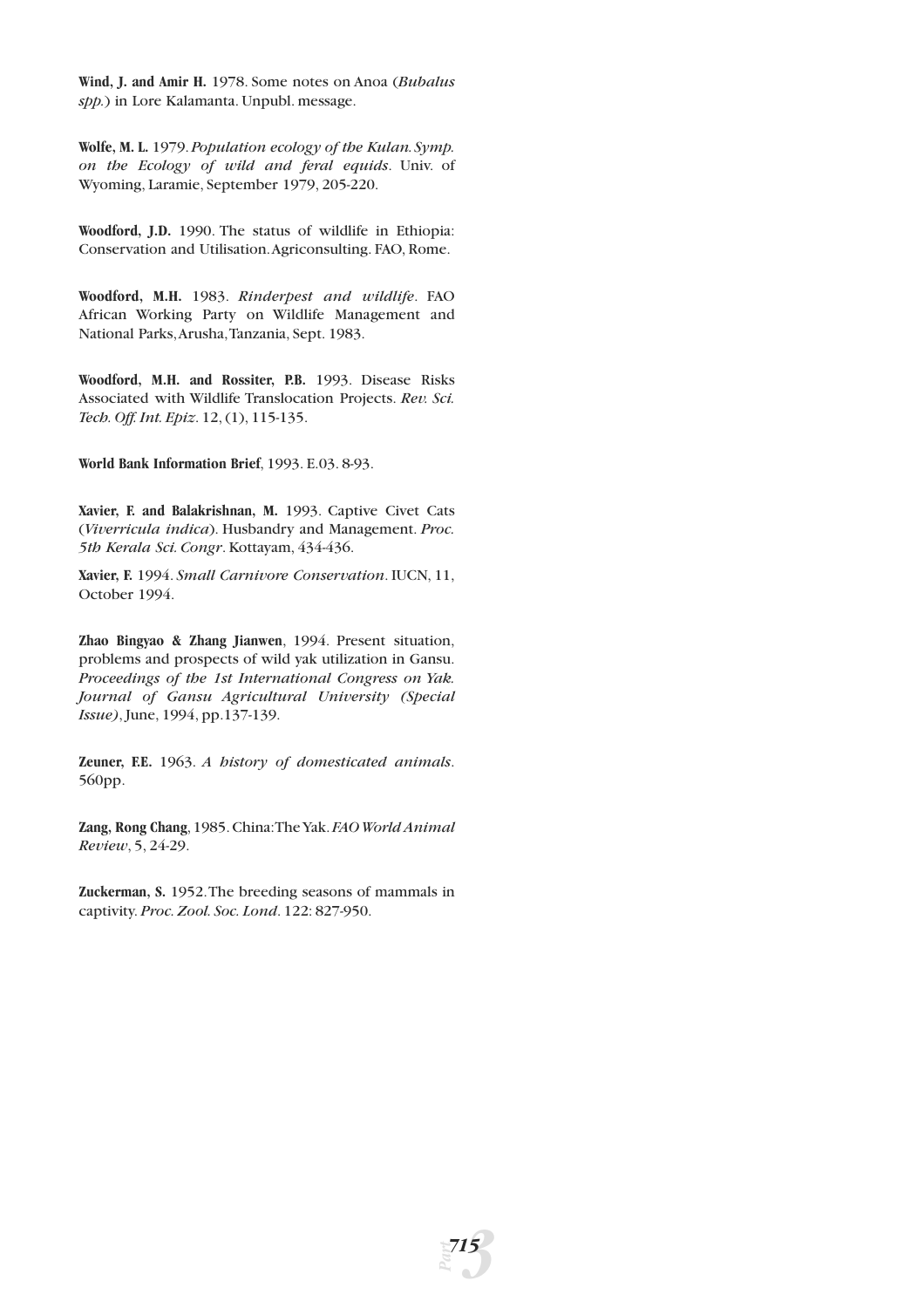**Wind, J. and Amir H.** 1978. Some notes on Anoa (*Bubalus spp.*) in Lore Kalamanta. Unpubl. message.

**Wolfe, M. L.** 1979.*Population ecology of the Kulan.Symp. on the Ecology of wild and feral equids*. Univ. of Wyoming, Laramie, September 1979, 205-220.

**Woodford, J.D.** 1990. The status of wildlife in Ethiopia: Conservation and Utilisation.Agriconsulting. FAO, Rome.

**Woodford, M.H.** 1983. *Rinderpest and wildlife*. FAO African Working Party on Wildlife Management and National Parks,Arusha,Tanzania, Sept. 1983.

**Woodford, M.H. and Rossiter, P.B.** 1993. Disease Risks Associated with Wildlife Translocation Projects. *Rev. Sci. Tech. Off. Int. Epiz*. 12, (1), 115-135.

**World Bank Information Brief**, 1993. E.03. 8-93.

**Xavier, F. and Balakrishnan, M.** 1993. Captive Civet Cats (*Viverricula indica*). Husbandry and Management. *Proc. 5th Kerala Sci. Congr*. Kottayam, 434-436.

**Xavier, F.** 1994. *Small Carnivore Conservation*. IUCN, 11, October 1994.

**Zhao Bingyao & Zhang Jianwen**, 1994. Present situation, problems and prospects of wild yak utilization in Gansu. *Proceedings of the 1st International Congress on Yak. Journal of Gansu Agricultural University (Special Issue)*, June, 1994, pp.137-139.

**Zeuner, F.E.** 1963. *A history of domesticated animals*. 560pp.

**Zang, Rong Chang**,1985.China:The Yak.*FAO World Animal Review*, 5, 24-29.

**Zuckerman, S.** 1952.The breeding seasons of mammals in captivity. *Proc. Zool. Soc. Lond*. 122: 827-950.